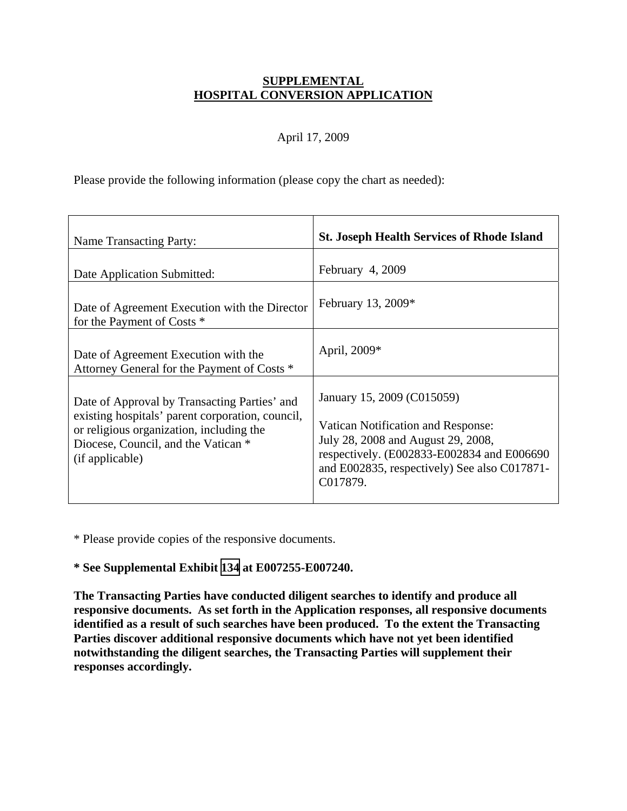### **SUPPLEMENTAL HOSPITAL CONVERSION APPLICATION**

### April 17, 2009

Please provide the following information (please copy the chart as needed):

| Name Transacting Party:                                                                                                                                                                                | <b>St. Joseph Health Services of Rhode Island</b>                                                                                                                                                                       |
|--------------------------------------------------------------------------------------------------------------------------------------------------------------------------------------------------------|-------------------------------------------------------------------------------------------------------------------------------------------------------------------------------------------------------------------------|
| Date Application Submitted:                                                                                                                                                                            | February 4, 2009                                                                                                                                                                                                        |
| Date of Agreement Execution with the Director<br>for the Payment of Costs *                                                                                                                            | February 13, 2009*                                                                                                                                                                                                      |
| Date of Agreement Execution with the<br>Attorney General for the Payment of Costs *                                                                                                                    | April, 2009*                                                                                                                                                                                                            |
| Date of Approval by Transacting Parties' and<br>existing hospitals' parent corporation, council,<br>or religious organization, including the<br>Diocese, Council, and the Vatican *<br>(if applicable) | January 15, 2009 (C015059)<br><b>Vatican Notification and Response:</b><br>July 28, 2008 and August 29, 2008,<br>respectively. (E002833-E002834 and E006690<br>and E002835, respectively) See also C017871-<br>C017879. |

\* Please provide copies of the responsive documents.

#### **\* See Supplemental Exhibit [134](TAB 134.pdf) at E007255-E007240.**

**The Transacting Parties have conducted diligent searches to identify and produce all responsive documents. As set forth in the Application responses, all responsive documents identified as a result of such searches have been produced. To the extent the Transacting Parties discover additional responsive documents which have not yet been identified notwithstanding the diligent searches, the Transacting Parties will supplement their responses accordingly.**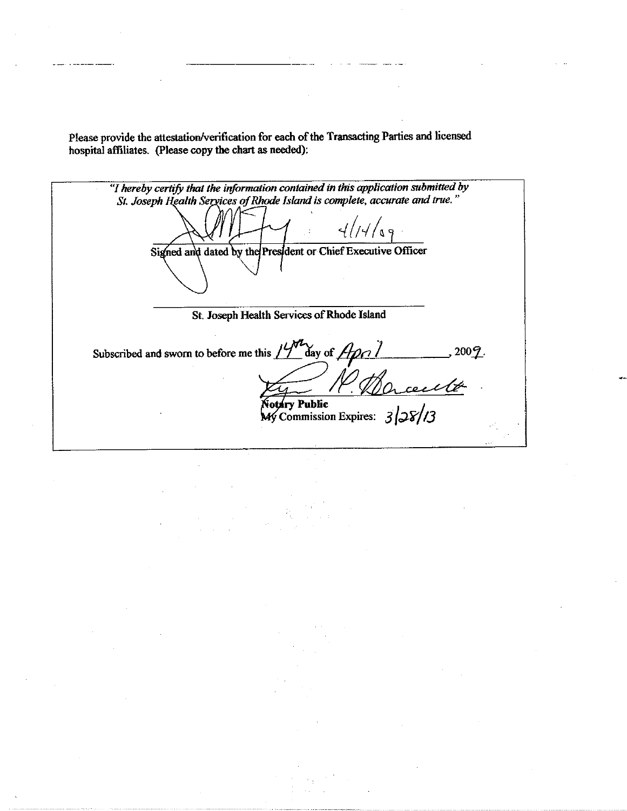Please provide the attestation/verification for each of the Transacting Parties and licensed hospital affiliates. (Please copy the chart as needed):

"I hereby certify that the information contained in this application submitted by St. Joseph Health Services of Rhode Island is complete, accurate and true."  $\sqrt{3}$ Signed and dated by the President or Chief Executive Officer St. Joseph Health Services of Rhode Island Subscribed and sworn to before me this  $14^{\frac{1}{2}}$  day of  $A$ pci , 2009.  $^\angle Q$ otary Public  $\overline{My}$  Commission Expires: 3/28/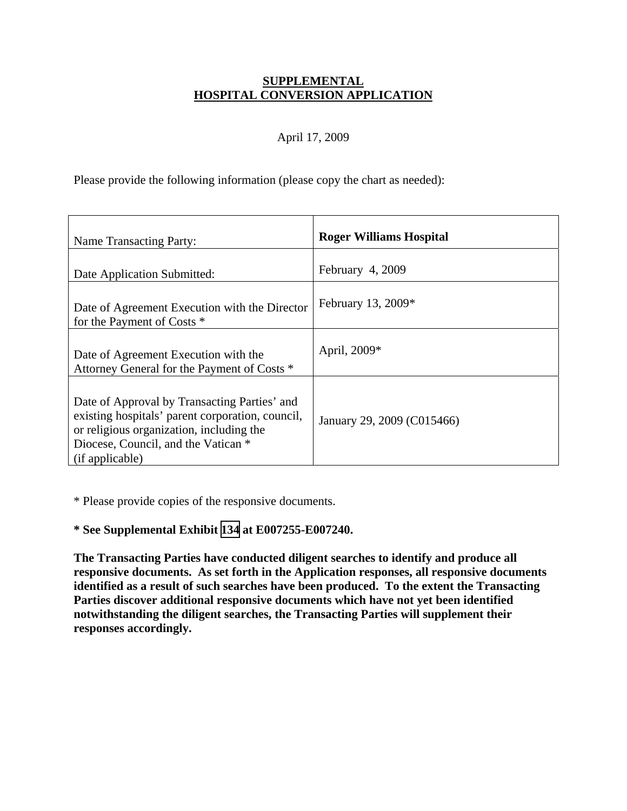### **SUPPLEMENTAL HOSPITAL CONVERSION APPLICATION**

## April 17, 2009

Please provide the following information (please copy the chart as needed):

| Name Transacting Party:                                                                                                                                                                                | <b>Roger Williams Hospital</b> |
|--------------------------------------------------------------------------------------------------------------------------------------------------------------------------------------------------------|--------------------------------|
| Date Application Submitted:                                                                                                                                                                            | February $4,2009$              |
| Date of Agreement Execution with the Director<br>for the Payment of Costs *                                                                                                                            | February 13, $2009*$           |
| Date of Agreement Execution with the<br>Attorney General for the Payment of Costs *                                                                                                                    | April, 2009*                   |
| Date of Approval by Transacting Parties' and<br>existing hospitals' parent corporation, council,<br>or religious organization, including the<br>Diocese, Council, and the Vatican *<br>(if applicable) | January 29, 2009 (C015466)     |

\* Please provide copies of the responsive documents.

# **\* See Supplemental Exhibit [134](TAB 134.pdf) at E007255-E007240.**

**The Transacting Parties have conducted diligent searches to identify and produce all responsive documents. As set forth in the Application responses, all responsive documents identified as a result of such searches have been produced. To the extent the Transacting Parties discover additional responsive documents which have not yet been identified notwithstanding the diligent searches, the Transacting Parties will supplement their responses accordingly.**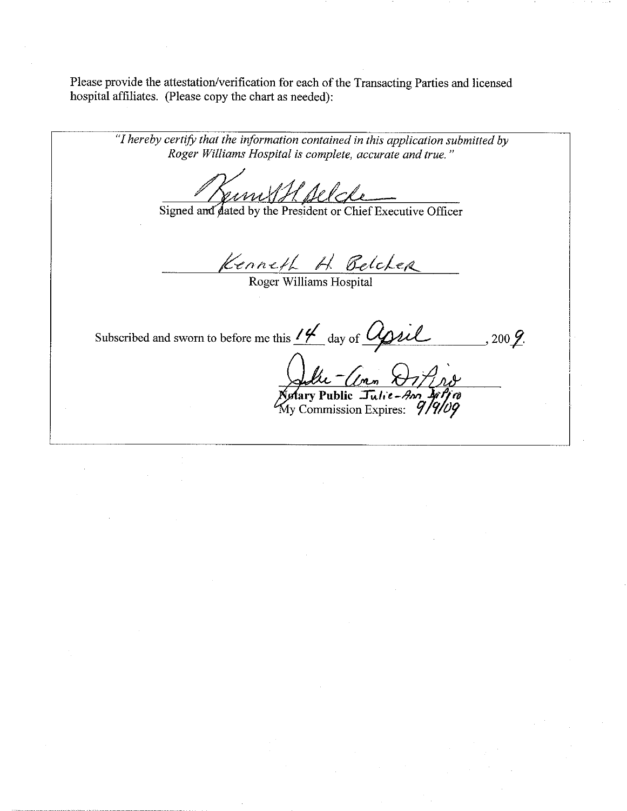Please provide the attestation/verification for each of the Transacting Parties and licensed hospital affiliates. (Please copy the chart as needed):

"I hereby certify that the information contained in this application submitted by Roger Williams Hospital is complete, accurate and true." Signed and dated by the President or Chief Executive Officer Kenneth H Belcher Subscribed and sworn to before me this 14 day of Upsil  $,200\cancel{2}$ . (Imm Julie <u>- Comm XIIIns</u><br>Notary Public Julie-Ann Diffra<br>My Commission Expires: 9/9/09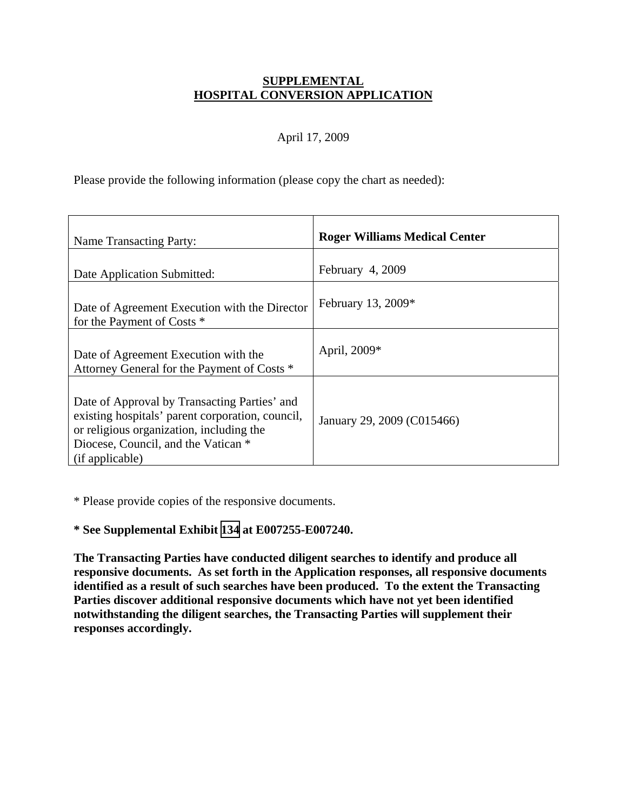### **SUPPLEMENTAL HOSPITAL CONVERSION APPLICATION**

## April 17, 2009

Please provide the following information (please copy the chart as needed):

| <b>Name Transacting Party:</b>                                                                                                                                                                         | <b>Roger Williams Medical Center</b> |
|--------------------------------------------------------------------------------------------------------------------------------------------------------------------------------------------------------|--------------------------------------|
| Date Application Submitted:                                                                                                                                                                            | February 4, 2009                     |
| Date of Agreement Execution with the Director<br>for the Payment of Costs *                                                                                                                            | February 13, 2009*                   |
| Date of Agreement Execution with the<br>Attorney General for the Payment of Costs *                                                                                                                    | April, 2009*                         |
| Date of Approval by Transacting Parties' and<br>existing hospitals' parent corporation, council,<br>or religious organization, including the<br>Diocese, Council, and the Vatican *<br>(if applicable) | January 29, 2009 (C015466)           |

\* Please provide copies of the responsive documents.

# **\* See Supplemental Exhibit [134](TAB 134.pdf) at E007255-E007240.**

**The Transacting Parties have conducted diligent searches to identify and produce all responsive documents. As set forth in the Application responses, all responsive documents identified as a result of such searches have been produced. To the extent the Transacting Parties discover additional responsive documents which have not yet been identified notwithstanding the diligent searches, the Transacting Parties will supplement their responses accordingly.**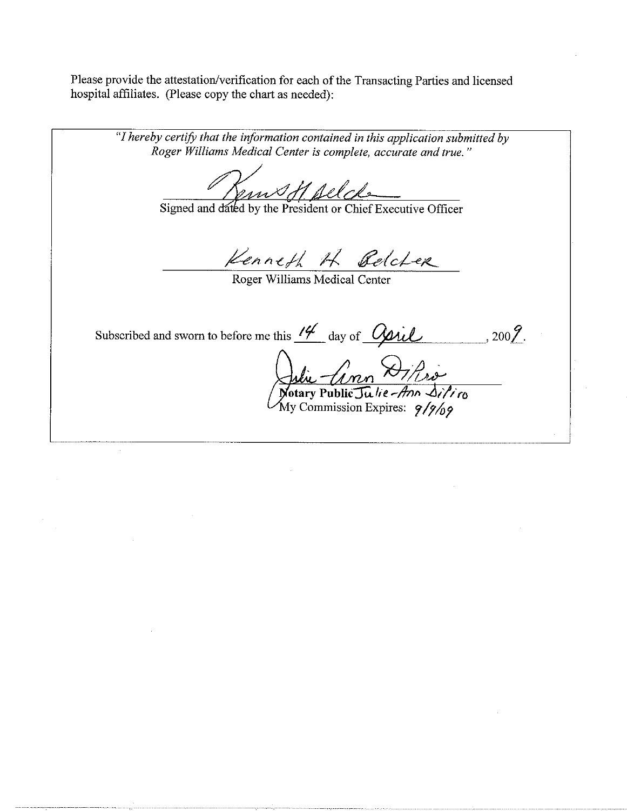Please provide the attestation/verification for each of the Transacting Parties and licensed hospital affiliates. (Please copy the chart as needed):

"I hereby certify that the information contained in this application submitted by Roger Williams Medical Center is complete, accurate and true." Ems H. Alche Signed and dated by the President or Chief Executive Officer Kenneth H Belcher Roger Williams Medical Center Subscribed and sworn to before me this  $\frac{14}{4}$  day of  $\frac{0}{2}$  $,$  200 $\mathcal{G}.$ Julie Comm Diffra<br>Notary Public Julie-Ann Difino<br>My Commission Expires: 9/9/09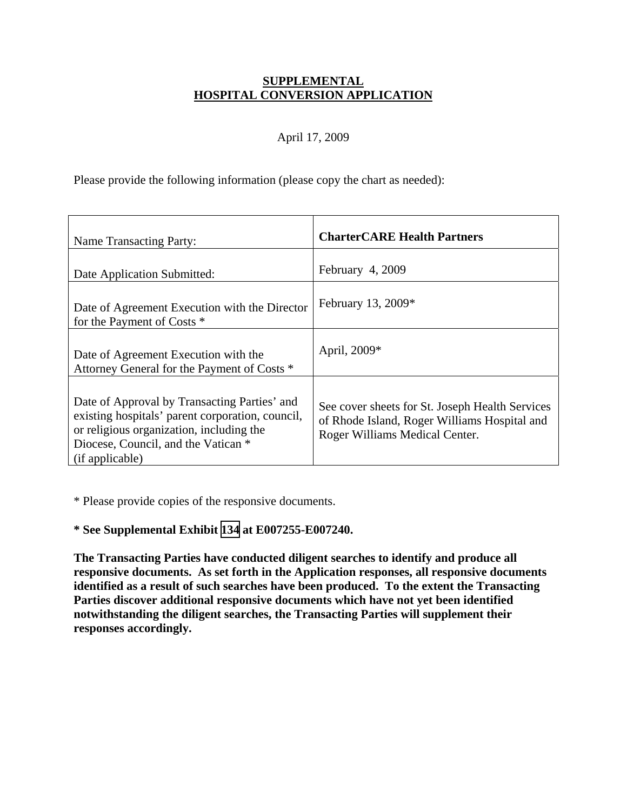## **SUPPLEMENTAL HOSPITAL CONVERSION APPLICATION**

## April 17, 2009

Please provide the following information (please copy the chart as needed):

| <b>Name Transacting Party:</b>                                                                                                                                                                         | <b>CharterCARE Health Partners</b>                                                                                                |
|--------------------------------------------------------------------------------------------------------------------------------------------------------------------------------------------------------|-----------------------------------------------------------------------------------------------------------------------------------|
| Date Application Submitted:                                                                                                                                                                            | February 4, 2009                                                                                                                  |
| Date of Agreement Execution with the Director<br>for the Payment of Costs *                                                                                                                            | February 13, 2009*                                                                                                                |
| Date of Agreement Execution with the<br>Attorney General for the Payment of Costs *                                                                                                                    | April, 2009*                                                                                                                      |
| Date of Approval by Transacting Parties' and<br>existing hospitals' parent corporation, council,<br>or religious organization, including the<br>Diocese, Council, and the Vatican *<br>(if applicable) | See cover sheets for St. Joseph Health Services<br>of Rhode Island, Roger Williams Hospital and<br>Roger Williams Medical Center. |

\* Please provide copies of the responsive documents.

# **\* See Supplemental Exhibit [134](TAB 134.pdf) at E007255-E007240.**

**The Transacting Parties have conducted diligent searches to identify and produce all responsive documents. As set forth in the Application responses, all responsive documents identified as a result of such searches have been produced. To the extent the Transacting Parties discover additional responsive documents which have not yet been identified notwithstanding the diligent searches, the Transacting Parties will supplement their responses accordingly.**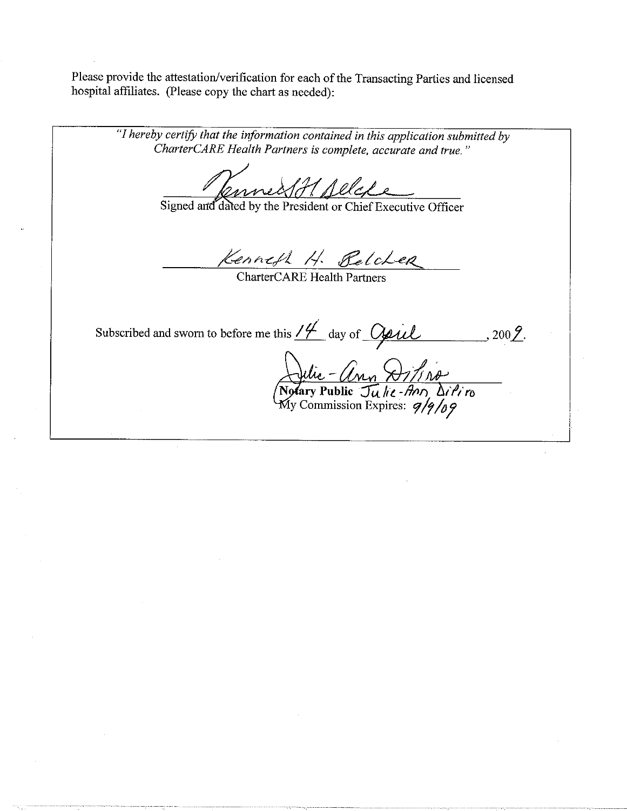Please provide the attestation/verification for each of the Transacting Parties and licensed hospital affiliates. (Please copy the chart as needed):

"I hereby certify that the information contained in this application submitted by CharterCARE Health Partners is complete, accurate and true." mmed 81 Allefe Signed and dated by the President or Chief Executive Officer Kenneth H. Belcher CharterCARE Health Partners Subscribed and sworn to before me this  $\frac{14}{4}$  day of <u>Oppil</u><br>2016<br>Notary Public - Ann Q1/1 no<br>Notary Public Julie - Ann DiPi ro<br>My Commission Expires:  $9/9/69$  $-$ , 200 $2$ .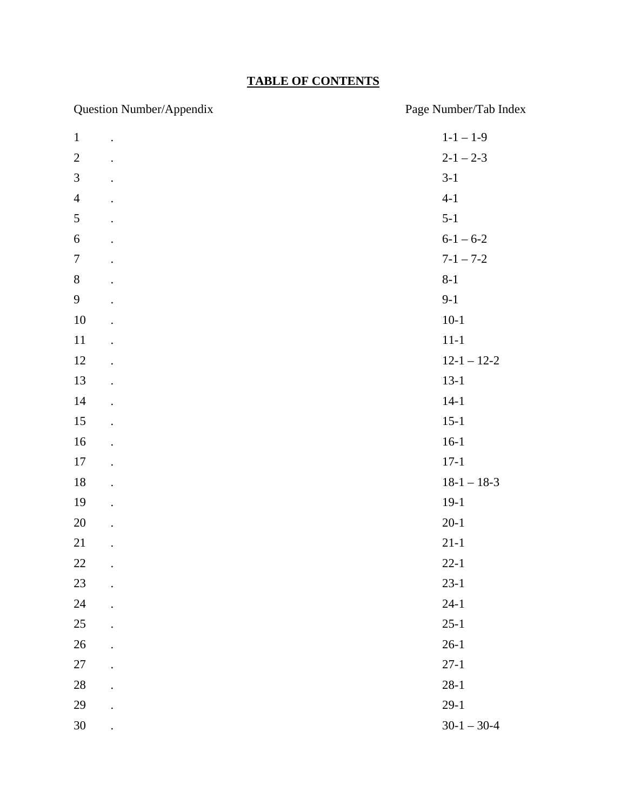# **TABLE OF CONTENTS**

| Question Number/Appendix   | Page Number/Tab Index |
|----------------------------|-----------------------|
| $\mathbf{1}$<br>$\cdot$    | $1 - 1 - 1 - 9$       |
| $\sqrt{2}$                 | $2 - 1 - 2 - 3$       |
| $\mathfrak{Z}$             | $3-1$                 |
| $\overline{4}$             | $4 - 1$               |
| 5                          | $5 - 1$               |
| $\boldsymbol{6}$           | $6 - 1 - 6 - 2$       |
| $\boldsymbol{7}$           | $7 - 1 - 7 - 2$       |
| $8\,$                      | $8 - 1$               |
| 9                          | $9-1$                 |
| $10\,$                     | $10-1$                |
| $11\,$                     | $11 - 1$              |
| 12                         | $12 - 1 - 12 - 2$     |
| 13                         | $13-1$                |
| $14$                       | $14-1$                |
| 15                         | $15-1$                |
| 16                         | $16-1$                |
| 17                         | $17-1$                |
| $18\,$                     | $18-1 - 18-3$         |
| 19<br>$\ddot{\phantom{0}}$ | $19-1$                |
| $20\,$                     | $20-1$                |
| 21                         | $21 - 1$              |
| 22                         | $22 - 1$              |
| 23                         | $23-1$                |
| 24                         | $24-1$                |
| 25                         | $25 - 1$              |
| 26                         | $26-1$                |
| $27\,$                     | $27 - 1$              |
| $28\,$                     | $28-1$                |
| 29                         | $29-1$                |
| $30\,$                     | $30-1 - 30-4$         |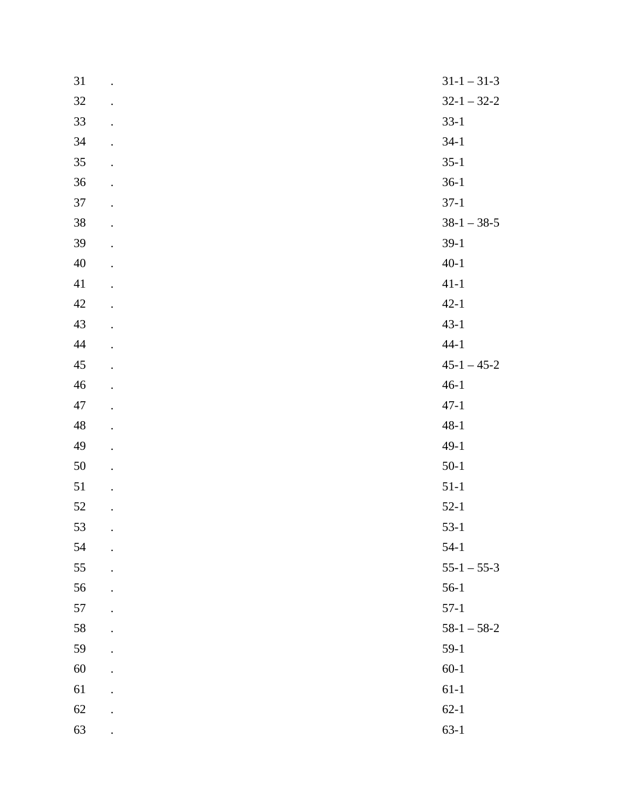| 31          | $\ddot{\phantom{0}}$ | $31 - 1 - 31 - 3$ |
|-------------|----------------------|-------------------|
| $32\,$      | $\ddot{\phantom{0}}$ | $32-1 - 32-2$     |
| 33          | $\ddot{\phantom{0}}$ | $33-1$            |
| $34\,$      |                      | $34-1$            |
| 35          |                      | $35-1$            |
| $36\,$      |                      | $36-1$            |
| 37          |                      | $37-1$            |
| $38\,$      |                      | $38-1 - 38-5$     |
| 39          |                      | $39-1$            |
| $40\,$      |                      | $40 - 1$          |
| 41          |                      | $41 - 1$          |
| $42\,$      |                      | $42 - 1$          |
| 43          | $\ddot{\phantom{0}}$ | $43-1$            |
| $44\,$      |                      | $44 - 1$          |
| $45\,$      |                      | $45-1 - 45-2$     |
| $46\,$      |                      | $46-1$            |
| 47          |                      | $47 - 1$          |
| $\sqrt{48}$ | $\ddot{\phantom{0}}$ | $48 - 1$          |
| 49          | $\cdot$              | $49-1$            |
| $50\,$      |                      | $50-1$            |
| 51          | $\ddot{\phantom{0}}$ | $51-1$            |
| 52          | $\ddot{\phantom{0}}$ | $52-1$            |
| 53          | $\bullet$            | $53-1$            |
| 54          |                      | $54-1$            |
| 55          |                      | $55-1 - 55-3$     |
| 56          |                      | $56-1$            |
| 57          |                      | $57-1$            |
| 58          |                      | $58-1 - 58-2$     |
| 59          |                      | $59-1$            |
| 60          |                      | $60 - 1$          |
| 61          |                      | $61 - 1$          |
| 62          |                      | $62 - 1$          |
| 63          |                      | $63 - 1$          |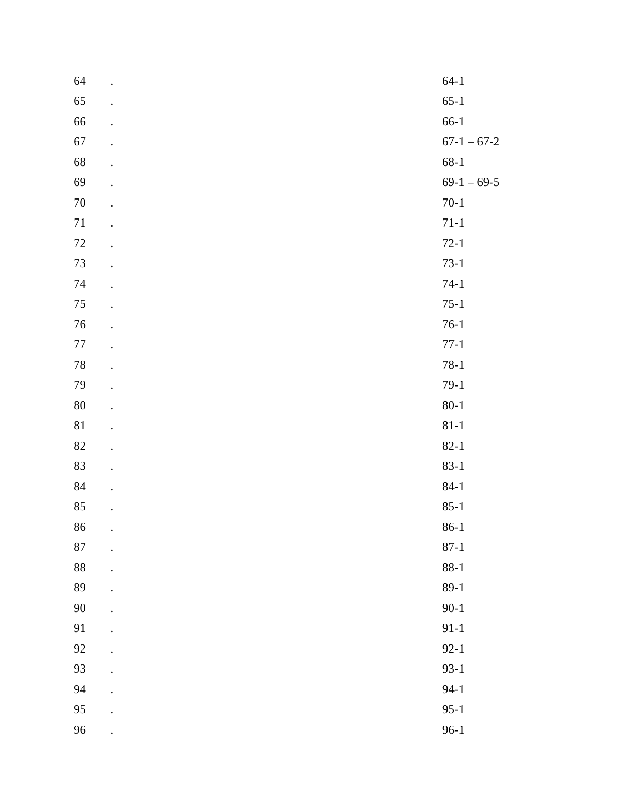| 64       | $64-1$        |
|----------|---------------|
| 65       | $65-1$        |
| 66       | $66-1$        |
| 67       | $67-1 - 67-2$ |
| 68       | $68 - 1$      |
| 69       | $69-1 - 69-5$ |
| $70\,$   | $70-1$        |
| $71\,$   | $71 - 1$      |
| $72\,$   | $72-1$        |
| $73\,$   | $73-1$        |
| 74       | $74-1$        |
| $75\,$   | $75-1$        |
| 76       | $76-1$        |
| $77\,$   | $77 - 1$      |
| $78\,$   | $78-1$        |
| 79       | $79-1$        |
| $80\,$   | $80 - 1$      |
| $81\,$   | $81 - 1$      |
| $82\,$   | $82 - 1$      |
| 83       | $83 - 1$      |
| $\bf 84$ | $84 - 1$      |
| $85\,$   | $85 - 1$      |
| 86       | $86-1$        |
| $87\,$   | $87 - 1$      |
| 88       | $88 - 1$      |
| 89       | $89-1$        |
| $90\,$   | $90 - 1$      |
| 91       | $91 - 1$      |
| 92       | $92 - 1$      |
| 93       | $93-1$        |
| 94       | $94 - 1$      |
| 95       | $95-1$        |
| 96       | $96-1$        |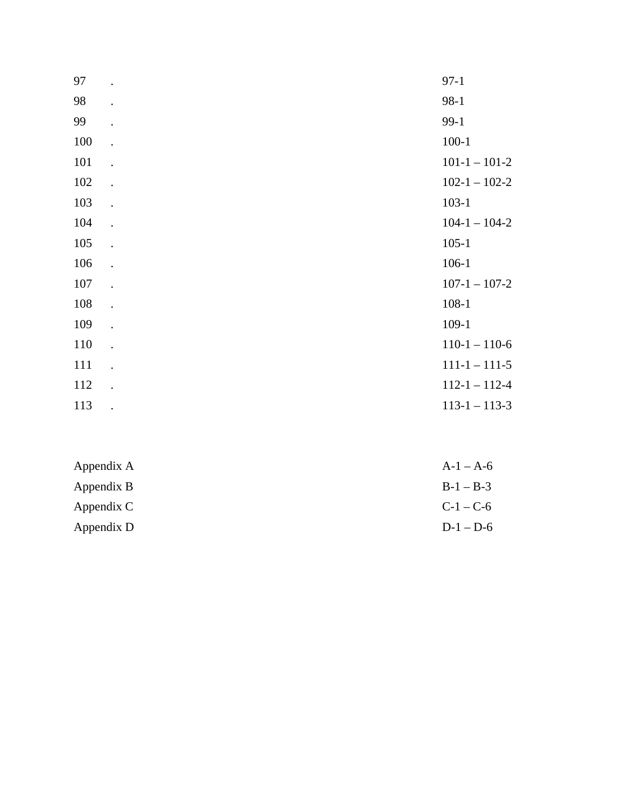| 97  |                      | $97-1$              |
|-----|----------------------|---------------------|
| 98  | $\bullet$            | $98-1$              |
| 99  | $\ddot{\phantom{0}}$ | $99-1$              |
| 100 |                      | $100 - 1$           |
| 101 | $\ddot{\phantom{a}}$ | $101-1-101-2$       |
| 102 | $\ddot{\phantom{0}}$ | $102 - 1 - 102 - 2$ |
| 103 | $\ddot{\phantom{a}}$ | $103-1$             |
| 104 | $\ddot{\phantom{a}}$ | $104-1 - 104-2$     |
| 105 |                      | $105 - 1$           |
| 106 | $\cdot$              | $106-1$             |
| 107 | $\ddot{\phantom{a}}$ | $107 - 1 - 107 - 2$ |
| 108 | $\ddot{\phantom{a}}$ | $108 - 1$           |
| 109 | $\ddot{\phantom{0}}$ | $109-1$             |
| 110 | $\ddot{\phantom{0}}$ | $110-1 - 110-6$     |
| 111 | $\ddot{\phantom{0}}$ | $111 - 1 - 111 - 5$ |
| 112 | $\ddot{\phantom{a}}$ | $112 - 1 - 112 - 4$ |
| 113 | $\ddot{\phantom{a}}$ | $113 - 1 - 113 - 3$ |

| $A-1 - A-6$ |
|-------------|
| $B-1 - B-3$ |
| $C-1 - C-6$ |
| $D-1-D-6$   |
|             |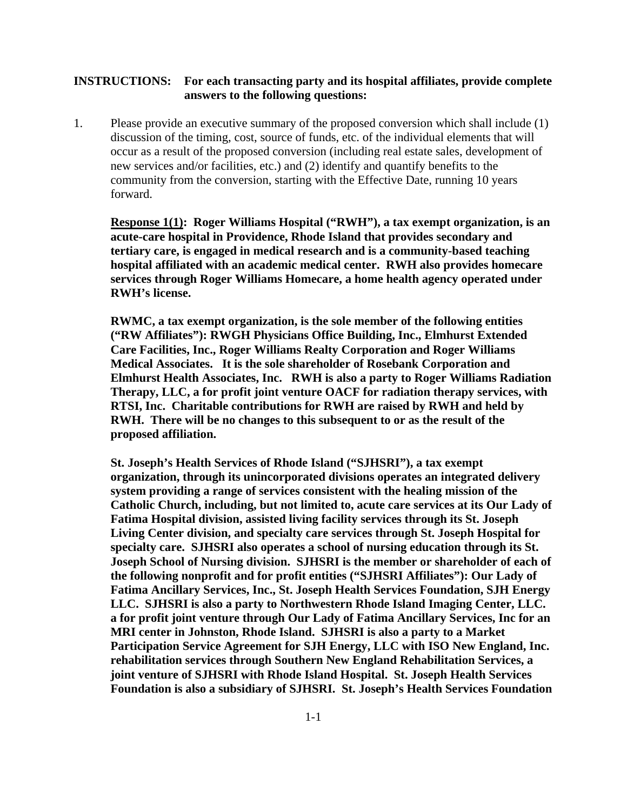#### **INSTRUCTIONS: For each transacting party and its hospital affiliates, provide complete answers to the following questions:**

1. Please provide an executive summary of the proposed conversion which shall include (1) discussion of the timing, cost, source of funds, etc. of the individual elements that will occur as a result of the proposed conversion (including real estate sales, development of new services and/or facilities, etc.) and (2) identify and quantify benefits to the community from the conversion, starting with the Effective Date, running 10 years forward.

**Response 1(1): Roger Williams Hospital ("RWH"), a tax exempt organization, is an acute-care hospital in Providence, Rhode Island that provides secondary and tertiary care, is engaged in medical research and is a community-based teaching hospital affiliated with an academic medical center. RWH also provides homecare services through Roger Williams Homecare, a home health agency operated under RWH's license.** 

**RWMC, a tax exempt organization, is the sole member of the following entities ("RW Affiliates"): RWGH Physicians Office Building, Inc., Elmhurst Extended Care Facilities, Inc., Roger Williams Realty Corporation and Roger Williams Medical Associates. It is the sole shareholder of Rosebank Corporation and Elmhurst Health Associates, Inc. RWH is also a party to Roger Williams Radiation Therapy, LLC, a for profit joint venture OACF for radiation therapy services, with RTSI, Inc. Charitable contributions for RWH are raised by RWH and held by RWH. There will be no changes to this subsequent to or as the result of the proposed affiliation.** 

**St. Joseph's Health Services of Rhode Island ("SJHSRI"), a tax exempt organization, through its unincorporated divisions operates an integrated delivery system providing a range of services consistent with the healing mission of the Catholic Church, including, but not limited to, acute care services at its Our Lady of Fatima Hospital division, assisted living facility services through its St. Joseph Living Center division, and specialty care services through St. Joseph Hospital for specialty care. SJHSRI also operates a school of nursing education through its St. Joseph School of Nursing division. SJHSRI is the member or shareholder of each of the following nonprofit and for profit entities ("SJHSRI Affiliates"): Our Lady of Fatima Ancillary Services, Inc., St. Joseph Health Services Foundation, SJH Energy LLC. SJHSRI is also a party to Northwestern Rhode Island Imaging Center, LLC. a for profit joint venture through Our Lady of Fatima Ancillary Services, Inc for an MRI center in Johnston, Rhode Island. SJHSRI is also a party to a Market Participation Service Agreement for SJH Energy, LLC with ISO New England, Inc. rehabilitation services through Southern New England Rehabilitation Services, a joint venture of SJHSRI with Rhode Island Hospital. St. Joseph Health Services Foundation is also a subsidiary of SJHSRI. St. Joseph's Health Services Foundation**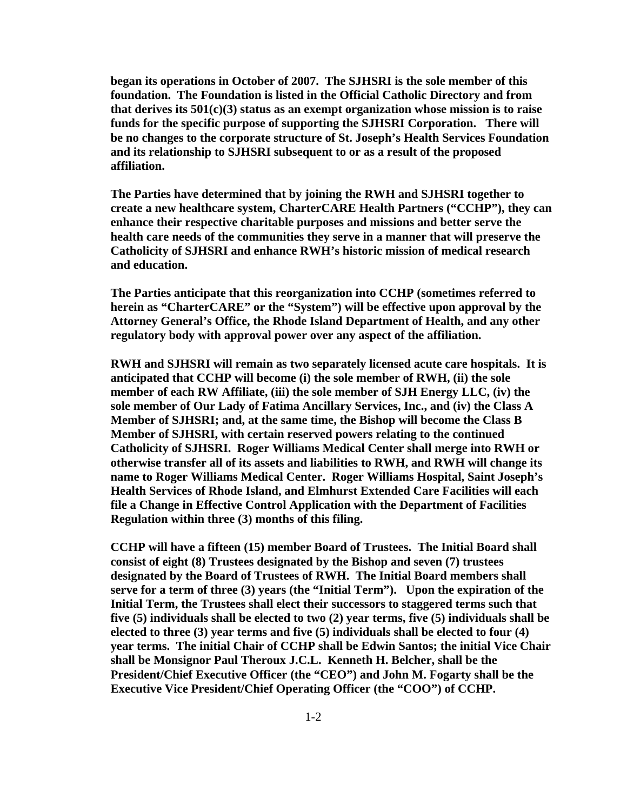**began its operations in October of 2007. The SJHSRI is the sole member of this foundation. The Foundation is listed in the Official Catholic Directory and from that derives its 501(c)(3) status as an exempt organization whose mission is to raise funds for the specific purpose of supporting the SJHSRI Corporation. There will be no changes to the corporate structure of St. Joseph's Health Services Foundation and its relationship to SJHSRI subsequent to or as a result of the proposed affiliation.** 

**The Parties have determined that by joining the RWH and SJHSRI together to create a new healthcare system, CharterCARE Health Partners ("CCHP"), they can enhance their respective charitable purposes and missions and better serve the health care needs of the communities they serve in a manner that will preserve the Catholicity of SJHSRI and enhance RWH's historic mission of medical research and education.** 

**The Parties anticipate that this reorganization into CCHP (sometimes referred to herein as "CharterCARE" or the "System") will be effective upon approval by the Attorney General's Office, the Rhode Island Department of Health, and any other regulatory body with approval power over any aspect of the affiliation.** 

**RWH and SJHSRI will remain as two separately licensed acute care hospitals. It is anticipated that CCHP will become (i) the sole member of RWH, (ii) the sole member of each RW Affiliate, (iii) the sole member of SJH Energy LLC, (iv) the sole member of Our Lady of Fatima Ancillary Services, Inc., and (iv) the Class A Member of SJHSRI; and, at the same time, the Bishop will become the Class B Member of SJHSRI, with certain reserved powers relating to the continued Catholicity of SJHSRI. Roger Williams Medical Center shall merge into RWH or otherwise transfer all of its assets and liabilities to RWH, and RWH will change its name to Roger Williams Medical Center. Roger Williams Hospital, Saint Joseph's Health Services of Rhode Island, and Elmhurst Extended Care Facilities will each file a Change in Effective Control Application with the Department of Facilities Regulation within three (3) months of this filing.** 

**CCHP will have a fifteen (15) member Board of Trustees. The Initial Board shall consist of eight (8) Trustees designated by the Bishop and seven (7) trustees designated by the Board of Trustees of RWH. The Initial Board members shall serve for a term of three (3) years (the "Initial Term"). Upon the expiration of the Initial Term, the Trustees shall elect their successors to staggered terms such that five (5) individuals shall be elected to two (2) year terms, five (5) individuals shall be elected to three (3) year terms and five (5) individuals shall be elected to four (4) year terms. The initial Chair of CCHP shall be Edwin Santos; the initial Vice Chair shall be Monsignor Paul Theroux J.C.L. Kenneth H. Belcher, shall be the President/Chief Executive Officer (the "CEO") and John M. Fogarty shall be the Executive Vice President/Chief Operating Officer (the "COO") of CCHP.**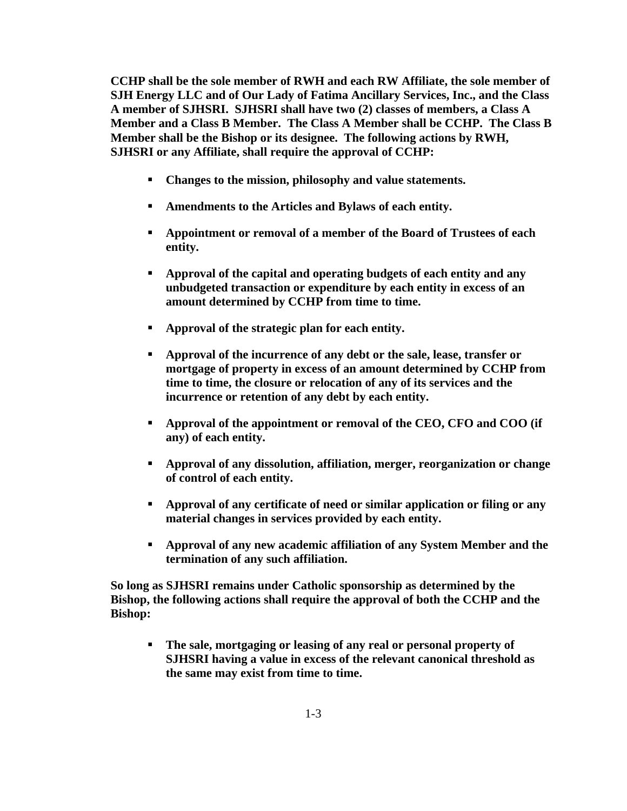**CCHP shall be the sole member of RWH and each RW Affiliate, the sole member of SJH Energy LLC and of Our Lady of Fatima Ancillary Services, Inc., and the Class A member of SJHSRI. SJHSRI shall have two (2) classes of members, a Class A Member and a Class B Member. The Class A Member shall be CCHP. The Class B Member shall be the Bishop or its designee. The following actions by RWH, SJHSRI or any Affiliate, shall require the approval of CCHP:** 

- **Changes to the mission, philosophy and value statements.**
- **Amendments to the Articles and Bylaws of each entity.**
- **Appointment or removal of a member of the Board of Trustees of each entity.**
- **Approval of the capital and operating budgets of each entity and any unbudgeted transaction or expenditure by each entity in excess of an amount determined by CCHP from time to time.**
- **Approval of the strategic plan for each entity.**
- **Approval of the incurrence of any debt or the sale, lease, transfer or mortgage of property in excess of an amount determined by CCHP from time to time, the closure or relocation of any of its services and the incurrence or retention of any debt by each entity.**
- **Approval of the appointment or removal of the CEO, CFO and COO (if any) of each entity.**
- **Approval of any dissolution, affiliation, merger, reorganization or change of control of each entity.**
- **Approval of any certificate of need or similar application or filing or any material changes in services provided by each entity.**
- **Approval of any new academic affiliation of any System Member and the termination of any such affiliation.**

**So long as SJHSRI remains under Catholic sponsorship as determined by the Bishop, the following actions shall require the approval of both the CCHP and the Bishop:** 

 **The sale, mortgaging or leasing of any real or personal property of SJHSRI having a value in excess of the relevant canonical threshold as the same may exist from time to time.**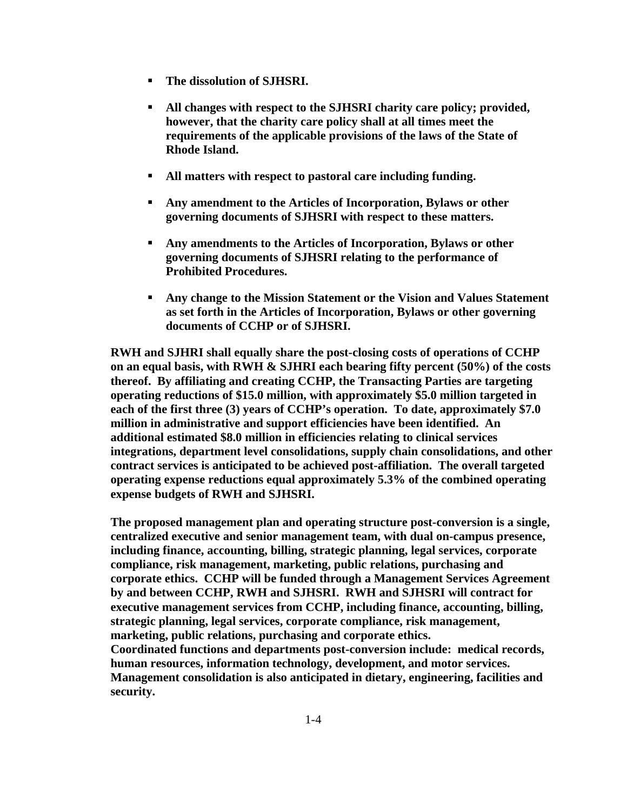- **The dissolution of SJHSRI.**
- **All changes with respect to the SJHSRI charity care policy; provided, however, that the charity care policy shall at all times meet the requirements of the applicable provisions of the laws of the State of Rhode Island.**
- **All matters with respect to pastoral care including funding.**
- **Any amendment to the Articles of Incorporation, Bylaws or other governing documents of SJHSRI with respect to these matters.**
- **Any amendments to the Articles of Incorporation, Bylaws or other governing documents of SJHSRI relating to the performance of Prohibited Procedures.**
- **Any change to the Mission Statement or the Vision and Values Statement as set forth in the Articles of Incorporation, Bylaws or other governing documents of CCHP or of SJHSRI.**

**RWH and SJHRI shall equally share the post-closing costs of operations of CCHP on an equal basis, with RWH & SJHRI each bearing fifty percent (50%) of the costs thereof. By affiliating and creating CCHP, the Transacting Parties are targeting operating reductions of \$15.0 million, with approximately \$5.0 million targeted in each of the first three (3) years of CCHP's operation. To date, approximately \$7.0 million in administrative and support efficiencies have been identified. An additional estimated \$8.0 million in efficiencies relating to clinical services integrations, department level consolidations, supply chain consolidations, and other contract services is anticipated to be achieved post-affiliation. The overall targeted operating expense reductions equal approximately 5.3% of the combined operating expense budgets of RWH and SJHSRI.** 

**The proposed management plan and operating structure post-conversion is a single, centralized executive and senior management team, with dual on-campus presence, including finance, accounting, billing, strategic planning, legal services, corporate compliance, risk management, marketing, public relations, purchasing and corporate ethics. CCHP will be funded through a Management Services Agreement by and between CCHP, RWH and SJHSRI. RWH and SJHSRI will contract for executive management services from CCHP, including finance, accounting, billing, strategic planning, legal services, corporate compliance, risk management, marketing, public relations, purchasing and corporate ethics. Coordinated functions and departments post-conversion include: medical records, human resources, information technology, development, and motor services. Management consolidation is also anticipated in dietary, engineering, facilities and security.**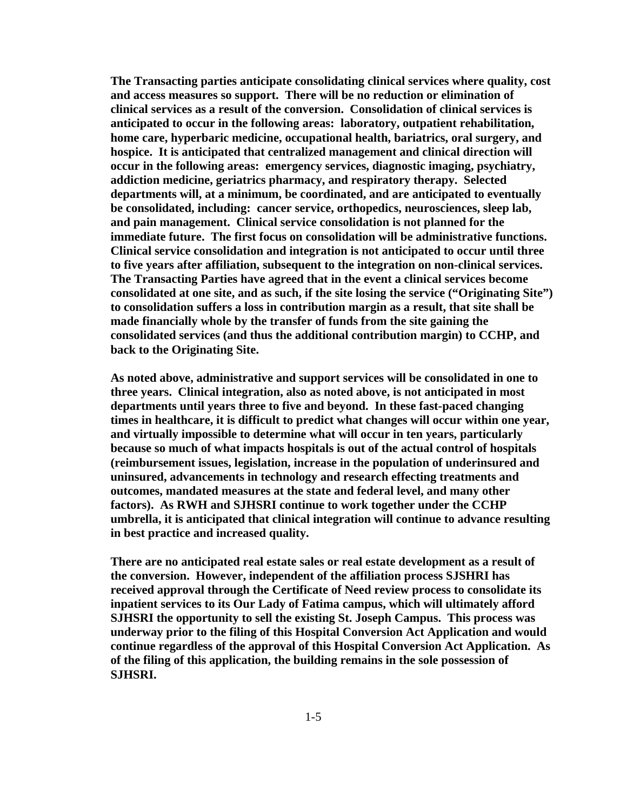**The Transacting parties anticipate consolidating clinical services where quality, cost and access measures so support. There will be no reduction or elimination of clinical services as a result of the conversion. Consolidation of clinical services is anticipated to occur in the following areas: laboratory, outpatient rehabilitation, home care, hyperbaric medicine, occupational health, bariatrics, oral surgery, and hospice. It is anticipated that centralized management and clinical direction will occur in the following areas: emergency services, diagnostic imaging, psychiatry, addiction medicine, geriatrics pharmacy, and respiratory therapy. Selected departments will, at a minimum, be coordinated, and are anticipated to eventually be consolidated, including: cancer service, orthopedics, neurosciences, sleep lab, and pain management. Clinical service consolidation is not planned for the immediate future. The first focus on consolidation will be administrative functions. Clinical service consolidation and integration is not anticipated to occur until three to five years after affiliation, subsequent to the integration on non-clinical services. The Transacting Parties have agreed that in the event a clinical services become consolidated at one site, and as such, if the site losing the service ("Originating Site") to consolidation suffers a loss in contribution margin as a result, that site shall be made financially whole by the transfer of funds from the site gaining the consolidated services (and thus the additional contribution margin) to CCHP, and back to the Originating Site.** 

**As noted above, administrative and support services will be consolidated in one to three years. Clinical integration, also as noted above, is not anticipated in most departments until years three to five and beyond. In these fast-paced changing times in healthcare, it is difficult to predict what changes will occur within one year, and virtually impossible to determine what will occur in ten years, particularly because so much of what impacts hospitals is out of the actual control of hospitals (reimbursement issues, legislation, increase in the population of underinsured and uninsured, advancements in technology and research effecting treatments and outcomes, mandated measures at the state and federal level, and many other factors). As RWH and SJHSRI continue to work together under the CCHP umbrella, it is anticipated that clinical integration will continue to advance resulting in best practice and increased quality.** 

**There are no anticipated real estate sales or real estate development as a result of the conversion. However, independent of the affiliation process SJSHRI has received approval through the Certificate of Need review process to consolidate its inpatient services to its Our Lady of Fatima campus, which will ultimately afford SJHSRI the opportunity to sell the existing St. Joseph Campus. This process was underway prior to the filing of this Hospital Conversion Act Application and would continue regardless of the approval of this Hospital Conversion Act Application. As of the filing of this application, the building remains in the sole possession of SJHSRI.**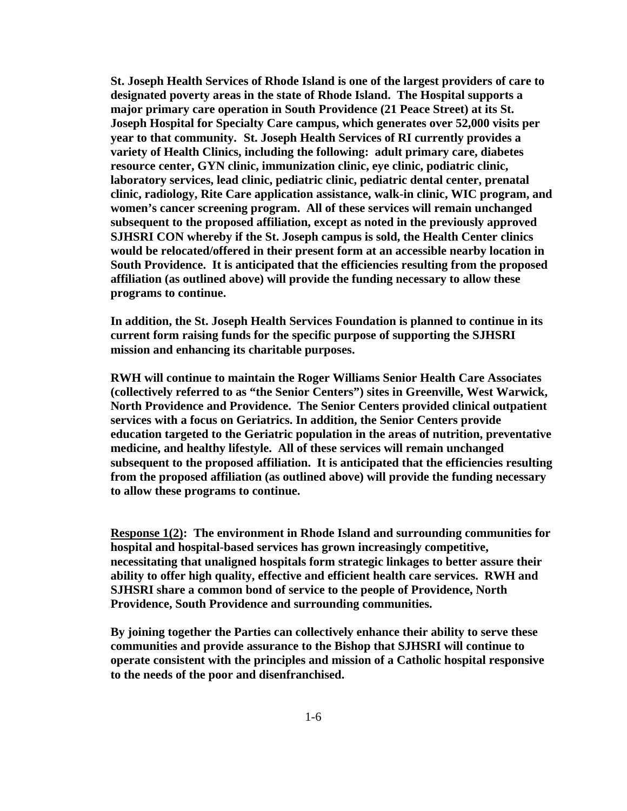**St. Joseph Health Services of Rhode Island is one of the largest providers of care to designated poverty areas in the state of Rhode Island. The Hospital supports a major primary care operation in South Providence (21 Peace Street) at its St. Joseph Hospital for Specialty Care campus, which generates over 52,000 visits per year to that community. St. Joseph Health Services of RI currently provides a variety of Health Clinics, including the following: adult primary care, diabetes resource center, GYN clinic, immunization clinic, eye clinic, podiatric clinic, laboratory services, lead clinic, pediatric clinic, pediatric dental center, prenatal clinic, radiology, Rite Care application assistance, walk-in clinic, WIC program, and women's cancer screening program. All of these services will remain unchanged subsequent to the proposed affiliation, except as noted in the previously approved SJHSRI CON whereby if the St. Joseph campus is sold, the Health Center clinics would be relocated/offered in their present form at an accessible nearby location in South Providence. It is anticipated that the efficiencies resulting from the proposed affiliation (as outlined above) will provide the funding necessary to allow these programs to continue.** 

**In addition, the St. Joseph Health Services Foundation is planned to continue in its current form raising funds for the specific purpose of supporting the SJHSRI mission and enhancing its charitable purposes.** 

**RWH will continue to maintain the Roger Williams Senior Health Care Associates (collectively referred to as "the Senior Centers") sites in Greenville, West Warwick, North Providence and Providence. The Senior Centers provided clinical outpatient services with a focus on Geriatrics. In addition, the Senior Centers provide education targeted to the Geriatric population in the areas of nutrition, preventative medicine, and healthy lifestyle. All of these services will remain unchanged subsequent to the proposed affiliation. It is anticipated that the efficiencies resulting from the proposed affiliation (as outlined above) will provide the funding necessary to allow these programs to continue.** 

**Response 1(2): The environment in Rhode Island and surrounding communities for hospital and hospital-based services has grown increasingly competitive, necessitating that unaligned hospitals form strategic linkages to better assure their ability to offer high quality, effective and efficient health care services. RWH and SJHSRI share a common bond of service to the people of Providence, North Providence, South Providence and surrounding communities.** 

**By joining together the Parties can collectively enhance their ability to serve these communities and provide assurance to the Bishop that SJHSRI will continue to operate consistent with the principles and mission of a Catholic hospital responsive to the needs of the poor and disenfranchised.**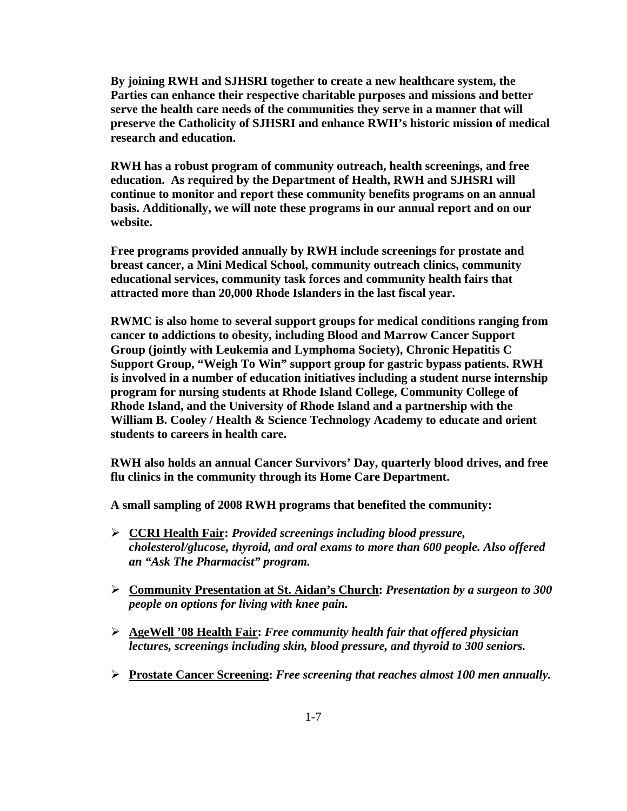**By joining RWH and SJHSRI together to create a new healthcare system, the Parties can enhance their respective charitable purposes and missions and better serve the health care needs of the communities they serve in a manner that will preserve the Catholicity of SJHSRI and enhance RWH's historic mission of medical research and education.** 

**RWH has a robust program of community outreach, health screenings, and free education. As required by the Department of Health, RWH and SJHSRI will continue to monitor and report these community benefits programs on an annual basis. Additionally, we will note these programs in our annual report and on our website.** 

**Free programs provided annually by RWH include screenings for prostate and breast cancer, a Mini Medical School, community outreach clinics, community educational services, community task forces and community health fairs that attracted more than 20,000 Rhode Islanders in the last fiscal year.** 

**RWMC is also home to several support groups for medical conditions ranging from cancer to addictions to obesity, including Blood and Marrow Cancer Support Group (jointly with Leukemia and Lymphoma Society), Chronic Hepatitis C Support Group, "Weigh To Win" support group for gastric bypass patients. RWH is involved in a number of education initiatives including a student nurse internship program for nursing students at Rhode Island College, Community College of Rhode Island, and the University of Rhode Island and a partnership with the William B. Cooley / Health & Science Technology Academy to educate and orient students to careers in health care.** 

**RWH also holds an annual Cancer Survivors' Day, quarterly blood drives, and free flu clinics in the community through its Home Care Department.** 

**A small sampling of 2008 RWH programs that benefited the community:** 

- ¾ **CCRI Health Fair:** *Provided screenings including blood pressure, cholesterol/glucose, thyroid, and oral exams to more than 600 people. Also offered an "Ask The Pharmacist" program.*
- ¾ **Community Presentation at St. Aidan's Church:** *Presentation by a surgeon to 300 people on options for living with knee pain.*
- ¾ **AgeWell '08 Health Fair:** *Free community health fair that offered physician lectures, screenings including skin, blood pressure, and thyroid to 300 seniors.*
- ¾ **Prostate Cancer Screening:** *Free screening that reaches almost 100 men annually.*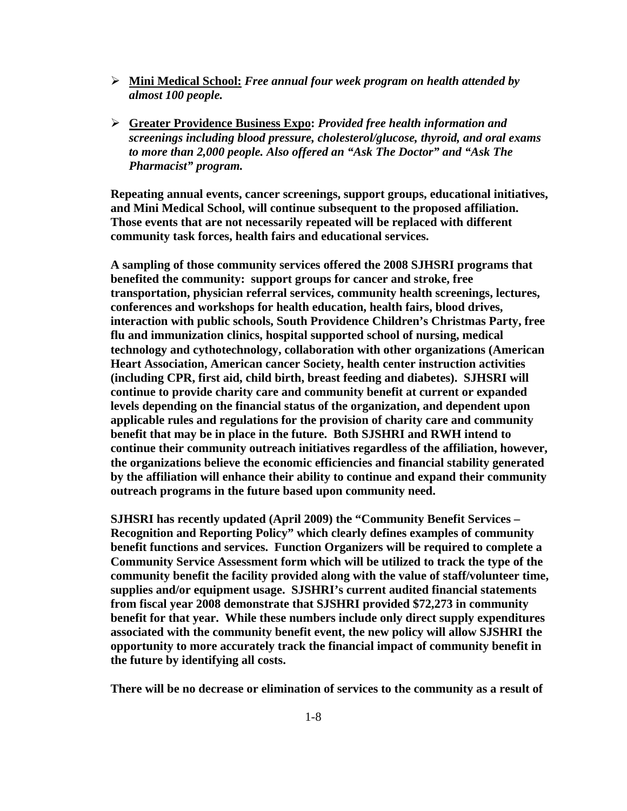- ¾ **Mini Medical School:** *Free annual four week program on health attended by almost 100 people.*
- ¾ **Greater Providence Business Expo:** *Provided free health information and screenings including blood pressure, cholesterol/glucose, thyroid, and oral exams to more than 2,000 people. Also offered an "Ask The Doctor" and "Ask The Pharmacist" program.*

**Repeating annual events, cancer screenings, support groups, educational initiatives, and Mini Medical School, will continue subsequent to the proposed affiliation. Those events that are not necessarily repeated will be replaced with different community task forces, health fairs and educational services.** 

**A sampling of those community services offered the 2008 SJHSRI programs that benefited the community: support groups for cancer and stroke, free transportation, physician referral services, community health screenings, lectures, conferences and workshops for health education, health fairs, blood drives, interaction with public schools, South Providence Children's Christmas Party, free flu and immunization clinics, hospital supported school of nursing, medical technology and cythotechnology, collaboration with other organizations (American Heart Association, American cancer Society, health center instruction activities (including CPR, first aid, child birth, breast feeding and diabetes). SJHSRI will continue to provide charity care and community benefit at current or expanded levels depending on the financial status of the organization, and dependent upon applicable rules and regulations for the provision of charity care and community benefit that may be in place in the future. Both SJSHRI and RWH intend to continue their community outreach initiatives regardless of the affiliation, however, the organizations believe the economic efficiencies and financial stability generated by the affiliation will enhance their ability to continue and expand their community outreach programs in the future based upon community need.** 

**SJHSRI has recently updated (April 2009) the "Community Benefit Services – Recognition and Reporting Policy" which clearly defines examples of community benefit functions and services. Function Organizers will be required to complete a Community Service Assessment form which will be utilized to track the type of the community benefit the facility provided along with the value of staff/volunteer time, supplies and/or equipment usage. SJSHRI's current audited financial statements from fiscal year 2008 demonstrate that SJSHRI provided \$72,273 in community benefit for that year. While these numbers include only direct supply expenditures associated with the community benefit event, the new policy will allow SJSHRI the opportunity to more accurately track the financial impact of community benefit in the future by identifying all costs.** 

**There will be no decrease or elimination of services to the community as a result of**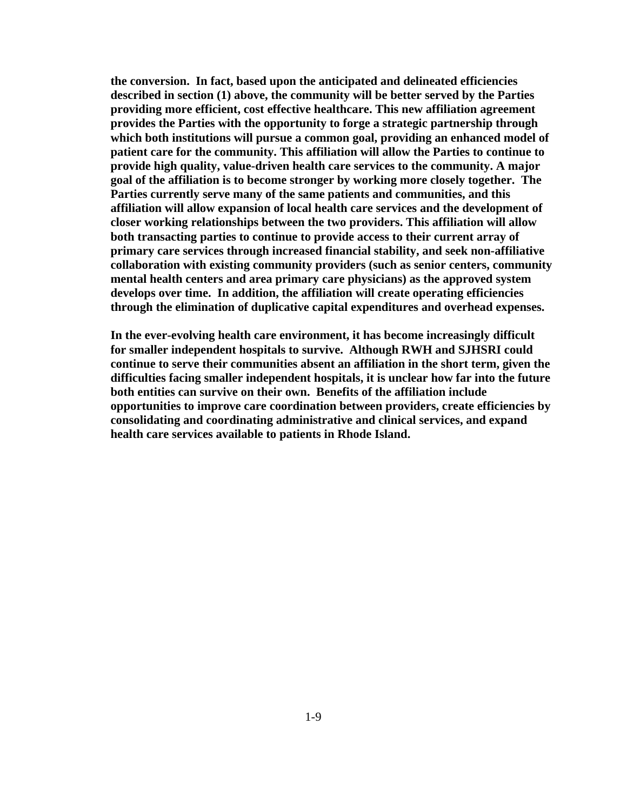**the conversion. In fact, based upon the anticipated and delineated efficiencies described in section (1) above, the community will be better served by the Parties providing more efficient, cost effective healthcare. This new affiliation agreement provides the Parties with the opportunity to forge a strategic partnership through which both institutions will pursue a common goal, providing an enhanced model of patient care for the community. This affiliation will allow the Parties to continue to provide high quality, value-driven health care services to the community. A major goal of the affiliation is to become stronger by working more closely together. The Parties currently serve many of the same patients and communities, and this affiliation will allow expansion of local health care services and the development of closer working relationships between the two providers. This affiliation will allow both transacting parties to continue to provide access to their current array of primary care services through increased financial stability, and seek non-affiliative collaboration with existing community providers (such as senior centers, community mental health centers and area primary care physicians) as the approved system develops over time. In addition, the affiliation will create operating efficiencies through the elimination of duplicative capital expenditures and overhead expenses.** 

**In the ever-evolving health care environment, it has become increasingly difficult for smaller independent hospitals to survive. Although RWH and SJHSRI could continue to serve their communities absent an affiliation in the short term, given the difficulties facing smaller independent hospitals, it is unclear how far into the future both entities can survive on their own. Benefits of the affiliation include opportunities to improve care coordination between providers, create efficiencies by consolidating and coordinating administrative and clinical services, and expand health care services available to patients in Rhode Island.**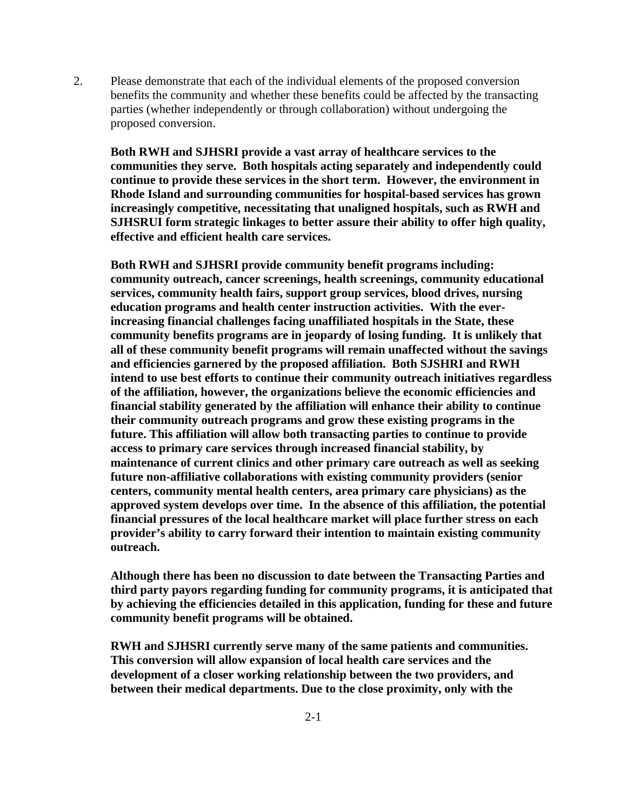2. Please demonstrate that each of the individual elements of the proposed conversion benefits the community and whether these benefits could be affected by the transacting parties (whether independently or through collaboration) without undergoing the proposed conversion.

**Both RWH and SJHSRI provide a vast array of healthcare services to the communities they serve. Both hospitals acting separately and independently could continue to provide these services in the short term. However, the environment in Rhode Island and surrounding communities for hospital-based services has grown increasingly competitive, necessitating that unaligned hospitals, such as RWH and SJHSRUI form strategic linkages to better assure their ability to offer high quality, effective and efficient health care services.** 

**Both RWH and SJHSRI provide community benefit programs including: community outreach, cancer screenings, health screenings, community educational services, community health fairs, support group services, blood drives, nursing education programs and health center instruction activities. With the everincreasing financial challenges facing unaffiliated hospitals in the State, these community benefits programs are in jeopardy of losing funding. It is unlikely that all of these community benefit programs will remain unaffected without the savings and efficiencies garnered by the proposed affiliation. Both SJSHRI and RWH intend to use best efforts to continue their community outreach initiatives regardless of the affiliation, however, the organizations believe the economic efficiencies and financial stability generated by the affiliation will enhance their ability to continue their community outreach programs and grow these existing programs in the future. This affiliation will allow both transacting parties to continue to provide access to primary care services through increased financial stability, by maintenance of current clinics and other primary care outreach as well as seeking future non-affiliative collaborations with existing community providers (senior centers, community mental health centers, area primary care physicians) as the approved system develops over time. In the absence of this affiliation, the potential financial pressures of the local healthcare market will place further stress on each provider's ability to carry forward their intention to maintain existing community outreach.** 

**Although there has been no discussion to date between the Transacting Parties and third party payors regarding funding for community programs, it is anticipated that by achieving the efficiencies detailed in this application, funding for these and future community benefit programs will be obtained.** 

**RWH and SJHSRI currently serve many of the same patients and communities. This conversion will allow expansion of local health care services and the development of a closer working relationship between the two providers, and between their medical departments. Due to the close proximity, only with the**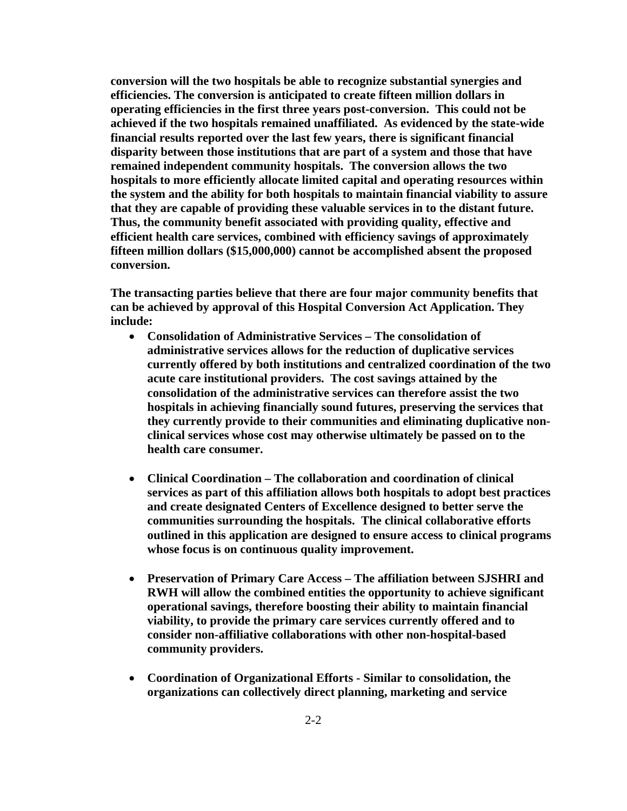**conversion will the two hospitals be able to recognize substantial synergies and efficiencies. The conversion is anticipated to create fifteen million dollars in operating efficiencies in the first three years post-conversion. This could not be achieved if the two hospitals remained unaffiliated. As evidenced by the state-wide financial results reported over the last few years, there is significant financial disparity between those institutions that are part of a system and those that have remained independent community hospitals. The conversion allows the two hospitals to more efficiently allocate limited capital and operating resources within the system and the ability for both hospitals to maintain financial viability to assure that they are capable of providing these valuable services in to the distant future. Thus, the community benefit associated with providing quality, effective and efficient health care services, combined with efficiency savings of approximately fifteen million dollars (\$15,000,000) cannot be accomplished absent the proposed conversion.** 

**The transacting parties believe that there are four major community benefits that can be achieved by approval of this Hospital Conversion Act Application. They include:** 

- **Consolidation of Administrative Services The consolidation of administrative services allows for the reduction of duplicative services currently offered by both institutions and centralized coordination of the two acute care institutional providers. The cost savings attained by the consolidation of the administrative services can therefore assist the two hospitals in achieving financially sound futures, preserving the services that they currently provide to their communities and eliminating duplicative nonclinical services whose cost may otherwise ultimately be passed on to the health care consumer.**
- **Clinical Coordination The collaboration and coordination of clinical services as part of this affiliation allows both hospitals to adopt best practices and create designated Centers of Excellence designed to better serve the communities surrounding the hospitals. The clinical collaborative efforts outlined in this application are designed to ensure access to clinical programs whose focus is on continuous quality improvement.**
- **Preservation of Primary Care Access The affiliation between SJSHRI and RWH will allow the combined entities the opportunity to achieve significant operational savings, therefore boosting their ability to maintain financial viability, to provide the primary care services currently offered and to consider non-affiliative collaborations with other non-hospital-based community providers.**
- **Coordination of Organizational Efforts Similar to consolidation, the organizations can collectively direct planning, marketing and service**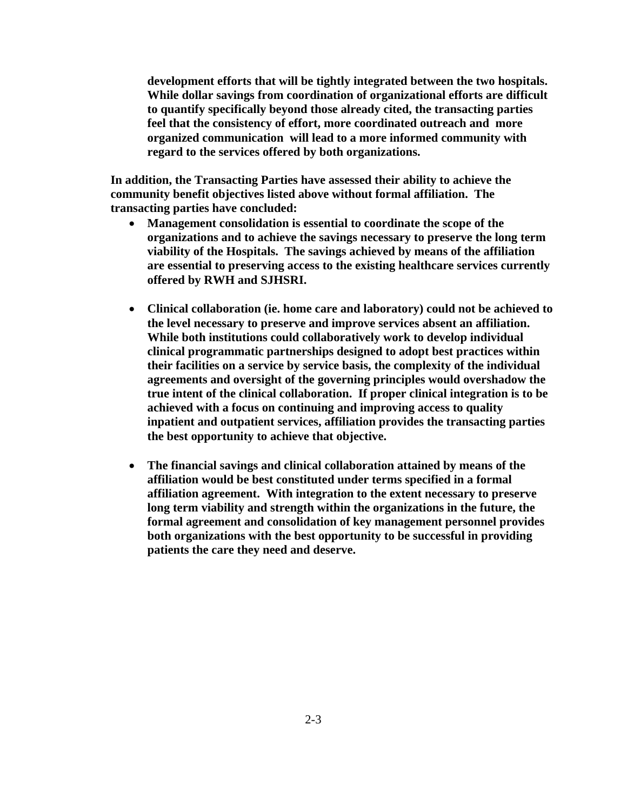**development efforts that will be tightly integrated between the two hospitals. While dollar savings from coordination of organizational efforts are difficult to quantify specifically beyond those already cited, the transacting parties feel that the consistency of effort, more coordinated outreach and more organized communication will lead to a more informed community with regard to the services offered by both organizations.** 

**In addition, the Transacting Parties have assessed their ability to achieve the community benefit objectives listed above without formal affiliation. The transacting parties have concluded:** 

- **Management consolidation is essential to coordinate the scope of the organizations and to achieve the savings necessary to preserve the long term viability of the Hospitals. The savings achieved by means of the affiliation are essential to preserving access to the existing healthcare services currently offered by RWH and SJHSRI.**
- **Clinical collaboration (ie. home care and laboratory) could not be achieved to the level necessary to preserve and improve services absent an affiliation. While both institutions could collaboratively work to develop individual clinical programmatic partnerships designed to adopt best practices within their facilities on a service by service basis, the complexity of the individual agreements and oversight of the governing principles would overshadow the true intent of the clinical collaboration. If proper clinical integration is to be achieved with a focus on continuing and improving access to quality inpatient and outpatient services, affiliation provides the transacting parties the best opportunity to achieve that objective.**
- **The financial savings and clinical collaboration attained by means of the affiliation would be best constituted under terms specified in a formal affiliation agreement. With integration to the extent necessary to preserve long term viability and strength within the organizations in the future, the formal agreement and consolidation of key management personnel provides both organizations with the best opportunity to be successful in providing patients the care they need and deserve.**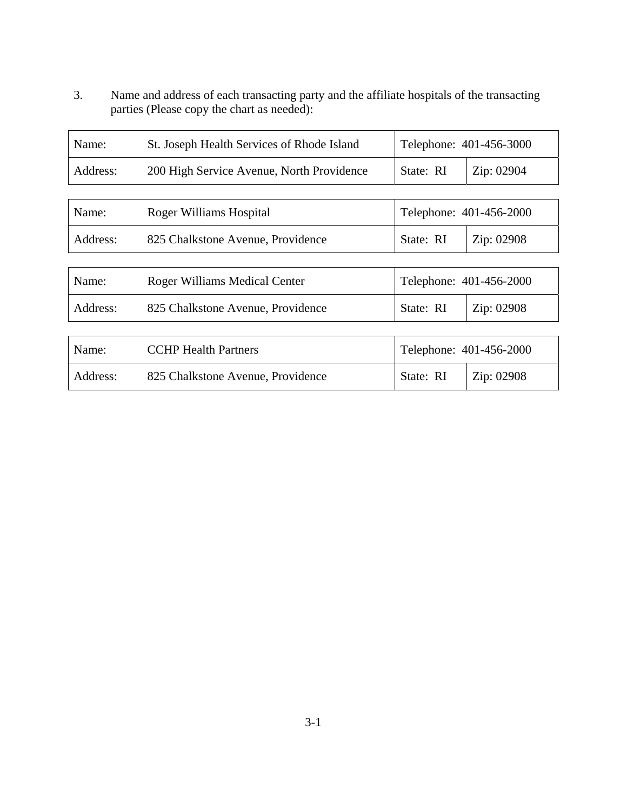3. Name and address of each transacting party and the affiliate hospitals of the transacting parties (Please copy the chart as needed):

 $\overline{ }$ 

| Name:    | St. Joseph Health Services of Rhode Island | Telephone: 401-456-3000 |            |
|----------|--------------------------------------------|-------------------------|------------|
| Address: | 200 High Service Avenue, North Providence  | State: RI               | Zip: 02904 |
|          |                                            |                         |            |
| Name:    | Roger Williams Hospital                    | Telephone: 401-456-2000 |            |
| Address: | 825 Chalkstone Avenue, Providence          | State: RI               | Zip: 02908 |
|          |                                            |                         |            |
| Name:    | <b>Roger Williams Medical Center</b>       | Telephone: 401-456-2000 |            |
| Address: | 825 Chalkstone Avenue, Providence          | State: RI               | Zip: 02908 |
|          |                                            |                         |            |
| Name:    | <b>CCHP Health Partners</b>                | Telephone: 401-456-2000 |            |
| Address: | 825 Chalkstone Avenue, Providence          | State: RI<br>Zip: 02908 |            |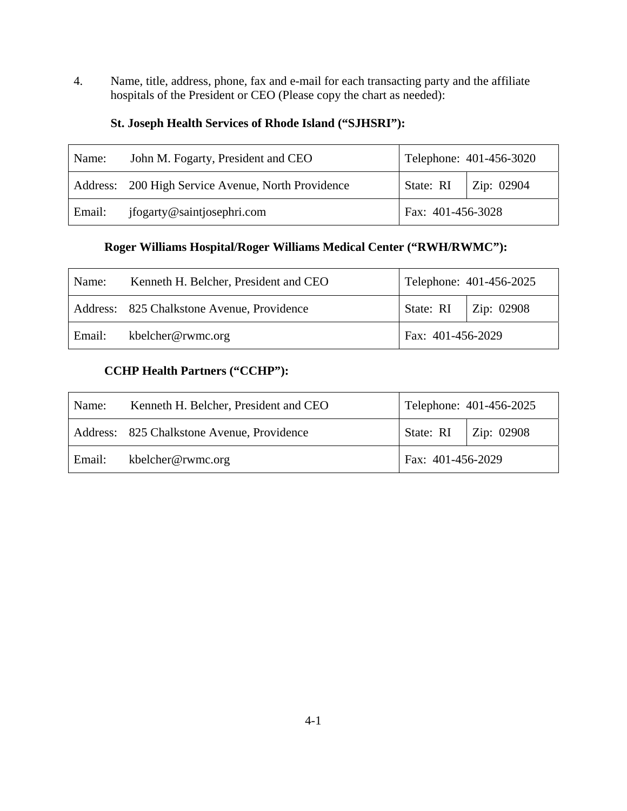4. Name, title, address, phone, fax and e-mail for each transacting party and the affiliate hospitals of the President or CEO (Please copy the chart as needed):

## **St. Joseph Health Services of Rhode Island ("SJHSRI"):**

| Name:  | John M. Fogarty, President and CEO                 | Telephone: 401-456-3020 |                          |
|--------|----------------------------------------------------|-------------------------|--------------------------|
|        | Address: 200 High Service Avenue, North Providence |                         | State: RI $ $ Zip: 02904 |
| Email: | jfogarty@saintjosephri.com                         | Fax: 401-456-3028       |                          |

# **Roger Williams Hospital/Roger Williams Medical Center ("RWH/RWMC"):**

| Name:  | Kenneth H. Belcher, President and CEO      | Telephone: 401-456-2025 |                        |
|--------|--------------------------------------------|-------------------------|------------------------|
|        | Address: 825 Chalkstone Avenue, Providence |                         | State: RI   Zip: 02908 |
| Email: | kbelcher@rwmc.org                          | Fax: 401-456-2029       |                        |

# **CCHP Health Partners ("CCHP"):**

| Name:  | Kenneth H. Belcher, President and CEO      |                   | Telephone: 401-456-2025  |
|--------|--------------------------------------------|-------------------|--------------------------|
|        | Address: 825 Chalkstone Avenue, Providence |                   | State: RI $ $ Zip: 02908 |
| Email: | kbelcher@rwmc.org                          | Fax: 401-456-2029 |                          |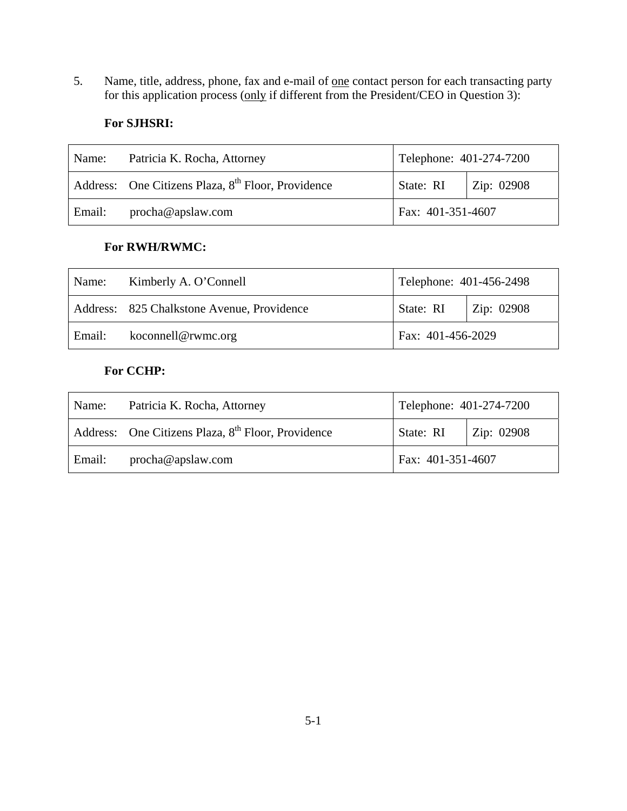5. Name, title, address, phone, fax and e-mail of one contact person for each transacting party for this application process (only if different from the President/CEO in Question 3):

# **For SJHSRI:**

| Name:  | Patricia K. Rocha, Attorney                                    | Telephone: 401-274-7200 |                    |
|--------|----------------------------------------------------------------|-------------------------|--------------------|
|        | Address: One Citizens Plaza, 8 <sup>th</sup> Floor, Providence | State: RI               | $\vert$ Zip: 02908 |
| Email: | procha@apslaw.com                                              | Fax: 401-351-4607       |                    |

#### **For RWH/RWMC:**

| Name:  | Kimberly A. O'Connell                      | Telephone: 401-456-2498 |  |
|--------|--------------------------------------------|-------------------------|--|
|        | Address: 825 Chalkstone Avenue, Providence | State: RI   Zip: 02908  |  |
| Email: | koconnell@rwmc.org                         | Fax: 401-456-2029       |  |

# **For CCHP:**

| Name:  | Patricia K. Rocha, Attorney                                    | Telephone: 401-274-7200 |                    |
|--------|----------------------------------------------------------------|-------------------------|--------------------|
|        | Address: One Citizens Plaza, 8 <sup>th</sup> Floor, Providence | State: RI               | $\vert$ Zip: 02908 |
| Email: | procha@apslaw.com                                              | Fax: 401-351-4607       |                    |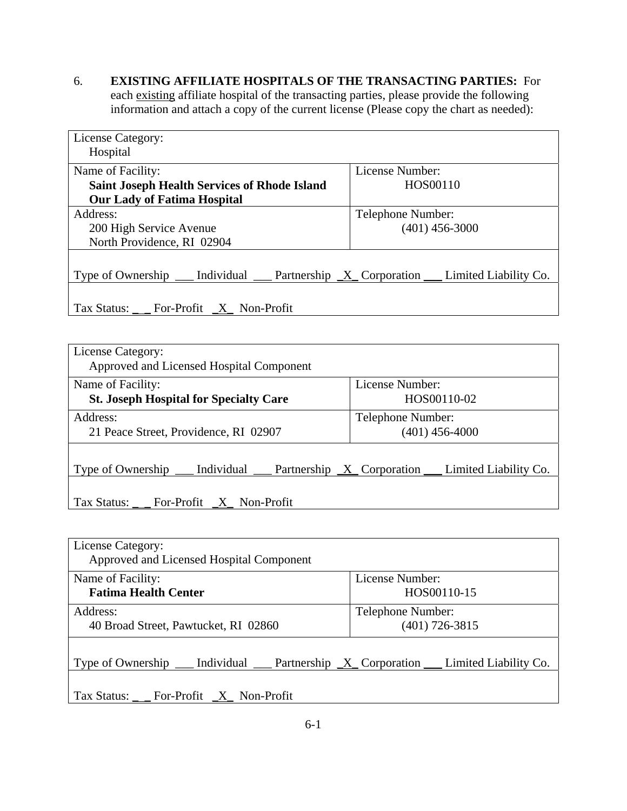6. **EXISTING AFFILIATE HOSPITALS OF THE TRANSACTING PARTIES:** For each existing affiliate hospital of the transacting parties, please provide the following information and attach a copy of the current license (Please copy the chart as needed):

| License Category:                                    |                                                          |
|------------------------------------------------------|----------------------------------------------------------|
| Hospital                                             |                                                          |
| Name of Facility:                                    | License Number:                                          |
| <b>Saint Joseph Health Services of Rhode Island</b>  | HOS00110                                                 |
| <b>Our Lady of Fatima Hospital</b>                   |                                                          |
| Address:                                             | Telephone Number:                                        |
| 200 High Service Avenue                              | $(401)$ 456-3000                                         |
| North Providence, RI 02904                           |                                                          |
|                                                      |                                                          |
| Individual<br>Type of Ownership                      | Partnership $X$ Corporation $\Box$ Limited Liability Co. |
|                                                      |                                                          |
| Tax Status: $\_\_$ For-Profit $\_\_X\_\_$ Non-Profit |                                                          |

| License Category:<br>Approved and Licensed Hospital Component                                                     |                                       |
|-------------------------------------------------------------------------------------------------------------------|---------------------------------------|
| Name of Facility:<br><b>St. Joseph Hospital for Specialty Care</b>                                                | License Number:<br>HOS00110-02        |
| Address:<br>21 Peace Street, Providence, RI 02907                                                                 | Telephone Number:<br>$(401)$ 456-4000 |
| Type of Ownership $\_\_\_$ Individual $\_\_\_$ Partnership $\_\_X\_\_$ Corporation $\_\_\_$ Limited Liability Co. |                                       |
| $\text{Tax Status:}$ _ _ For-Profit _X_ Non-Profit                                                                |                                       |

| License Category:<br>Approved and Licensed Hospital Component |                                                           |
|---------------------------------------------------------------|-----------------------------------------------------------|
| Name of Facility:<br><b>Fatima Health Center</b>              | License Number:<br>HOS00110-15                            |
|                                                               |                                                           |
| Address:                                                      | Telephone Number:                                         |
| 40 Broad Street, Pawtucket, RI 02860                          | $(401)$ 726-3815                                          |
| Individual<br>Type of Ownership                               | Partnership $X$ Corporation $\quad$ Limited Liability Co. |
| Tax Status: __ For-Profit $X$ Non-Profit                      |                                                           |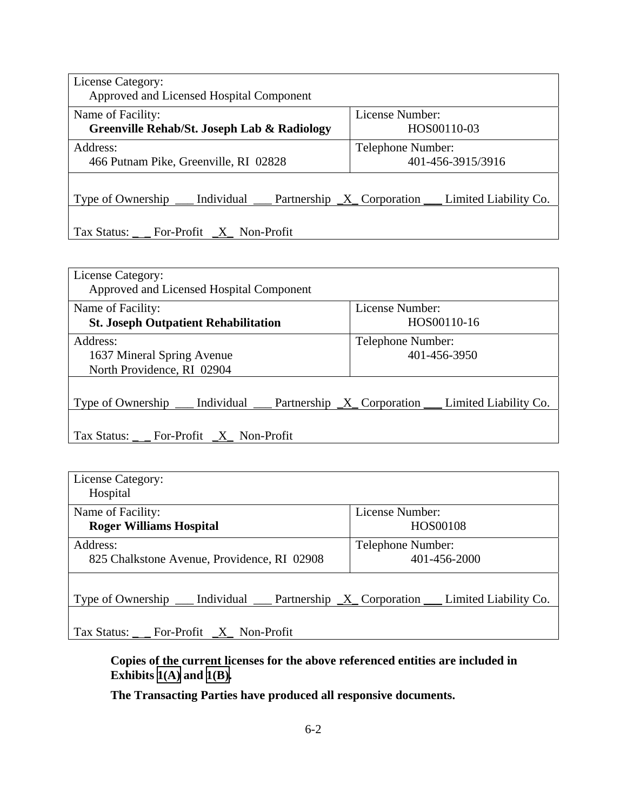| License Category:<br>Approved and Licensed Hospital Component                                                 |                                        |
|---------------------------------------------------------------------------------------------------------------|----------------------------------------|
| Name of Facility:<br>Greenville Rehab/St. Joseph Lab & Radiology                                              | License Number:<br>HOS00110-03         |
| Address:<br>466 Putnam Pike, Greenville, RI 02828                                                             | Telephone Number:<br>401-456-3915/3916 |
| Type of Ownership $\_\_\$ Individual $\_\_\$ Partnership $X_\_\_$ Corporation $\_\_\_\$ Limited Liability Co. |                                        |
| Tax Status: $\frac{\ }{\ }$ For-Profit $\frac{X}{X}$ Non-Profit                                               |                                        |

| License Category:<br>Approved and Licensed Hospital Component                                                          |                   |
|------------------------------------------------------------------------------------------------------------------------|-------------------|
| Name of Facility:                                                                                                      | License Number:   |
| <b>St. Joseph Outpatient Rehabilitation</b>                                                                            | HOS00110-16       |
| Address:                                                                                                               | Telephone Number: |
| 1637 Mineral Spring Avenue                                                                                             | 401-456-3950      |
| North Providence, RI 02904                                                                                             |                   |
| Type of Ownership $\_\_\_\$ Individual $\_\_\_\$ Partnership $\_\_\_\_\$ Corporation $\_\_\_\_\$ Limited Liability Co. |                   |
| Tax Status: $\frac{\ }{\ }$ For-Profit $\frac{X}{X}$ Non-Profit                                                        |                   |

| License Category:                                               |                                                                      |
|-----------------------------------------------------------------|----------------------------------------------------------------------|
| Hospital                                                        |                                                                      |
| Name of Facility:                                               | License Number:                                                      |
| <b>Roger Williams Hospital</b>                                  | HOS00108                                                             |
| Address:<br>825 Chalkstone Avenue, Providence, RI 02908         | Telephone Number:<br>401-456-2000                                    |
| Type of Ownership _____                                         | Individual ___ Partnership $X$ Corporation ___ Limited Liability Co. |
| Tax Status: $\frac{\ }{\ }$ For-Profit $\frac{X}{X}$ Non-Profit |                                                                      |

**Copies of the current licenses for the above referenced entities are included in Exhibits [1\(A\)](TAB 1A.pdf) and [1\(B\).](TAB 1B.pdf)**

**The Transacting Parties have produced all responsive documents.**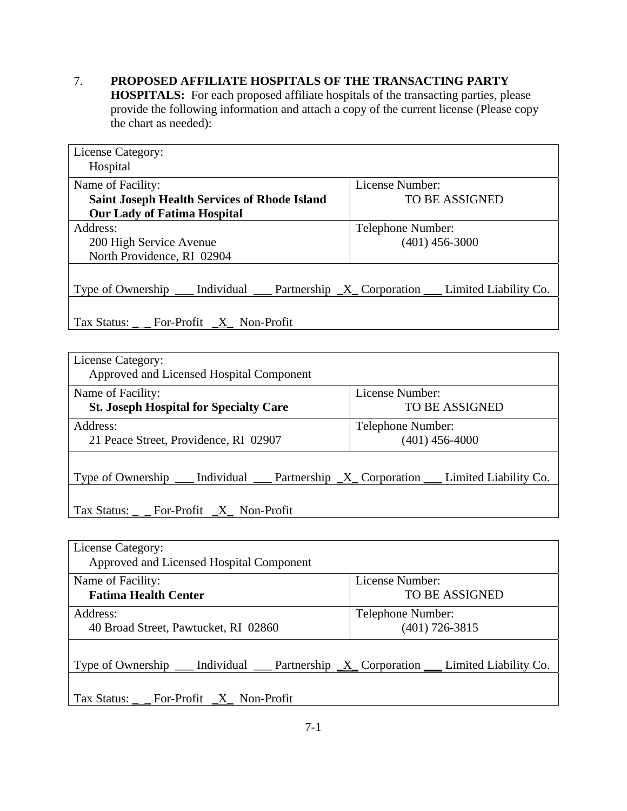# 7. **PROPOSED AFFILIATE HOSPITALS OF THE TRANSACTING PARTY**

**HOSPITALS:** For each proposed affiliate hospitals of the transacting parties, please provide the following information and attach a copy of the current license (Please copy the chart as needed):

| License Category:<br>Hospital                                                                                     |                       |  |
|-------------------------------------------------------------------------------------------------------------------|-----------------------|--|
| Name of Facility:                                                                                                 | License Number:       |  |
| <b>Saint Joseph Health Services of Rhode Island</b>                                                               | <b>TO BE ASSIGNED</b> |  |
| <b>Our Lady of Fatima Hospital</b>                                                                                |                       |  |
| Address:                                                                                                          | Telephone Number:     |  |
| 200 High Service Avenue                                                                                           | $(401)$ 456-3000      |  |
| North Providence, RI 02904                                                                                        |                       |  |
| Type of Ownership $\_\_\_$ Individual $\_\_\_$ Partnership $\_\_X\_\_$ Corporation $\_\_\_$ Limited Liability Co. |                       |  |
| Tax Status: __ For-Profit _X_ Non-Profit                                                                          |                       |  |
|                                                                                                                   |                       |  |
| License Category:<br>Approved and Licensed Hospital Component                                                     |                       |  |
| Name of Facility:                                                                                                 | License Number:       |  |
| <b>St. Joseph Hospital for Specialty Care</b>                                                                     | <b>TO BE ASSIGNED</b> |  |
| Address:                                                                                                          | Telephone Number:     |  |
| 21 Peace Street, Providence, RI 02907                                                                             | $(401)$ 456-4000      |  |
| Type of Ownership $\_\_\_$ Individual $\_\_\_$ Partnership $\_\_X\_\_$ Corporation $\_\_\_$ Limited Liability Co. |                       |  |
|                                                                                                                   |                       |  |
| Tax Status: For-Profit X Non-Profit                                                                               |                       |  |
|                                                                                                                   |                       |  |

| License Category:<br>Approved and Licensed Hospital Component                                           |                       |
|---------------------------------------------------------------------------------------------------------|-----------------------|
| Name of Facility:                                                                                       | License Number:       |
| <b>Fatima Health Center</b>                                                                             | <b>TO BE ASSIGNED</b> |
| Address:                                                                                                | Telephone Number:     |
| 40 Broad Street, Pawtucket, RI 02860                                                                    | $(401)$ 726-3815      |
| Type of Ownership $\_\_$ Individual $\_\_$ Partnership $\_\_X$ Corporation $\_\_$ Limited Liability Co. |                       |
| $\text{Tax Status:}_{\_}$ For-Profit $\_\text{X}$ Non-Profit                                            |                       |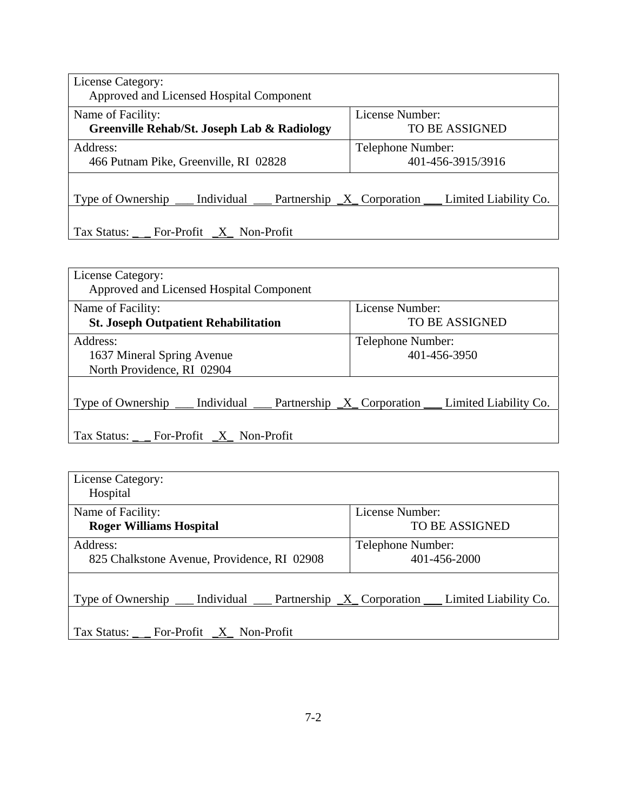| License Category:<br>Approved and Licensed Hospital Component                                                 |                                          |  |
|---------------------------------------------------------------------------------------------------------------|------------------------------------------|--|
| Name of Facility:<br>Greenville Rehab/St. Joseph Lab & Radiology                                              | License Number:<br><b>TO BE ASSIGNED</b> |  |
| Address:<br>466 Putnam Pike, Greenville, RI 02828                                                             | Telephone Number:<br>401-456-3915/3916   |  |
| Type of Ownership $\_\_\$ Individual $\_\_\$ Partnership $X_\_\_$ Corporation $\_\_\_\$ Limited Liability Co. |                                          |  |
| Tax Status: $\_\_$ For-Profit $\_\_X\_\_$ Non-Profit                                                          |                                          |  |

| License Category:<br>Approved and Licensed Hospital Component                                                        |                       |  |
|----------------------------------------------------------------------------------------------------------------------|-----------------------|--|
| Name of Facility:                                                                                                    | License Number:       |  |
| <b>St. Joseph Outpatient Rehabilitation</b>                                                                          | <b>TO BE ASSIGNED</b> |  |
| Address:                                                                                                             | Telephone Number:     |  |
| 1637 Mineral Spring Avenue                                                                                           | 401-456-3950          |  |
| North Providence, RI 02904                                                                                           |                       |  |
| Type of Ownership $\_\_\_\$ Individual $\_\_\_\$ Partnership $\_\_\_\$ X Corporation $\_\_\_\$ Limited Liability Co. |                       |  |
| Tax Status: ___ For-Profit _X_ Non-Profit                                                                            |                       |  |

| License Category:<br>Hospital                                                                                 |                                   |
|---------------------------------------------------------------------------------------------------------------|-----------------------------------|
| Name of Facility:                                                                                             | License Number:                   |
| <b>Roger Williams Hospital</b>                                                                                | <b>TO BE ASSIGNED</b>             |
| Address:<br>825 Chalkstone Avenue, Providence, RI 02908                                                       | Telephone Number:<br>401-456-2000 |
| $\Box$ Individual $\Box$ Partnership $X_{\Box}$ Corporation $\Box$ Limited Liability Co.<br>Type of Ownership |                                   |
| Tax Status: _ _ For-Profit _X_ Non-Profit                                                                     |                                   |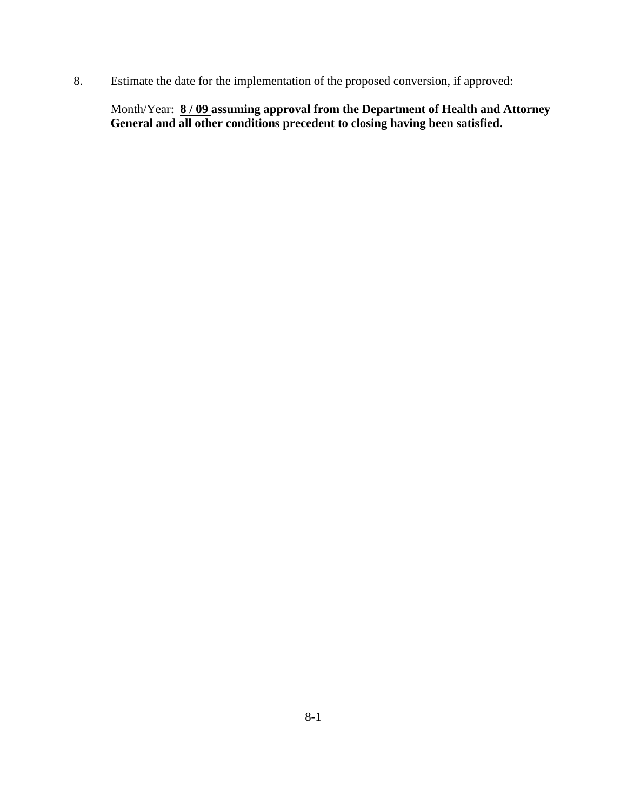8. Estimate the date for the implementation of the proposed conversion, if approved:

Month/Year: **8 / 09 assuming approval from the Department of Health and Attorney General and all other conditions precedent to closing having been satisfied.**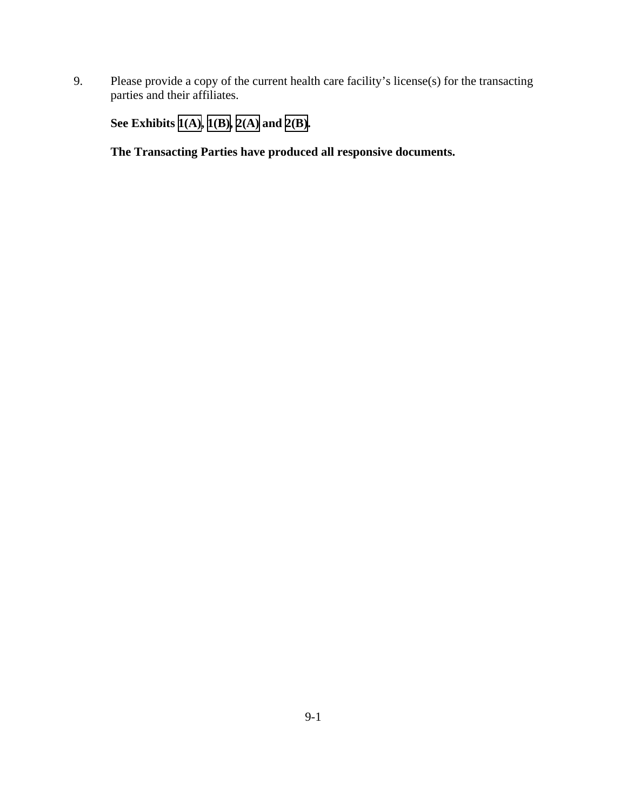9. Please provide a copy of the current health care facility's license(s) for the transacting parties and their affiliates.

**See Exhibits [1\(A\),](TAB 1A.pdf) [1\(B\),](TAB 1B.pdf) [2\(A\)](TAB 2A.pdf) and [2\(B\).](TAB 2B.pdf)** 

**The Transacting Parties have produced all responsive documents.**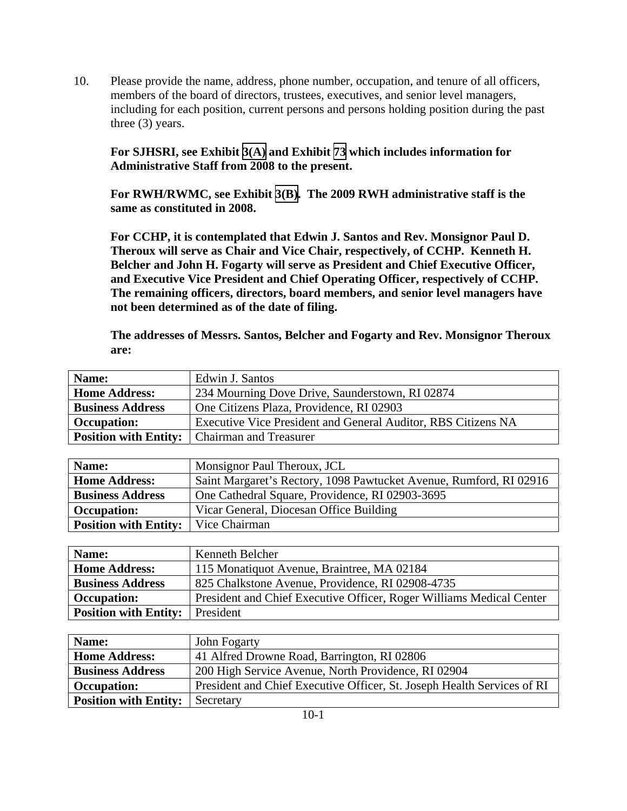10. Please provide the name, address, phone number, occupation, and tenure of all officers, members of the board of directors, trustees, executives, and senior level managers, including for each position, current persons and persons holding position during the past three (3) years.

**For SJHSRI, see Exhibit [3\(A\)](TAB 3A.pdf) and Exhibit [73](TAB 73.pdf) which includes information for Administrative Staff from 2008 to the present.** 

**For RWH/RWMC, see Exhibit [3\(B\).](TAB 3B.pdf) The 2009 RWH administrative staff is the same as constituted in 2008.** 

**For CCHP, it is contemplated that Edwin J. Santos and Rev. Monsignor Paul D. Theroux will serve as Chair and Vice Chair, respectively, of CCHP. Kenneth H. Belcher and John H. Fogarty will serve as President and Chief Executive Officer, and Executive Vice President and Chief Operating Officer, respectively of CCHP. The remaining officers, directors, board members, and senior level managers have not been determined as of the date of filing.** 

**The addresses of Messrs. Santos, Belcher and Fogarty and Rev. Monsignor Theroux are:** 

| Name:                   | Edwin J. Santos                                               |
|-------------------------|---------------------------------------------------------------|
| <b>Home Address:</b>    | 234 Mourning Dove Drive, Saunderstown, RI 02874               |
| <b>Business Address</b> | One Citizens Plaza, Providence, RI 02903                      |
| <b>Occupation:</b>      | Executive Vice President and General Auditor, RBS Citizens NA |
|                         | <b>Position with Entity:</b>   Chairman and Treasurer         |

| Name:                                        | Monsignor Paul Theroux, JCL                                        |
|----------------------------------------------|--------------------------------------------------------------------|
| <b>Home Address:</b>                         | Saint Margaret's Rectory, 1098 Pawtucket Avenue, Rumford, RI 02916 |
| <b>Business Address</b>                      | One Cathedral Square, Providence, RI 02903-3695                    |
| <b>Occupation:</b>                           | Vicar General, Diocesan Office Building                            |
| <b>Position with Entity:</b>   Vice Chairman |                                                                    |

| Name:                        | Kenneth Belcher                                                      |
|------------------------------|----------------------------------------------------------------------|
| <b>Home Address:</b>         | 115 Monatiquot Avenue, Braintree, MA 02184                           |
| <b>Business Address</b>      | 825 Chalkstone Avenue, Providence, RI 02908-4735                     |
| <b>Occupation:</b>           | President and Chief Executive Officer, Roger Williams Medical Center |
| <b>Position with Entity:</b> | President                                                            |

| Name:                        | John Fogarty                                                            |
|------------------------------|-------------------------------------------------------------------------|
| <b>Home Address:</b>         | 41 Alfred Drowne Road, Barrington, RI 02806                             |
| <b>Business Address</b>      | 200 High Service Avenue, North Providence, RI 02904                     |
| <b>Occupation:</b>           | President and Chief Executive Officer, St. Joseph Health Services of RI |
| <b>Position with Entity:</b> | Secretary                                                               |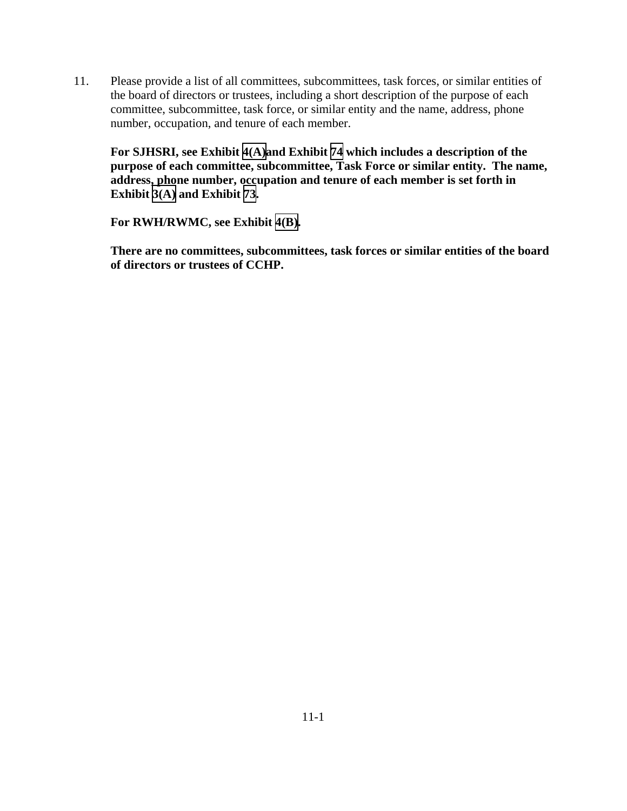11. Please provide a list of all committees, subcommittees, task forces, or similar entities of the board of directors or trustees, including a short description of the purpose of each committee, subcommittee, task force, or similar entity and the name, address, phone number, occupation, and tenure of each member.

**For SJHSRI, see Exhibit [4\(A\)a](TAB 4A.pdf)nd Exhibit [74](TAB 74.pdf) which includes a description of the purpose of each committee, subcommittee, Task Force or similar entity. The name, address, phone number, occupation and tenure of each member is set forth in Exhibit [3\(A\)](TAB 3A.pdf) and Exhibit [73](TAB 73.pdf).** 

**For RWH/RWMC, see Exhibit [4\(B\).](TAB 4B.pdf)** 

**There are no committees, subcommittees, task forces or similar entities of the board of directors or trustees of CCHP.**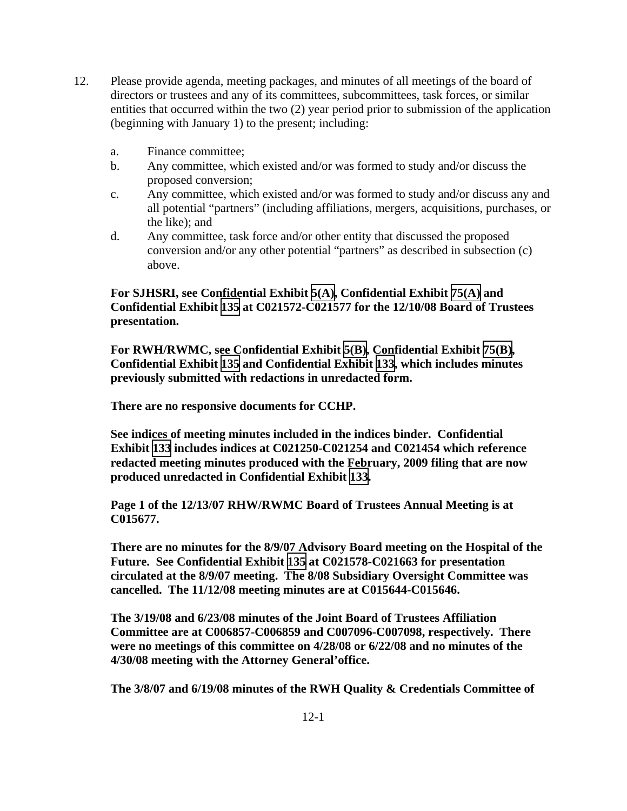- 12. Please provide agenda, meeting packages, and minutes of all meetings of the board of directors or trustees and any of its committees, subcommittees, task forces, or similar entities that occurred within the two (2) year period prior to submission of the application (beginning with January 1) to the present; including:
	- a. Finance committee;
	- b. Any committee, which existed and/or was formed to study and/or discuss the proposed conversion;
	- c. Any committee, which existed and/or was formed to study and/or discuss any and all potential "partners" (including affiliations, mergers, acquisitions, purchases, or the like); and
	- d. Any committee, task force and/or other entity that discussed the proposed conversion and/or any other potential "partners" as described in subsection (c) above.

**For SJHSRI, see Confidential Exhibit [5\(A\),](CFD.pdf) Confidential Exhibit [75\(A\)](CFD.pdf) and Confidential Exhibit [135](CFD.pdf) at C021572-C021577 for the 12/10/08 Board of Trustees presentation.** 

**For RWH/RWMC, see Confidential Exhibit [5\(B\),](CFD.pdf) Confidential Exhibit [75\(B\)](CFD.pdf), Confidential Exhibit [135](CFD.pdf) and Confidential Exhibit [133](CFD.pdf), which includes minutes previously submitted with redactions in unredacted form.** 

**There are no responsive documents for CCHP.** 

**See indices of meeting minutes included in the indices binder. Confidential Exhibit [133](CFD.pdf) includes indices at C021250-C021254 and C021454 which reference redacted meeting minutes produced with the February, 2009 filing that are now produced unredacted in Confidential Exhibit [133.](CFD.pdf)** 

**Page 1 of the 12/13/07 RHW/RWMC Board of Trustees Annual Meeting is at C015677.** 

**There are no minutes for the 8/9/07 Advisory Board meeting on the Hospital of the Future. See Confidential Exhibit [135](CFD.pdf) at C021578-C021663 for presentation circulated at the 8/9/07 meeting. The 8/08 Subsidiary Oversight Committee was cancelled. The 11/12/08 meeting minutes are at C015644-C015646.** 

**The 3/19/08 and 6/23/08 minutes of the Joint Board of Trustees Affiliation Committee are at C006857-C006859 and C007096-C007098, respectively. There were no meetings of this committee on 4/28/08 or 6/22/08 and no minutes of the 4/30/08 meeting with the Attorney General'office.** 

**The 3/8/07 and 6/19/08 minutes of the RWH Quality & Credentials Committee of**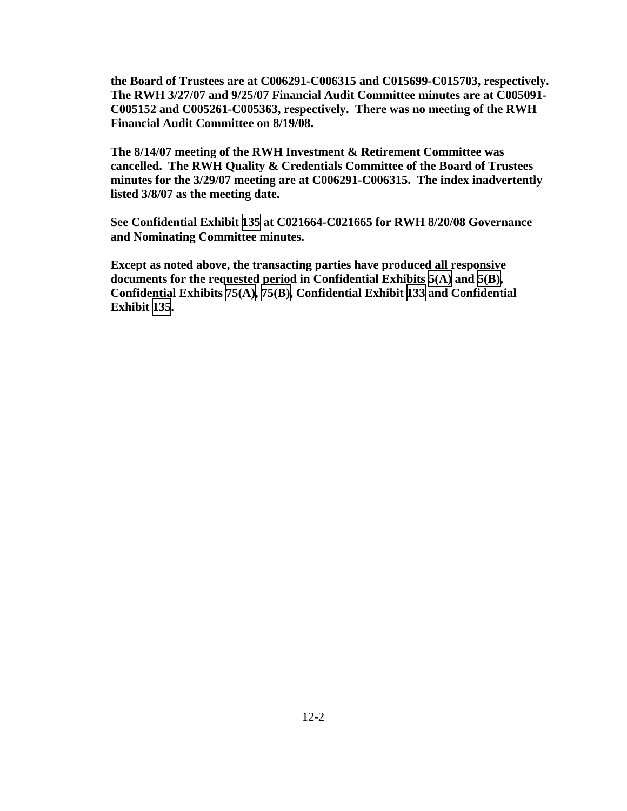**the Board of Trustees are at C006291-C006315 and C015699-C015703, respectively. The RWH 3/27/07 and 9/25/07 Financial Audit Committee minutes are at C005091- C005152 and C005261-C005363, respectively. There was no meeting of the RWH Financial Audit Committee on 8/19/08.** 

**The 8/14/07 meeting of the RWH Investment & Retirement Committee was cancelled. The RWH Quality & Credentials Committee of the Board of Trustees minutes for the 3/29/07 meeting are at C006291-C006315. The index inadvertently listed 3/8/07 as the meeting date.** 

**See Confidential Exhibit [135](CFD.pdf) at C021664-C021665 for RWH 8/20/08 Governance and Nominating Committee minutes.** 

**Except as noted above, the transacting parties have produced all responsive documents for the requested period in Confidential Exhibits [5\(A\)](CFD.pdf) and [5\(B\),](CFD.pdf) Confidential Exhibits [75\(A\)](CFD.pdf), [75\(B\)](CFD.pdf), Confidential Exhibit [133](CFD.pdf) and Confidential Exhibit [135](CFD.pdf).**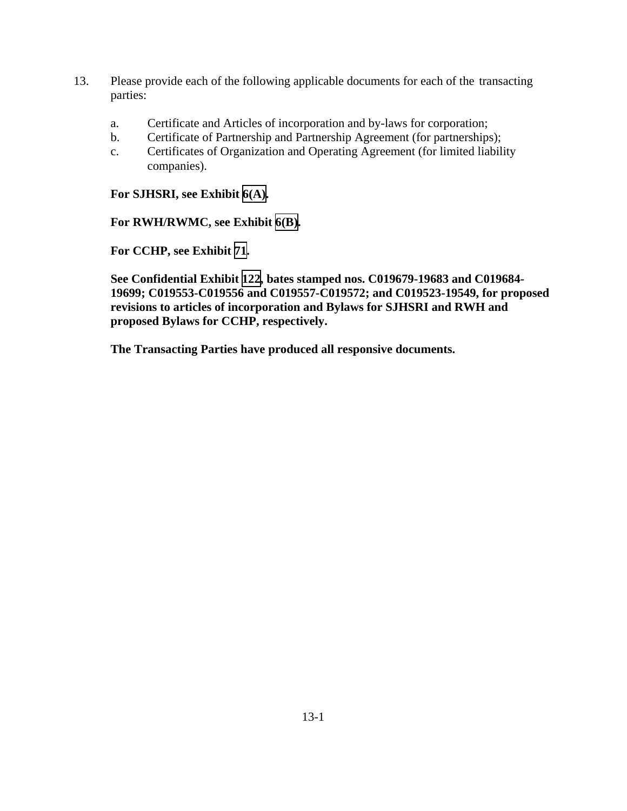- 13. Please provide each of the following applicable documents for each of the transacting parties:
	- a. Certificate and Articles of incorporation and by-laws for corporation;
	- b. Certificate of Partnership and Partnership Agreement (for partnerships);
	- c. Certificates of Organization and Operating Agreement (for limited liability companies).

**For SJHSRI, see Exhibit [6\(A\).](TAB 6A.pdf)** 

**For RWH/RWMC, see Exhibit [6\(B\).](TAB 6B.pdf)** 

**For CCHP, see Exhibit [71](TAB 71.pdf).** 

**See Confidential Exhibit [122](CFD.pdf), bates stamped nos. C019679-19683 and C019684- 19699; C019553-C019556 and C019557-C019572; and C019523-19549, for proposed revisions to articles of incorporation and Bylaws for SJHSRI and RWH and proposed Bylaws for CCHP, respectively.**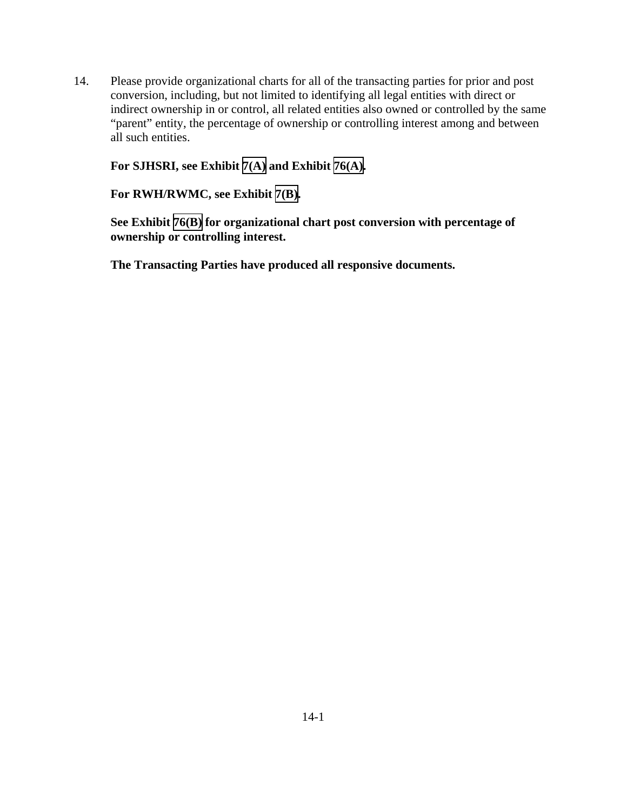14. Please provide organizational charts for all of the transacting parties for prior and post conversion, including, but not limited to identifying all legal entities with direct or indirect ownership in or control, all related entities also owned or controlled by the same "parent" entity, the percentage of ownership or controlling interest among and between all such entities.

**For SJHSRI, see Exhibit [7\(A\)](TAB 7A.pdf) and Exhibit [76\(A\).](TAB 76A.pdf)** 

**For RWH/RWMC, see Exhibit [7\(B\).](TAB 7B.pdf)** 

**See Exhibit [76\(B\)](TAB 76B.pdf) for organizational chart post conversion with percentage of ownership or controlling interest.**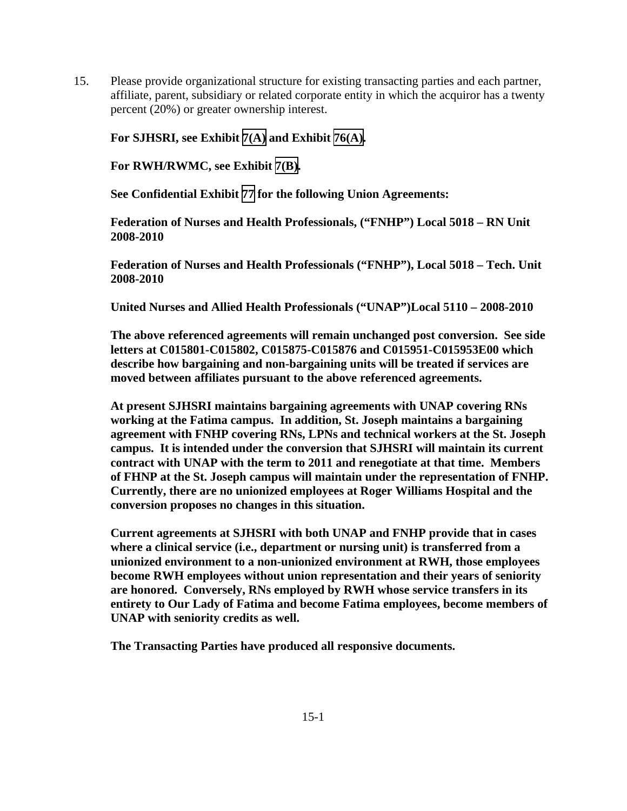15. Please provide organizational structure for existing transacting parties and each partner, affiliate, parent, subsidiary or related corporate entity in which the acquiror has a twenty percent (20%) or greater ownership interest.

**For SJHSRI, see Exhibit [7\(A\)](TAB 7A.pdf) and Exhibit [76\(A\).](TAB 76A.pdf)** 

**For RWH/RWMC, see Exhibit [7\(B\).](TAB 7B.pdf)** 

**See Confidential Exhibit [77](CFD.pdf) for the following Union Agreements:**

**Federation of Nurses and Health Professionals, ("FNHP") Local 5018 – RN Unit 2008-2010** 

**Federation of Nurses and Health Professionals ("FNHP"), Local 5018 – Tech. Unit 2008-2010** 

**United Nurses and Allied Health Professionals ("UNAP")Local 5110 – 2008-2010** 

**The above referenced agreements will remain unchanged post conversion. See side letters at C015801-C015802, C015875-C015876 and C015951-C015953E00 which describe how bargaining and non-bargaining units will be treated if services are moved between affiliates pursuant to the above referenced agreements.** 

**At present SJHSRI maintains bargaining agreements with UNAP covering RNs working at the Fatima campus. In addition, St. Joseph maintains a bargaining agreement with FNHP covering RNs, LPNs and technical workers at the St. Joseph campus. It is intended under the conversion that SJHSRI will maintain its current contract with UNAP with the term to 2011 and renegotiate at that time. Members of FHNP at the St. Joseph campus will maintain under the representation of FNHP. Currently, there are no unionized employees at Roger Williams Hospital and the conversion proposes no changes in this situation.** 

**Current agreements at SJHSRI with both UNAP and FNHP provide that in cases where a clinical service (i.e., department or nursing unit) is transferred from a unionized environment to a non-unionized environment at RWH, those employees become RWH employees without union representation and their years of seniority are honored. Conversely, RNs employed by RWH whose service transfers in its entirety to Our Lady of Fatima and become Fatima employees, become members of UNAP with seniority credits as well.**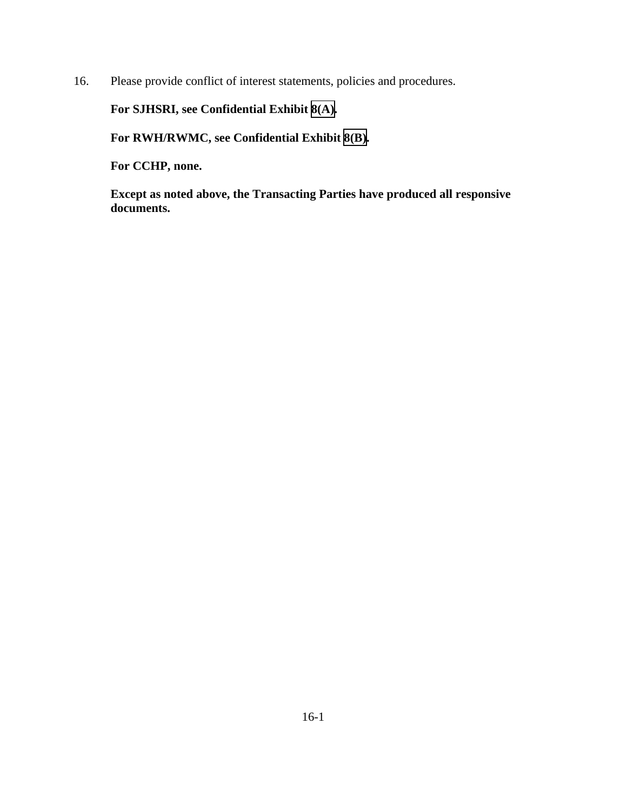16. Please provide conflict of interest statements, policies and procedures.

**For SJHSRI, see Confidential Exhibit [8\(A\).](CFD.pdf)** 

**For RWH/RWMC, see Confidential Exhibit [8\(B\)](CFD.pdf).** 

**For CCHP, none.** 

**Except as noted above, the Transacting Parties have produced all responsive documents.**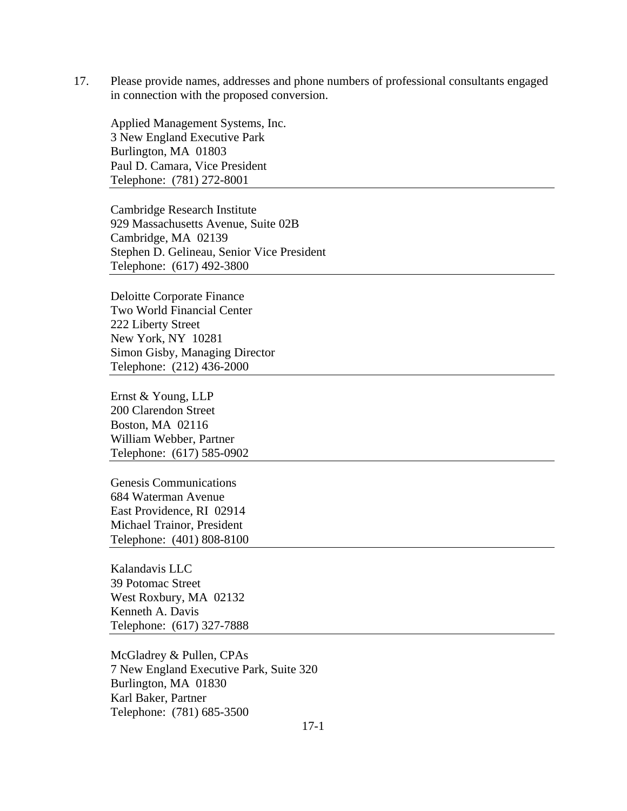17. Please provide names, addresses and phone numbers of professional consultants engaged in connection with the proposed conversion.

Applied Management Systems, Inc. 3 New England Executive Park Burlington, MA 01803 Paul D. Camara, Vice President Telephone: (781) 272-8001

Cambridge Research Institute 929 Massachusetts Avenue, Suite 02B Cambridge, MA 02139 Stephen D. Gelineau, Senior Vice President Telephone: (617) 492-3800

Deloitte Corporate Finance Two World Financial Center 222 Liberty Street New York, NY 10281 Simon Gisby, Managing Director Telephone: (212) 436-2000

Ernst & Young, LLP 200 Clarendon Street Boston, MA 02116 William Webber, Partner Telephone: (617) 585-0902

Genesis Communications 684 Waterman Avenue East Providence, RI 02914 Michael Trainor, President Telephone: (401) 808-8100

Kalandavis LLC 39 Potomac Street West Roxbury, MA 02132 Kenneth A. Davis Telephone: (617) 327-7888

McGladrey & Pullen, CPAs 7 New England Executive Park, Suite 320 Burlington, MA 01830 Karl Baker, Partner Telephone: (781) 685-3500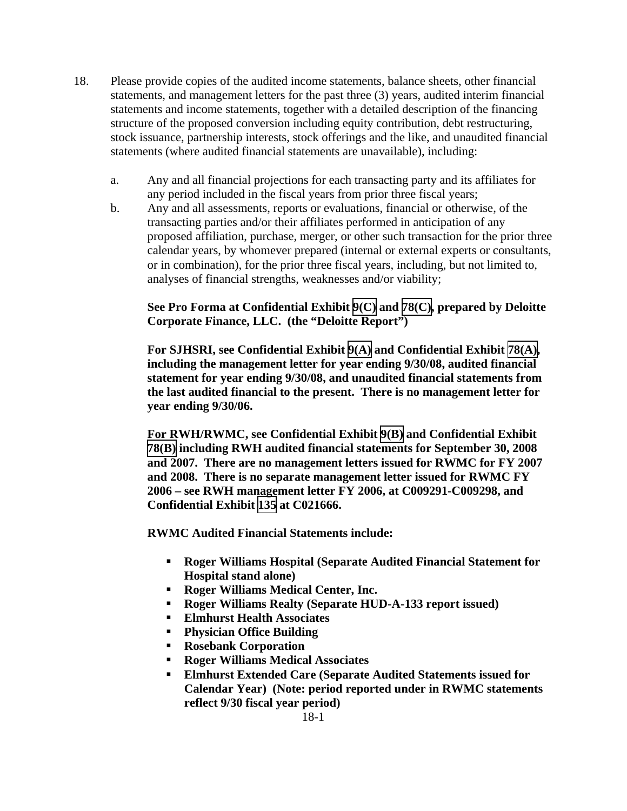- 18. Please provide copies of the audited income statements, balance sheets, other financial statements, and management letters for the past three (3) years, audited interim financial statements and income statements, together with a detailed description of the financing structure of the proposed conversion including equity contribution, debt restructuring, stock issuance, partnership interests, stock offerings and the like, and unaudited financial statements (where audited financial statements are unavailable), including:
	- a. Any and all financial projections for each transacting party and its affiliates for any period included in the fiscal years from prior three fiscal years;
	- b. Any and all assessments, reports or evaluations, financial or otherwise, of the transacting parties and/or their affiliates performed in anticipation of any proposed affiliation, purchase, merger, or other such transaction for the prior three calendar years, by whomever prepared (internal or external experts or consultants, or in combination), for the prior three fiscal years, including, but not limited to, analyses of financial strengths, weaknesses and/or viability;

### **See Pro Forma at Confidential Exhibit [9\(C\)](CFD.pdf) and [78\(C\)](CFD.pdf), prepared by Deloitte Corporate Finance, LLC. (the "Deloitte Report")**

**For SJHSRI, see Confidential Exhibit [9\(A\)](CFD.pdf) and Confidential Exhibit [78\(A\),](CFD.pdf) including the management letter for year ending 9/30/08, audited financial statement for year ending 9/30/08, and unaudited financial statements from the last audited financial to the present. There is no management letter for year ending 9/30/06.** 

**For RWH/RWMC, see Confidential Exhibit [9\(B\)](CFD.pdf) and Confidential Exhibit [78\(B\)](CFD.pdf) including RWH audited financial statements for September 30, 2008 and 2007. There are no management letters issued for RWMC for FY 2007 and 2008. There is no separate management letter issued for RWMC FY 2006 – see RWH management letter FY 2006, at C009291-C009298, and Confidential Exhibit [135](CFD.pdf) at C021666.** 

**RWMC Audited Financial Statements include:** 

- **Roger Williams Hospital (Separate Audited Financial Statement for Hospital stand alone)**
- **Roger Williams Medical Center, Inc.**
- **Roger Williams Realty (Separate HUD-A-133 report issued)**
- **Elmhurst Health Associates**
- **Physician Office Building**
- **Rosebank Corporation**
- **Roger Williams Medical Associates**
- **Elmhurst Extended Care (Separate Audited Statements issued for Calendar Year) (Note: period reported under in RWMC statements reflect 9/30 fiscal year period)**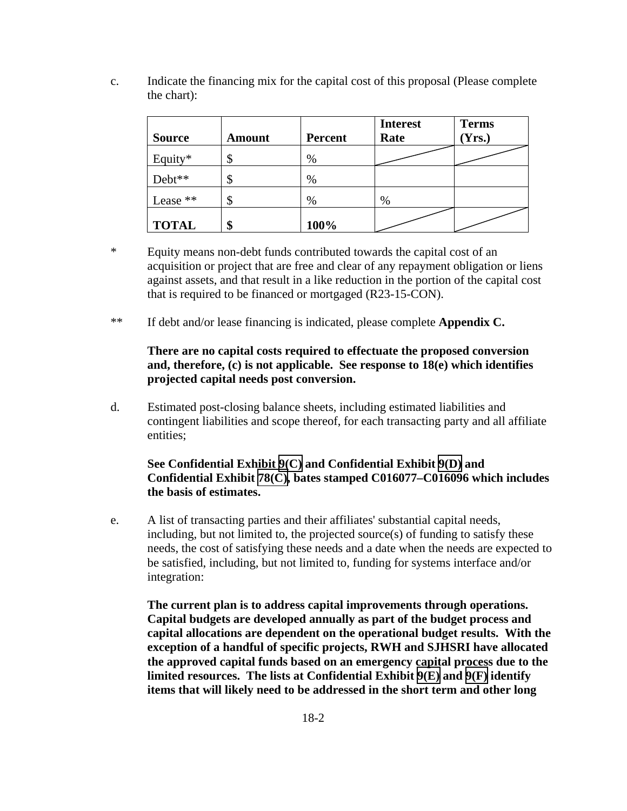| <b>Source</b> | <b>Amount</b> | <b>Percent</b> | <b>Interest</b><br>Rate | <b>Terms</b><br>Yrs.) |
|---------------|---------------|----------------|-------------------------|-----------------------|
| Equity*       | Φ             | %              |                         |                       |
| Debt**        |               | %              |                         |                       |
| Lease **      | J             | %              | $\%$                    |                       |
| <b>TOTAL</b>  |               | 100%           |                         |                       |

c. Indicate the financing mix for the capital cost of this proposal (Please complete the chart):

- \* Equity means non-debt funds contributed towards the capital cost of an acquisition or project that are free and clear of any repayment obligation or liens against assets, and that result in a like reduction in the portion of the capital cost that is required to be financed or mortgaged (R23-15-CON).
- \*\* If debt and/or lease financing is indicated, please complete **Appendix C.**

#### **There are no capital costs required to effectuate the proposed conversion and, therefore, (c) is not applicable. See response to 18(e) which identifies projected capital needs post conversion.**

d. Estimated post-closing balance sheets, including estimated liabilities and contingent liabilities and scope thereof, for each transacting party and all affiliate entities;

#### **See Confidential Exhibit [9\(C\)](CFD.pdf) and Confidential Exhibit [9\(D\)](CFD.pdf) and Confidential Exhibit [78\(C\),](CFD.pdf) bates stamped C016077–C016096 which includes the basis of estimates.**

e. A list of transacting parties and their affiliates' substantial capital needs, including, but not limited to, the projected source(s) of funding to satisfy these needs, the cost of satisfying these needs and a date when the needs are expected to be satisfied, including, but not limited to, funding for systems interface and/or integration:

**The current plan is to address capital improvements through operations. Capital budgets are developed annually as part of the budget process and capital allocations are dependent on the operational budget results. With the exception of a handful of specific projects, RWH and SJHSRI have allocated the approved capital funds based on an emergency capital process due to the limited resources. The lists at Confidential Exhibit [9\(E\)](CFD.pdf) and [9\(F\)](CFD.pdf) identify items that will likely need to be addressed in the short term and other long**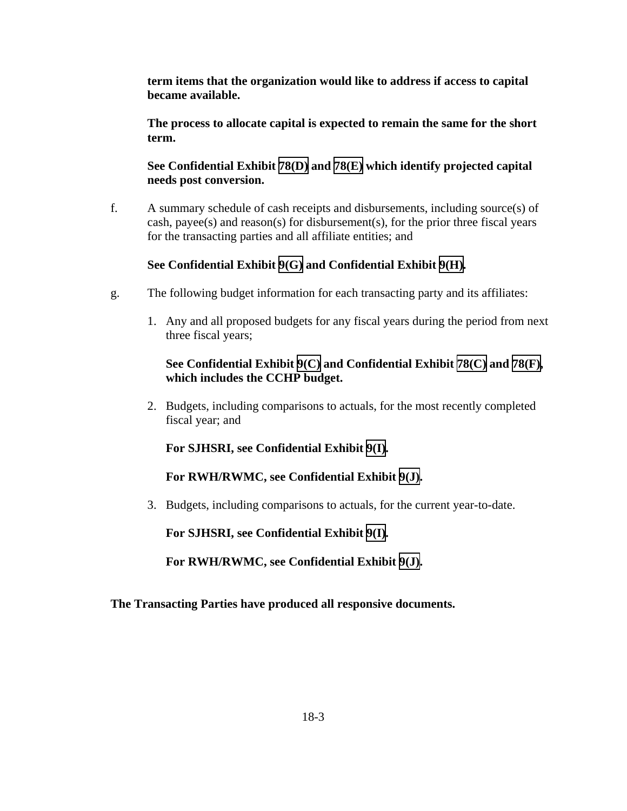**term items that the organization would like to address if access to capital became available.** 

**The process to allocate capital is expected to remain the same for the short term.** 

**See Confidential Exhibit [78\(D\)](CFD.pdf) and [78\(E\)](CFD.pdf) which identify projected capital needs post conversion.** 

f. A summary schedule of cash receipts and disbursements, including source(s) of cash, payee(s) and reason(s) for disbursement(s), for the prior three fiscal years for the transacting parties and all affiliate entities; and

### **See Confidential Exhibit [9\(G\)](CFD.pdf) and Confidential Exhibit [9\(H\)](CFD.pdf).**

- g. The following budget information for each transacting party and its affiliates:
	- 1. Any and all proposed budgets for any fiscal years during the period from next three fiscal years;

### **See Confidential Exhibit [9\(C\)](CFD.pdf) and Confidential Exhibit [78\(C\)](CFD.pdf) and [78\(F\),](CFD.pdf) which includes the CCHP budget.**

2. Budgets, including comparisons to actuals, for the most recently completed fiscal year; and

**For SJHSRI, see Confidential Exhibit [9\(I\).](CFD.pdf)** 

**For RWH/RWMC, see Confidential Exhibit [9\(J\)](CFD.pdf).** 

3. Budgets, including comparisons to actuals, for the current year-to-date.

**For SJHSRI, see Confidential Exhibit [9\(I\).](CFD.pdf)** 

**For RWH/RWMC, see Confidential Exhibit [9\(J\)](CFD.pdf).**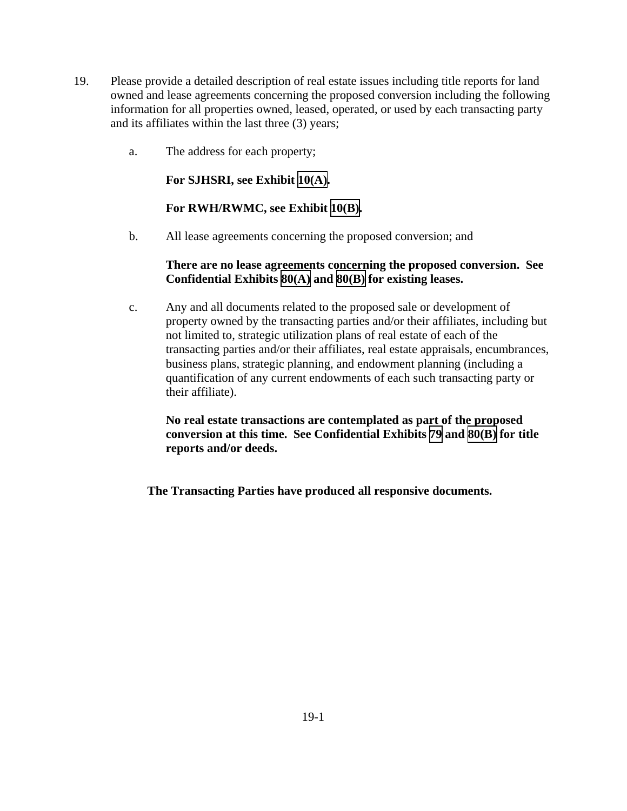- 19. Please provide a detailed description of real estate issues including title reports for land owned and lease agreements concerning the proposed conversion including the following information for all properties owned, leased, operated, or used by each transacting party and its affiliates within the last three (3) years;
	- a. The address for each property;

**For SJHSRI, see Exhibit [10\(A\).](TAB 10A.pdf)** 

#### **For RWH/RWMC, see Exhibit [10\(B\).](TAB 10B.pdf)**

b. All lease agreements concerning the proposed conversion; and

#### **There are no lease agreements concerning the proposed conversion. See Confidential Exhibits [80\(A\)](CFD.pdf) and [80\(B\)](CFD.pdf) for existing leases.**

c. Any and all documents related to the proposed sale or development of property owned by the transacting parties and/or their affiliates, including but not limited to, strategic utilization plans of real estate of each of the transacting parties and/or their affiliates, real estate appraisals, encumbrances, business plans, strategic planning, and endowment planning (including a quantification of any current endowments of each such transacting party or their affiliate).

**No real estate transactions are contemplated as part of the proposed conversion at this time. See Confidential Exhibits [79](CFD.pdf) and [80\(B\)](CFD.pdf) for title reports and/or deeds.**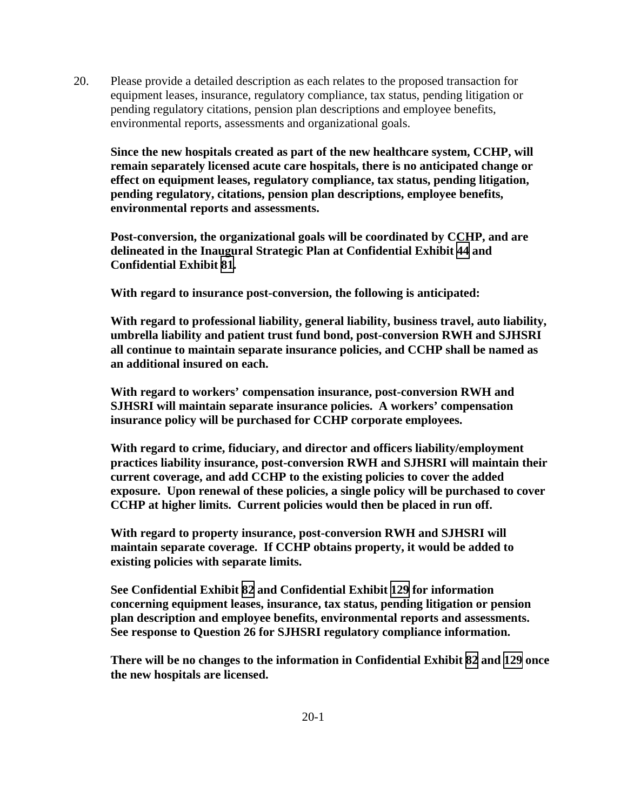20. Please provide a detailed description as each relates to the proposed transaction for equipment leases, insurance, regulatory compliance, tax status, pending litigation or pending regulatory citations, pension plan descriptions and employee benefits, environmental reports, assessments and organizational goals.

**Since the new hospitals created as part of the new healthcare system, CCHP, will remain separately licensed acute care hospitals, there is no anticipated change or effect on equipment leases, regulatory compliance, tax status, pending litigation, pending regulatory, citations, pension plan descriptions, employee benefits, environmental reports and assessments.** 

**Post-conversion, the organizational goals will be coordinated by CCHP, and are delineated in the Inaugural Strategic Plan at Confidential Exhibit [44](CFD.pdf) and Confidential Exhibit [81](CFD.pdf).** 

**With regard to insurance post-conversion, the following is anticipated:** 

**With regard to professional liability, general liability, business travel, auto liability, umbrella liability and patient trust fund bond, post-conversion RWH and SJHSRI all continue to maintain separate insurance policies, and CCHP shall be named as an additional insured on each.** 

**With regard to workers' compensation insurance, post-conversion RWH and SJHSRI will maintain separate insurance policies. A workers' compensation insurance policy will be purchased for CCHP corporate employees.** 

**With regard to crime, fiduciary, and director and officers liability/employment practices liability insurance, post-conversion RWH and SJHSRI will maintain their current coverage, and add CCHP to the existing policies to cover the added exposure. Upon renewal of these policies, a single policy will be purchased to cover CCHP at higher limits. Current policies would then be placed in run off.** 

**With regard to property insurance, post-conversion RWH and SJHSRI will maintain separate coverage. If CCHP obtains property, it would be added to existing policies with separate limits.** 

**See Confidential Exhibit [82](CFD.pdf) and Confidential Exhibit [129](CFD.pdf) for information concerning equipment leases, insurance, tax status, pending litigation or pension plan description and employee benefits, environmental reports and assessments. See response to Question 26 for SJHSRI regulatory compliance information.** 

**There will be no changes to the information in Confidential Exhibit [82](CFD.pdf) and [129](CFD.pdf) once the new hospitals are licensed.**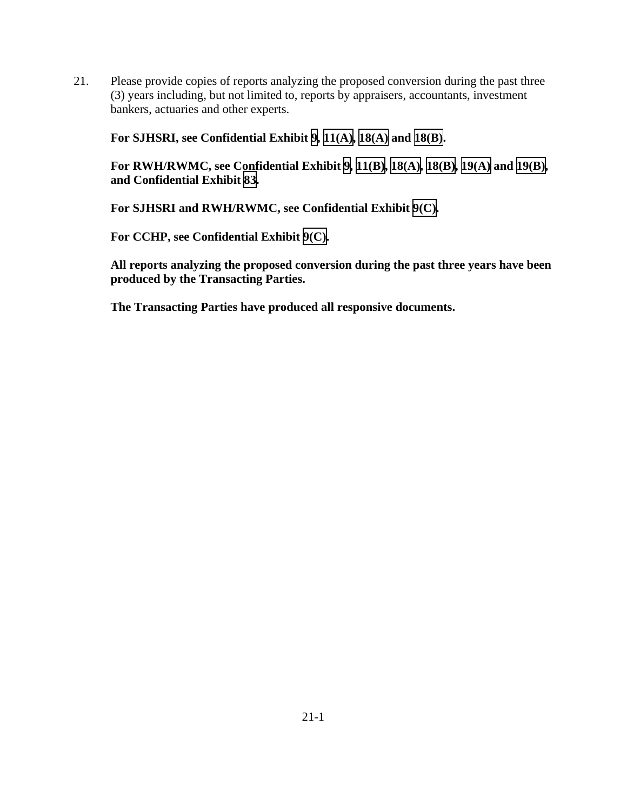21. Please provide copies of reports analyzing the proposed conversion during the past three (3) years including, but not limited to, reports by appraisers, accountants, investment bankers, actuaries and other experts.

**For SJHSRI, see Confidential Exhibit [9](CFD.pdf), [11\(A\),](CFD.pdf) [18\(A\)](CFD.pdf) and [18\(B\).](CFD.pdf)** 

**For RWH/RWMC, see Confidential Exhibit [9,](CFD.pdf) [11\(B\),](CFD.pdf) [18\(A\),](CFD.pdf) [18\(B\),](CFD.pdf) [19\(A\)](CFD.pdf) and [19\(B\),](CFD.pdf) and Confidential Exhibit [83](CFD.pdf).** 

**For SJHSRI and RWH/RWMC, see Confidential Exhibit [9\(C\)](CFD.pdf).** 

**For CCHP, see Confidential Exhibit [9\(C\).](CFD.pdf)** 

**All reports analyzing the proposed conversion during the past three years have been produced by the Transacting Parties.**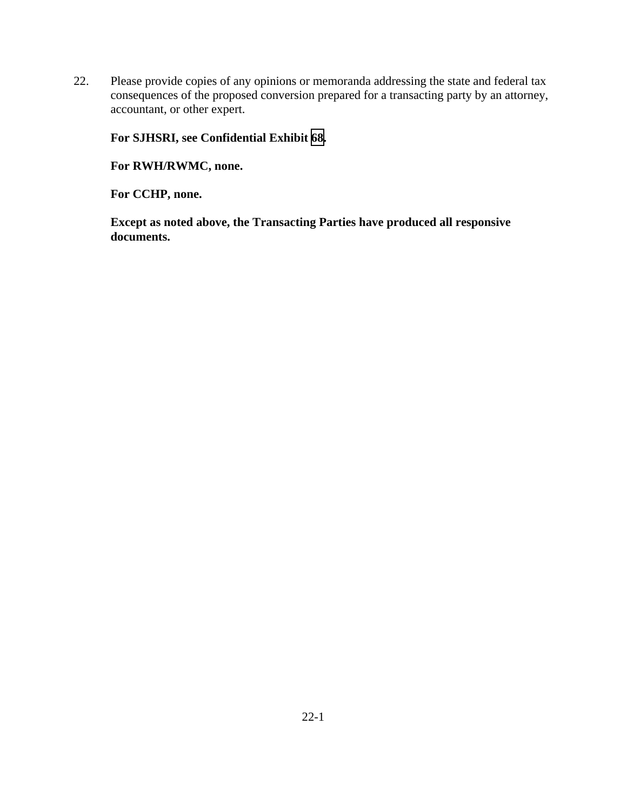22. Please provide copies of any opinions or memoranda addressing the state and federal tax consequences of the proposed conversion prepared for a transacting party by an attorney, accountant, or other expert.

### **For SJHSRI, see Confidential Exhibit [68](CFD.pdf).**

**For RWH/RWMC, none.** 

**For CCHP, none.** 

**Except as noted above, the Transacting Parties have produced all responsive documents.**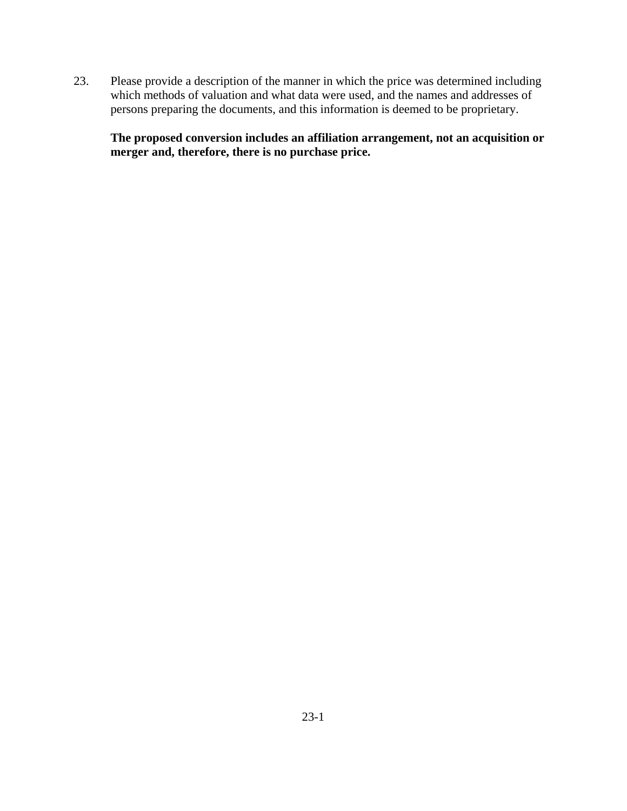23. Please provide a description of the manner in which the price was determined including which methods of valuation and what data were used, and the names and addresses of persons preparing the documents, and this information is deemed to be proprietary.

**The proposed conversion includes an affiliation arrangement, not an acquisition or merger and, therefore, there is no purchase price.**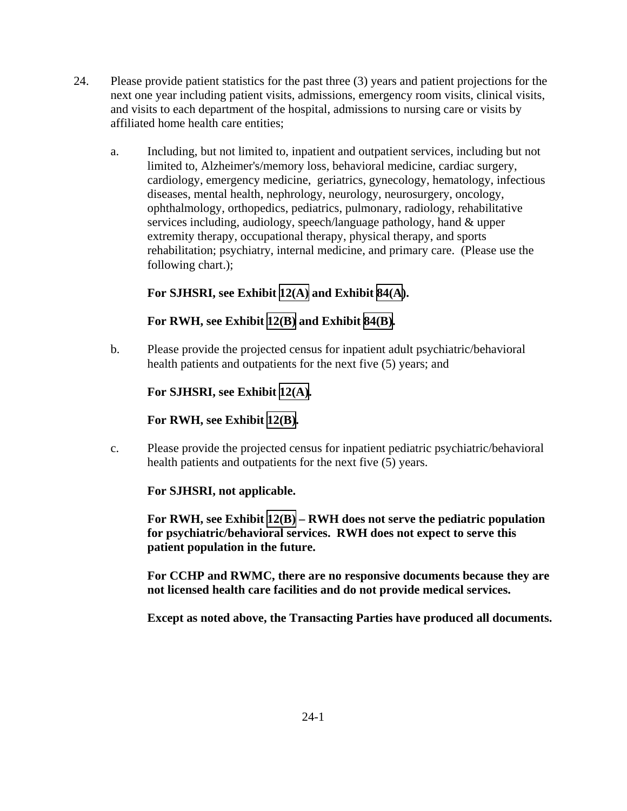- 24. Please provide patient statistics for the past three (3) years and patient projections for the next one year including patient visits, admissions, emergency room visits, clinical visits, and visits to each department of the hospital, admissions to nursing care or visits by affiliated home health care entities;
	- a. Including, but not limited to, inpatient and outpatient services, including but not limited to, Alzheimer's/memory loss, behavioral medicine, cardiac surgery, cardiology, emergency medicine, geriatrics, gynecology, hematology, infectious diseases, mental health, nephrology, neurology, neurosurgery, oncology, ophthalmology, orthopedics, pediatrics, pulmonary, radiology, rehabilitative services including, audiology, speech/language pathology, hand & upper extremity therapy, occupational therapy, physical therapy, and sports rehabilitation; psychiatry, internal medicine, and primary care. (Please use the following chart.);

#### **For SJHSRI, see Exhibit [12\(A\)](TAB 12A.pdf) and Exhibit [84\(A\)](TAB 84A.pdf).**

#### **For RWH, see Exhibit [12\(B\)](TAB 12B.pdf) and Exhibit [84\(B\)](TAB 84B.pdf).**

b. Please provide the projected census for inpatient adult psychiatric/behavioral health patients and outpatients for the next five (5) years; and

#### **For SJHSRI, see Exhibit [12\(A\).](TAB 12A.pdf)**

#### **For RWH, see Exhibit [12\(B\)](TAB 12B.pdf).**

c. Please provide the projected census for inpatient pediatric psychiatric/behavioral health patients and outpatients for the next five (5) years.

#### **For SJHSRI, not applicable.**

**For RWH, see Exhibit [12\(B\)](TAB 12B.pdf) – RWH does not serve the pediatric population for psychiatric/behavioral services. RWH does not expect to serve this patient population in the future.** 

**For CCHP and RWMC, there are no responsive documents because they are not licensed health care facilities and do not provide medical services.** 

**Except as noted above, the Transacting Parties have produced all documents.**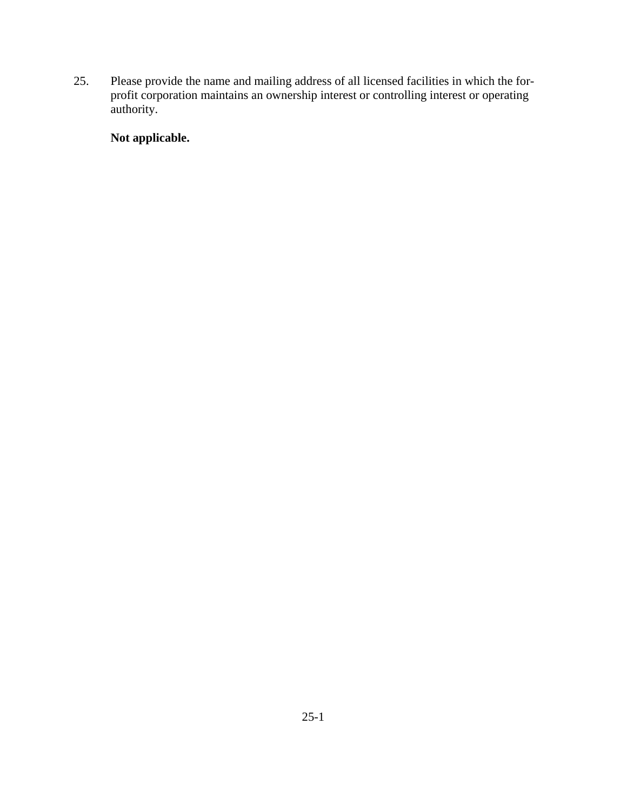25. Please provide the name and mailing address of all licensed facilities in which the forprofit corporation maintains an ownership interest or controlling interest or operating authority.

# **Not applicable.**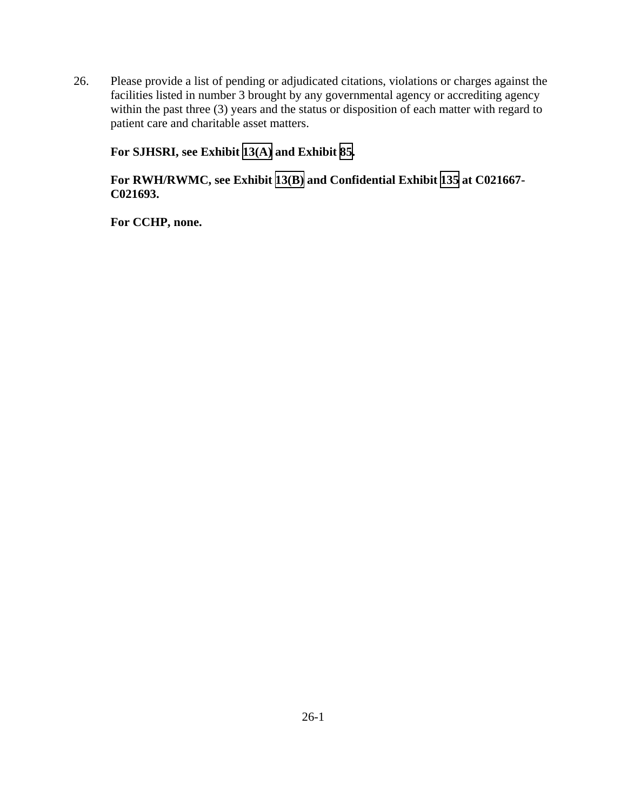26. Please provide a list of pending or adjudicated citations, violations or charges against the facilities listed in number 3 brought by any governmental agency or accrediting agency within the past three (3) years and the status or disposition of each matter with regard to patient care and charitable asset matters.

**For SJHSRI, see Exhibit [13\(A\)](TAB 13A.pdf) and Exhibit [85](TAB 85.pdf).** 

#### **For RWH/RWMC, see Exhibit [13\(B\)](TAB 13B.pdf) and Confidential Exhibit [135](CFD.pdf) at C021667- C021693.**

**For CCHP, none.**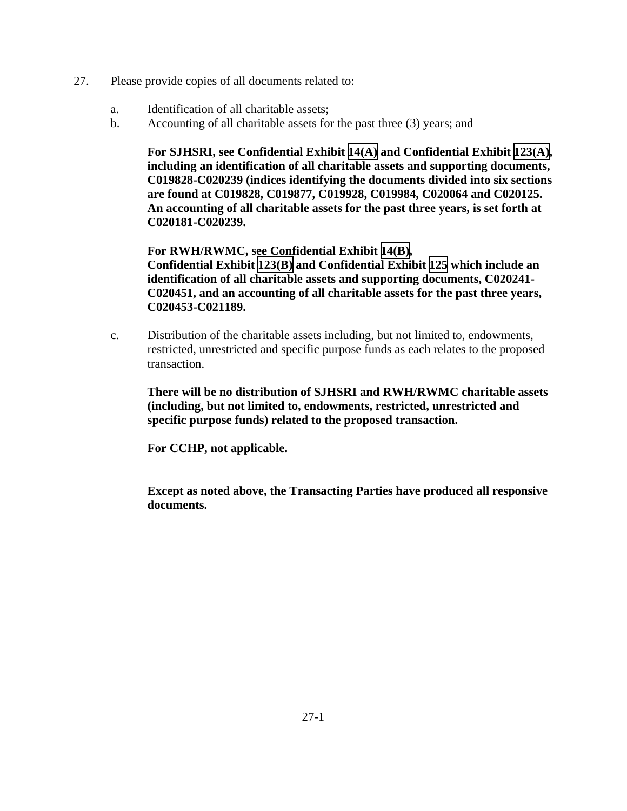- 27. Please provide copies of all documents related to:
	- a. Identification of all charitable assets;
	- b. Accounting of all charitable assets for the past three (3) years; and

**For SJHSRI, see Confidential Exhibit [14\(A\)](CFD.pdf) and Confidential Exhibit [123\(A\),](CFD.pdf) including an identification of all charitable assets and supporting documents, C019828-C020239 (indices identifying the documents divided into six sections are found at C019828, C019877, C019928, C019984, C020064 and C020125. An accounting of all charitable assets for the past three years, is set forth at C020181-C020239.** 

**For RWH/RWMC, see Confidential Exhibit [14\(B\)](CFD.pdf), Confidential Exhibit [123\(B\)](CFD.pdf) and Confidential Exhibit [125](CFD.pdf) which include an identification of all charitable assets and supporting documents, C020241- C020451, and an accounting of all charitable assets for the past three years, C020453-C021189.** 

c. Distribution of the charitable assets including, but not limited to, endowments, restricted, unrestricted and specific purpose funds as each relates to the proposed transaction.

**There will be no distribution of SJHSRI and RWH/RWMC charitable assets (including, but not limited to, endowments, restricted, unrestricted and specific purpose funds) related to the proposed transaction.** 

**For CCHP, not applicable.** 

**Except as noted above, the Transacting Parties have produced all responsive documents.**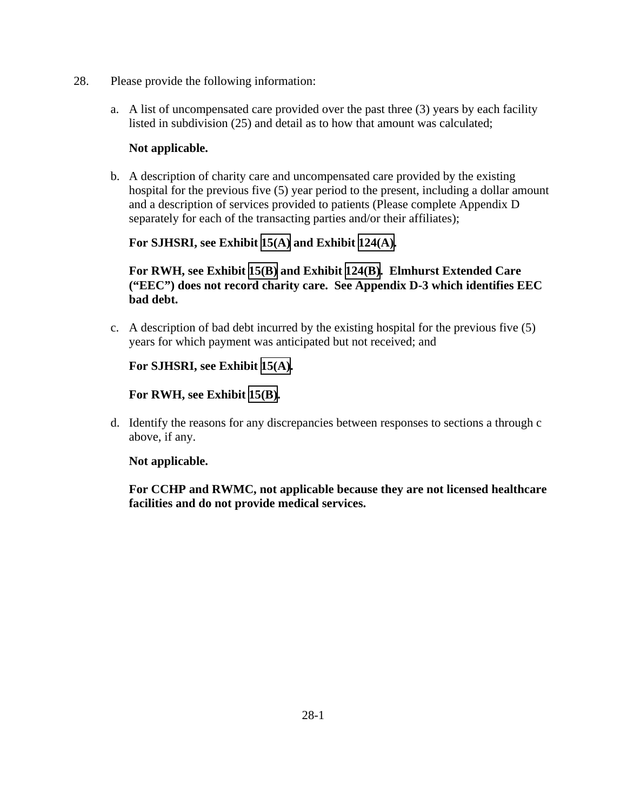- 28. Please provide the following information:
	- a. A list of uncompensated care provided over the past three (3) years by each facility listed in subdivision (25) and detail as to how that amount was calculated;

#### **Not applicable.**

b. A description of charity care and uncompensated care provided by the existing hospital for the previous five (5) year period to the present, including a dollar amount and a description of services provided to patients (Please complete Appendix D separately for each of the transacting parties and/or their affiliates);

#### **For SJHSRI, see Exhibit [15\(A\)](TAB 15A.pdf) and Exhibit [124\(A\).](TAB 124A.pdf)**

#### **For RWH, see Exhibit [15\(B\)](TAB 15B.pdf) and Exhibit [124\(B\)](TAB 124B.pdf). Elmhurst Extended Care ("EEC") does not record charity care. See Appendix D-3 which identifies EEC bad debt.**

c. A description of bad debt incurred by the existing hospital for the previous five (5) years for which payment was anticipated but not received; and

#### **For SJHSRI, see Exhibit [15\(A\).](TAB 15A.pdf)**

#### **For RWH, see Exhibit [15\(B\)](TAB 15B.pdf).**

d. Identify the reasons for any discrepancies between responses to sections a through c above, if any.

#### **Not applicable.**

**For CCHP and RWMC, not applicable because they are not licensed healthcare facilities and do not provide medical services.**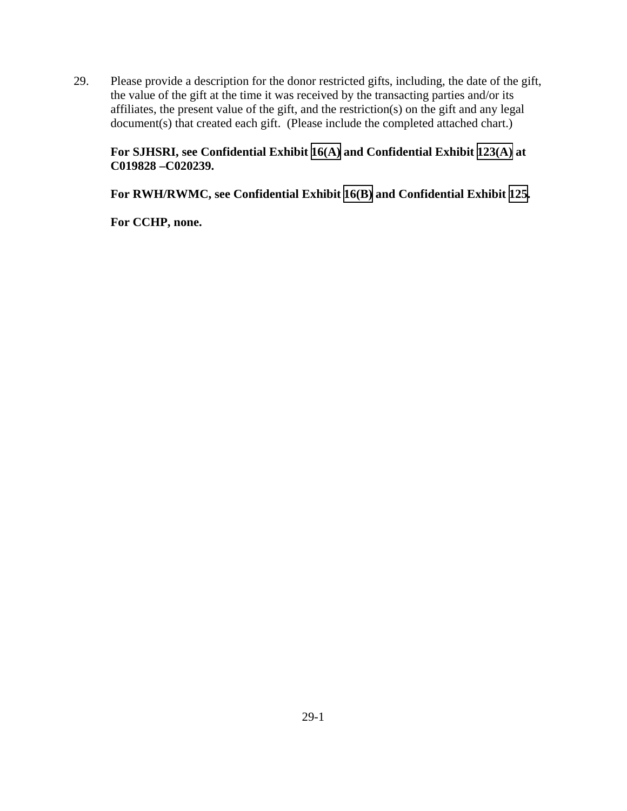29. Please provide a description for the donor restricted gifts, including, the date of the gift, the value of the gift at the time it was received by the transacting parties and/or its affiliates, the present value of the gift, and the restriction(s) on the gift and any legal document(s) that created each gift. (Please include the completed attached chart.)

### **For SJHSRI, see Confidential Exhibit [16\(A\)](CFD.pdf) and Confidential Exhibit [123\(A\)](CFD.pdf) at C019828 –C020239.**

**For RWH/RWMC, see Confidential Exhibit [16\(B\)](CFD.pdf) and Confidential Exhibit [125](CFD.pdf).** 

**For CCHP, none.**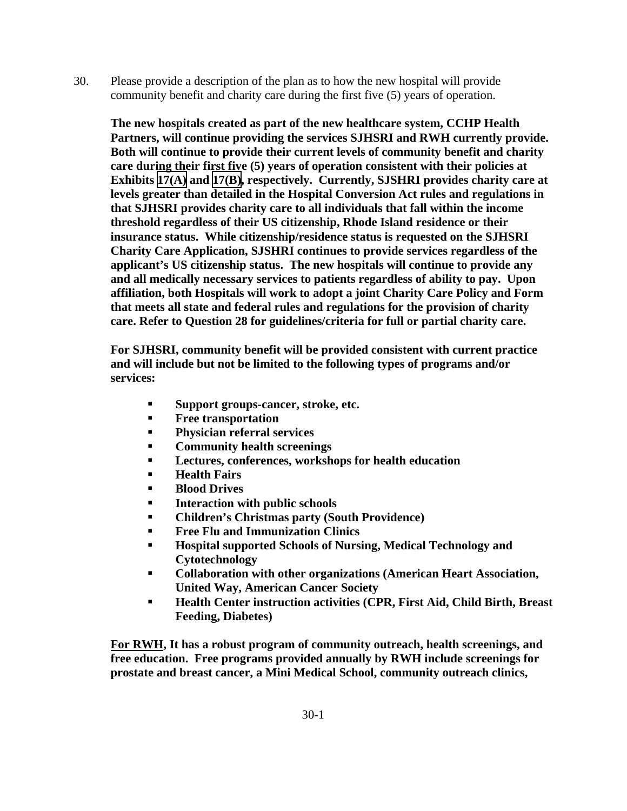30. Please provide a description of the plan as to how the new hospital will provide community benefit and charity care during the first five (5) years of operation.

**The new hospitals created as part of the new healthcare system, CCHP Health Partners, will continue providing the services SJHSRI and RWH currently provide. Both will continue to provide their current levels of community benefit and charity care during their first five (5) years of operation consistent with their policies at Exhibits [17\(A\)](TAB 17A.pdf) and [17\(B\),](TAB 17B.pdf) respectively. Currently, SJSHRI provides charity care at levels greater than detailed in the Hospital Conversion Act rules and regulations in that SJHSRI provides charity care to all individuals that fall within the income threshold regardless of their US citizenship, Rhode Island residence or their insurance status. While citizenship/residence status is requested on the SJHSRI Charity Care Application, SJSHRI continues to provide services regardless of the applicant's US citizenship status. The new hospitals will continue to provide any and all medically necessary services to patients regardless of ability to pay. Upon affiliation, both Hospitals will work to adopt a joint Charity Care Policy and Form that meets all state and federal rules and regulations for the provision of charity care. Refer to Question 28 for guidelines/criteria for full or partial charity care.** 

**For SJHSRI, community benefit will be provided consistent with current practice and will include but not be limited to the following types of programs and/or services:** 

- **Support groups-cancer, stroke, etc.**
- **Free transportation**
- **Physician referral services**
- **Community health screenings**
- **Lectures, conferences, workshops for health education**
- **Health Fairs**
- **Blood Drives**
- **Interaction with public schools**
- **Children's Christmas party (South Providence)**
- **Free Flu and Immunization Clinics**
- **Hospital supported Schools of Nursing, Medical Technology and Cytotechnology**
- **Collaboration with other organizations (American Heart Association, United Way, American Cancer Society**
- **Health Center instruction activities (CPR, First Aid, Child Birth, Breast Feeding, Diabetes)**

**For RWH, It has a robust program of community outreach, health screenings, and free education. Free programs provided annually by RWH include screenings for prostate and breast cancer, a Mini Medical School, community outreach clinics,**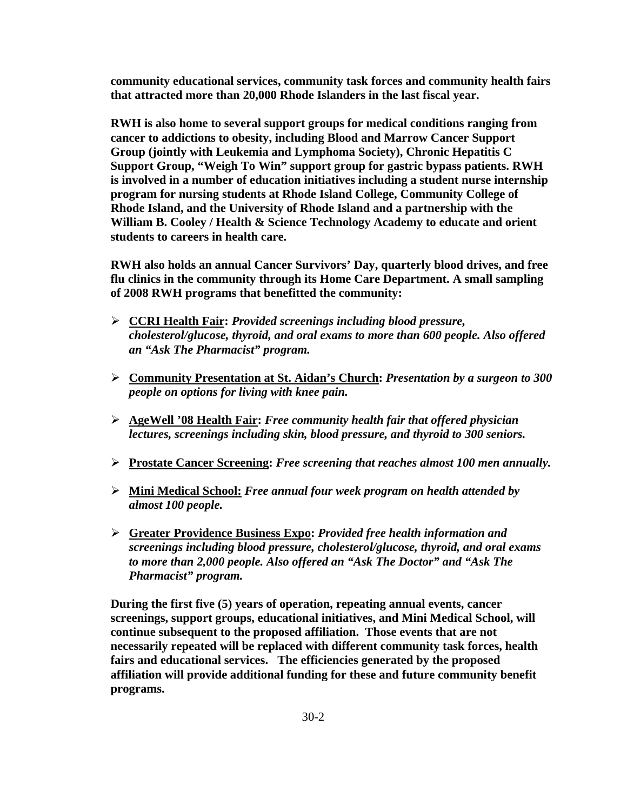**community educational services, community task forces and community health fairs that attracted more than 20,000 Rhode Islanders in the last fiscal year.** 

**RWH is also home to several support groups for medical conditions ranging from cancer to addictions to obesity, including Blood and Marrow Cancer Support Group (jointly with Leukemia and Lymphoma Society), Chronic Hepatitis C Support Group, "Weigh To Win" support group for gastric bypass patients. RWH is involved in a number of education initiatives including a student nurse internship program for nursing students at Rhode Island College, Community College of Rhode Island, and the University of Rhode Island and a partnership with the William B. Cooley / Health & Science Technology Academy to educate and orient students to careers in health care.** 

**RWH also holds an annual Cancer Survivors' Day, quarterly blood drives, and free flu clinics in the community through its Home Care Department. A small sampling of 2008 RWH programs that benefitted the community:** 

- ¾ **CCRI Health Fair:** *Provided screenings including blood pressure, cholesterol/glucose, thyroid, and oral exams to more than 600 people. Also offered an "Ask The Pharmacist" program.*
- ¾ **Community Presentation at St. Aidan's Church:** *Presentation by a surgeon to 300 people on options for living with knee pain.*
- ¾ **AgeWell '08 Health Fair:** *Free community health fair that offered physician lectures, screenings including skin, blood pressure, and thyroid to 300 seniors.*
- ¾ **Prostate Cancer Screening:** *Free screening that reaches almost 100 men annually.*
- ¾ **Mini Medical School:** *Free annual four week program on health attended by almost 100 people.*
- ¾ **Greater Providence Business Expo:** *Provided free health information and screenings including blood pressure, cholesterol/glucose, thyroid, and oral exams to more than 2,000 people. Also offered an "Ask The Doctor" and "Ask The Pharmacist" program.*

**During the first five (5) years of operation, repeating annual events, cancer screenings, support groups, educational initiatives, and Mini Medical School, will continue subsequent to the proposed affiliation. Those events that are not necessarily repeated will be replaced with different community task forces, health fairs and educational services. The efficiencies generated by the proposed affiliation will provide additional funding for these and future community benefit programs.**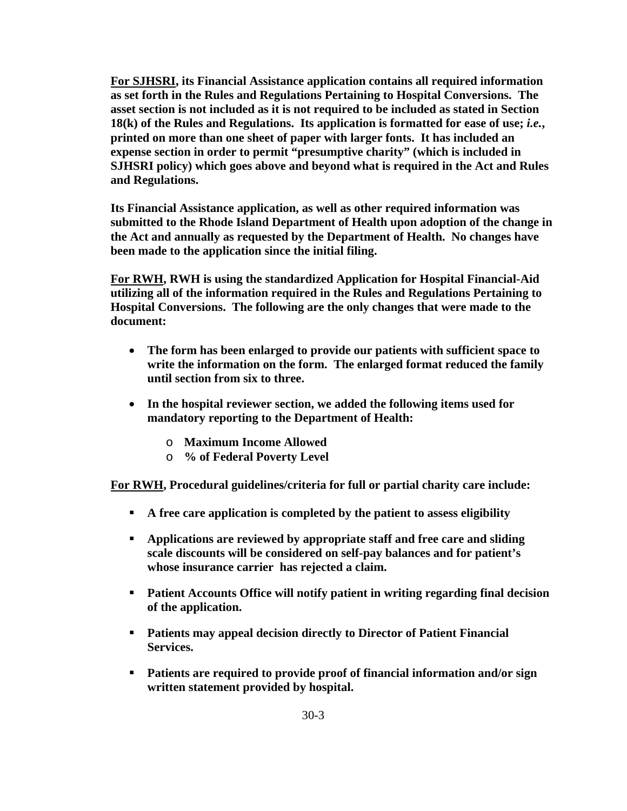**For SJHSRI, its Financial Assistance application contains all required information as set forth in the Rules and Regulations Pertaining to Hospital Conversions. The asset section is not included as it is not required to be included as stated in Section 18(k) of the Rules and Regulations. Its application is formatted for ease of use;** *i.e.***, printed on more than one sheet of paper with larger fonts. It has included an expense section in order to permit "presumptive charity" (which is included in SJHSRI policy) which goes above and beyond what is required in the Act and Rules and Regulations.**

**Its Financial Assistance application, as well as other required information was submitted to the Rhode Island Department of Health upon adoption of the change in the Act and annually as requested by the Department of Health. No changes have been made to the application since the initial filing.** 

**For RWH, RWH is using the standardized Application for Hospital Financial-Aid utilizing all of the information required in the Rules and Regulations Pertaining to Hospital Conversions. The following are the only changes that were made to the document:** 

- **The form has been enlarged to provide our patients with sufficient space to write the information on the form. The enlarged format reduced the family until section from six to three.**
- **In the hospital reviewer section, we added the following items used for mandatory reporting to the Department of Health:** 
	- o **Maximum Income Allowed**
	- o **% of Federal Poverty Level**

**For RWH, Procedural guidelines/criteria for full or partial charity care include:** 

- **A free care application is completed by the patient to assess eligibility**
- **Applications are reviewed by appropriate staff and free care and sliding scale discounts will be considered on self-pay balances and for patient's whose insurance carrier has rejected a claim.**
- **Patient Accounts Office will notify patient in writing regarding final decision of the application.**
- **Patients may appeal decision directly to Director of Patient Financial Services.**
- **Patients are required to provide proof of financial information and/or sign written statement provided by hospital.**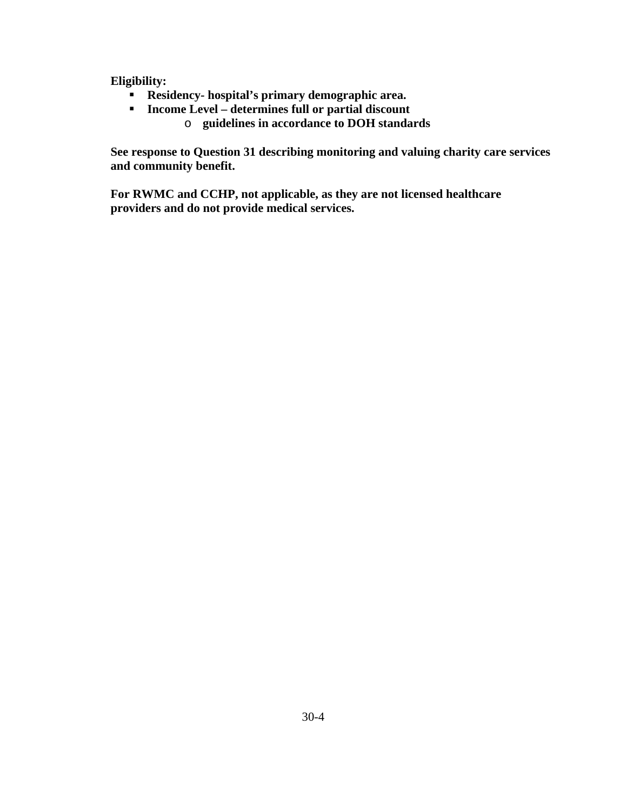**Eligibility:** 

- **Residency- hospital's primary demographic area.**
- **Income Level determines full or partial discount** 
	- o **guidelines in accordance to DOH standards**

**See response to Question 31 describing monitoring and valuing charity care services and community benefit.** 

**For RWMC and CCHP, not applicable, as they are not licensed healthcare providers and do not provide medical services.**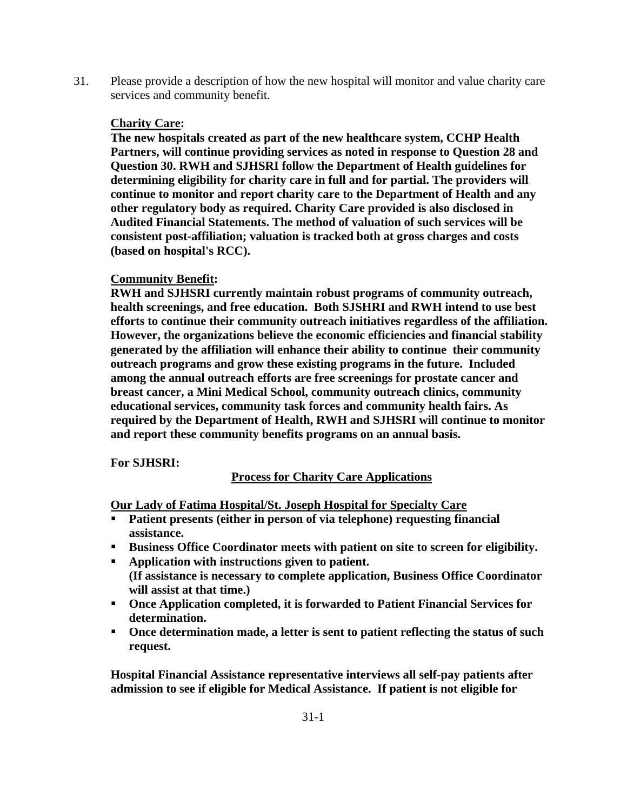31. Please provide a description of how the new hospital will monitor and value charity care services and community benefit.

#### **Charity Care:**

**The new hospitals created as part of the new healthcare system, CCHP Health Partners, will continue providing services as noted in response to Question 28 and Question 30. RWH and SJHSRI follow the Department of Health guidelines for determining eligibility for charity care in full and for partial. The providers will continue to monitor and report charity care to the Department of Health and any other regulatory body as required. Charity Care provided is also disclosed in Audited Financial Statements. The method of valuation of such services will be consistent post-affiliation; valuation is tracked both at gross charges and costs (based on hospital's RCC).** 

### **Community Benefit:**

**RWH and SJHSRI currently maintain robust programs of community outreach, health screenings, and free education. Both SJSHRI and RWH intend to use best efforts to continue their community outreach initiatives regardless of the affiliation. However, the organizations believe the economic efficiencies and financial stability generated by the affiliation will enhance their ability to continue their community outreach programs and grow these existing programs in the future. Included among the annual outreach efforts are free screenings for prostate cancer and breast cancer, a Mini Medical School, community outreach clinics, community educational services, community task forces and community health fairs. As required by the Department of Health, RWH and SJHSRI will continue to monitor and report these community benefits programs on an annual basis.** 

**For SJHSRI:** 

## **Process for Charity Care Applications**

**Our Lady of Fatima Hospital/St. Joseph Hospital for Specialty Care**

- **Patient presents (either in person of via telephone) requesting financial assistance.**
- **Business Office Coordinator meets with patient on site to screen for eligibility.**
- **Application with instructions given to patient. (If assistance is necessary to complete application, Business Office Coordinator will assist at that time.)**
- **Once Application completed, it is forwarded to Patient Financial Services for determination.**
- **Once determination made, a letter is sent to patient reflecting the status of such request.**

**Hospital Financial Assistance representative interviews all self-pay patients after admission to see if eligible for Medical Assistance. If patient is not eligible for**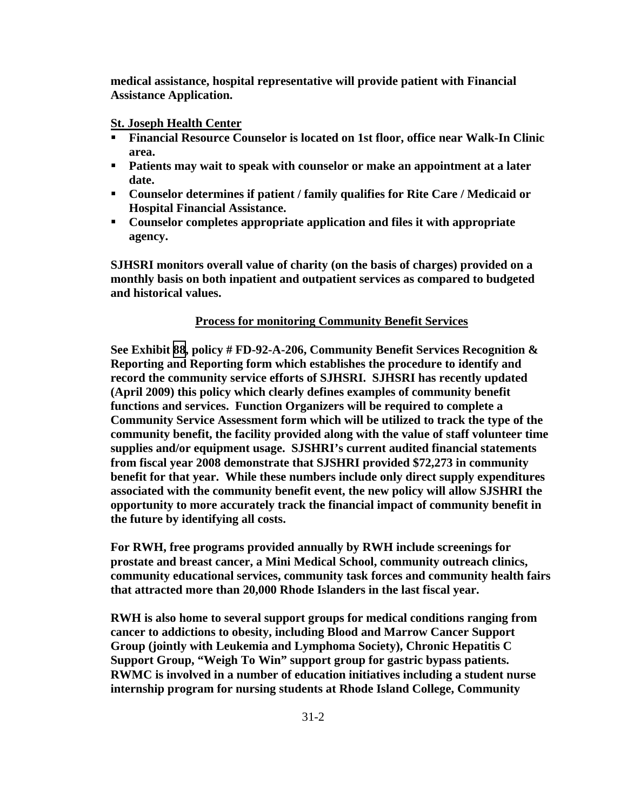**medical assistance, hospital representative will provide patient with Financial Assistance Application.** 

#### **St. Joseph Health Center**

- **Financial Resource Counselor is located on 1st floor, office near Walk-In Clinic area.**
- **Patients may wait to speak with counselor or make an appointment at a later date.**
- **Counselor determines if patient / family qualifies for Rite Care / Medicaid or Hospital Financial Assistance.**
- **Counselor completes appropriate application and files it with appropriate agency.**

**SJHSRI monitors overall value of charity (on the basis of charges) provided on a monthly basis on both inpatient and outpatient services as compared to budgeted and historical values.** 

#### **Process for monitoring Community Benefit Services**

**See Exhibit [88](TAB 88.pdf), policy # FD-92-A-206, Community Benefit Services Recognition & Reporting and Reporting form which establishes the procedure to identify and record the community service efforts of SJHSRI. SJHSRI has recently updated (April 2009) this policy which clearly defines examples of community benefit functions and services. Function Organizers will be required to complete a Community Service Assessment form which will be utilized to track the type of the community benefit, the facility provided along with the value of staff volunteer time supplies and/or equipment usage. SJSHRI's current audited financial statements from fiscal year 2008 demonstrate that SJSHRI provided \$72,273 in community benefit for that year. While these numbers include only direct supply expenditures associated with the community benefit event, the new policy will allow SJSHRI the opportunity to more accurately track the financial impact of community benefit in the future by identifying all costs.** 

**For RWH, free programs provided annually by RWH include screenings for prostate and breast cancer, a Mini Medical School, community outreach clinics, community educational services, community task forces and community health fairs that attracted more than 20,000 Rhode Islanders in the last fiscal year.** 

**RWH is also home to several support groups for medical conditions ranging from cancer to addictions to obesity, including Blood and Marrow Cancer Support Group (jointly with Leukemia and Lymphoma Society), Chronic Hepatitis C Support Group, "Weigh To Win" support group for gastric bypass patients. RWMC is involved in a number of education initiatives including a student nurse internship program for nursing students at Rhode Island College, Community**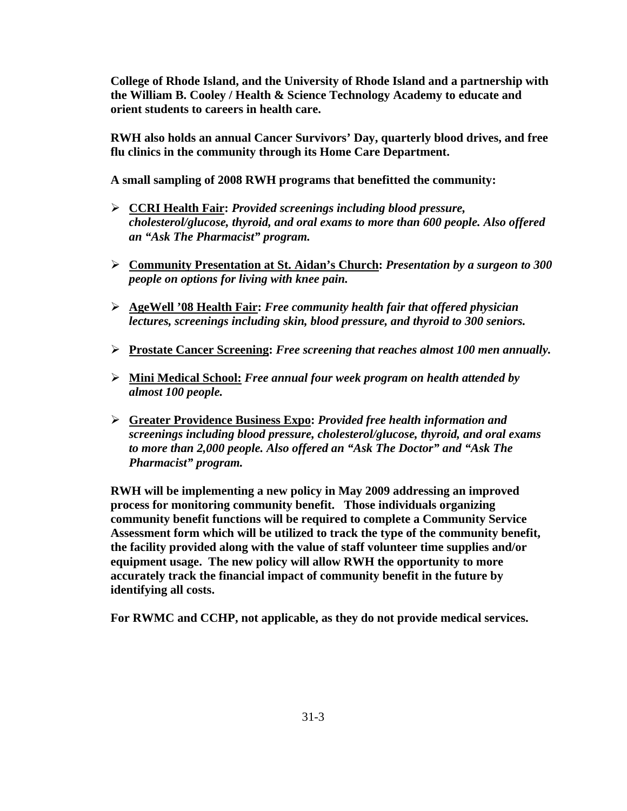**College of Rhode Island, and the University of Rhode Island and a partnership with the William B. Cooley / Health & Science Technology Academy to educate and orient students to careers in health care.** 

**RWH also holds an annual Cancer Survivors' Day, quarterly blood drives, and free flu clinics in the community through its Home Care Department.** 

**A small sampling of 2008 RWH programs that benefitted the community:** 

- ¾ **CCRI Health Fair:** *Provided screenings including blood pressure, cholesterol/glucose, thyroid, and oral exams to more than 600 people. Also offered an "Ask The Pharmacist" program.*
- ¾ **Community Presentation at St. Aidan's Church:** *Presentation by a surgeon to 300 people on options for living with knee pain.*
- ¾ **AgeWell '08 Health Fair:** *Free community health fair that offered physician lectures, screenings including skin, blood pressure, and thyroid to 300 seniors.*
- ¾ **Prostate Cancer Screening:** *Free screening that reaches almost 100 men annually.*
- ¾ **Mini Medical School:** *Free annual four week program on health attended by almost 100 people.*
- ¾ **Greater Providence Business Expo:** *Provided free health information and screenings including blood pressure, cholesterol/glucose, thyroid, and oral exams to more than 2,000 people. Also offered an "Ask The Doctor" and "Ask The Pharmacist" program.*

**RWH will be implementing a new policy in May 2009 addressing an improved process for monitoring community benefit. Those individuals organizing community benefit functions will be required to complete a Community Service Assessment form which will be utilized to track the type of the community benefit, the facility provided along with the value of staff volunteer time supplies and/or equipment usage. The new policy will allow RWH the opportunity to more accurately track the financial impact of community benefit in the future by identifying all costs.** 

**For RWMC and CCHP, not applicable, as they do not provide medical services.**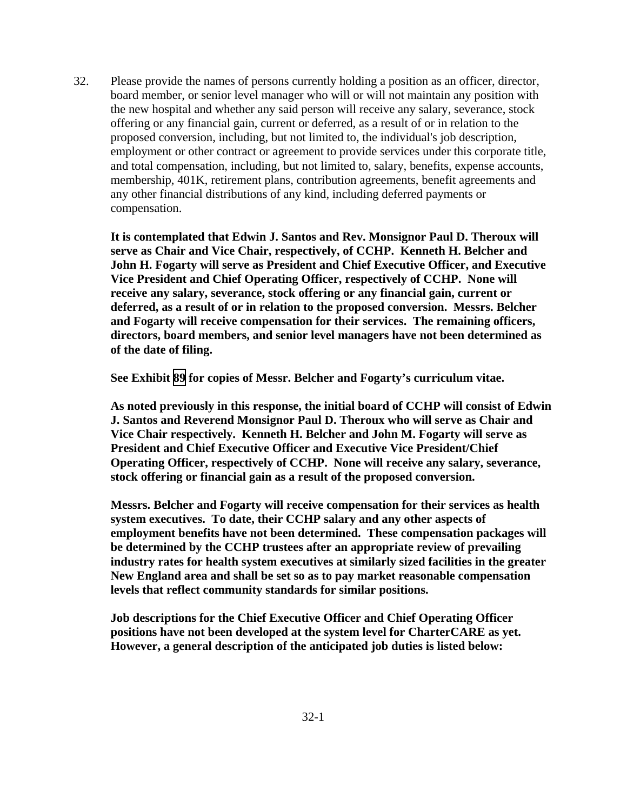32. Please provide the names of persons currently holding a position as an officer, director, board member, or senior level manager who will or will not maintain any position with the new hospital and whether any said person will receive any salary, severance, stock offering or any financial gain, current or deferred, as a result of or in relation to the proposed conversion, including, but not limited to, the individual's job description, employment or other contract or agreement to provide services under this corporate title, and total compensation, including, but not limited to, salary, benefits, expense accounts, membership, 401K, retirement plans, contribution agreements, benefit agreements and any other financial distributions of any kind, including deferred payments or compensation.

**It is contemplated that Edwin J. Santos and Rev. Monsignor Paul D. Theroux will serve as Chair and Vice Chair, respectively, of CCHP. Kenneth H. Belcher and John H. Fogarty will serve as President and Chief Executive Officer, and Executive Vice President and Chief Operating Officer, respectively of CCHP. None will receive any salary, severance, stock offering or any financial gain, current or deferred, as a result of or in relation to the proposed conversion. Messrs. Belcher and Fogarty will receive compensation for their services. The remaining officers, directors, board members, and senior level managers have not been determined as of the date of filing.** 

**See Exhibit [89](TAB 89.pdf) for copies of Messr. Belcher and Fogarty's curriculum vitae.** 

**As noted previously in this response, the initial board of CCHP will consist of Edwin J. Santos and Reverend Monsignor Paul D. Theroux who will serve as Chair and Vice Chair respectively. Kenneth H. Belcher and John M. Fogarty will serve as President and Chief Executive Officer and Executive Vice President/Chief Operating Officer, respectively of CCHP. None will receive any salary, severance, stock offering or financial gain as a result of the proposed conversion.** 

**Messrs. Belcher and Fogarty will receive compensation for their services as health system executives. To date, their CCHP salary and any other aspects of employment benefits have not been determined. These compensation packages will be determined by the CCHP trustees after an appropriate review of prevailing industry rates for health system executives at similarly sized facilities in the greater New England area and shall be set so as to pay market reasonable compensation levels that reflect community standards for similar positions.** 

**Job descriptions for the Chief Executive Officer and Chief Operating Officer positions have not been developed at the system level for CharterCARE as yet. However, a general description of the anticipated job duties is listed below:**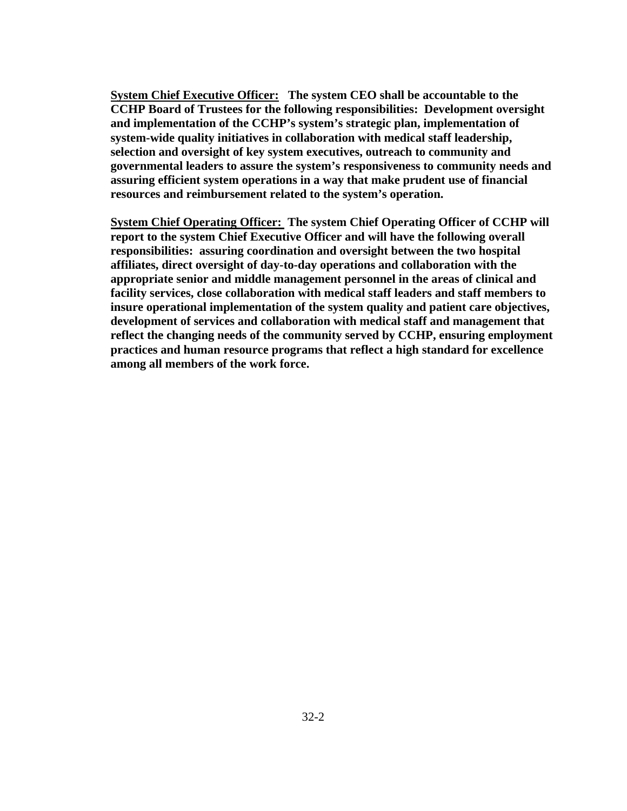**System Chief Executive Officer: The system CEO shall be accountable to the CCHP Board of Trustees for the following responsibilities: Development oversight and implementation of the CCHP's system's strategic plan, implementation of system-wide quality initiatives in collaboration with medical staff leadership, selection and oversight of key system executives, outreach to community and governmental leaders to assure the system's responsiveness to community needs and assuring efficient system operations in a way that make prudent use of financial resources and reimbursement related to the system's operation.** 

**System Chief Operating Officer: The system Chief Operating Officer of CCHP will report to the system Chief Executive Officer and will have the following overall responsibilities: assuring coordination and oversight between the two hospital affiliates, direct oversight of day-to-day operations and collaboration with the appropriate senior and middle management personnel in the areas of clinical and facility services, close collaboration with medical staff leaders and staff members to insure operational implementation of the system quality and patient care objectives, development of services and collaboration with medical staff and management that reflect the changing needs of the community served by CCHP, ensuring employment practices and human resource programs that reflect a high standard for excellence among all members of the work force.**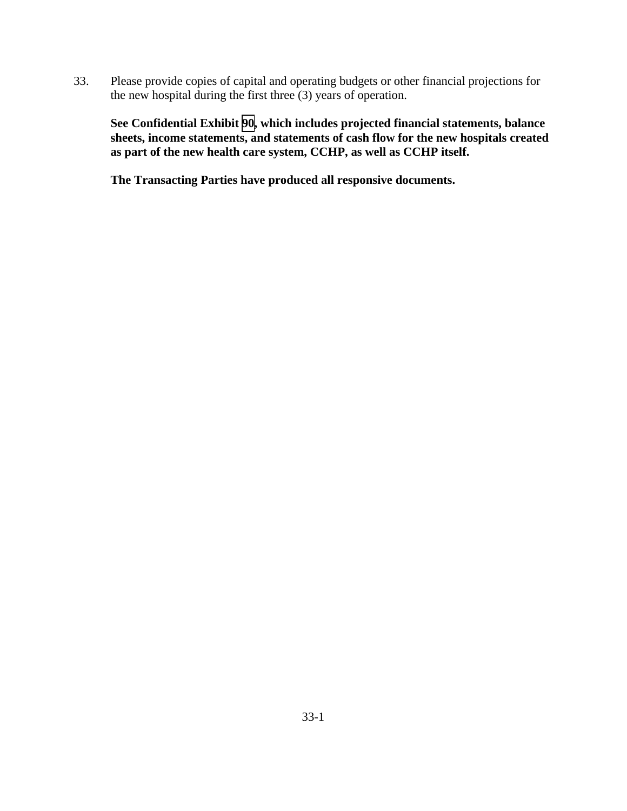33. Please provide copies of capital and operating budgets or other financial projections for the new hospital during the first three (3) years of operation.

 **See Confidential Exhibit [90](CFD.pdf), which includes projected financial statements, balance sheets, income statements, and statements of cash flow for the new hospitals created as part of the new health care system, CCHP, as well as CCHP itself.**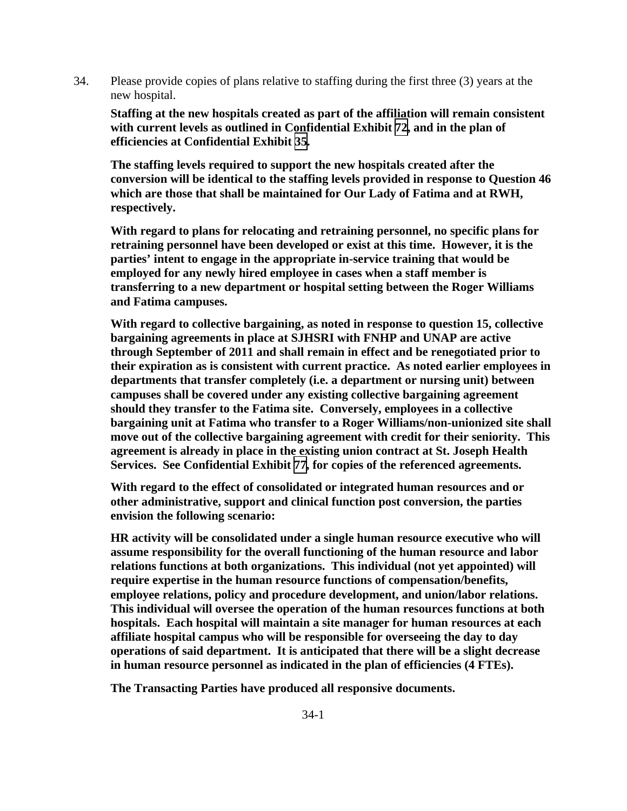34. Please provide copies of plans relative to staffing during the first three (3) years at the new hospital.

**Staffing at the new hospitals created as part of the affiliation will remain consistent with current levels as outlined in Confidential Exhibit [72](CFD.pdf), and in the plan of efficiencies at Confidential Exhibit [35](CFD.pdf).** 

**The staffing levels required to support the new hospitals created after the conversion will be identical to the staffing levels provided in response to Question 46 which are those that shall be maintained for Our Lady of Fatima and at RWH, respectively.** 

**With regard to plans for relocating and retraining personnel, no specific plans for retraining personnel have been developed or exist at this time. However, it is the parties' intent to engage in the appropriate in-service training that would be employed for any newly hired employee in cases when a staff member is transferring to a new department or hospital setting between the Roger Williams and Fatima campuses.** 

**With regard to collective bargaining, as noted in response to question 15, collective bargaining agreements in place at SJHSRI with FNHP and UNAP are active through September of 2011 and shall remain in effect and be renegotiated prior to their expiration as is consistent with current practice. As noted earlier employees in departments that transfer completely (i.e. a department or nursing unit) between campuses shall be covered under any existing collective bargaining agreement should they transfer to the Fatima site. Conversely, employees in a collective bargaining unit at Fatima who transfer to a Roger Williams/non-unionized site shall move out of the collective bargaining agreement with credit for their seniority. This agreement is already in place in the existing union contract at St. Joseph Health Services. See Confidential Exhibit [77](CFD.pdf), for copies of the referenced agreements.** 

**With regard to the effect of consolidated or integrated human resources and or other administrative, support and clinical function post conversion, the parties envision the following scenario:** 

**HR activity will be consolidated under a single human resource executive who will assume responsibility for the overall functioning of the human resource and labor relations functions at both organizations. This individual (not yet appointed) will require expertise in the human resource functions of compensation/benefits, employee relations, policy and procedure development, and union/labor relations. This individual will oversee the operation of the human resources functions at both hospitals. Each hospital will maintain a site manager for human resources at each affiliate hospital campus who will be responsible for overseeing the day to day operations of said department. It is anticipated that there will be a slight decrease in human resource personnel as indicated in the plan of efficiencies (4 FTEs).**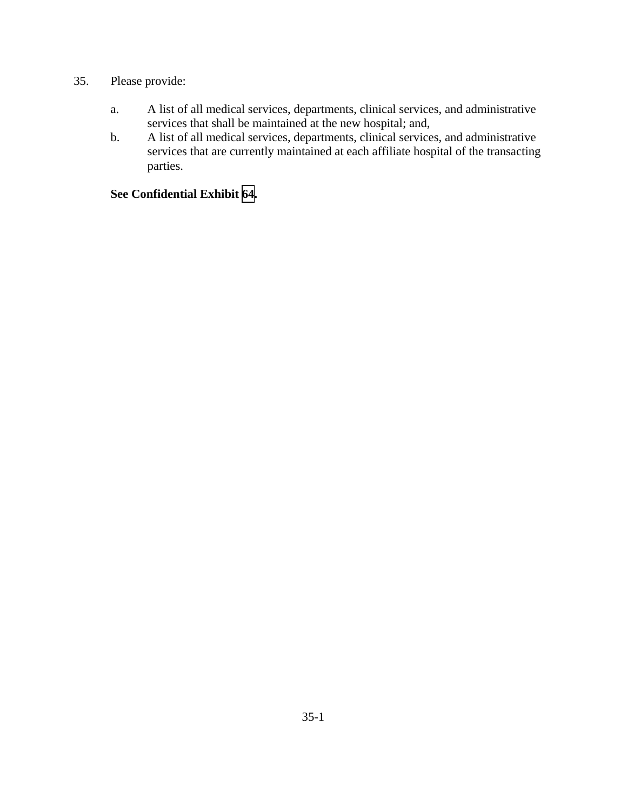## 35. Please provide:

- a. A list of all medical services, departments, clinical services, and administrative services that shall be maintained at the new hospital; and,
- b. A list of all medical services, departments, clinical services, and administrative services that are currently maintained at each affiliate hospital of the transacting parties.

### **See Confidential Exhibit [64](CFD.pdf).**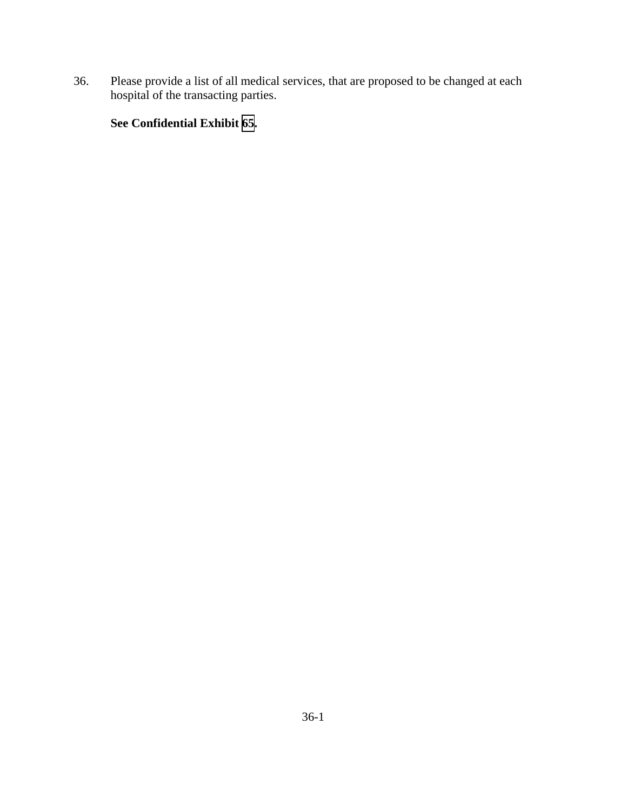36. Please provide a list of all medical services, that are proposed to be changed at each hospital of the transacting parties.

## **See Confidential Exhibit [65](CFD.pdf).**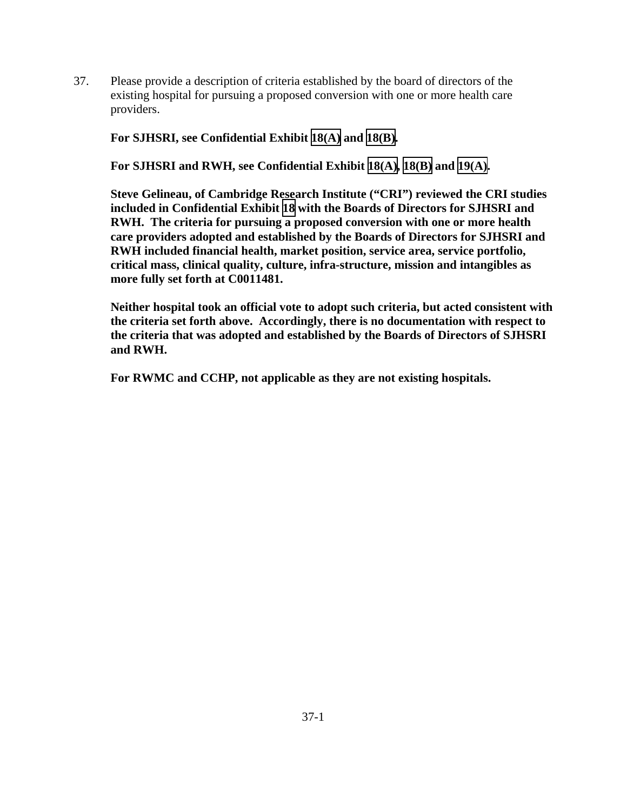37. Please provide a description of criteria established by the board of directors of the existing hospital for pursuing a proposed conversion with one or more health care providers.

**For SJHSRI, see Confidential Exhibit [18\(A\)](CFD.pdf) and [18\(B\)](CFD.pdf).** 

**For SJHSRI and RWH, see Confidential Exhibit [18\(A\),](CFD.pdf) [18\(B\)](CFD.pdf) and [19\(A\)](CFD.pdf).** 

**Steve Gelineau, of Cambridge Research Institute ("CRI") reviewed the CRI studies included in Confidential Exhibit [18](CFD.pdf) with the Boards of Directors for SJHSRI and RWH. The criteria for pursuing a proposed conversion with one or more health care providers adopted and established by the Boards of Directors for SJHSRI and RWH included financial health, market position, service area, service portfolio, critical mass, clinical quality, culture, infra-structure, mission and intangibles as more fully set forth at C0011481.** 

**Neither hospital took an official vote to adopt such criteria, but acted consistent with the criteria set forth above. Accordingly, there is no documentation with respect to the criteria that was adopted and established by the Boards of Directors of SJHSRI and RWH.** 

**For RWMC and CCHP, not applicable as they are not existing hospitals.**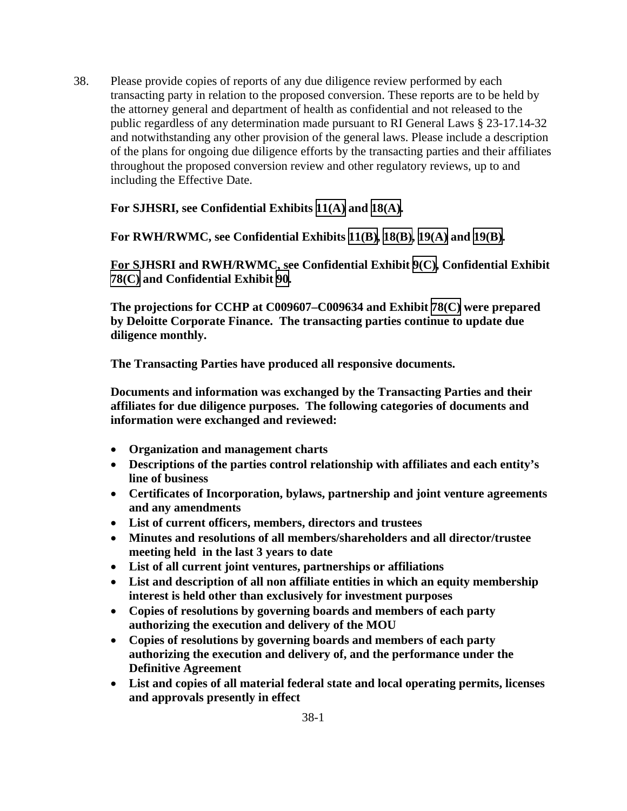38. Please provide copies of reports of any due diligence review performed by each transacting party in relation to the proposed conversion. These reports are to be held by the attorney general and department of health as confidential and not released to the public regardless of any determination made pursuant to RI General Laws § 23-17.14-32 and notwithstanding any other provision of the general laws. Please include a description of the plans for ongoing due diligence efforts by the transacting parties and their affiliates throughout the proposed conversion review and other regulatory reviews, up to and including the Effective Date.

 **For SJHSRI, see Confidential Exhibits [11\(A\)](CFD.pdf) and [18\(A\)](CFD.pdf).** 

**For RWH/RWMC, see Confidential Exhibits [11\(B\),](CFD.pdf) [18\(B\),](CFD.pdf) [19\(A\)](CFD.pdf) and [19\(B\).](CFD.pdf)** 

**For SJHSRI and RWH/RWMC, see Confidential Exhibit [9\(C\),](CFD.pdf) Confidential Exhibit [78\(C\)](CFD.pdf) and Confidential Exhibit [90.](CFD.pdf)** 

**The projections for CCHP at C009607–C009634 and Exhibit [78\(C\)](TAB 78C.pdf) were prepared by Deloitte Corporate Finance. The transacting parties continue to update due diligence monthly.** 

**The Transacting Parties have produced all responsive documents.**

**Documents and information was exchanged by the Transacting Parties and their affiliates for due diligence purposes. The following categories of documents and information were exchanged and reviewed:** 

- **Organization and management charts**
- **Descriptions of the parties control relationship with affiliates and each entity's line of business**
- **Certificates of Incorporation, bylaws, partnership and joint venture agreements and any amendments**
- **List of current officers, members, directors and trustees**
- **Minutes and resolutions of all members/shareholders and all director/trustee meeting held in the last 3 years to date**
- **List of all current joint ventures, partnerships or affiliations**
- **List and description of all non affiliate entities in which an equity membership interest is held other than exclusively for investment purposes**
- **Copies of resolutions by governing boards and members of each party authorizing the execution and delivery of the MOU**
- **Copies of resolutions by governing boards and members of each party authorizing the execution and delivery of, and the performance under the Definitive Agreement**
- **List and copies of all material federal state and local operating permits, licenses and approvals presently in effect**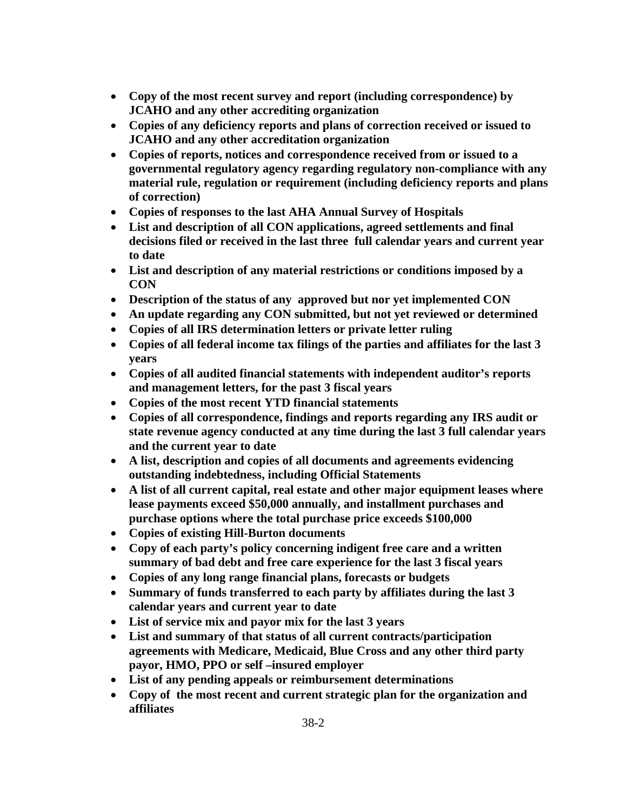- **Copy of the most recent survey and report (including correspondence) by JCAHO and any other accrediting organization**
- **Copies of any deficiency reports and plans of correction received or issued to JCAHO and any other accreditation organization**
- **Copies of reports, notices and correspondence received from or issued to a governmental regulatory agency regarding regulatory non-compliance with any material rule, regulation or requirement (including deficiency reports and plans of correction)**
- **Copies of responses to the last AHA Annual Survey of Hospitals**
- **List and description of all CON applications, agreed settlements and final decisions filed or received in the last three full calendar years and current year to date**
- **List and description of any material restrictions or conditions imposed by a CON**
- **Description of the status of any approved but nor yet implemented CON**
- **An update regarding any CON submitted, but not yet reviewed or determined**
- **Copies of all IRS determination letters or private letter ruling**
- **Copies of all federal income tax filings of the parties and affiliates for the last 3 years**
- **Copies of all audited financial statements with independent auditor's reports and management letters, for the past 3 fiscal years**
- **Copies of the most recent YTD financial statements**
- **Copies of all correspondence, findings and reports regarding any IRS audit or state revenue agency conducted at any time during the last 3 full calendar years and the current year to date**
- **A list, description and copies of all documents and agreements evidencing outstanding indebtedness, including Official Statements**
- **A list of all current capital, real estate and other major equipment leases where lease payments exceed \$50,000 annually, and installment purchases and purchase options where the total purchase price exceeds \$100,000**
- **Copies of existing Hill-Burton documents**
- **Copy of each party's policy concerning indigent free care and a written summary of bad debt and free care experience for the last 3 fiscal years**
- **Copies of any long range financial plans, forecasts or budgets**
- **Summary of funds transferred to each party by affiliates during the last 3 calendar years and current year to date**
- **List of service mix and payor mix for the last 3 years**
- **List and summary of that status of all current contracts/participation agreements with Medicare, Medicaid, Blue Cross and any other third party payor, HMO, PPO or self –insured employer**
- **List of any pending appeals or reimbursement determinations**
- **Copy of the most recent and current strategic plan for the organization and affiliates**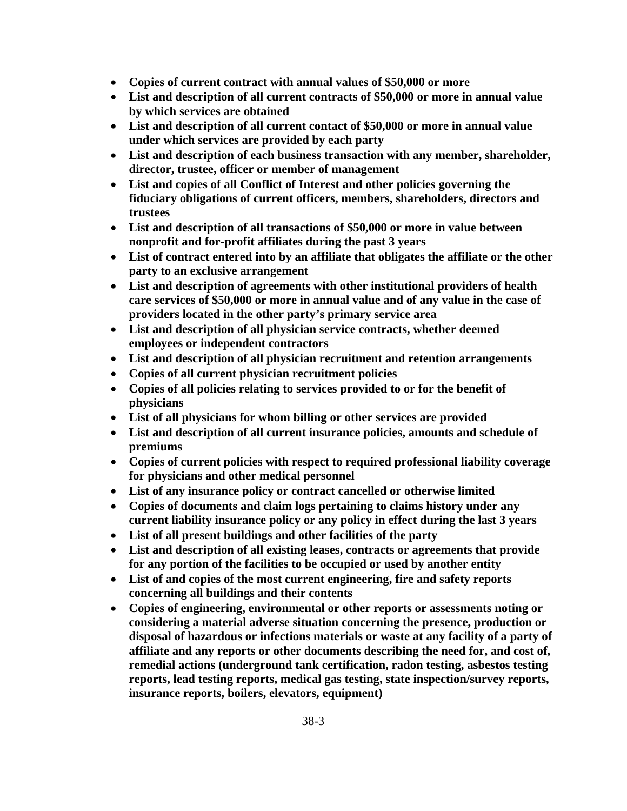- **Copies of current contract with annual values of \$50,000 or more**
- **List and description of all current contracts of \$50,000 or more in annual value by which services are obtained**
- **List and description of all current contact of \$50,000 or more in annual value under which services are provided by each party**
- **List and description of each business transaction with any member, shareholder, director, trustee, officer or member of management**
- **List and copies of all Conflict of Interest and other policies governing the fiduciary obligations of current officers, members, shareholders, directors and trustees**
- **List and description of all transactions of \$50,000 or more in value between nonprofit and for-profit affiliates during the past 3 years**
- **List of contract entered into by an affiliate that obligates the affiliate or the other party to an exclusive arrangement**
- **List and description of agreements with other institutional providers of health care services of \$50,000 or more in annual value and of any value in the case of providers located in the other party's primary service area**
- **List and description of all physician service contracts, whether deemed employees or independent contractors**
- **List and description of all physician recruitment and retention arrangements**
- **Copies of all current physician recruitment policies**
- **Copies of all policies relating to services provided to or for the benefit of physicians**
- **List of all physicians for whom billing or other services are provided**
- **List and description of all current insurance policies, amounts and schedule of premiums**
- **Copies of current policies with respect to required professional liability coverage for physicians and other medical personnel**
- **List of any insurance policy or contract cancelled or otherwise limited**
- **Copies of documents and claim logs pertaining to claims history under any current liability insurance policy or any policy in effect during the last 3 years**
- **List of all present buildings and other facilities of the party**
- **List and description of all existing leases, contracts or agreements that provide for any portion of the facilities to be occupied or used by another entity**
- **List of and copies of the most current engineering, fire and safety reports concerning all buildings and their contents**
- **Copies of engineering, environmental or other reports or assessments noting or considering a material adverse situation concerning the presence, production or disposal of hazardous or infections materials or waste at any facility of a party of affiliate and any reports or other documents describing the need for, and cost of, remedial actions (underground tank certification, radon testing, asbestos testing reports, lead testing reports, medical gas testing, state inspection/survey reports, insurance reports, boilers, elevators, equipment)**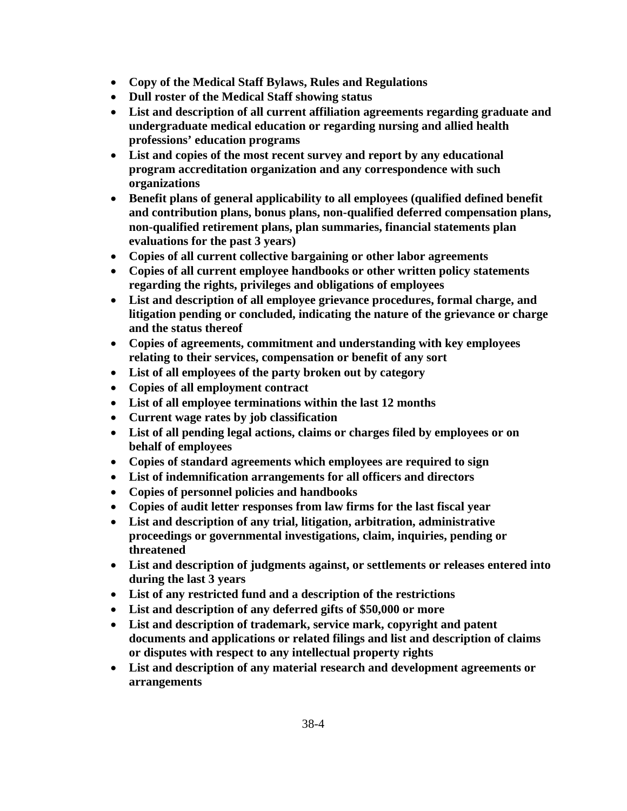- **Copy of the Medical Staff Bylaws, Rules and Regulations**
- **Dull roster of the Medical Staff showing status**
- **List and description of all current affiliation agreements regarding graduate and undergraduate medical education or regarding nursing and allied health professions' education programs**
- **List and copies of the most recent survey and report by any educational program accreditation organization and any correspondence with such organizations**
- **Benefit plans of general applicability to all employees (qualified defined benefit and contribution plans, bonus plans, non-qualified deferred compensation plans, non-qualified retirement plans, plan summaries, financial statements plan evaluations for the past 3 years)**
- **Copies of all current collective bargaining or other labor agreements**
- **Copies of all current employee handbooks or other written policy statements regarding the rights, privileges and obligations of employees**
- **List and description of all employee grievance procedures, formal charge, and litigation pending or concluded, indicating the nature of the grievance or charge and the status thereof**
- **Copies of agreements, commitment and understanding with key employees relating to their services, compensation or benefit of any sort**
- **List of all employees of the party broken out by category**
- **Copies of all employment contract**
- **List of all employee terminations within the last 12 months**
- **Current wage rates by job classification**
- **List of all pending legal actions, claims or charges filed by employees or on behalf of employees**
- **Copies of standard agreements which employees are required to sign**
- **List of indemnification arrangements for all officers and directors**
- **Copies of personnel policies and handbooks**
- **Copies of audit letter responses from law firms for the last fiscal year**
- **List and description of any trial, litigation, arbitration, administrative proceedings or governmental investigations, claim, inquiries, pending or threatened**
- **List and description of judgments against, or settlements or releases entered into during the last 3 years**
- **List of any restricted fund and a description of the restrictions**
- **List and description of any deferred gifts of \$50,000 or more**
- **List and description of trademark, service mark, copyright and patent documents and applications or related filings and list and description of claims or disputes with respect to any intellectual property rights**
- **List and description of any material research and development agreements or arrangements**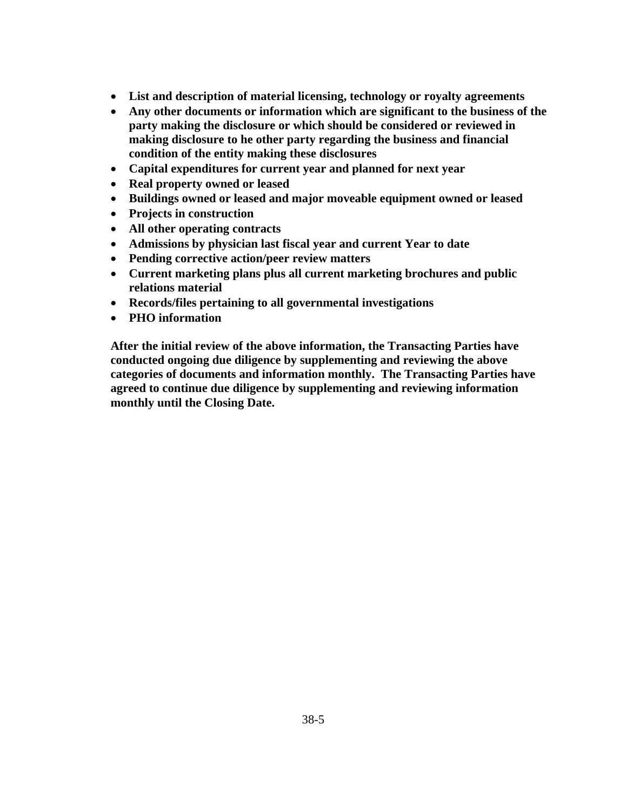- **List and description of material licensing, technology or royalty agreements**
- **Any other documents or information which are significant to the business of the party making the disclosure or which should be considered or reviewed in making disclosure to he other party regarding the business and financial condition of the entity making these disclosures**
- **Capital expenditures for current year and planned for next year**
- **Real property owned or leased**
- **Buildings owned or leased and major moveable equipment owned or leased**
- **Projects in construction**
- **All other operating contracts**
- **Admissions by physician last fiscal year and current Year to date**
- **Pending corrective action/peer review matters**
- **Current marketing plans plus all current marketing brochures and public relations material**
- **Records/files pertaining to all governmental investigations**
- **PHO information**

**After the initial review of the above information, the Transacting Parties have conducted ongoing due diligence by supplementing and reviewing the above categories of documents and information monthly. The Transacting Parties have agreed to continue due diligence by supplementing and reviewing information monthly until the Closing Date.**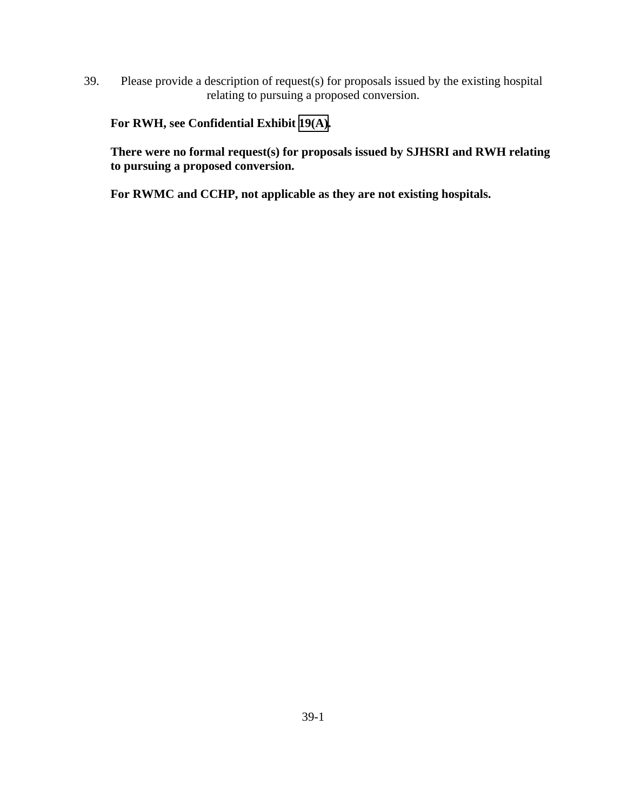39. Please provide a description of request(s) for proposals issued by the existing hospital relating to pursuing a proposed conversion.

**For RWH, see Confidential Exhibit [19\(A\).](CFD.pdf)** 

**There were no formal request(s) for proposals issued by SJHSRI and RWH relating to pursuing a proposed conversion.** 

**For RWMC and CCHP, not applicable as they are not existing hospitals.**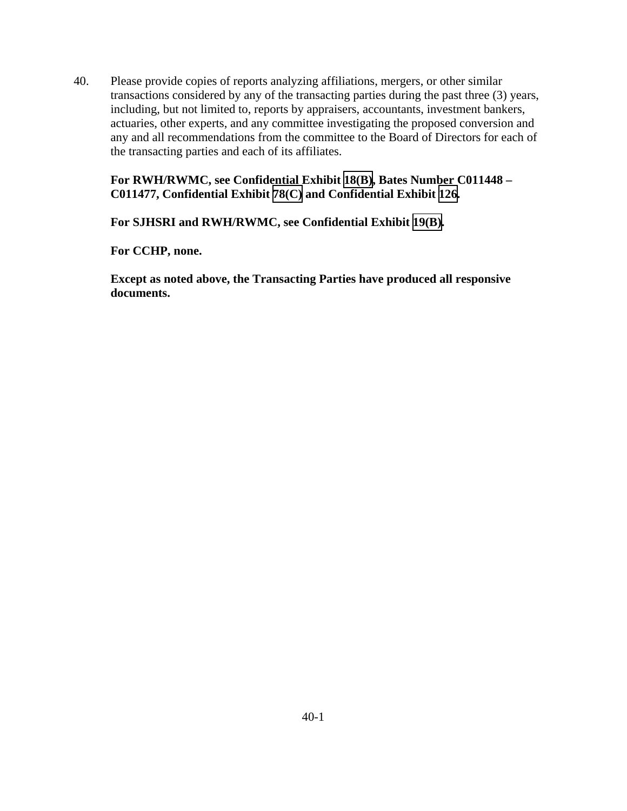40. Please provide copies of reports analyzing affiliations, mergers, or other similar transactions considered by any of the transacting parties during the past three (3) years, including, but not limited to, reports by appraisers, accountants, investment bankers, actuaries, other experts, and any committee investigating the proposed conversion and any and all recommendations from the committee to the Board of Directors for each of the transacting parties and each of its affiliates.

## **For RWH/RWMC, see Confidential Exhibit [18\(B\),](CFD.pdf) Bates Number C011448 – C011477, Confidential Exhibit [78\(C\)](CFD.pdf) and Confidential Exhibit [126.](CFD.pdf)**

**For SJHSRI and RWH/RWMC, see Confidential Exhibit [19\(B\)](CFD.pdf).** 

**For CCHP, none.**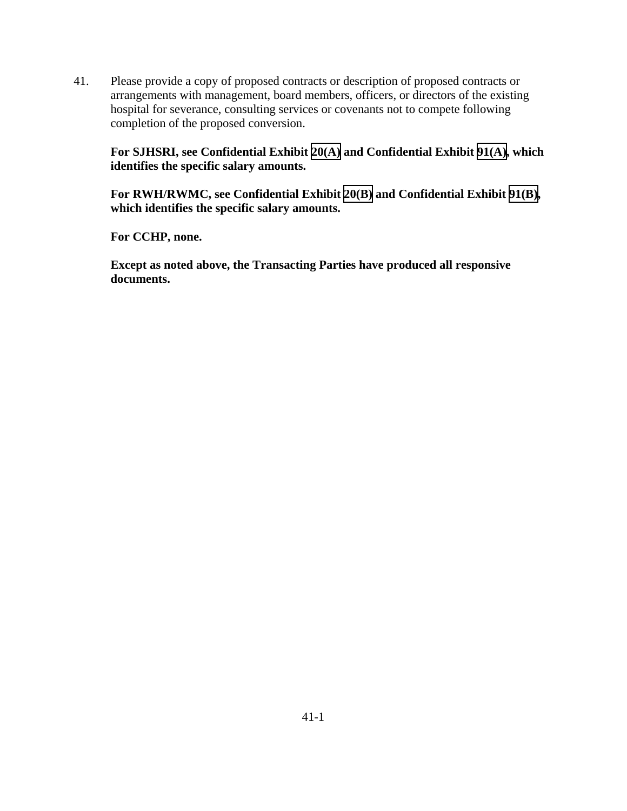41. Please provide a copy of proposed contracts or description of proposed contracts or arrangements with management, board members, officers, or directors of the existing hospital for severance, consulting services or covenants not to compete following completion of the proposed conversion.

**For SJHSRI, see Confidential Exhibit [20\(A\)](CFD.pdf) and Confidential Exhibit [91\(A\),](CFD.pdf) which identifies the specific salary amounts.** 

**For RWH/RWMC, see Confidential Exhibit [20\(B\)](CFD.pdf) and Confidential Exhibit [91\(B\)](CFD.pdf), which identifies the specific salary amounts.** 

**For CCHP, none.**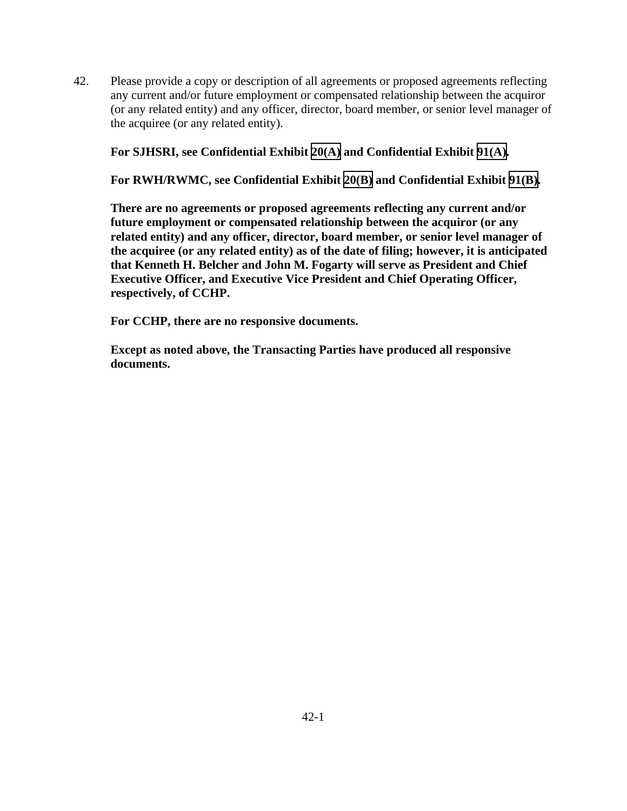42. Please provide a copy or description of all agreements or proposed agreements reflecting any current and/or future employment or compensated relationship between the acquiror (or any related entity) and any officer, director, board member, or senior level manager of the acquiree (or any related entity).

**For SJHSRI, see Confidential Exhibit [20\(A\)](CFD.pdf) and Confidential Exhibit [91\(A\).](CFD.pdf)** 

**For RWH/RWMC, see Confidential Exhibit [20\(B\)](CFD.pdf) and Confidential Exhibit [91\(B\)](CFD.pdf).** 

**There are no agreements or proposed agreements reflecting any current and/or future employment or compensated relationship between the acquiror (or any related entity) and any officer, director, board member, or senior level manager of the acquiree (or any related entity) as of the date of filing; however, it is anticipated that Kenneth H. Belcher and John M. Fogarty will serve as President and Chief Executive Officer, and Executive Vice President and Chief Operating Officer, respectively, of CCHP.** 

**For CCHP, there are no responsive documents.**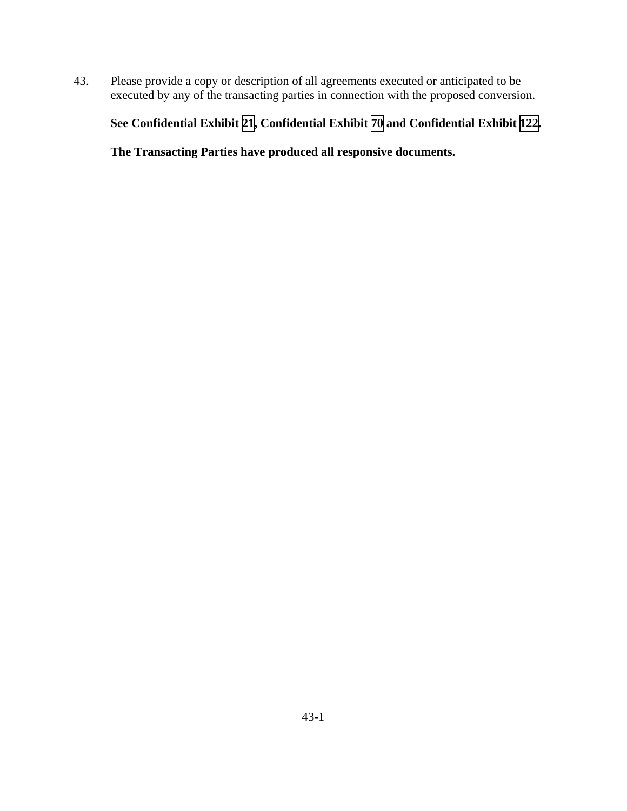43. Please provide a copy or description of all agreements executed or anticipated to be executed by any of the transacting parties in connection with the proposed conversion.

# **See Confidential Exhibit [21](CFD.pdf), Confidential Exhibit [70](CFD.pdf) and Confidential Exhibit [122.](CFD.pdf)**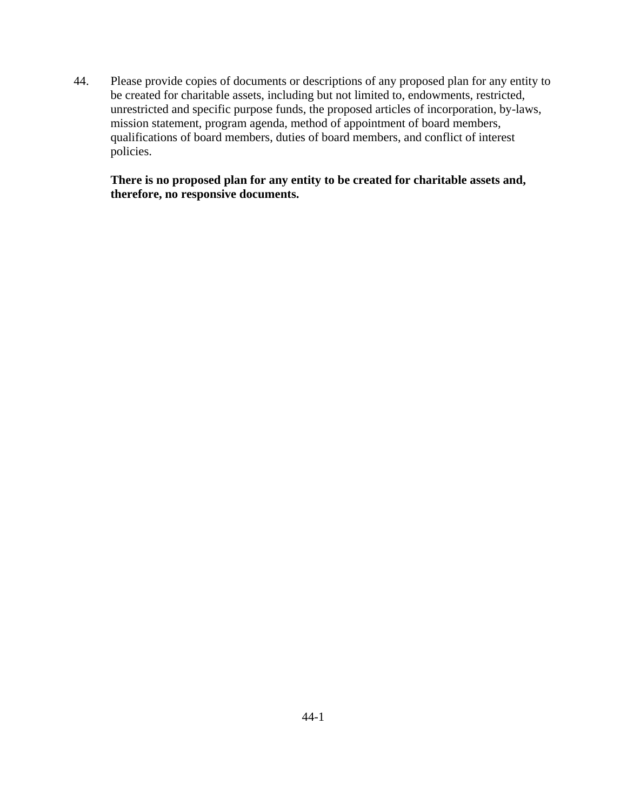44. Please provide copies of documents or descriptions of any proposed plan for any entity to be created for charitable assets, including but not limited to, endowments, restricted, unrestricted and specific purpose funds, the proposed articles of incorporation, by-laws, mission statement, program agenda, method of appointment of board members, qualifications of board members, duties of board members, and conflict of interest policies.

 **There is no proposed plan for any entity to be created for charitable assets and, therefore, no responsive documents.**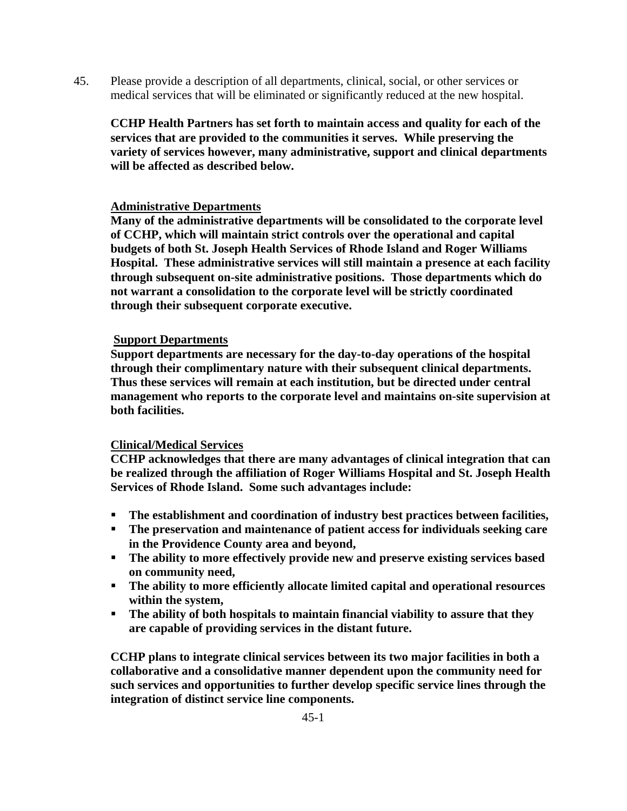45. Please provide a description of all departments, clinical, social, or other services or medical services that will be eliminated or significantly reduced at the new hospital.

**CCHP Health Partners has set forth to maintain access and quality for each of the services that are provided to the communities it serves. While preserving the variety of services however, many administrative, support and clinical departments will be affected as described below.** 

### **Administrative Departments**

**Many of the administrative departments will be consolidated to the corporate level of CCHP, which will maintain strict controls over the operational and capital budgets of both St. Joseph Health Services of Rhode Island and Roger Williams Hospital. These administrative services will still maintain a presence at each facility through subsequent on-site administrative positions. Those departments which do not warrant a consolidation to the corporate level will be strictly coordinated through their subsequent corporate executive.** 

### **Support Departments**

**Support departments are necessary for the day-to-day operations of the hospital through their complimentary nature with their subsequent clinical departments. Thus these services will remain at each institution, but be directed under central management who reports to the corporate level and maintains on-site supervision at both facilities.** 

### **Clinical/Medical Services**

**CCHP acknowledges that there are many advantages of clinical integration that can be realized through the affiliation of Roger Williams Hospital and St. Joseph Health Services of Rhode Island. Some such advantages include:** 

- **The establishment and coordination of industry best practices between facilities,**
- **The preservation and maintenance of patient access for individuals seeking care in the Providence County area and beyond,**
- **The ability to more effectively provide new and preserve existing services based on community need,**
- **The ability to more efficiently allocate limited capital and operational resources within the system,**
- **The ability of both hospitals to maintain financial viability to assure that they are capable of providing services in the distant future.**

**CCHP plans to integrate clinical services between its two major facilities in both a collaborative and a consolidative manner dependent upon the community need for such services and opportunities to further develop specific service lines through the integration of distinct service line components.**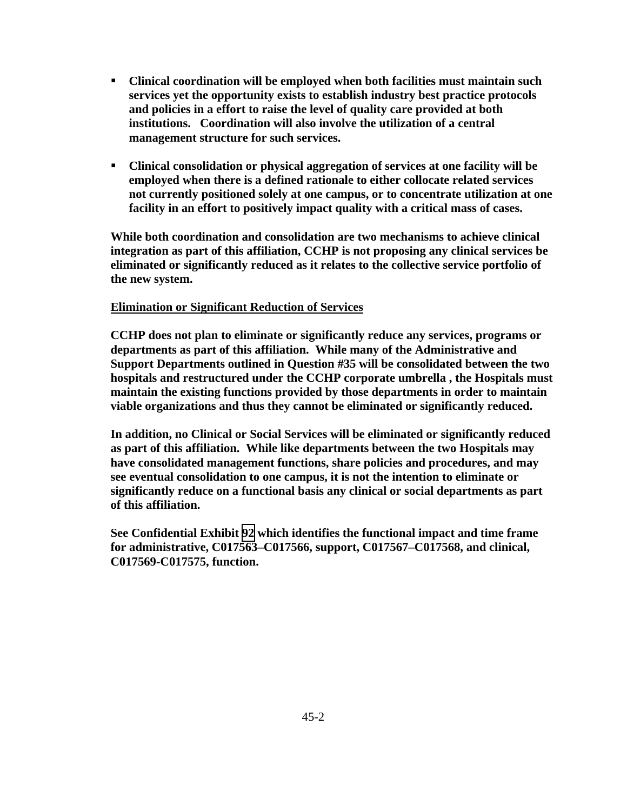- **Clinical coordination will be employed when both facilities must maintain such services yet the opportunity exists to establish industry best practice protocols and policies in a effort to raise the level of quality care provided at both institutions. Coordination will also involve the utilization of a central management structure for such services.**
- **Clinical consolidation or physical aggregation of services at one facility will be employed when there is a defined rationale to either collocate related services not currently positioned solely at one campus, or to concentrate utilization at one facility in an effort to positively impact quality with a critical mass of cases.**

**While both coordination and consolidation are two mechanisms to achieve clinical integration as part of this affiliation, CCHP is not proposing any clinical services be eliminated or significantly reduced as it relates to the collective service portfolio of the new system.** 

#### **Elimination or Significant Reduction of Services**

**CCHP does not plan to eliminate or significantly reduce any services, programs or departments as part of this affiliation. While many of the Administrative and Support Departments outlined in Question #35 will be consolidated between the two hospitals and restructured under the CCHP corporate umbrella , the Hospitals must maintain the existing functions provided by those departments in order to maintain viable organizations and thus they cannot be eliminated or significantly reduced.** 

**In addition, no Clinical or Social Services will be eliminated or significantly reduced as part of this affiliation. While like departments between the two Hospitals may have consolidated management functions, share policies and procedures, and may see eventual consolidation to one campus, it is not the intention to eliminate or significantly reduce on a functional basis any clinical or social departments as part of this affiliation.** 

**See Confidential Exhibit [92](CFD.pdf) which identifies the functional impact and time frame for administrative, C017563–C017566, support, C017567–C017568, and clinical, C017569-C017575, function.**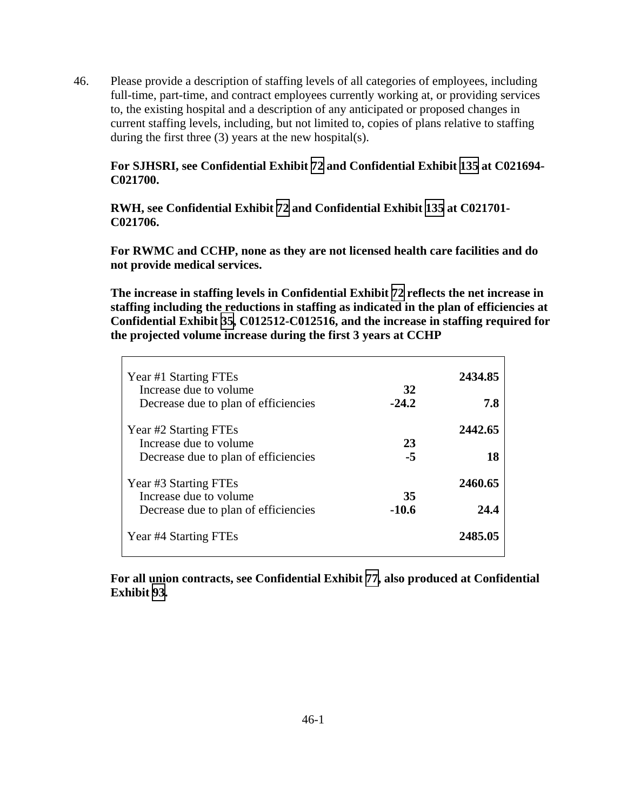46. Please provide a description of staffing levels of all categories of employees, including full-time, part-time, and contract employees currently working at, or providing services to, the existing hospital and a description of any anticipated or proposed changes in current staffing levels, including, but not limited to, copies of plans relative to staffing during the first three (3) years at the new hospital(s).

## **For SJHSRI, see Confidential Exhibit [72](CFD.pdf) and Confidential Exhibit [135](CFD.pdf) at C021694- C021700.**

**RWH, see Confidential Exhibit [72](CFD.pdf) and Confidential Exhibit [135](CFD.pdf) at C021701- C021706.** 

**For RWMC and CCHP, none as they are not licensed health care facilities and do not provide medical services.** 

**The increase in staffing levels in Confidential Exhibit [72](CFD.pdf) reflects the net increase in staffing including the reductions in staffing as indicated in the plan of efficiencies at Confidential Exhibit [35,](CFD.pdf) C012512-C012516, and the increase in staffing required for the projected volume increase during the first 3 years at CCHP** 

| Year #1 Starting FTEs<br>Increase due to volume<br>Decrease due to plan of efficiencies | 32<br>$-24.2$ | 2434.85<br>7.8  |
|-----------------------------------------------------------------------------------------|---------------|-----------------|
| Year #2 Starting FTEs<br>Increase due to volume<br>Decrease due to plan of efficiencies | 23<br>$-5$    | 2442.65<br>18   |
| Year #3 Starting FTEs<br>Increase due to volume<br>Decrease due to plan of efficiencies | 35<br>$-10.6$ | 2460.65<br>24.4 |
| Year #4 Starting FTEs                                                                   |               | 2485.05         |

**For all union contracts, see Confidential Exhibit [77](CFD.pdf), also produced at Confidential Exhibit [93](CFD.pdf).**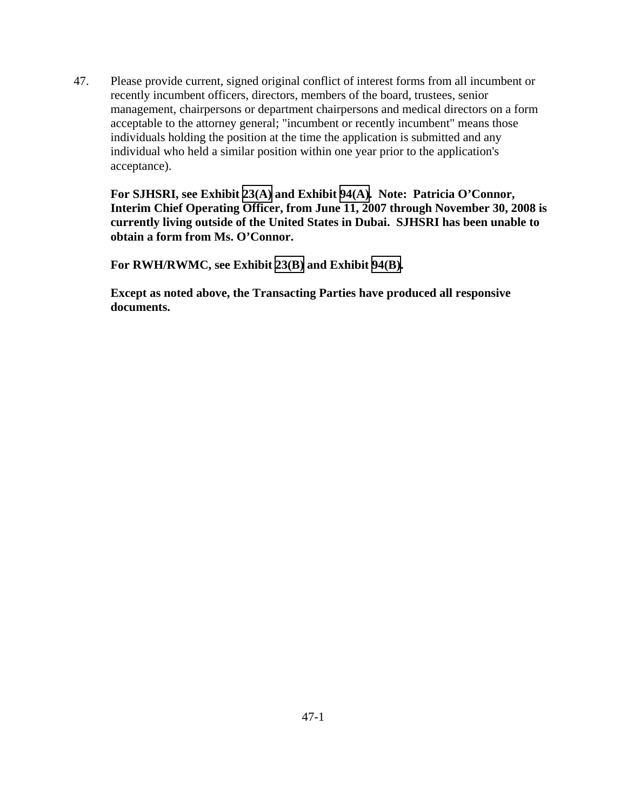47. Please provide current, signed original conflict of interest forms from all incumbent or recently incumbent officers, directors, members of the board, trustees, senior management, chairpersons or department chairpersons and medical directors on a form acceptable to the attorney general; "incumbent or recently incumbent" means those individuals holding the position at the time the application is submitted and any individual who held a similar position within one year prior to the application's acceptance).

**For SJHSRI, see Exhibit [23\(A\)](TAB 23A.pdf) and Exhibit [94\(A\).](TAB 94A.pdf) Note: Patricia O'Connor, Interim Chief Operating Officer, from June 11, 2007 through November 30, 2008 is currently living outside of the United States in Dubai. SJHSRI has been unable to obtain a form from Ms. O'Connor.** 

**For RWH/RWMC, see Exhibit [23\(B\)](TAB 23B.pdf) and Exhibit [94\(B\)](TAB 94B.pdf).**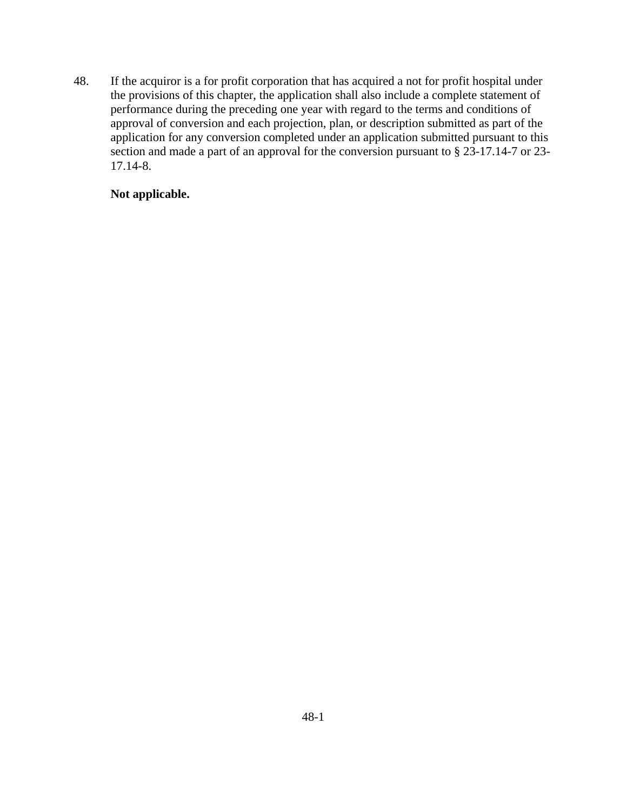48. If the acquiror is a for profit corporation that has acquired a not for profit hospital under the provisions of this chapter, the application shall also include a complete statement of performance during the preceding one year with regard to the terms and conditions of approval of conversion and each projection, plan, or description submitted as part of the application for any conversion completed under an application submitted pursuant to this section and made a part of an approval for the conversion pursuant to § 23-17.14-7 or 23- 17.14-8.

# **Not applicable.**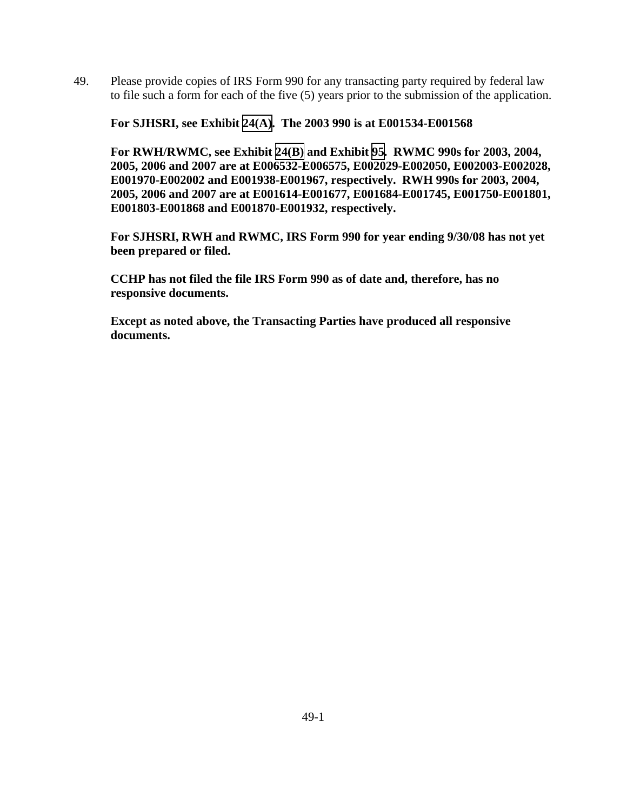49. Please provide copies of IRS Form 990 for any transacting party required by federal law to file such a form for each of the five (5) years prior to the submission of the application.

**For SJHSRI, see Exhibit [24\(A\).](TAB 24A.pdf) The 2003 990 is at E001534-E001568** 

**For RWH/RWMC, see Exhibit [24\(B\)](TAB 24B.pdf) and Exhibit [95](TAB 95.pdf). RWMC 990s for 2003, 2004, 2005, 2006 and 2007 are at E006532-E006575, E002029-E002050, E002003-E002028, E001970-E002002 and E001938-E001967, respectively. RWH 990s for 2003, 2004, 2005, 2006 and 2007 are at E001614-E001677, E001684-E001745, E001750-E001801, E001803-E001868 and E001870-E001932, respectively.** 

**For SJHSRI, RWH and RWMC, IRS Form 990 for year ending 9/30/08 has not yet been prepared or filed.** 

**CCHP has not filed the file IRS Form 990 as of date and, therefore, has no responsive documents.**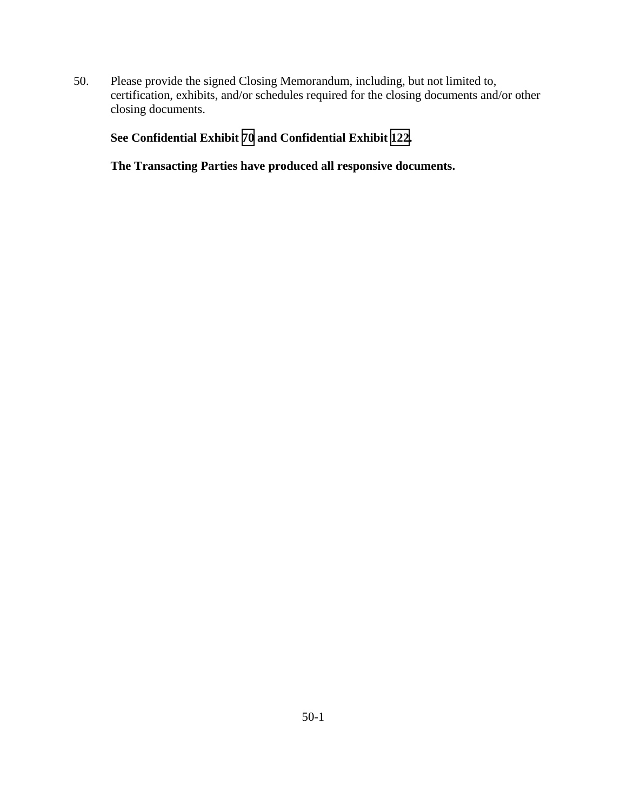50. Please provide the signed Closing Memorandum, including, but not limited to, certification, exhibits, and/or schedules required for the closing documents and/or other closing documents.

## **See Confidential Exhibit [70](CFD.pdf) and Confidential Exhibit [122.](CFD.pdf)**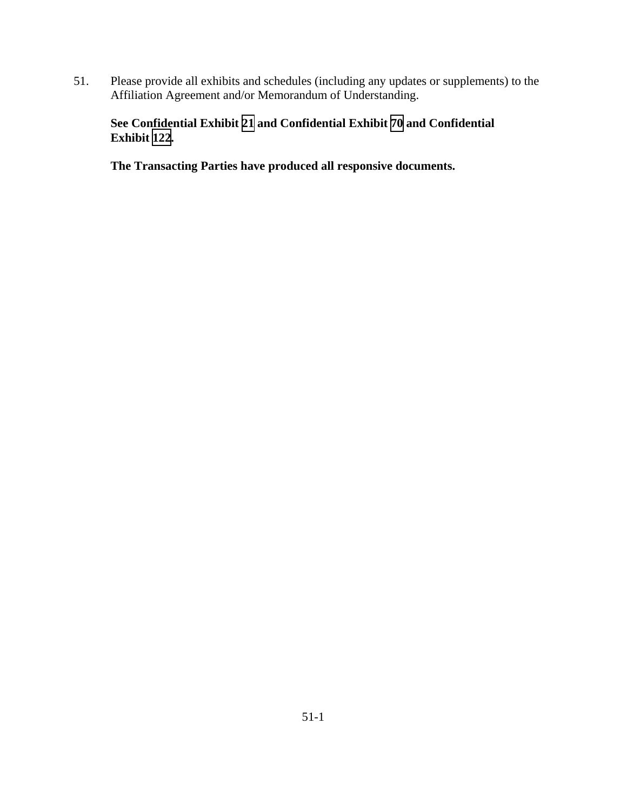51. Please provide all exhibits and schedules (including any updates or supplements) to the Affiliation Agreement and/or Memorandum of Understanding.

# **See Confidential Exhibit [21](CFD.pdf) and Confidential Exhibit [70](CFD.pdf) and Confidential Exhibit [122](CFD.pdf).**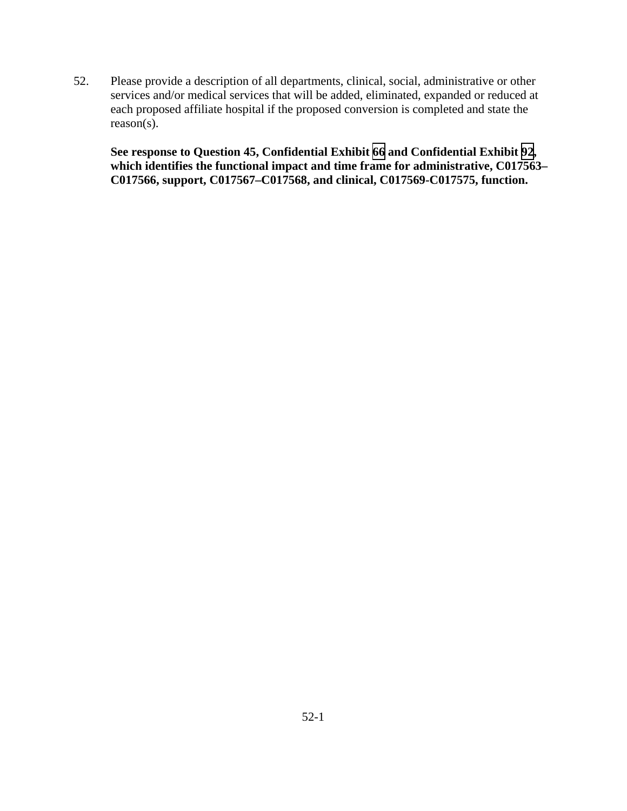52. Please provide a description of all departments, clinical, social, administrative or other services and/or medical services that will be added, eliminated, expanded or reduced at each proposed affiliate hospital if the proposed conversion is completed and state the reason(s).

**See response to Question 45, Confidential Exhibit [66](CFD.pdf) and Confidential Exhibit [92](CFD.pdf), which identifies the functional impact and time frame for administrative, C017563– C017566, support, C017567–C017568, and clinical, C017569-C017575, function.**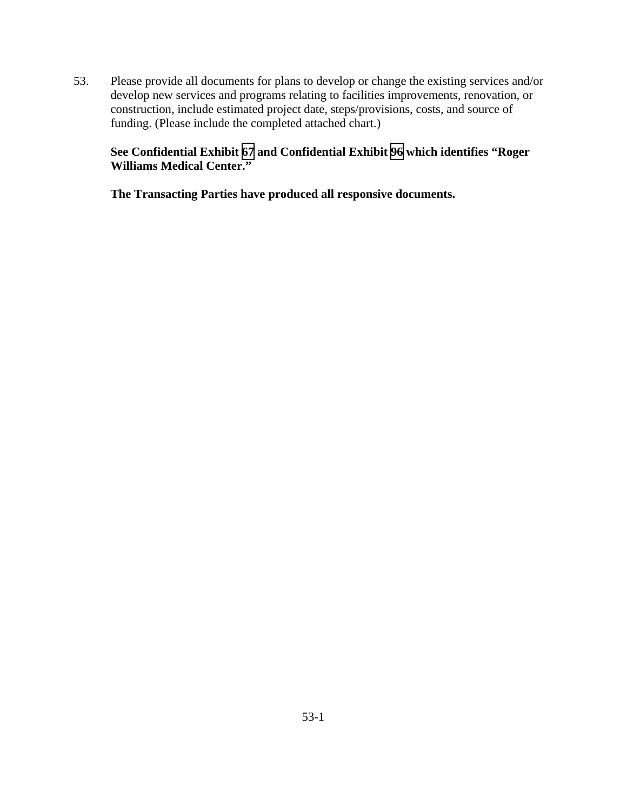53. Please provide all documents for plans to develop or change the existing services and/or develop new services and programs relating to facilities improvements, renovation, or construction, include estimated project date, steps/provisions, costs, and source of funding. (Please include the completed attached chart.)

## **See Confidential Exhibit [67](CFD.pdf) and Confidential Exhibit [96](CFD.pdf) which identifies "Roger Williams Medical Center."**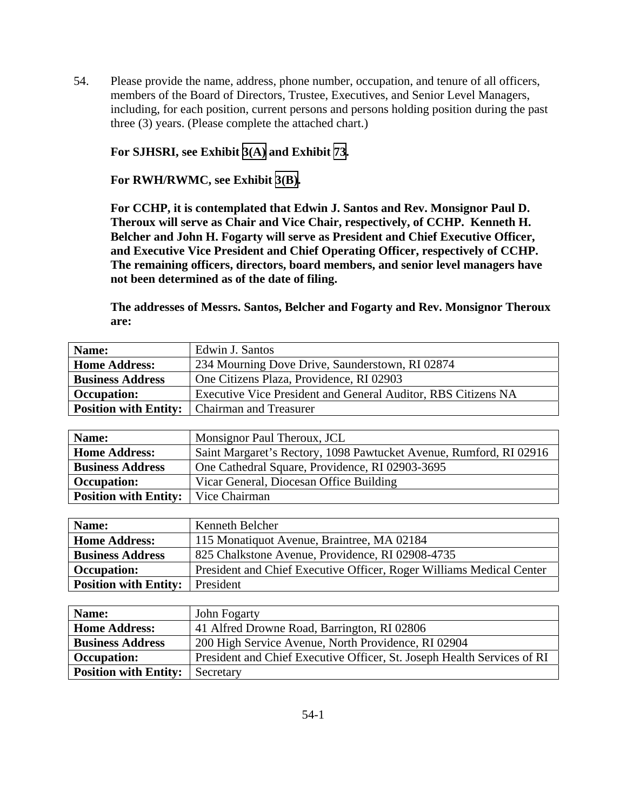54. Please provide the name, address, phone number, occupation, and tenure of all officers, members of the Board of Directors, Trustee, Executives, and Senior Level Managers, including, for each position, current persons and persons holding position during the past three (3) years. (Please complete the attached chart.)

**For SJHSRI, see Exhibit [3\(A\)](TAB 3A.pdf) and Exhibit [73](TAB 73.pdf).** 

**For RWH/RWMC, see Exhibit [3\(B\).](TAB 3B.pdf)** 

**For CCHP, it is contemplated that Edwin J. Santos and Rev. Monsignor Paul D. Theroux will serve as Chair and Vice Chair, respectively, of CCHP. Kenneth H. Belcher and John H. Fogarty will serve as President and Chief Executive Officer, and Executive Vice President and Chief Operating Officer, respectively of CCHP. The remaining officers, directors, board members, and senior level managers have not been determined as of the date of filing.** 

**The addresses of Messrs. Santos, Belcher and Fogarty and Rev. Monsignor Theroux are:** 

| Name:                        | Edwin J. Santos                                               |
|------------------------------|---------------------------------------------------------------|
| <b>Home Address:</b>         | 234 Mourning Dove Drive, Saunderstown, RI 02874               |
| <b>Business Address</b>      | One Citizens Plaza, Providence, RI 02903                      |
| <b>Occupation:</b>           | Executive Vice President and General Auditor, RBS Citizens NA |
| <b>Position with Entity:</b> | <b>Chairman and Treasurer</b>                                 |

| Name:                                        | Monsignor Paul Theroux, JCL                                        |
|----------------------------------------------|--------------------------------------------------------------------|
| <b>Home Address:</b>                         | Saint Margaret's Rectory, 1098 Pawtucket Avenue, Rumford, RI 02916 |
| <b>Business Address</b>                      | One Cathedral Square, Providence, RI 02903-3695                    |
| <b>Occupation:</b>                           | Vicar General, Diocesan Office Building                            |
| <b>Position with Entity:</b>   Vice Chairman |                                                                    |

| Name:                                  | Kenneth Belcher                                                      |
|----------------------------------------|----------------------------------------------------------------------|
| <b>Home Address:</b>                   | 115 Monatiquot Avenue, Braintree, MA 02184                           |
| <b>Business Address</b>                | 825 Chalkstone Avenue, Providence, RI 02908-4735                     |
| <b>Occupation:</b>                     | President and Chief Executive Officer, Roger Williams Medical Center |
| <b>Position with Entity:</b> President |                                                                      |

| Name:                        | John Fogarty                                                            |
|------------------------------|-------------------------------------------------------------------------|
| <b>Home Address:</b>         | 41 Alfred Drowne Road, Barrington, RI 02806                             |
| <b>Business Address</b>      | 200 High Service Avenue, North Providence, RI 02904                     |
| <b>Occupation:</b>           | President and Chief Executive Officer, St. Joseph Health Services of RI |
| <b>Position with Entity:</b> | Secretary                                                               |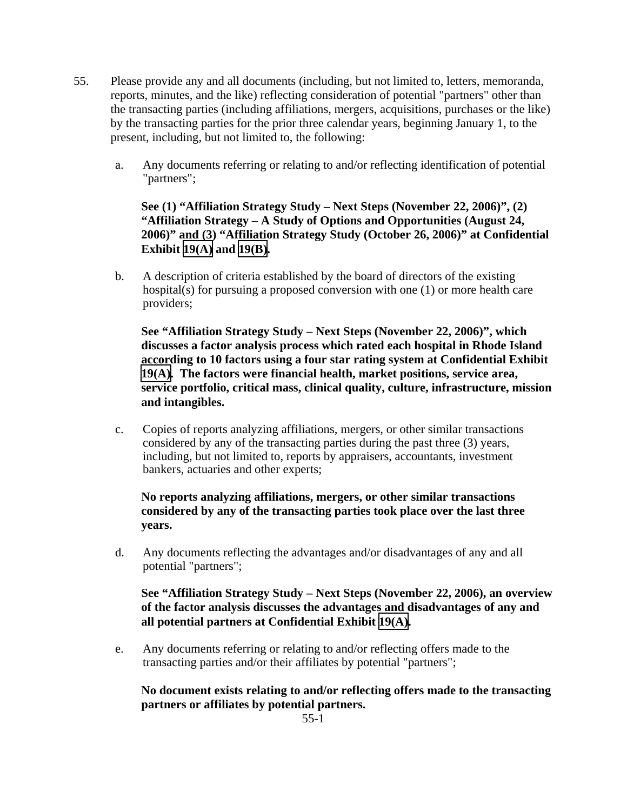- 55. Please provide any and all documents (including, but not limited to, letters, memoranda, reports, minutes, and the like) reflecting consideration of potential "partners" other than the transacting parties (including affiliations, mergers, acquisitions, purchases or the like) by the transacting parties for the prior three calendar years, beginning January 1, to the present, including, but not limited to, the following:
	- a. Any documents referring or relating to and/or reflecting identification of potential "partners";

**See (1) "Affiliation Strategy Study – Next Steps (November 22, 2006)", (2) "Affiliation Strategy – A Study of Options and Opportunities (August 24, 2006)" and (3) "Affiliation Strategy Study (October 26, 2006)" at Confidential Exhibit [19\(A\)](CFD.pdf) and [19\(B\)](CFD.pdf).** 

b. A description of criteria established by the board of directors of the existing hospital(s) for pursuing a proposed conversion with one (1) or more health care providers;

**See "Affiliation Strategy Study – Next Steps (November 22, 2006)", which discusses a factor analysis process which rated each hospital in Rhode Island according to 10 factors using a four star rating system at Confidential Exhibit [19\(A\).](CFD.pdf) The factors were financial health, market positions, service area, service portfolio, critical mass, clinical quality, culture, infrastructure, mission and intangibles.** 

c. Copies of reports analyzing affiliations, mergers, or other similar transactions considered by any of the transacting parties during the past three (3) years, including, but not limited to, reports by appraisers, accountants, investment bankers, actuaries and other experts;

# **No reports analyzing affiliations, mergers, or other similar transactions considered by any of the transacting parties took place over the last three years.**

d. Any documents reflecting the advantages and/or disadvantages of any and all potential "partners";

# **See "Affiliation Strategy Study – Next Steps (November 22, 2006), an overview of the factor analysis discusses the advantages and disadvantages of any and all potential partners at Confidential Exhibit [19\(A\).](CFD.pdf)**

e. Any documents referring or relating to and/or reflecting offers made to the transacting parties and/or their affiliates by potential "partners";

# **No document exists relating to and/or reflecting offers made to the transacting partners or affiliates by potential partners.**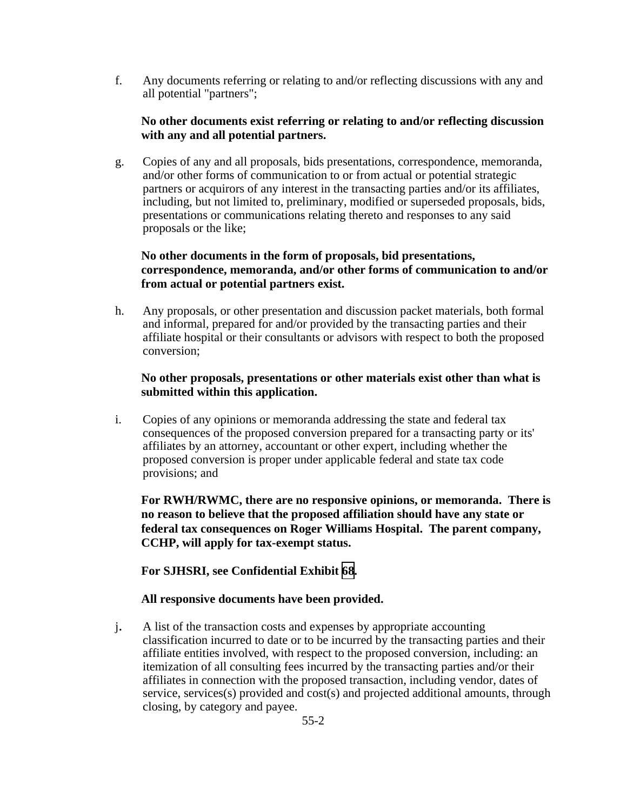f. Any documents referring or relating to and/or reflecting discussions with any and all potential "partners";

## **No other documents exist referring or relating to and/or reflecting discussion with any and all potential partners.**

g. Copies of any and all proposals, bids presentations, correspondence, memoranda, and/or other forms of communication to or from actual or potential strategic partners or acquirors of any interest in the transacting parties and/or its affiliates, including, but not limited to, preliminary, modified or superseded proposals, bids, presentations or communications relating thereto and responses to any said proposals or the like;

# **No other documents in the form of proposals, bid presentations, correspondence, memoranda, and/or other forms of communication to and/or from actual or potential partners exist.**

h. Any proposals, or other presentation and discussion packet materials, both formal and informal, prepared for and/or provided by the transacting parties and their affiliate hospital or their consultants or advisors with respect to both the proposed conversion;

## **No other proposals, presentations or other materials exist other than what is submitted within this application.**

i. Copies of any opinions or memoranda addressing the state and federal tax consequences of the proposed conversion prepared for a transacting party or its' affiliates by an attorney, accountant or other expert, including whether the proposed conversion is proper under applicable federal and state tax code provisions; and

**For RWH/RWMC, there are no responsive opinions, or memoranda. There is no reason to believe that the proposed affiliation should have any state or federal tax consequences on Roger Williams Hospital. The parent company, CCHP, will apply for tax-exempt status.** 

**For SJHSRI, see Confidential Exhibit [68](CFD.pdf).** 

# **All responsive documents have been provided.**

j. A list of the transaction costs and expenses by appropriate accounting classification incurred to date or to be incurred by the transacting parties and their affiliate entities involved, with respect to the proposed conversion, including: an itemization of all consulting fees incurred by the transacting parties and/or their affiliates in connection with the proposed transaction, including vendor, dates of service, services(s) provided and cost(s) and projected additional amounts, through closing, by category and payee.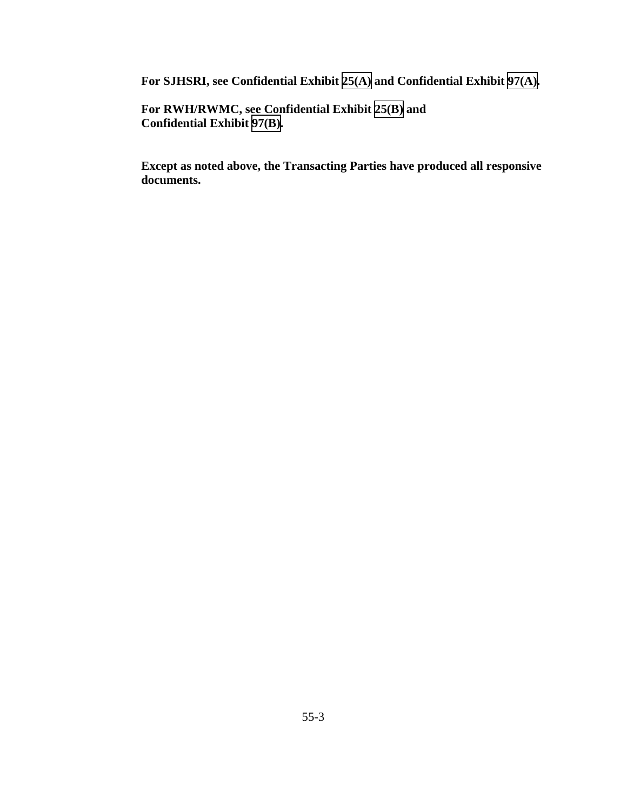**For SJHSRI, see Confidential Exhibit [25\(A\)](CFD.pdf) and Confidential Exhibit [97\(A\).](CFD.pdf)** 

**For RWH/RWMC, see Confidential Exhibit [25\(B\)](CFD.pdf) and Confidential Exhibit [97\(B\)](CFD.pdf).**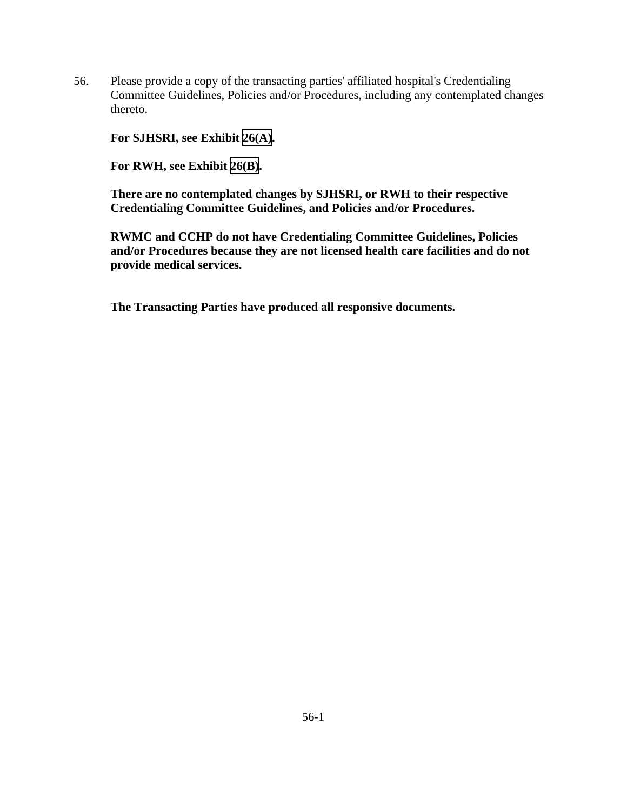56. Please provide a copy of the transacting parties' affiliated hospital's Credentialing Committee Guidelines, Policies and/or Procedures, including any contemplated changes thereto.

**For SJHSRI, see Exhibit [26\(A\).](TAB 26A.pdf)** 

**For RWH, see Exhibit [26\(B\)](TAB 26B.pdf).** 

**There are no contemplated changes by SJHSRI, or RWH to their respective Credentialing Committee Guidelines, and Policies and/or Procedures.** 

**RWMC and CCHP do not have Credentialing Committee Guidelines, Policies and/or Procedures because they are not licensed health care facilities and do not provide medical services.**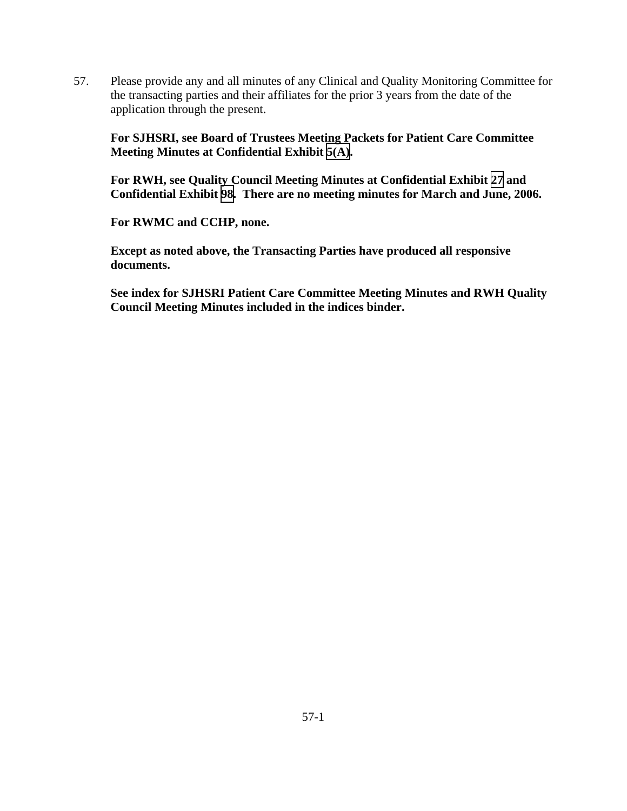57. Please provide any and all minutes of any Clinical and Quality Monitoring Committee for the transacting parties and their affiliates for the prior 3 years from the date of the application through the present.

**For SJHSRI, see Board of Trustees Meeting Packets for Patient Care Committee Meeting Minutes at Confidential Exhibit [5\(A\).](CFD.pdf)** 

**For RWH, see Quality Council Meeting Minutes at Confidential Exhibit [27](CFD.pdf) and Confidential Exhibit [98.](CFD.pdf) There are no meeting minutes for March and June, 2006.** 

**For RWMC and CCHP, none.** 

**Except as noted above, the Transacting Parties have produced all responsive documents.** 

**See index for SJHSRI Patient Care Committee Meeting Minutes and RWH Quality Council Meeting Minutes included in the indices binder.**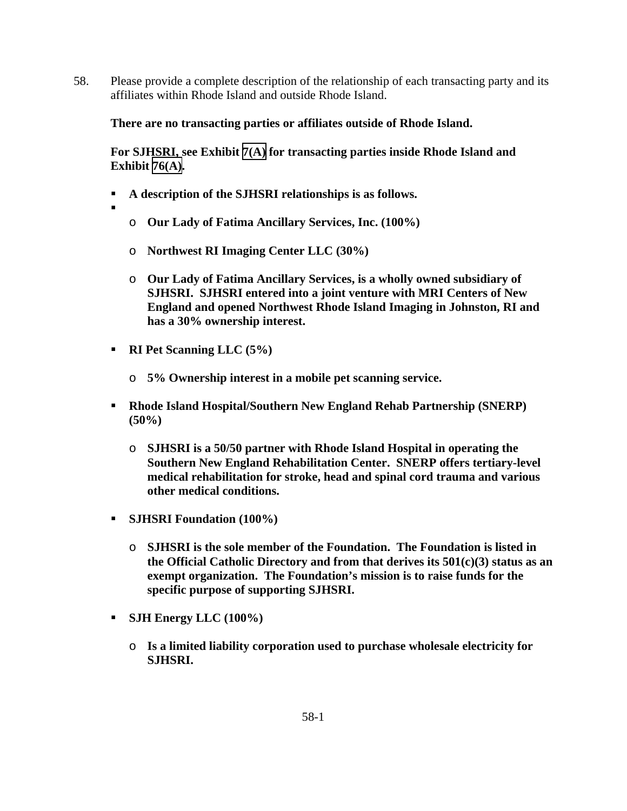58. Please provide a complete description of the relationship of each transacting party and its affiliates within Rhode Island and outside Rhode Island.

## **There are no transacting parties or affiliates outside of Rhode Island.**

**For SJHSRI, see Exhibit [7\(A\)](TAB 7A.pdf) for transacting parties inside Rhode Island and Exhibit [76\(A\).](TAB 76A.pdf)** 

- **A description of the SJHSRI relationships is as follows.**
- .
	- o **Our Lady of Fatima Ancillary Services, Inc. (100%)**
	- o **Northwest RI Imaging Center LLC (30%)**
	- o **Our Lady of Fatima Ancillary Services, is a wholly owned subsidiary of SJHSRI. SJHSRI entered into a joint venture with MRI Centers of New England and opened Northwest Rhode Island Imaging in Johnston, RI and has a 30% ownership interest.**
- **RI Pet Scanning LLC (5%)** 
	- o **5% Ownership interest in a mobile pet scanning service.**
- **Rhode Island Hospital/Southern New England Rehab Partnership (SNERP) (50%)** 
	- o **SJHSRI is a 50/50 partner with Rhode Island Hospital in operating the Southern New England Rehabilitation Center. SNERP offers tertiary-level medical rehabilitation for stroke, head and spinal cord trauma and various other medical conditions.**
- **SJHSRI Foundation (100%)** 
	- o **SJHSRI is the sole member of the Foundation. The Foundation is listed in the Official Catholic Directory and from that derives its 501(c)(3) status as an exempt organization. The Foundation's mission is to raise funds for the specific purpose of supporting SJHSRI.**
- **SJH Energy LLC (100%)** 
	- o **Is a limited liability corporation used to purchase wholesale electricity for SJHSRI.**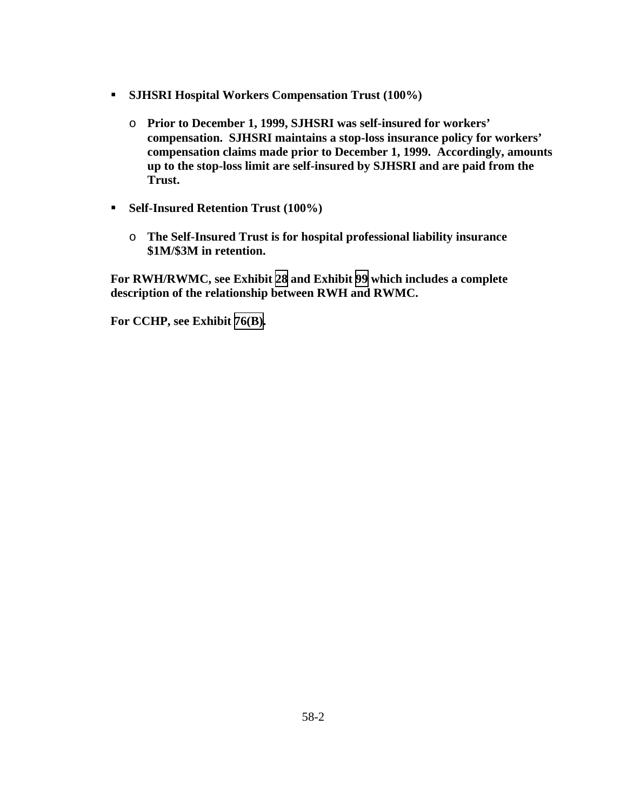- **SJHSRI Hospital Workers Compensation Trust (100%)** 
	- o **Prior to December 1, 1999, SJHSRI was self-insured for workers' compensation. SJHSRI maintains a stop-loss insurance policy for workers' compensation claims made prior to December 1, 1999. Accordingly, amounts up to the stop-loss limit are self-insured by SJHSRI and are paid from the Trust.**
- **Self-Insured Retention Trust (100%)** 
	- o **The Self-Insured Trust is for hospital professional liability insurance \$1M/\$3M in retention.**

**For RWH/RWMC, see Exhibit [28](TAB 28.pdf) and Exhibit [99](TAB 99.pdf) which includes a complete description of the relationship between RWH and RWMC.** 

**For CCHP, see Exhibit [76\(B\)](TAB 76B.pdf).**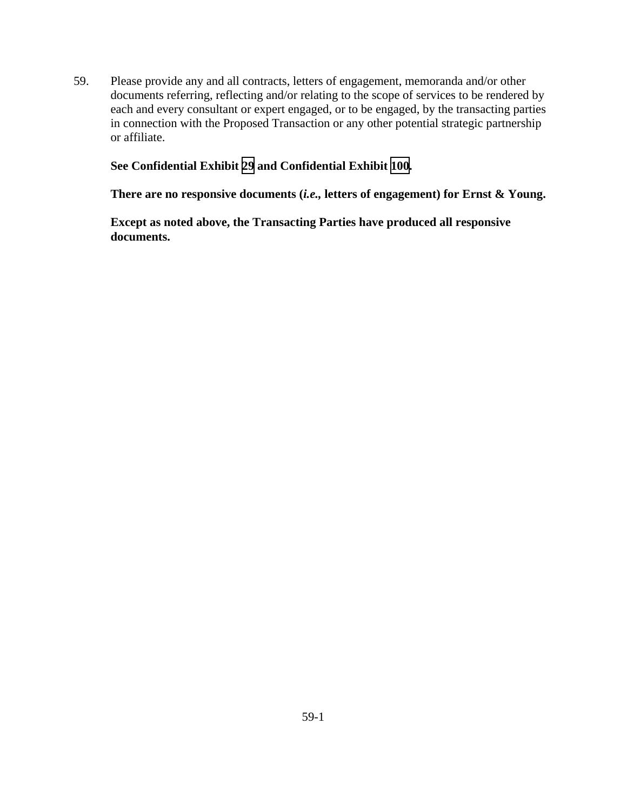59. Please provide any and all contracts, letters of engagement, memoranda and/or other documents referring, reflecting and/or relating to the scope of services to be rendered by each and every consultant or expert engaged, or to be engaged, by the transacting parties in connection with the Proposed Transaction or any other potential strategic partnership or affiliate.

### **See Confidential Exhibit [29](CFD.pdf) and Confidential Exhibit [100.](CFD.pdf)**

**There are no responsive documents (***i.e.,* **letters of engagement) for Ernst & Young.**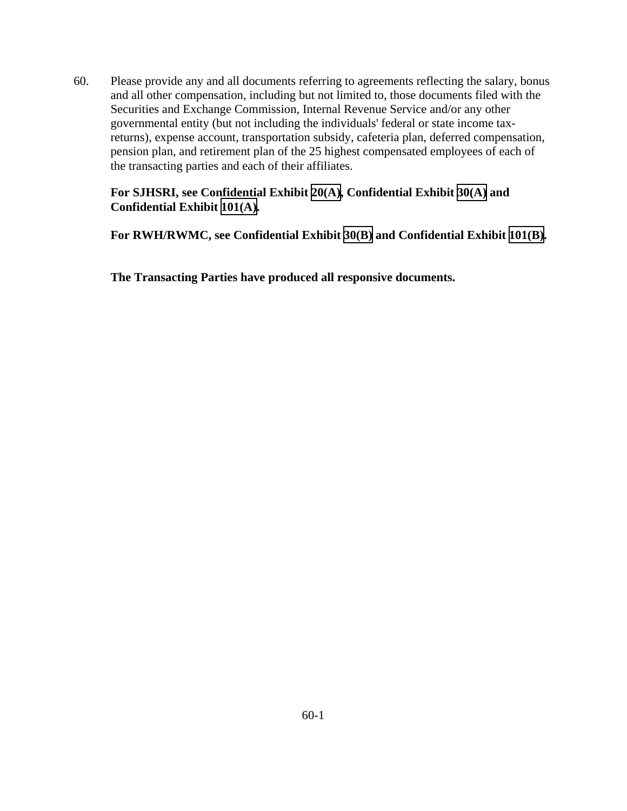60. Please provide any and all documents referring to agreements reflecting the salary, bonus and all other compensation, including but not limited to, those documents filed with the Securities and Exchange Commission, Internal Revenue Service and/or any other governmental entity (but not including the individuals' federal or state income taxreturns), expense account, transportation subsidy, cafeteria plan, deferred compensation, pension plan, and retirement plan of the 25 highest compensated employees of each of the transacting parties and each of their affiliates.

# **For SJHSRI, see Confidential Exhibit [20\(A\),](CFD.pdf) Confidential Exhibit [30\(A\)](CFD.pdf) and Confidential Exhibit [101\(A\).](CFD.pdf)**

**For RWH/RWMC, see Confidential Exhibit [30\(B\)](CFD.pdf) and Confidential Exhibit [101\(B\)](CFD.pdf).**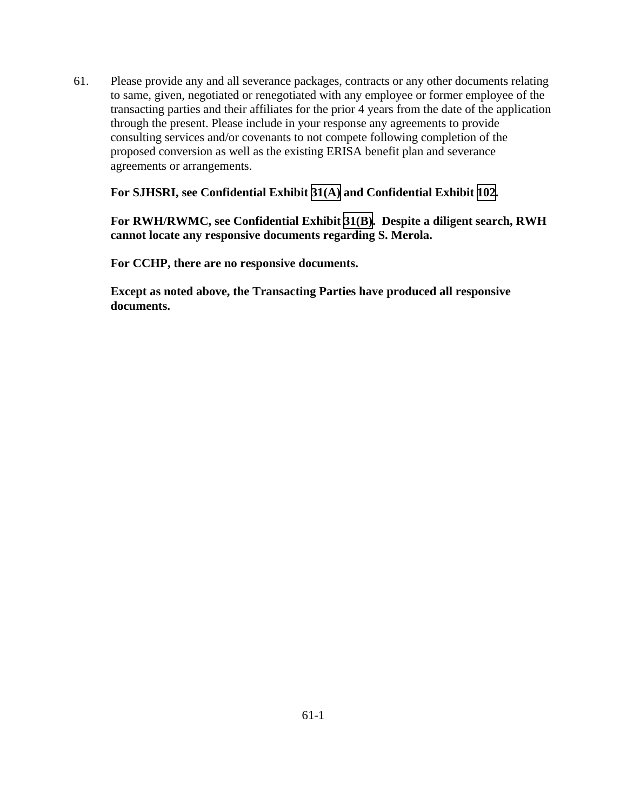61. Please provide any and all severance packages, contracts or any other documents relating to same, given, negotiated or renegotiated with any employee or former employee of the transacting parties and their affiliates for the prior 4 years from the date of the application through the present. Please include in your response any agreements to provide consulting services and/or covenants to not compete following completion of the proposed conversion as well as the existing ERISA benefit plan and severance agreements or arrangements.

### **For SJHSRI, see Confidential Exhibit [31\(A\)](CFD.pdf) and Confidential Exhibit [102](CFD.pdf).**

**For RWH/RWMC, see Confidential Exhibit [31\(B\).](CFD.pdf) Despite a diligent search, RWH cannot locate any responsive documents regarding S. Merola.** 

**For CCHP, there are no responsive documents.**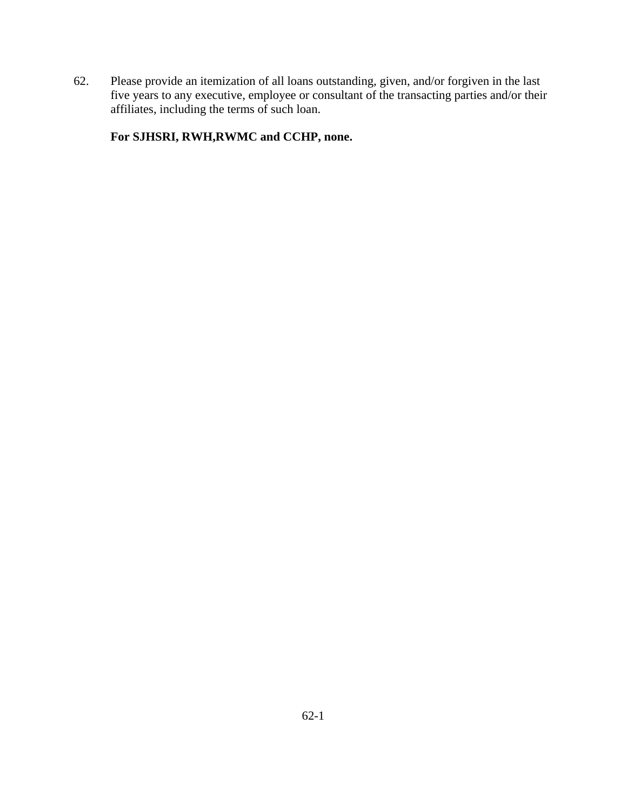62. Please provide an itemization of all loans outstanding, given, and/or forgiven in the last five years to any executive, employee or consultant of the transacting parties and/or their affiliates, including the terms of such loan.

**For SJHSRI, RWH,RWMC and CCHP, none.**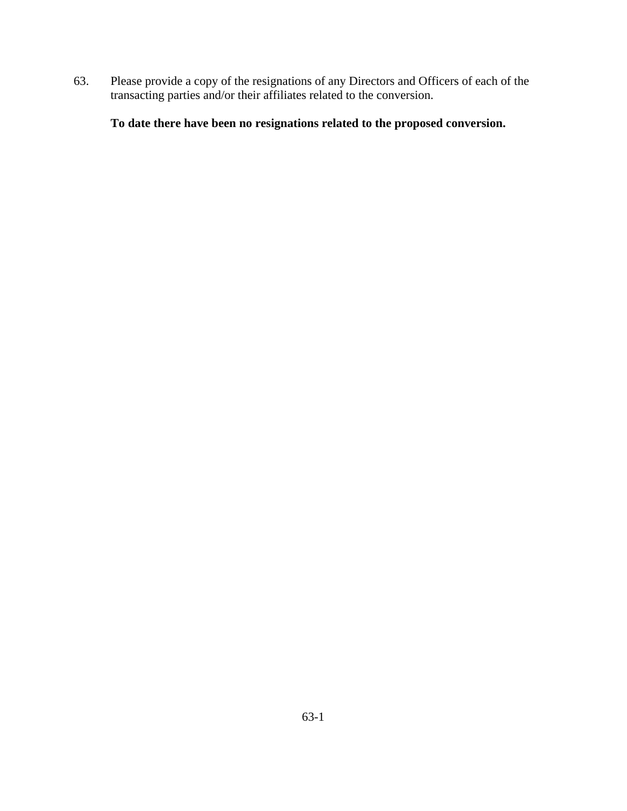63. Please provide a copy of the resignations of any Directors and Officers of each of the transacting parties and/or their affiliates related to the conversion.

**To date there have been no resignations related to the proposed conversion.**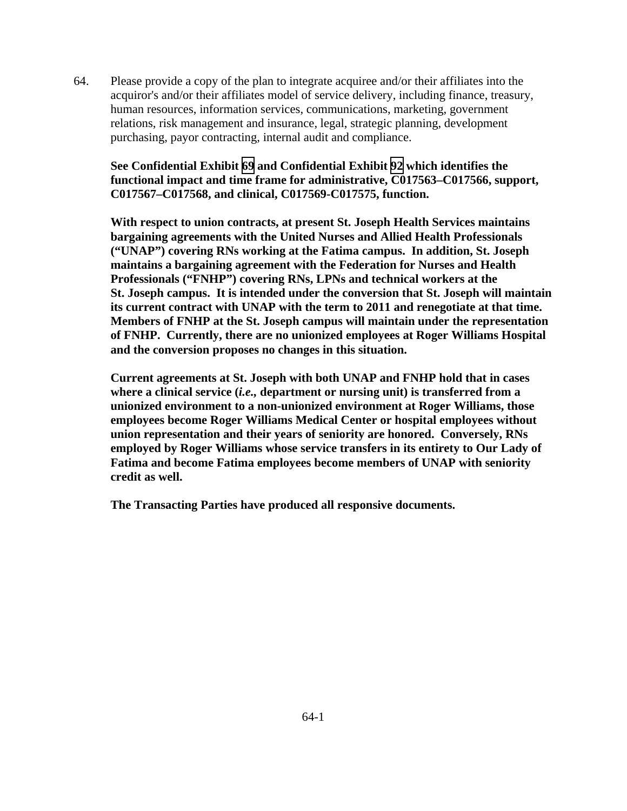64. Please provide a copy of the plan to integrate acquiree and/or their affiliates into the acquiror's and/or their affiliates model of service delivery, including finance, treasury, human resources, information services, communications, marketing, government relations, risk management and insurance, legal, strategic planning, development purchasing, payor contracting, internal audit and compliance.

**See Confidential Exhibit [69](CFD.pdf) and Confidential Exhibit [92](CFD.pdf) which identifies the functional impact and time frame for administrative, C017563–C017566, support, C017567–C017568, and clinical, C017569-C017575, function.** 

 **With respect to union contracts, at present St. Joseph Health Services maintains bargaining agreements with the United Nurses and Allied Health Professionals ("UNAP") covering RNs working at the Fatima campus. In addition, St. Joseph maintains a bargaining agreement with the Federation for Nurses and Health Professionals ("FNHP") covering RNs, LPNs and technical workers at the St. Joseph campus. It is intended under the conversion that St. Joseph will maintain its current contract with UNAP with the term to 2011 and renegotiate at that time. Members of FNHP at the St. Joseph campus will maintain under the representation of FNHP. Currently, there are no unionized employees at Roger Williams Hospital and the conversion proposes no changes in this situation.** 

 **Current agreements at St. Joseph with both UNAP and FNHP hold that in cases where a clinical service (***i.e.,* **department or nursing unit) is transferred from a unionized environment to a non-unionized environment at Roger Williams, those employees become Roger Williams Medical Center or hospital employees without union representation and their years of seniority are honored. Conversely, RNs employed by Roger Williams whose service transfers in its entirety to Our Lady of Fatima and become Fatima employees become members of UNAP with seniority credit as well.**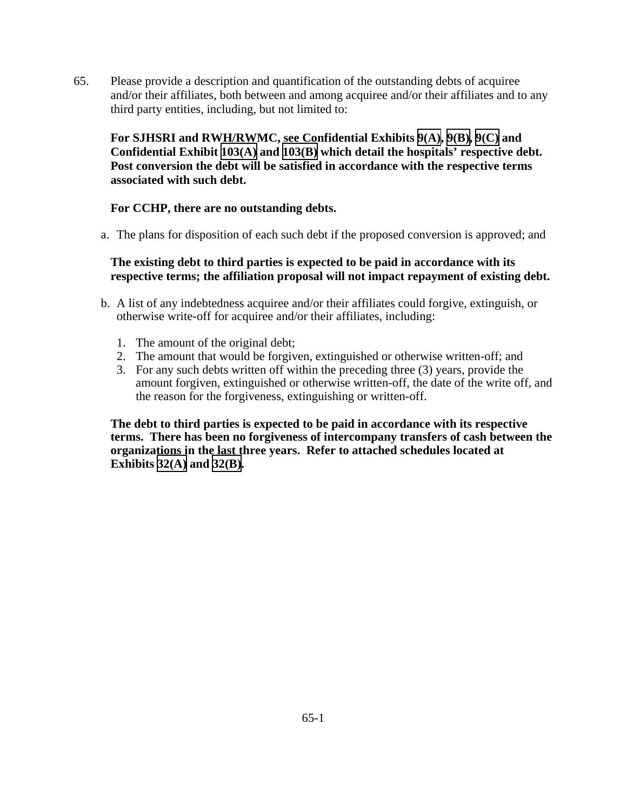65. Please provide a description and quantification of the outstanding debts of acquiree and/or their affiliates, both between and among acquiree and/or their affiliates and to any third party entities, including, but not limited to:

**For SJHSRI and RWH/RWMC, see Confidential Exhibits [9\(A\),](CFD.pdf) [9\(B\),](CFD.pdf) [9\(C\)](CFD.pdf) and Confidential Exhibit [103\(A\)](CFD.pdf) and [103\(B\)](CFD.pdf) which detail the hospitals' respective debt. Post conversion the debt will be satisfied in accordance with the respective terms associated with such debt.** 

## **For CCHP, there are no outstanding debts.**

a. The plans for disposition of each such debt if the proposed conversion is approved; and

## **The existing debt to third parties is expected to be paid in accordance with its respective terms; the affiliation proposal will not impact repayment of existing debt.**

- b. A list of any indebtedness acquiree and/or their affiliates could forgive, extinguish, or otherwise write-off for acquiree and/or their affiliates, including:
	- 1. The amount of the original debt;
	- 2. The amount that would be forgiven, extinguished or otherwise written-off; and
	- 3. For any such debts written off within the preceding three (3) years, provide the amount forgiven, extinguished or otherwise written-off, the date of the write off, and the reason for the forgiveness, extinguishing or written-off.

**The debt to third parties is expected to be paid in accordance with its respective terms. There has been no forgiveness of intercompany transfers of cash between the organizations in the last three years. Refer to attached schedules located at Exhibits [32\(A\)](TAB 32A.pdf) and [32\(B\).](TAB 32B.pdf)**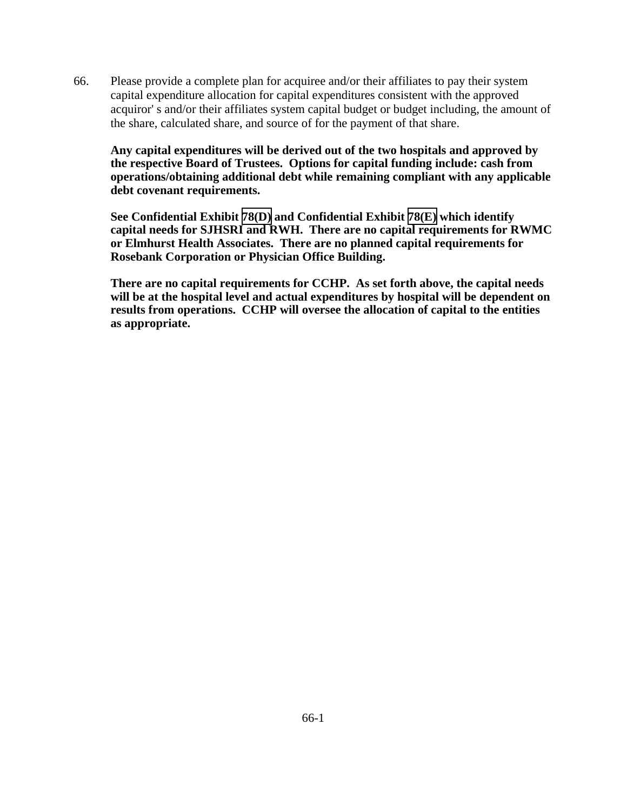66. Please provide a complete plan for acquiree and/or their affiliates to pay their system capital expenditure allocation for capital expenditures consistent with the approved acquiror' s and/or their affiliates system capital budget or budget including, the amount of the share, calculated share, and source of for the payment of that share.

**Any capital expenditures will be derived out of the two hospitals and approved by the respective Board of Trustees. Options for capital funding include: cash from operations/obtaining additional debt while remaining compliant with any applicable debt covenant requirements.** 

**See Confidential Exhibit [78\(D\)](CFD.pdf) and Confidential Exhibit [78\(E\)](CFD.pdf) which identify capital needs for SJHSRI and RWH. There are no capital requirements for RWMC or Elmhurst Health Associates. There are no planned capital requirements for Rosebank Corporation or Physician Office Building.** 

**There are no capital requirements for CCHP. As set forth above, the capital needs will be at the hospital level and actual expenditures by hospital will be dependent on results from operations. CCHP will oversee the allocation of capital to the entities as appropriate.**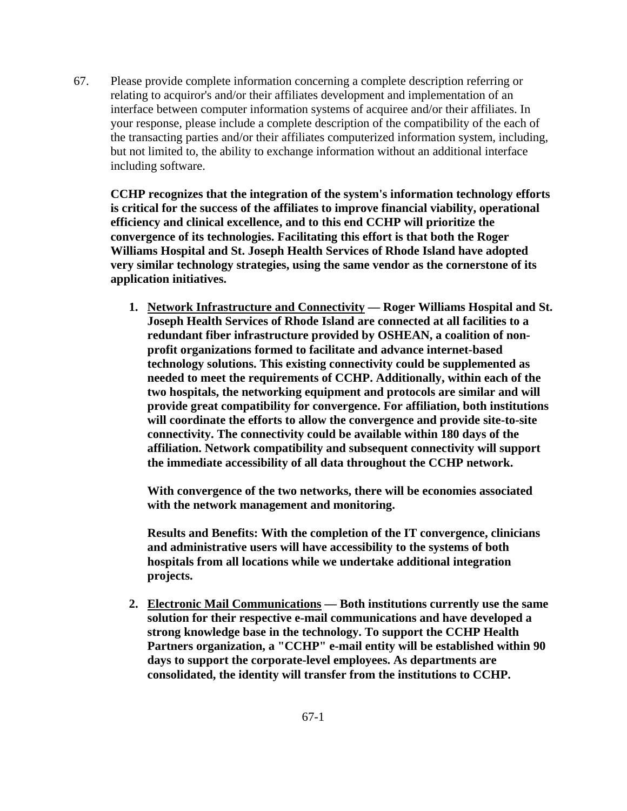67. Please provide complete information concerning a complete description referring or relating to acquiror's and/or their affiliates development and implementation of an interface between computer information systems of acquiree and/or their affiliates. In your response, please include a complete description of the compatibility of the each of the transacting parties and/or their affiliates computerized information system, including, but not limited to, the ability to exchange information without an additional interface including software.

**CCHP recognizes that the integration of the system's information technology efforts is critical for the success of the affiliates to improve financial viability, operational efficiency and clinical excellence, and to this end CCHP will prioritize the convergence of its technologies. Facilitating this effort is that both the Roger Williams Hospital and St. Joseph Health Services of Rhode Island have adopted very similar technology strategies, using the same vendor as the cornerstone of its application initiatives.** 

**1. Network Infrastructure and Connectivity — Roger Williams Hospital and St. Joseph Health Services of Rhode Island are connected at all facilities to a redundant fiber infrastructure provided by OSHEAN, a coalition of nonprofit organizations formed to facilitate and advance internet-based technology solutions. This existing connectivity could be supplemented as needed to meet the requirements of CCHP. Additionally, within each of the two hospitals, the networking equipment and protocols are similar and will provide great compatibility for convergence. For affiliation, both institutions will coordinate the efforts to allow the convergence and provide site-to-site connectivity. The connectivity could be available within 180 days of the affiliation. Network compatibility and subsequent connectivity will support the immediate accessibility of all data throughout the CCHP network.** 

**With convergence of the two networks, there will be economies associated with the network management and monitoring.** 

**Results and Benefits: With the completion of the IT convergence, clinicians and administrative users will have accessibility to the systems of both hospitals from all locations while we undertake additional integration projects.** 

**2. Electronic Mail Communications — Both institutions currently use the same solution for their respective e-mail communications and have developed a strong knowledge base in the technology. To support the CCHP Health Partners organization, a "CCHP" e-mail entity will be established within 90 days to support the corporate-level employees. As departments are consolidated, the identity will transfer from the institutions to CCHP.**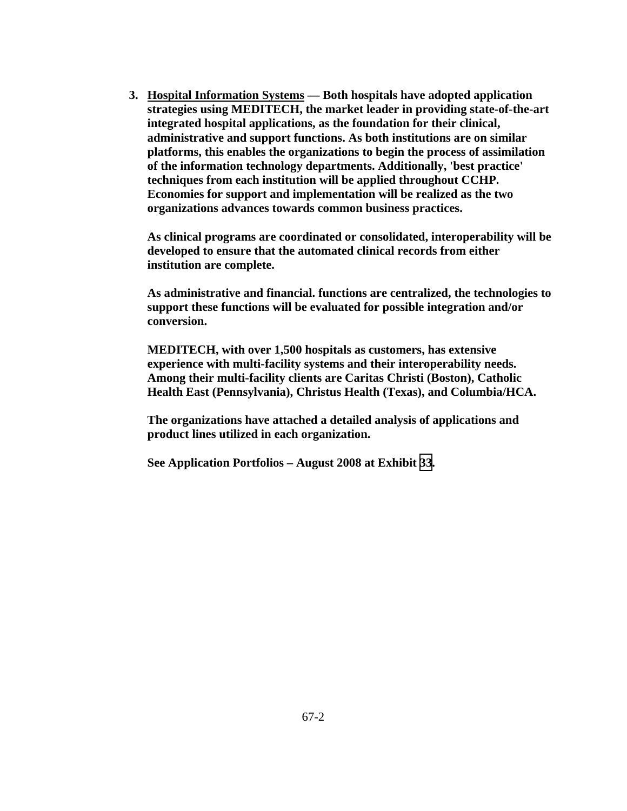**3. Hospital Information Systems — Both hospitals have adopted application strategies using MEDITECH, the market leader in providing state-of-the-art integrated hospital applications, as the foundation for their clinical, administrative and support functions. As both institutions are on similar platforms, this enables the organizations to begin the process of assimilation of the information technology departments. Additionally, 'best practice' techniques from each institution will be applied throughout CCHP. Economies for support and implementation will be realized as the two organizations advances towards common business practices.** 

**As clinical programs are coordinated or consolidated, interoperability will be developed to ensure that the automated clinical records from either institution are complete.** 

**As administrative and financial. functions are centralized, the technologies to support these functions will be evaluated for possible integration and/or conversion.** 

**MEDITECH, with over 1,500 hospitals as customers, has extensive experience with multi-facility systems and their interoperability needs. Among their multi-facility clients are Caritas Christi (Boston), Catholic Health East (Pennsylvania), Christus Health (Texas), and Columbia/HCA.** 

**The organizations have attached a detailed analysis of applications and product lines utilized in each organization.** 

**See Application Portfolios – August 2008 at Exhibit [33](TAB 33.pdf).**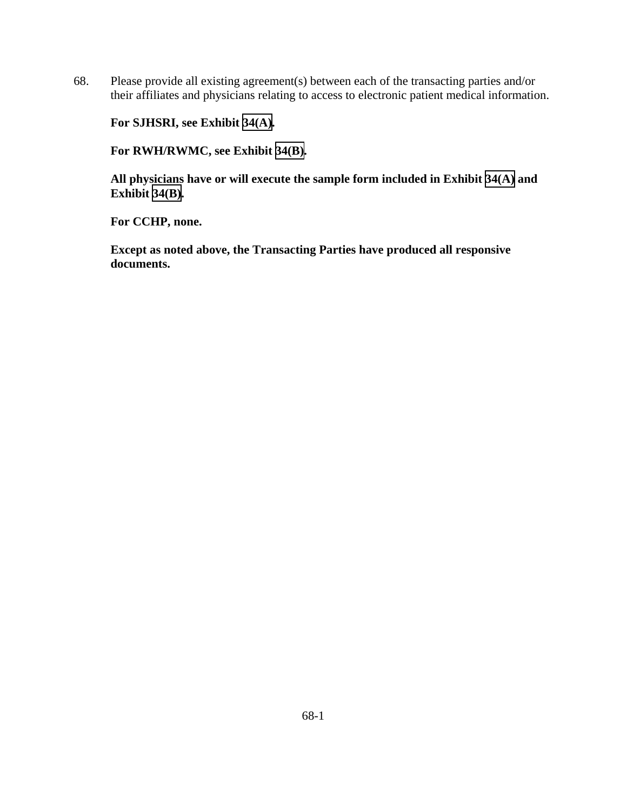68. Please provide all existing agreement(s) between each of the transacting parties and/or their affiliates and physicians relating to access to electronic patient medical information.

**For SJHSRI, see Exhibit [34\(A\).](TAB 34A.pdf)** 

**For RWH/RWMC, see Exhibit [34\(B\).](TAB 34B.pdf)** 

**All physicians have or will execute the sample form included in Exhibit [34\(A\)](TAB 34A.pdf) and Exhibit [34\(B\)](TAB 34B.pdf).** 

**For CCHP, none.**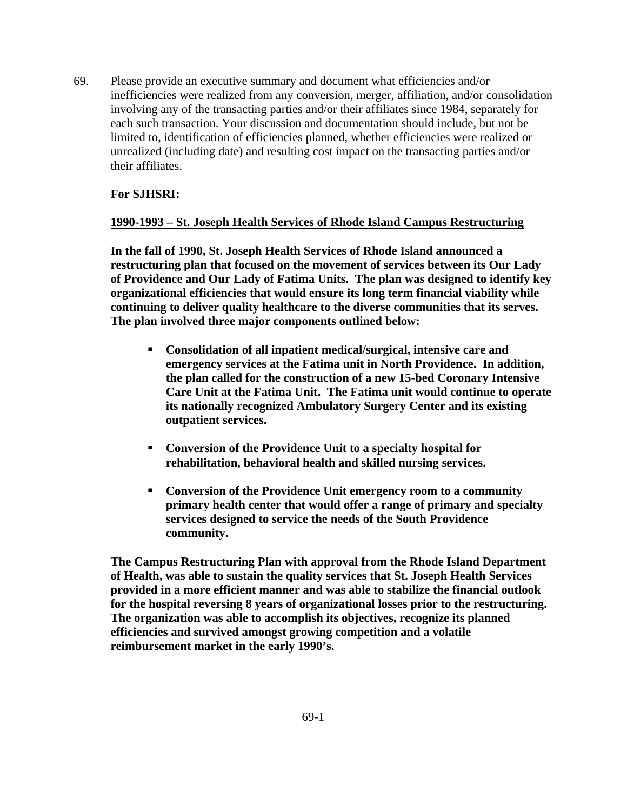69. Please provide an executive summary and document what efficiencies and/or inefficiencies were realized from any conversion, merger, affiliation, and/or consolidation involving any of the transacting parties and/or their affiliates since 1984, separately for each such transaction. Your discussion and documentation should include, but not be limited to, identification of efficiencies planned, whether efficiencies were realized or unrealized (including date) and resulting cost impact on the transacting parties and/or their affiliates.

# **For SJHSRI:**

## **1990-1993 – St. Joseph Health Services of Rhode Island Campus Restructuring**

**In the fall of 1990, St. Joseph Health Services of Rhode Island announced a restructuring plan that focused on the movement of services between its Our Lady of Providence and Our Lady of Fatima Units. The plan was designed to identify key organizational efficiencies that would ensure its long term financial viability while continuing to deliver quality healthcare to the diverse communities that its serves. The plan involved three major components outlined below:** 

- **Consolidation of all inpatient medical/surgical, intensive care and emergency services at the Fatima unit in North Providence. In addition, the plan called for the construction of a new 15-bed Coronary Intensive Care Unit at the Fatima Unit. The Fatima unit would continue to operate its nationally recognized Ambulatory Surgery Center and its existing outpatient services.**
- **Conversion of the Providence Unit to a specialty hospital for rehabilitation, behavioral health and skilled nursing services.**
- **Conversion of the Providence Unit emergency room to a community primary health center that would offer a range of primary and specialty services designed to service the needs of the South Providence community.**

**The Campus Restructuring Plan with approval from the Rhode Island Department of Health, was able to sustain the quality services that St. Joseph Health Services provided in a more efficient manner and was able to stabilize the financial outlook for the hospital reversing 8 years of organizational losses prior to the restructuring. The organization was able to accomplish its objectives, recognize its planned efficiencies and survived amongst growing competition and a volatile reimbursement market in the early 1990's.**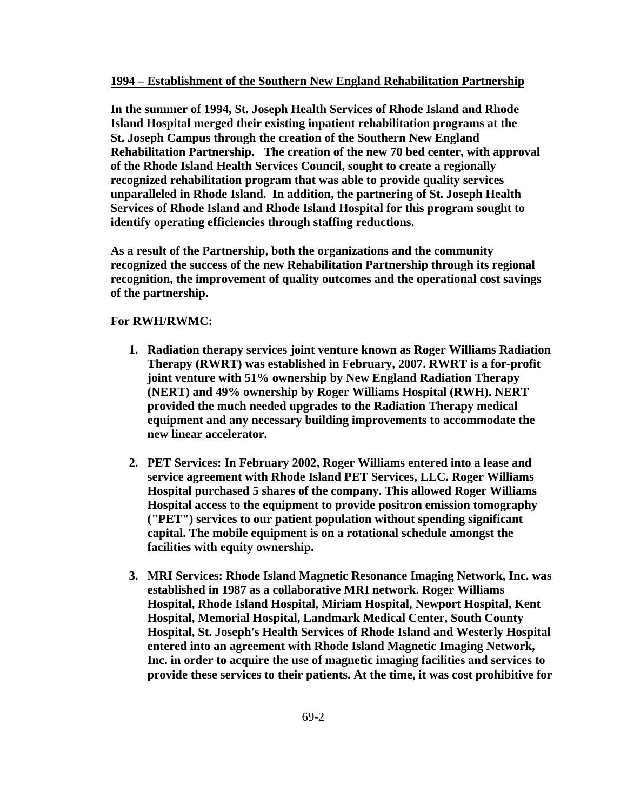#### **1994 – Establishment of the Southern New England Rehabilitation Partnership**

**In the summer of 1994, St. Joseph Health Services of Rhode Island and Rhode Island Hospital merged their existing inpatient rehabilitation programs at the St. Joseph Campus through the creation of the Southern New England Rehabilitation Partnership. The creation of the new 70 bed center, with approval of the Rhode Island Health Services Council, sought to create a regionally recognized rehabilitation program that was able to provide quality services unparalleled in Rhode Island. In addition, the partnering of St. Joseph Health Services of Rhode Island and Rhode Island Hospital for this program sought to identify operating efficiencies through staffing reductions.** 

**As a result of the Partnership, both the organizations and the community recognized the success of the new Rehabilitation Partnership through its regional recognition, the improvement of quality outcomes and the operational cost savings of the partnership.** 

### **For RWH/RWMC:**

- **1. Radiation therapy services joint venture known as Roger Williams Radiation Therapy (RWRT) was established in February, 2007. RWRT is a for-profit joint venture with 51% ownership by New England Radiation Therapy (NERT) and 49% ownership by Roger Williams Hospital (RWH). NERT provided the much needed upgrades to the Radiation Therapy medical equipment and any necessary building improvements to accommodate the new linear accelerator.**
- **2. PET Services: In February 2002, Roger Williams entered into a lease and service agreement with Rhode Island PET Services, LLC. Roger Williams Hospital purchased 5 shares of the company. This allowed Roger Williams Hospital access to the equipment to provide positron emission tomography ("PET") services to our patient population without spending significant capital. The mobile equipment is on a rotational schedule amongst the facilities with equity ownership.**
- **3. MRI Services: Rhode Island Magnetic Resonance Imaging Network, Inc. was established in 1987 as a collaborative MRI network. Roger Williams Hospital, Rhode Island Hospital, Miriam Hospital, Newport Hospital, Kent Hospital, Memorial Hospital, Landmark Medical Center, South County Hospital, St. Joseph's Health Services of Rhode Island and Westerly Hospital entered into an agreement with Rhode Island Magnetic Imaging Network, Inc. in order to acquire the use of magnetic imaging facilities and services to provide these services to their patients. At the time, it was cost prohibitive for**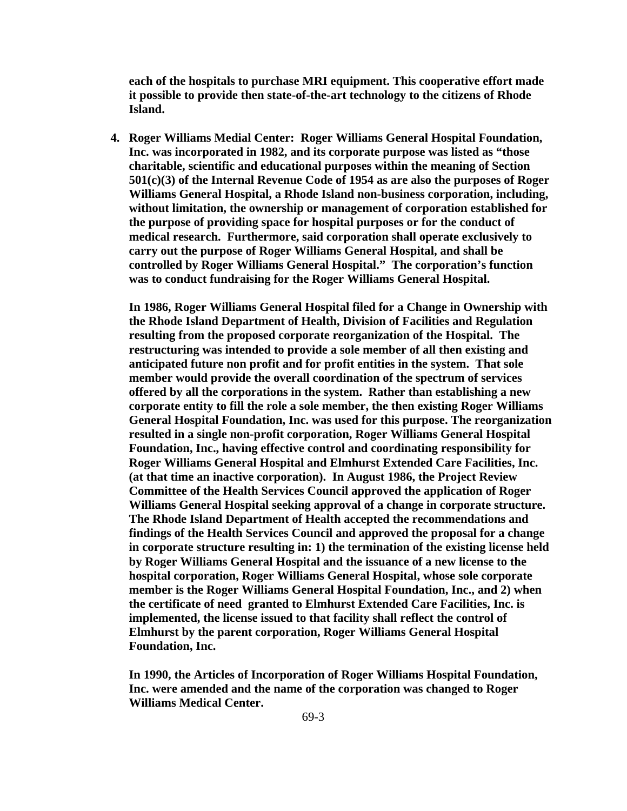**each of the hospitals to purchase MRI equipment. This cooperative effort made it possible to provide then state-of-the-art technology to the citizens of Rhode Island.** 

**4. Roger Williams Medial Center: Roger Williams General Hospital Foundation, Inc. was incorporated in 1982, and its corporate purpose was listed as "those charitable, scientific and educational purposes within the meaning of Section 501(c)(3) of the Internal Revenue Code of 1954 as are also the purposes of Roger Williams General Hospital, a Rhode Island non-business corporation, including, without limitation, the ownership or management of corporation established for the purpose of providing space for hospital purposes or for the conduct of medical research. Furthermore, said corporation shall operate exclusively to carry out the purpose of Roger Williams General Hospital, and shall be controlled by Roger Williams General Hospital." The corporation's function was to conduct fundraising for the Roger Williams General Hospital.** 

 **In 1986, Roger Williams General Hospital filed for a Change in Ownership with the Rhode Island Department of Health, Division of Facilities and Regulation resulting from the proposed corporate reorganization of the Hospital. The restructuring was intended to provide a sole member of all then existing and anticipated future non profit and for profit entities in the system. That sole member would provide the overall coordination of the spectrum of services offered by all the corporations in the system. Rather than establishing a new corporate entity to fill the role a sole member, the then existing Roger Williams General Hospital Foundation, Inc. was used for this purpose. The reorganization resulted in a single non-profit corporation, Roger Williams General Hospital Foundation, Inc., having effective control and coordinating responsibility for Roger Williams General Hospital and Elmhurst Extended Care Facilities, Inc. (at that time an inactive corporation). In August 1986, the Project Review Committee of the Health Services Council approved the application of Roger Williams General Hospital seeking approval of a change in corporate structure. The Rhode Island Department of Health accepted the recommendations and findings of the Health Services Council and approved the proposal for a change in corporate structure resulting in: 1) the termination of the existing license held by Roger Williams General Hospital and the issuance of a new license to the hospital corporation, Roger Williams General Hospital, whose sole corporate member is the Roger Williams General Hospital Foundation, Inc., and 2) when the certificate of need granted to Elmhurst Extended Care Facilities, Inc. is implemented, the license issued to that facility shall reflect the control of Elmhurst by the parent corporation, Roger Williams General Hospital Foundation, Inc.** 

 **In 1990, the Articles of Incorporation of Roger Williams Hospital Foundation, Inc. were amended and the name of the corporation was changed to Roger Williams Medical Center.**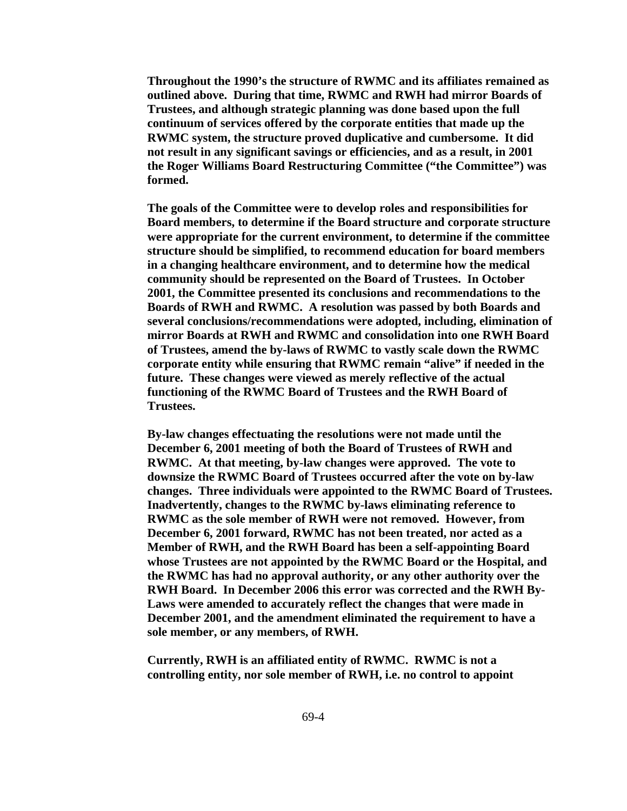**Throughout the 1990's the structure of RWMC and its affiliates remained as outlined above. During that time, RWMC and RWH had mirror Boards of Trustees, and although strategic planning was done based upon the full continuum of services offered by the corporate entities that made up the RWMC system, the structure proved duplicative and cumbersome. It did not result in any significant savings or efficiencies, and as a result, in 2001 the Roger Williams Board Restructuring Committee ("the Committee") was formed.** 

 **The goals of the Committee were to develop roles and responsibilities for Board members, to determine if the Board structure and corporate structure were appropriate for the current environment, to determine if the committee structure should be simplified, to recommend education for board members in a changing healthcare environment, and to determine how the medical community should be represented on the Board of Trustees. In October 2001, the Committee presented its conclusions and recommendations to the Boards of RWH and RWMC. A resolution was passed by both Boards and several conclusions/recommendations were adopted, including, elimination of mirror Boards at RWH and RWMC and consolidation into one RWH Board of Trustees, amend the by-laws of RWMC to vastly scale down the RWMC corporate entity while ensuring that RWMC remain "alive" if needed in the future. These changes were viewed as merely reflective of the actual functioning of the RWMC Board of Trustees and the RWH Board of Trustees.** 

 **By-law changes effectuating the resolutions were not made until the December 6, 2001 meeting of both the Board of Trustees of RWH and RWMC. At that meeting, by-law changes were approved. The vote to downsize the RWMC Board of Trustees occurred after the vote on by-law changes. Three individuals were appointed to the RWMC Board of Trustees. Inadvertently, changes to the RWMC by-laws eliminating reference to RWMC as the sole member of RWH were not removed. However, from December 6, 2001 forward, RWMC has not been treated, nor acted as a Member of RWH, and the RWH Board has been a self-appointing Board whose Trustees are not appointed by the RWMC Board or the Hospital, and the RWMC has had no approval authority, or any other authority over the RWH Board. In December 2006 this error was corrected and the RWH By-Laws were amended to accurately reflect the changes that were made in December 2001, and the amendment eliminated the requirement to have a sole member, or any members, of RWH.** 

 **Currently, RWH is an affiliated entity of RWMC. RWMC is not a controlling entity, nor sole member of RWH, i.e. no control to appoint**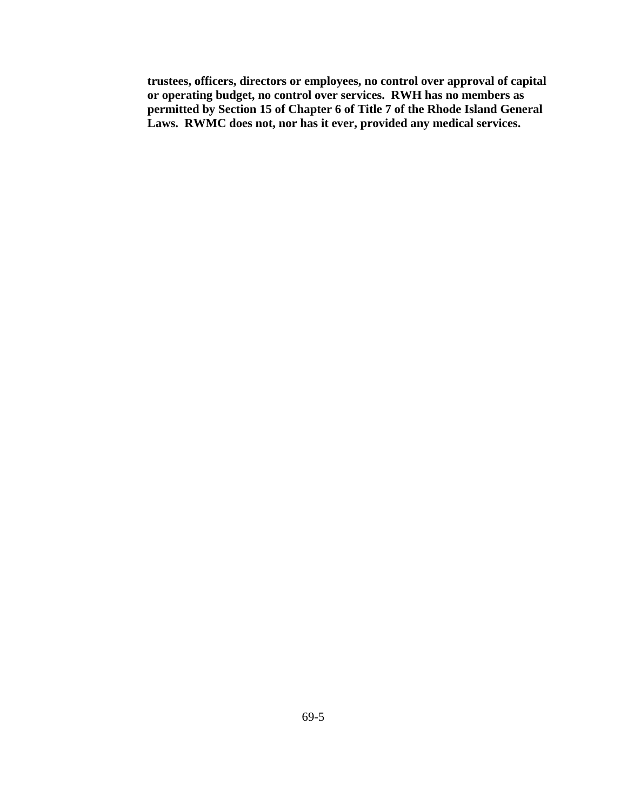**trustees, officers, directors or employees, no control over approval of capital or operating budget, no control over services. RWH has no members as permitted by Section 15 of Chapter 6 of Title 7 of the Rhode Island General Laws. RWMC does not, nor has it ever, provided any medical services.**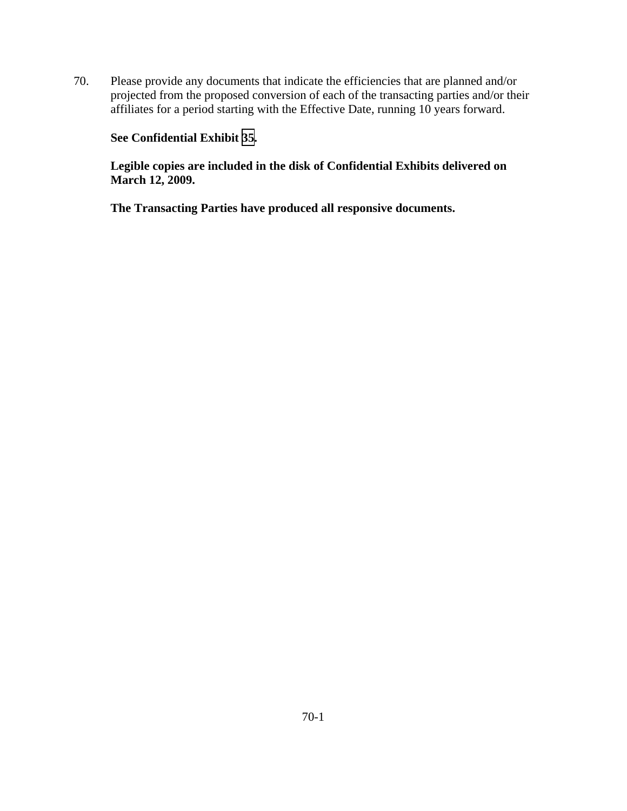70. Please provide any documents that indicate the efficiencies that are planned and/or projected from the proposed conversion of each of the transacting parties and/or their affiliates for a period starting with the Effective Date, running 10 years forward.

# **See Confidential Exhibit [35](CFD.pdf).**

**Legible copies are included in the disk of Confidential Exhibits delivered on March 12, 2009.**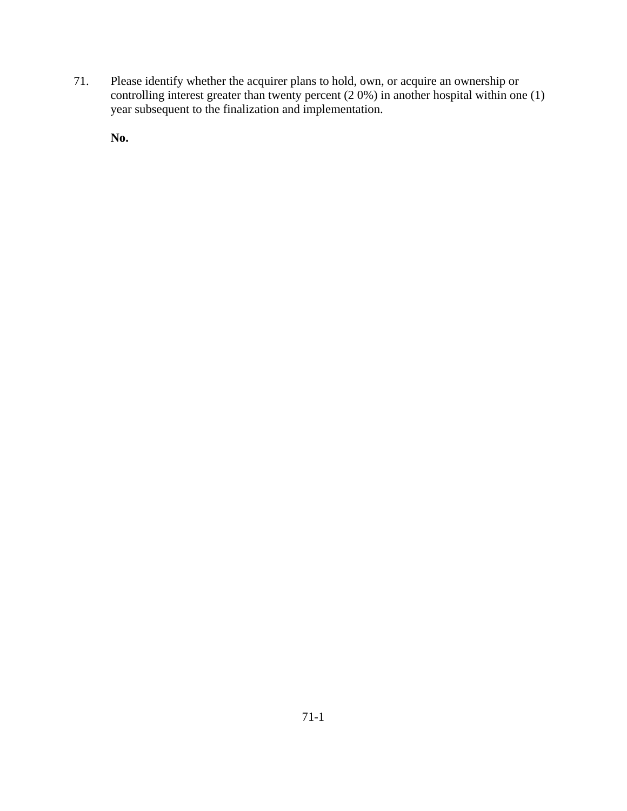71. Please identify whether the acquirer plans to hold, own, or acquire an ownership or controlling interest greater than twenty percent  $(2.0\%)$  in another hospital within one (1) year subsequent to the finalization and implementation.

**No.**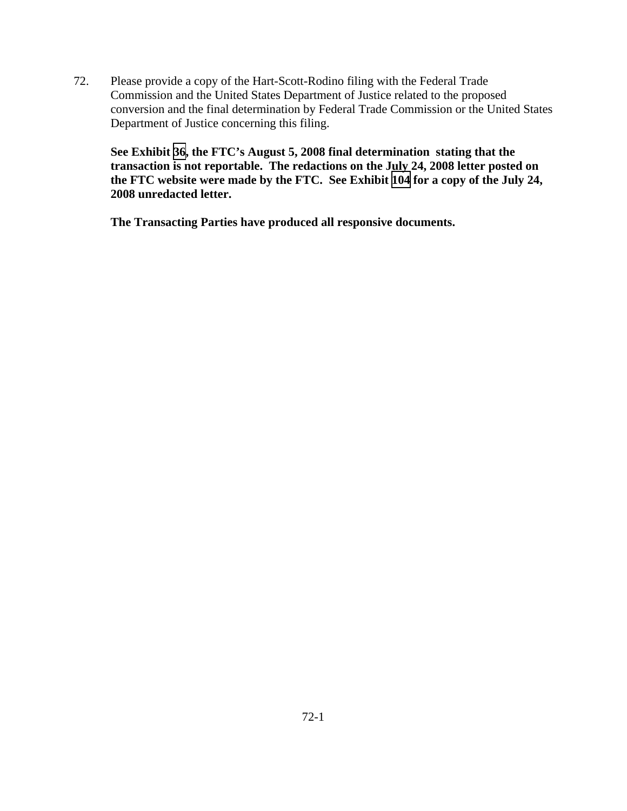72. Please provide a copy of the Hart-Scott-Rodino filing with the Federal Trade Commission and the United States Department of Justice related to the proposed conversion and the final determination by Federal Trade Commission or the United States Department of Justice concerning this filing.

**See Exhibit [36](TAB 36.pdf), the FTC's August 5, 2008 final determination stating that the transaction is not reportable. The redactions on the July 24, 2008 letter posted on the FTC website were made by the FTC. See Exhibit [104](TAB 104.pdf) for a copy of the July 24, 2008 unredacted letter.**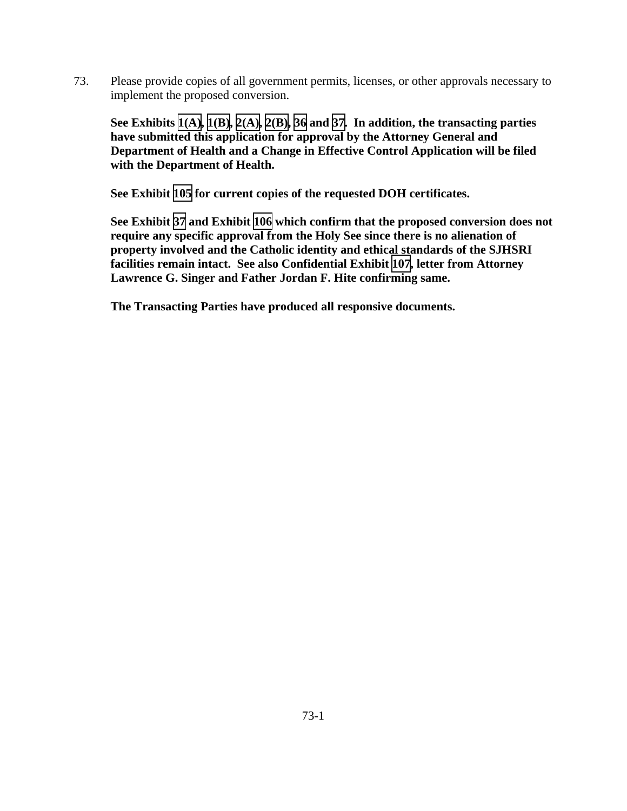73. Please provide copies of all government permits, licenses, or other approvals necessary to implement the proposed conversion.

**See Exhibits [1\(A\),](TAB 1A.pdf) [1\(B\),](TAB 1B.pdf) [2\(A\)](TAB 2A.pdf), [2\(B\)](TAB 2B.pdf), [36](TAB 36.pdf) and [37.](TAB 37.pdf) In addition, the transacting parties have submitted this application for approval by the Attorney General and Department of Health and a Change in Effective Control Application will be filed with the Department of Health.** 

**See Exhibit [105](TAB 105.pdf) for current copies of the requested DOH certificates.** 

**See Exhibit [37](TAB 37.pdf) and Exhibit [106](TAB 106.pdf) which confirm that the proposed conversion does not require any specific approval from the Holy See since there is no alienation of property involved and the Catholic identity and ethical standards of the SJHSRI facilities remain intact. See also Confidential Exhibit [107,](CFD.pdf) letter from Attorney Lawrence G. Singer and Father Jordan F. Hite confirming same.**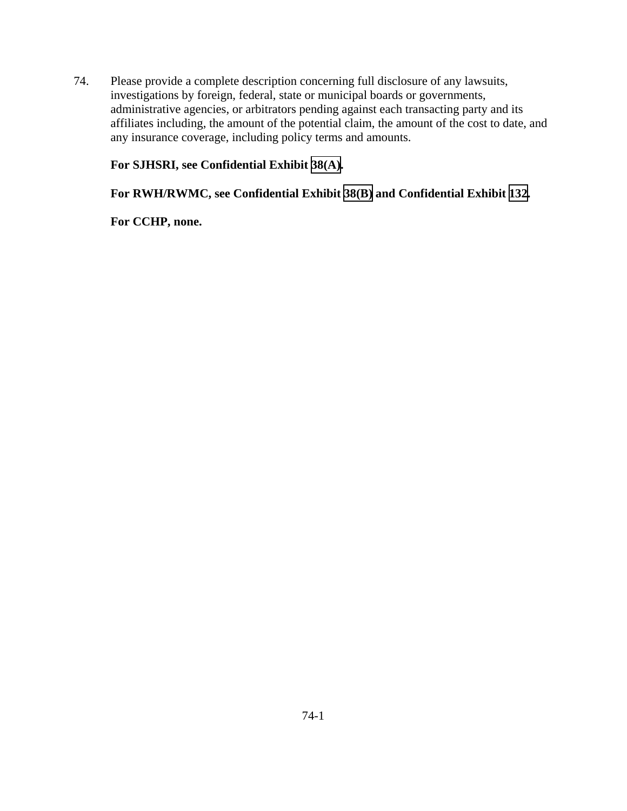74. Please provide a complete description concerning full disclosure of any lawsuits, investigations by foreign, federal, state or municipal boards or governments, administrative agencies, or arbitrators pending against each transacting party and its affiliates including, the amount of the potential claim, the amount of the cost to date, and any insurance coverage, including policy terms and amounts.

## **For SJHSRI, see Confidential Exhibit [38\(A\).](CFD.pdf)**

# **For RWH/RWMC, see Confidential Exhibit [38\(B\)](CFD.pdf) and Confidential Exhibit [132](CFD.pdf).**

### **For CCHP, none.**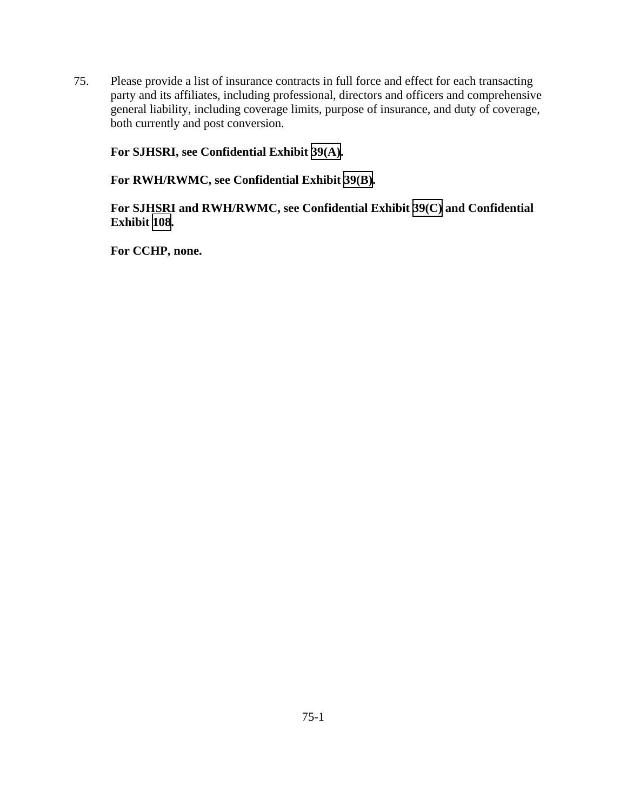75. Please provide a list of insurance contracts in full force and effect for each transacting party and its affiliates, including professional, directors and officers and comprehensive general liability, including coverage limits, purpose of insurance, and duty of coverage, both currently and post conversion.

**For SJHSRI, see Confidential Exhibit [39\(A\).](CFD.pdf)** 

**For RWH/RWMC, see Confidential Exhibit [39\(B\)](CFD.pdf).** 

**For SJHSRI and RWH/RWMC, see Confidential Exhibit [39\(C\)](CFD.pdf) and Confidential Exhibit [108](CFD.pdf).** 

**For CCHP, none.**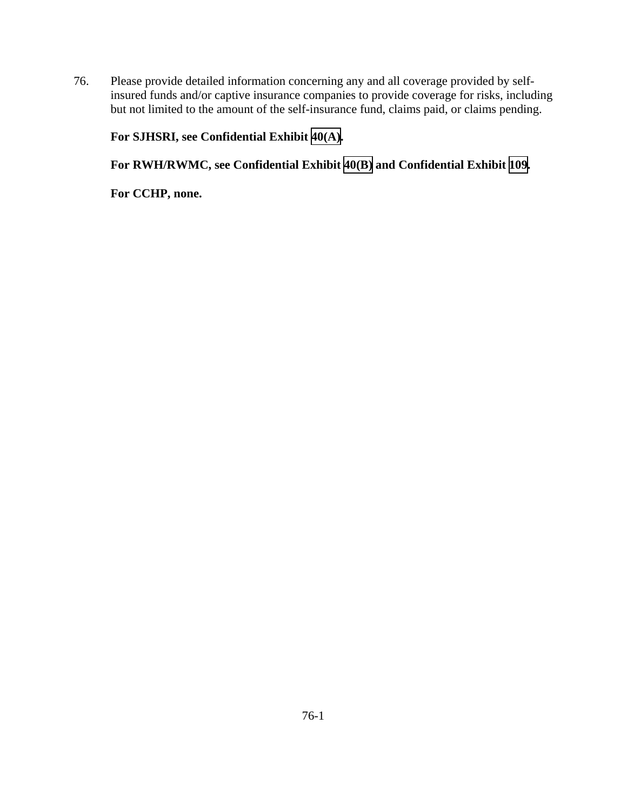76. Please provide detailed information concerning any and all coverage provided by selfinsured funds and/or captive insurance companies to provide coverage for risks, including but not limited to the amount of the self-insurance fund, claims paid, or claims pending.

# **For SJHSRI, see Confidential Exhibit [40\(A\).](CFD.pdf)**

**For RWH/RWMC, see Confidential Exhibit [40\(B\)](CFD.pdf) and Confidential Exhibit [109](CFD.pdf).** 

**For CCHP, none.**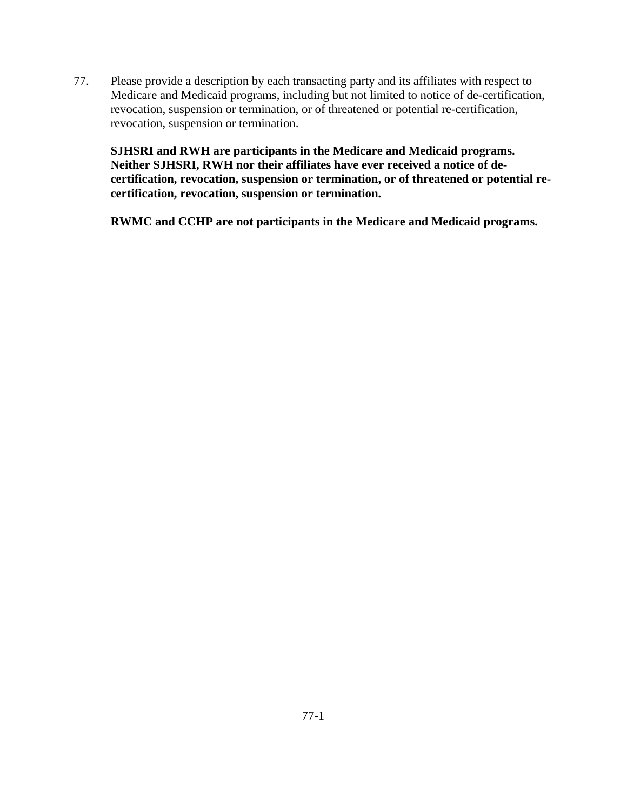77. Please provide a description by each transacting party and its affiliates with respect to Medicare and Medicaid programs, including but not limited to notice of de-certification, revocation, suspension or termination, or of threatened or potential re-certification, revocation, suspension or termination.

**SJHSRI and RWH are participants in the Medicare and Medicaid programs. Neither SJHSRI, RWH nor their affiliates have ever received a notice of decertification, revocation, suspension or termination, or of threatened or potential recertification, revocation, suspension or termination.** 

**RWMC and CCHP are not participants in the Medicare and Medicaid programs.**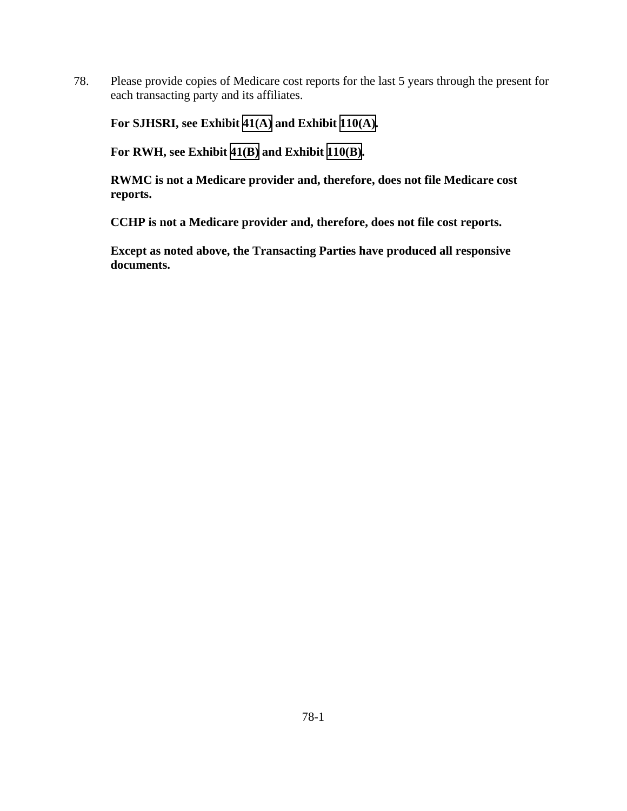78. Please provide copies of Medicare cost reports for the last 5 years through the present for each transacting party and its affiliates.

**For SJHSRI, see Exhibit [41\(A\)](TAB 41A.pdf) and Exhibit [110\(A\).](TAB 110A.pdf)** 

**For RWH, see Exhibit [41\(B\)](TAB 41B.pdf) and Exhibit [110\(B\)](TAB 110B.pdf).** 

**RWMC is not a Medicare provider and, therefore, does not file Medicare cost reports.** 

**CCHP is not a Medicare provider and, therefore, does not file cost reports.**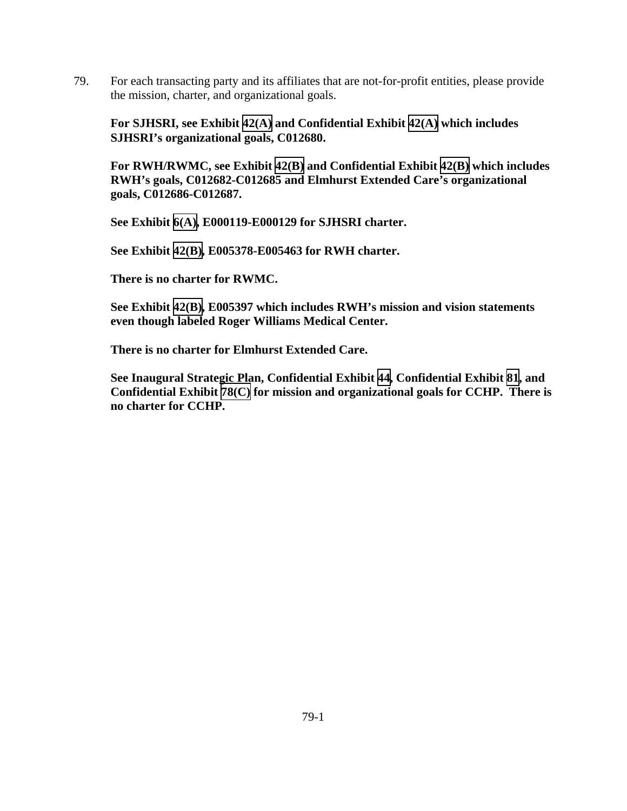79. For each transacting party and its affiliates that are not-for-profit entities, please provide the mission, charter, and organizational goals.

**For SJHSRI, see Exhibit [42\(A\)](TAB 42A.pdf) and Confidential Exhibit [42\(A\)](CFD.pdf) which includes SJHSRI's organizational goals, C012680.** 

**For RWH/RWMC, see Exhibit [42\(B\)](TAB 42B.pdf) and Confidential Exhibit [42\(B\)](CFD.pdf) which includes RWH's goals, C012682-C012685 and Elmhurst Extended Care's organizational goals, C012686-C012687.** 

**See Exhibit [6\(A\),](TAB 6A.pdf) E000119-E000129 for SJHSRI charter.** 

**See Exhibit [42\(B\)](TAB 42B.pdf), E005378-E005463 for RWH charter.** 

**There is no charter for RWMC.** 

**See Exhibit [42\(B\)](TAB 42B.pdf), E005397 which includes RWH's mission and vision statements even though labeled Roger Williams Medical Center.** 

**There is no charter for Elmhurst Extended Care.** 

**See Inaugural Strategic Plan, Confidential Exhibit [44](CFD.pdf), Confidential Exhibit [81](CFD.pdf), and Confidential Exhibit [78\(C\)](CFD.pdf) for mission and organizational goals for CCHP. There is no charter for CCHP.**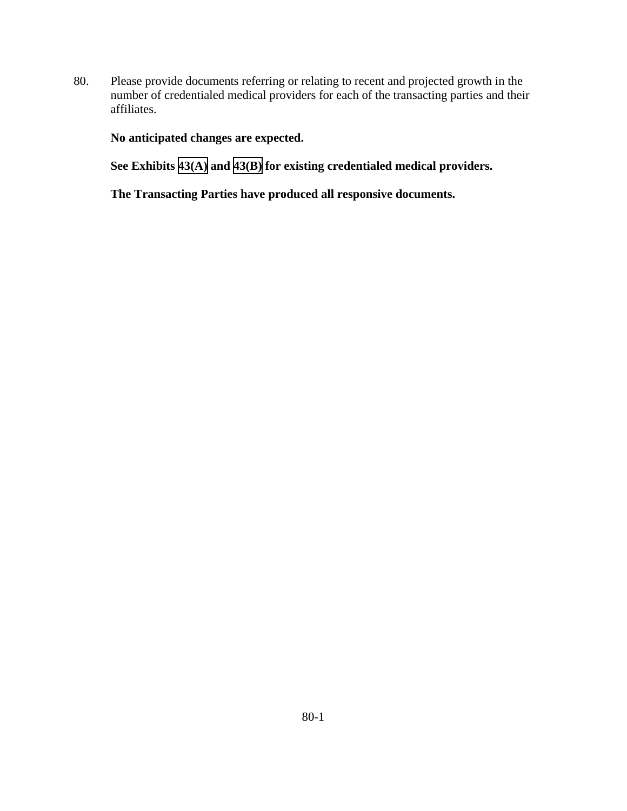80. Please provide documents referring or relating to recent and projected growth in the number of credentialed medical providers for each of the transacting parties and their affiliates.

**No anticipated changes are expected.** 

**See Exhibits [43\(A\)](TAB 43A.pdf) and [43\(B\)](TAB 43B.pdf) for existing credentialed medical providers.**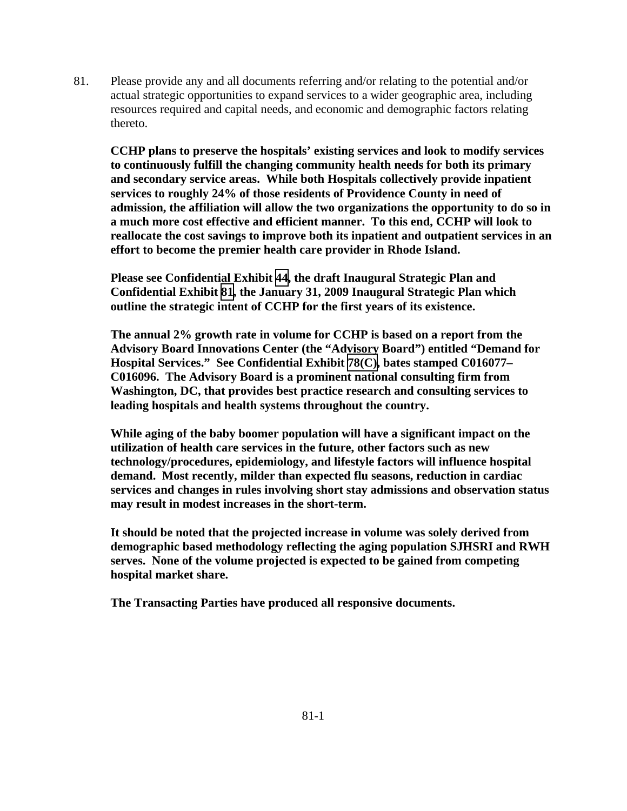81. Please provide any and all documents referring and/or relating to the potential and/or actual strategic opportunities to expand services to a wider geographic area, including resources required and capital needs, and economic and demographic factors relating thereto.

**CCHP plans to preserve the hospitals' existing services and look to modify services to continuously fulfill the changing community health needs for both its primary and secondary service areas. While both Hospitals collectively provide inpatient services to roughly 24% of those residents of Providence County in need of admission, the affiliation will allow the two organizations the opportunity to do so in a much more cost effective and efficient manner. To this end, CCHP will look to reallocate the cost savings to improve both its inpatient and outpatient services in an effort to become the premier health care provider in Rhode Island.** 

**Please see Confidential Exhibit [44](CFD.pdf), the draft Inaugural Strategic Plan and Confidential Exhibit [81](CFD.pdf), the January 31, 2009 Inaugural Strategic Plan which outline the strategic intent of CCHP for the first years of its existence.** 

**The annual 2% growth rate in volume for CCHP is based on a report from the Advisory Board Innovations Center (the "Advisory Board") entitled "Demand for Hospital Services." See Confidential Exhibit [78\(C\)](CFD.pdf), bates stamped C016077– C016096. The Advisory Board is a prominent national consulting firm from Washington, DC, that provides best practice research and consulting services to leading hospitals and health systems throughout the country.** 

**While aging of the baby boomer population will have a significant impact on the utilization of health care services in the future, other factors such as new technology/procedures, epidemiology, and lifestyle factors will influence hospital demand. Most recently, milder than expected flu seasons, reduction in cardiac services and changes in rules involving short stay admissions and observation status may result in modest increases in the short-term.** 

**It should be noted that the projected increase in volume was solely derived from demographic based methodology reflecting the aging population SJHSRI and RWH serves. None of the volume projected is expected to be gained from competing hospital market share.**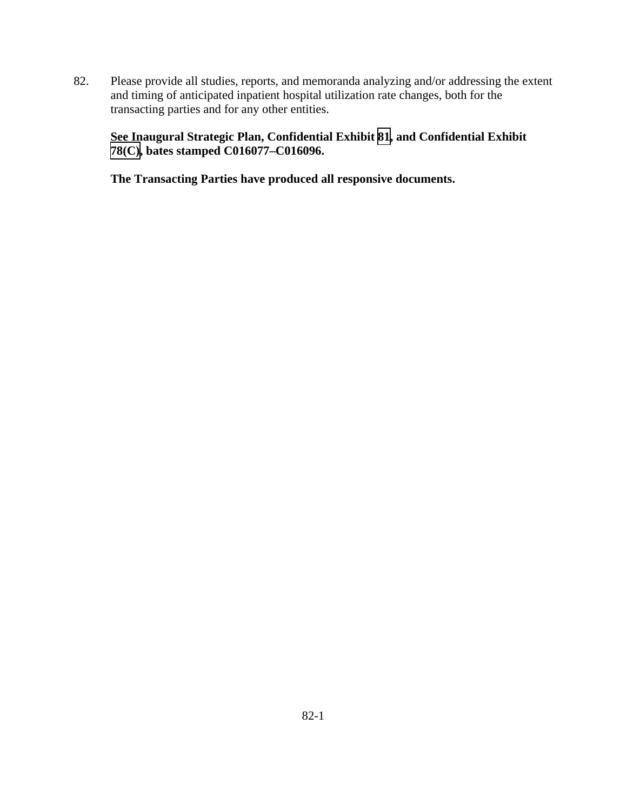82. Please provide all studies, reports, and memoranda analyzing and/or addressing the extent and timing of anticipated inpatient hospital utilization rate changes, both for the transacting parties and for any other entities.

# **See Inaugural Strategic Plan, Confidential Exhibit [81](CFD.pdf), and Confidential Exhibit [78\(C\),](CFD.pdf) bates stamped C016077–C016096.**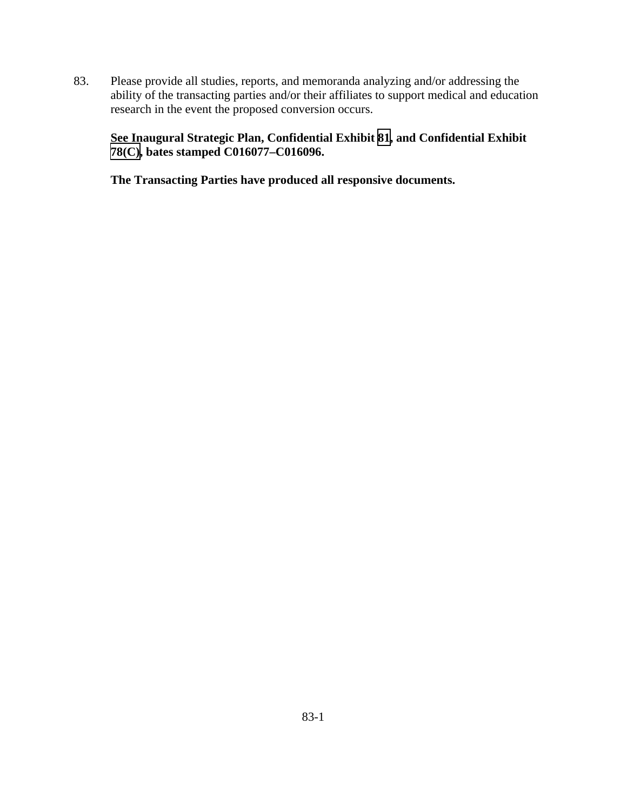83. Please provide all studies, reports, and memoranda analyzing and/or addressing the ability of the transacting parties and/or their affiliates to support medical and education research in the event the proposed conversion occurs.

# **See Inaugural Strategic Plan, Confidential Exhibit [81](CFD.pdf), and Confidential Exhibit [78\(C\),](CFD.pdf) bates stamped C016077–C016096.**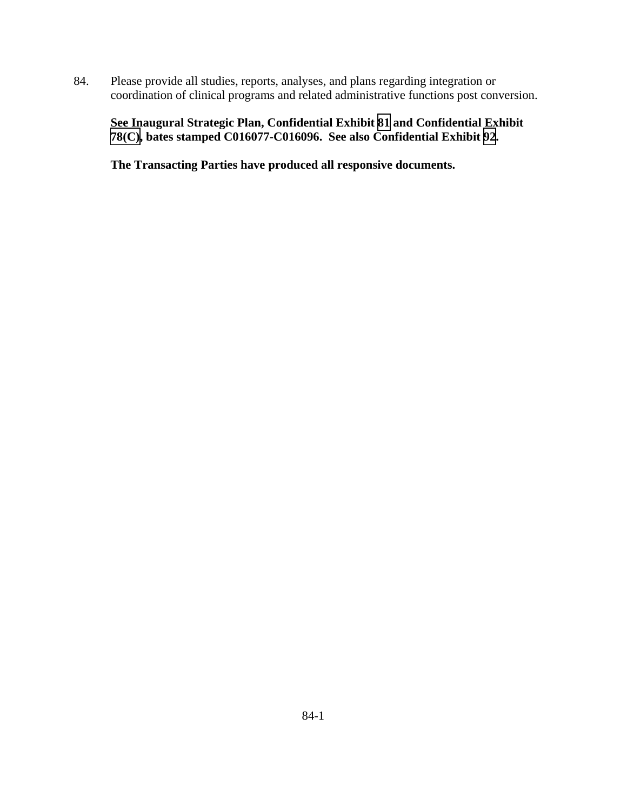84. Please provide all studies, reports, analyses, and plans regarding integration or coordination of clinical programs and related administrative functions post conversion.

**See Inaugural Strategic Plan, Confidential Exhibit [81](CFD.pdf) and Confidential Exhibit [78\(C\),](CFD.pdf) bates stamped C016077-C016096. See also Confidential Exhibit [92](CFD.pdf).**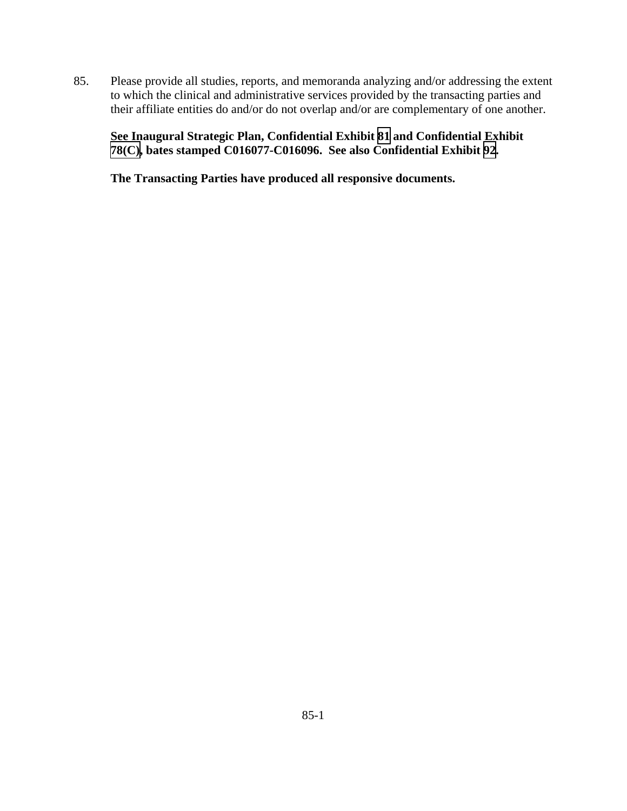85. Please provide all studies, reports, and memoranda analyzing and/or addressing the extent to which the clinical and administrative services provided by the transacting parties and their affiliate entities do and/or do not overlap and/or are complementary of one another.

**See Inaugural Strategic Plan, Confidential Exhibit [81](CFD.pdf) and Confidential Exhibit [78\(C\),](CFD.pdf) bates stamped C016077-C016096. See also Confidential Exhibit [92](CFD.pdf).**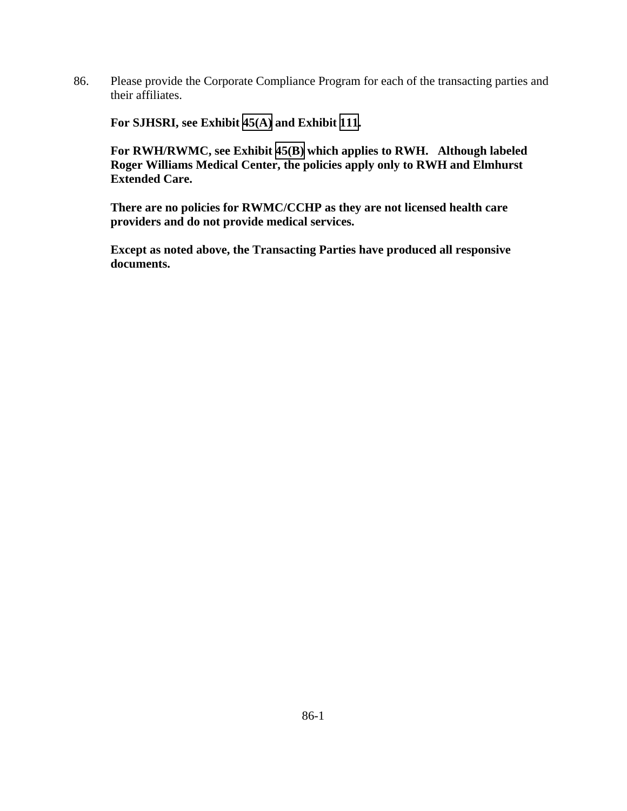86. Please provide the Corporate Compliance Program for each of the transacting parties and their affiliates.

**For SJHSRI, see Exhibit [45\(A\)](TAB 45A.pdf) and Exhibit [111](TAB 111.pdf).** 

**For RWH/RWMC, see Exhibit [45\(B\)](TAB 45B.pdf) which applies to RWH. Although labeled Roger Williams Medical Center, the policies apply only to RWH and Elmhurst Extended Care.** 

**There are no policies for RWMC/CCHP as they are not licensed health care providers and do not provide medical services.**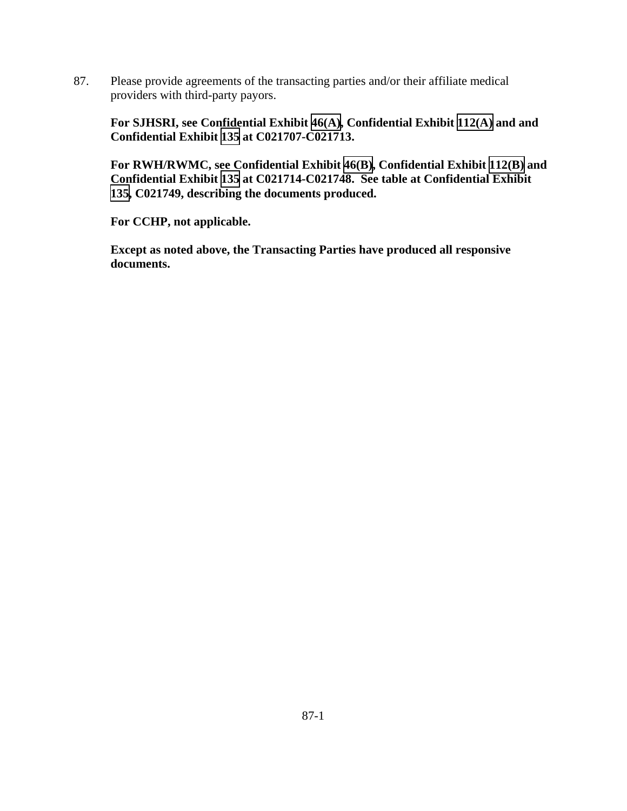87. Please provide agreements of the transacting parties and/or their affiliate medical providers with third-party payors.

**For SJHSRI, see Confidential Exhibit [46\(A\),](CFD.pdf) Confidential Exhibit [112\(A\)](CFD.pdf) and and Confidential Exhibit [135](CFD.pdf) at C021707-C021713.** 

**For RWH/RWMC, see Confidential Exhibit [46\(B\),](CFD.pdf) Confidential Exhibit [112\(B\)](CFD.pdf) and Confidential Exhibit [135](CFD.pdf) at C021714-C021748. See table at Confidential Exhibit [135](CFD.pdf), C021749, describing the documents produced.** 

**For CCHP, not applicable.**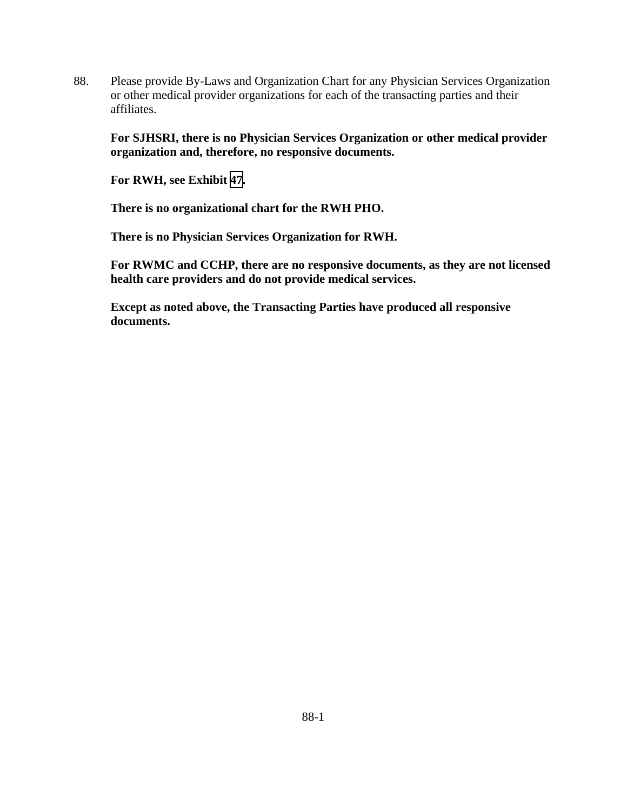88. Please provide By-Laws and Organization Chart for any Physician Services Organization or other medical provider organizations for each of the transacting parties and their affiliates.

**For SJHSRI, there is no Physician Services Organization or other medical provider organization and, therefore, no responsive documents.** 

**For RWH, see Exhibit [47](TAB 47.pdf).** 

**There is no organizational chart for the RWH PHO.** 

**There is no Physician Services Organization for RWH.** 

**For RWMC and CCHP, there are no responsive documents, as they are not licensed health care providers and do not provide medical services.**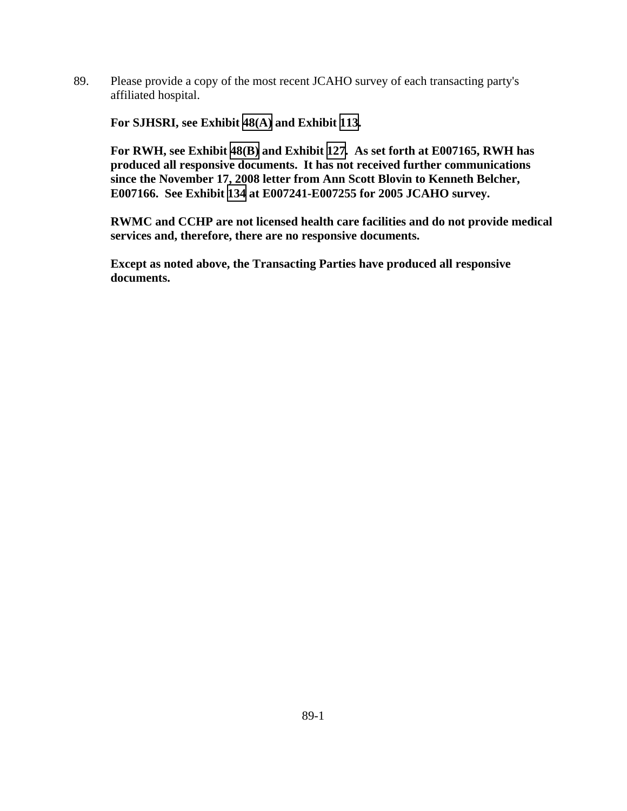89. Please provide a copy of the most recent JCAHO survey of each transacting party's affiliated hospital.

**For SJHSRI, see Exhibit [48\(A\)](TAB 48A.pdf) and Exhibit [113](TAB 113.pdf).** 

**For RWH, see Exhibit [48\(B\)](TAB 48B.pdf) and Exhibit [127](TAB 127.pdf). As set forth at E007165, RWH has produced all responsive documents. It has not received further communications since the November 17, 2008 letter from Ann Scott Blovin to Kenneth Belcher, E007166. See Exhibit [134](TAB 134.pdf) at E007241-E007255 for 2005 JCAHO survey.** 

**RWMC and CCHP are not licensed health care facilities and do not provide medical services and, therefore, there are no responsive documents.**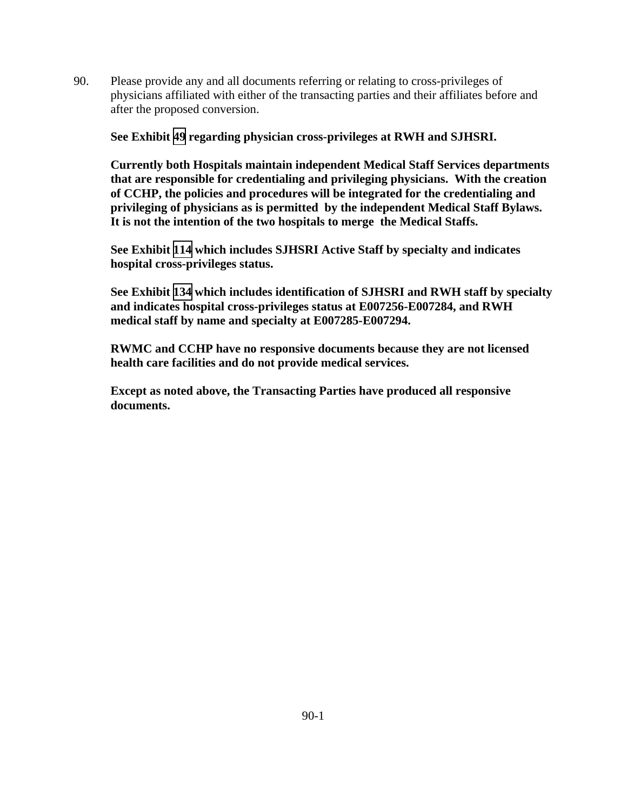90. Please provide any and all documents referring or relating to cross-privileges of physicians affiliated with either of the transacting parties and their affiliates before and after the proposed conversion.

**See Exhibit [49](TAB 49.pdf) regarding physician cross-privileges at RWH and SJHSRI.** 

**Currently both Hospitals maintain independent Medical Staff Services departments that are responsible for credentialing and privileging physicians. With the creation of CCHP, the policies and procedures will be integrated for the credentialing and privileging of physicians as is permitted by the independent Medical Staff Bylaws. It is not the intention of the two hospitals to merge the Medical Staffs.** 

**See Exhibit [114](TAB 114.pdf) which includes SJHSRI Active Staff by specialty and indicates hospital cross-privileges status.** 

**See Exhibit [134](TAB 134.pdf) which includes identification of SJHSRI and RWH staff by specialty and indicates hospital cross-privileges status at E007256-E007284, and RWH medical staff by name and specialty at E007285-E007294.** 

**RWMC and CCHP have no responsive documents because they are not licensed health care facilities and do not provide medical services.**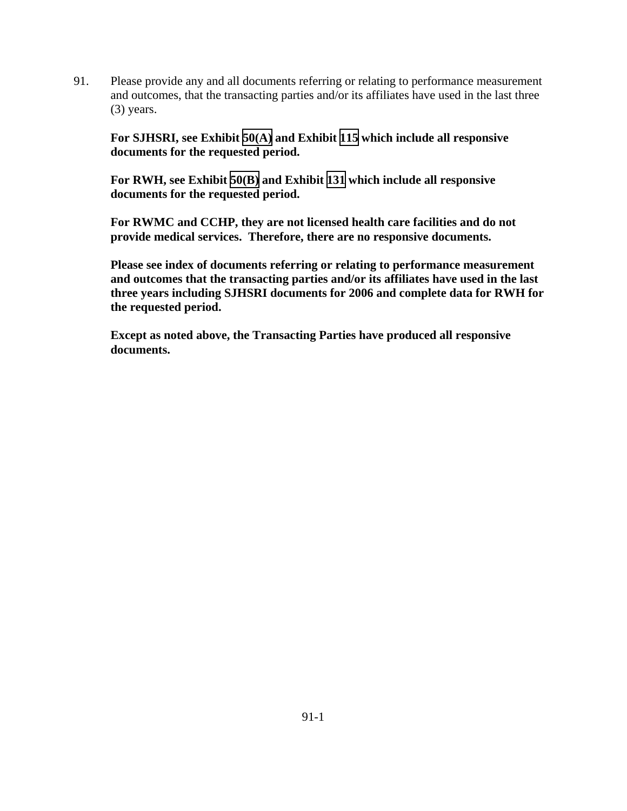91. Please provide any and all documents referring or relating to performance measurement and outcomes, that the transacting parties and/or its affiliates have used in the last three (3) years.

**For SJHSRI, see Exhibit [50\(A\)](TAB 50A.pdf) and Exhibit [115](TAB 115.pdf) which include all responsive documents for the requested period.** 

**For RWH, see Exhibit [50\(B\)](TAB 50B.pdf) and Exhibit [131](TAB 131.pdf) which include all responsive documents for the requested period.** 

**For RWMC and CCHP, they are not licensed health care facilities and do not provide medical services. Therefore, there are no responsive documents.** 

**Please see index of documents referring or relating to performance measurement and outcomes that the transacting parties and/or its affiliates have used in the last three years including SJHSRI documents for 2006 and complete data for RWH for the requested period.**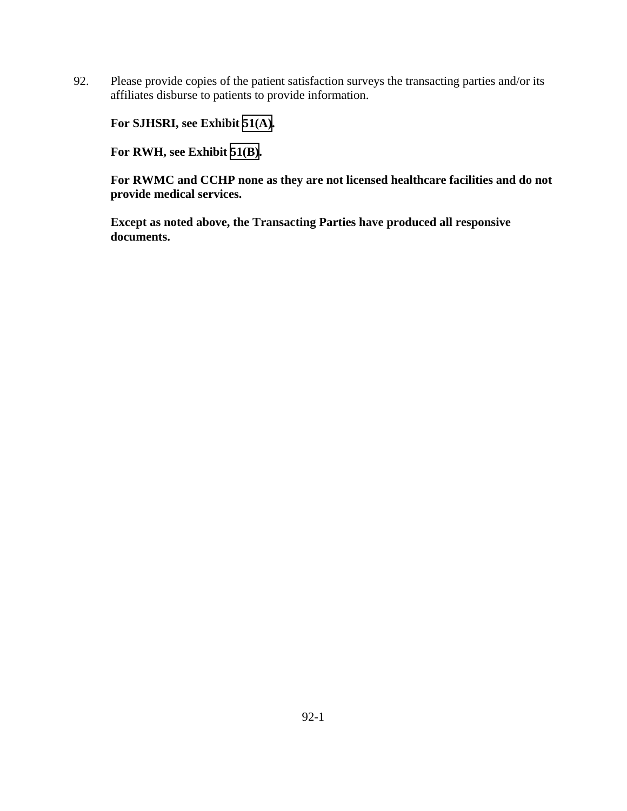92. Please provide copies of the patient satisfaction surveys the transacting parties and/or its affiliates disburse to patients to provide information.

**For SJHSRI, see Exhibit [51\(A\).](TAB 51A.pdf)** 

**For RWH, see Exhibit [51\(B\)](TAB 51B.pdf).** 

**For RWMC and CCHP none as they are not licensed healthcare facilities and do not provide medical services.**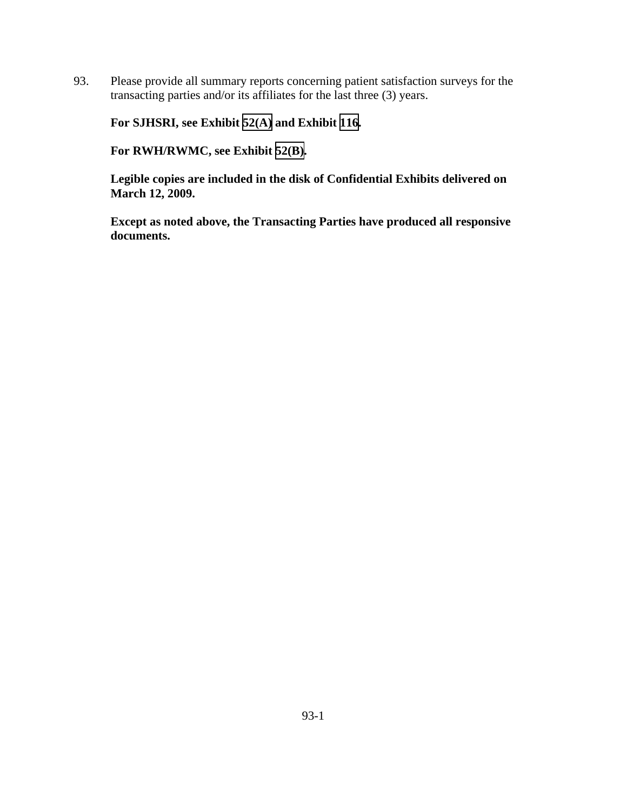93. Please provide all summary reports concerning patient satisfaction surveys for the transacting parties and/or its affiliates for the last three (3) years.

**For SJHSRI, see Exhibit [52\(A\)](TAB 52A.pdf) and Exhibit [116](TAB 116.pdf).** 

**For RWH/RWMC, see Exhibit [52\(B\).](TAB 52B.pdf)** 

**Legible copies are included in the disk of Confidential Exhibits delivered on March 12, 2009.**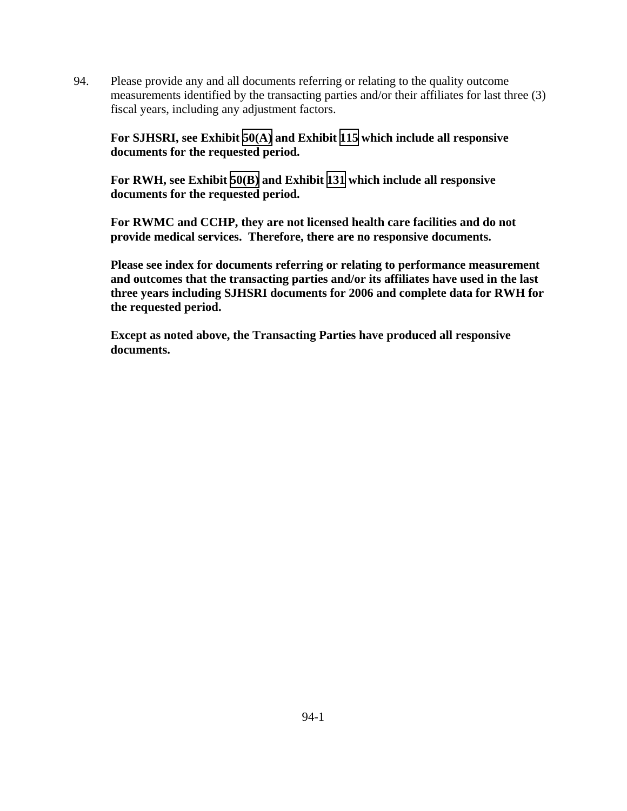94. Please provide any and all documents referring or relating to the quality outcome measurements identified by the transacting parties and/or their affiliates for last three (3) fiscal years, including any adjustment factors.

# **For SJHSRI, see Exhibit [50\(A\)](TAB 50A.pdf) and Exhibit [115](TAB 115.pdf) which include all responsive documents for the requested period.**

**For RWH, see Exhibit [50\(B\)](TAB 50B.pdf) and Exhibit [131](TAB 131.pdf) which include all responsive documents for the requested period.** 

**For RWMC and CCHP, they are not licensed health care facilities and do not provide medical services. Therefore, there are no responsive documents.** 

**Please see index for documents referring or relating to performance measurement and outcomes that the transacting parties and/or its affiliates have used in the last three years including SJHSRI documents for 2006 and complete data for RWH for the requested period.**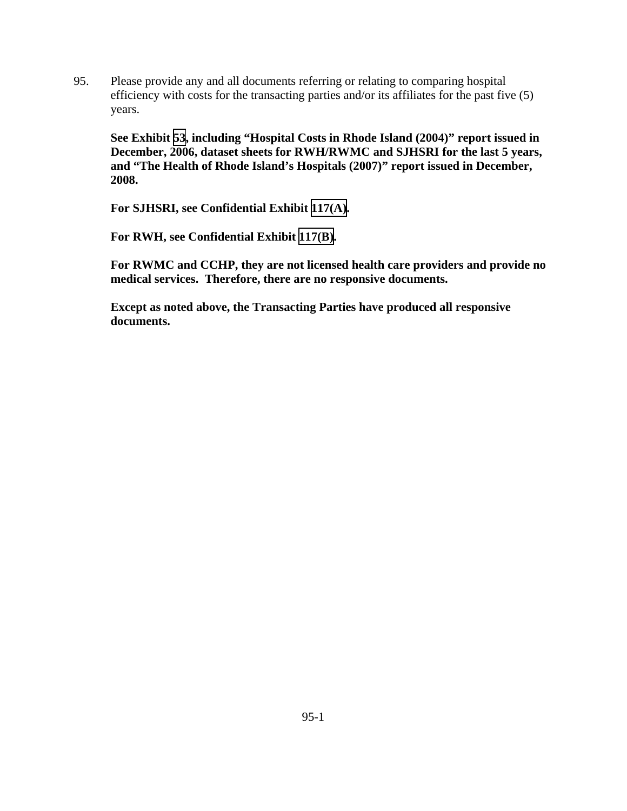95. Please provide any and all documents referring or relating to comparing hospital efficiency with costs for the transacting parties and/or its affiliates for the past five (5) years.

**See Exhibit [53](TAB 53.pdf), including "Hospital Costs in Rhode Island (2004)" report issued in December, 2006, dataset sheets for RWH/RWMC and SJHSRI for the last 5 years, and "The Health of Rhode Island's Hospitals (2007)" report issued in December, 2008.** 

**For SJHSRI, see Confidential Exhibit [117\(A\).](CFD.pdf)** 

**For RWH, see Confidential Exhibit [117\(B\)](CFD.pdf).** 

**For RWMC and CCHP, they are not licensed health care providers and provide no medical services. Therefore, there are no responsive documents.**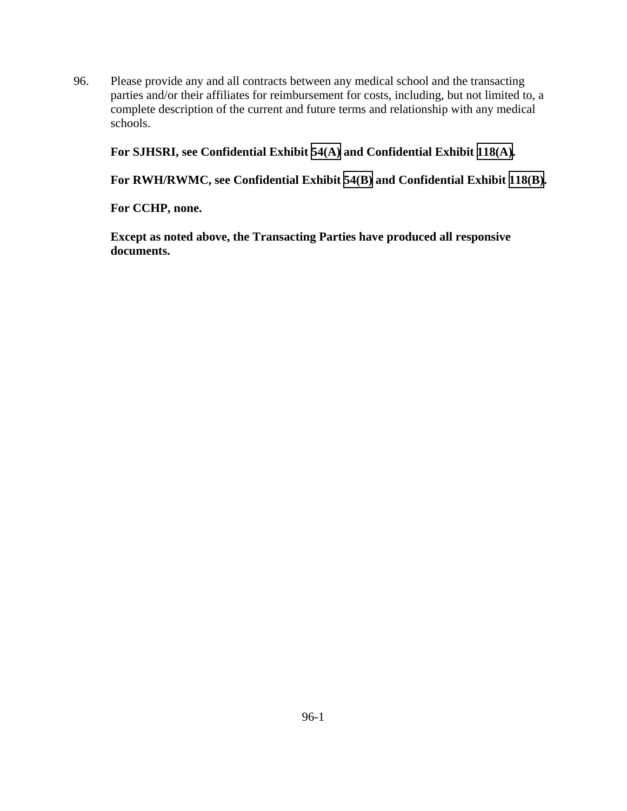96. Please provide any and all contracts between any medical school and the transacting parties and/or their affiliates for reimbursement for costs, including, but not limited to, a complete description of the current and future terms and relationship with any medical schools.

**For SJHSRI, see Confidential Exhibit [54\(A\)](CFD.pdf) and Confidential Exhibit [118\(A\).](CFD.pdf)** 

**For RWH/RWMC, see Confidential Exhibit [54\(B\)](CFD.pdf) and Confidential Exhibit [118\(B\)](CFD.pdf).** 

**For CCHP, none.**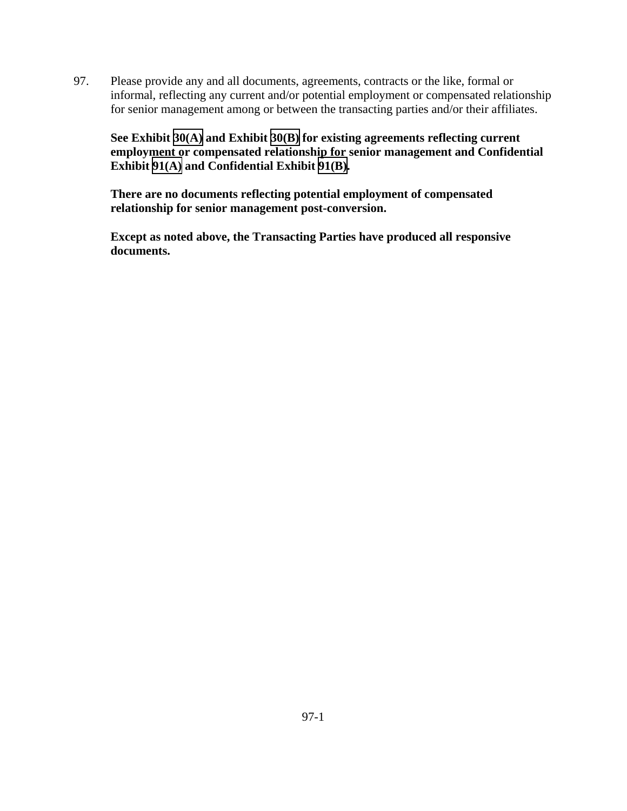97. Please provide any and all documents, agreements, contracts or the like, formal or informal, reflecting any current and/or potential employment or compensated relationship for senior management among or between the transacting parties and/or their affiliates.

**See Exhibit [30\(A\)](TAB 30A.pdf) and Exhibit [30\(B\)](TAB 30B.pdf) for existing agreements reflecting current employment or compensated relationship for senior management and Confidential Exhibit [91\(A\)](CFD.pdf) and Confidential Exhibit [91\(B\).](CFD.pdf)** 

**There are no documents reflecting potential employment of compensated relationship for senior management post-conversion.**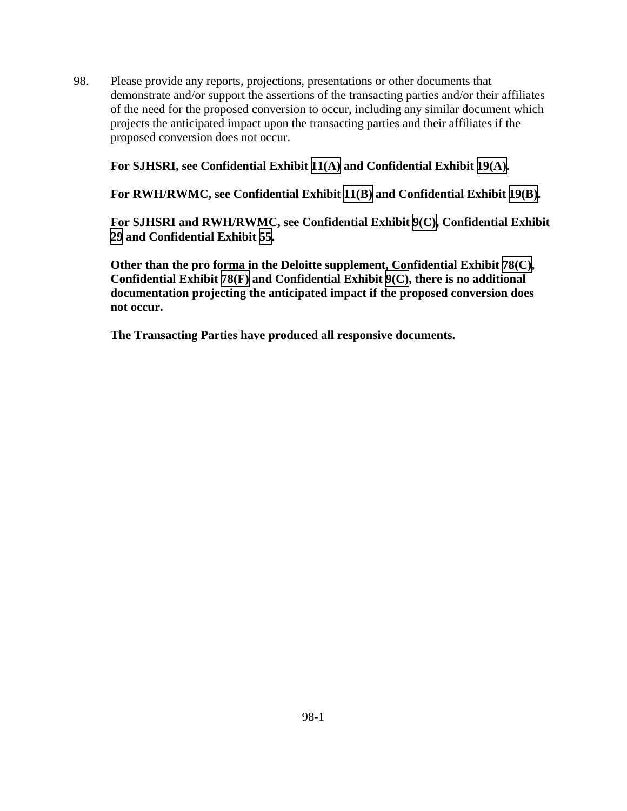98. Please provide any reports, projections, presentations or other documents that demonstrate and/or support the assertions of the transacting parties and/or their affiliates of the need for the proposed conversion to occur, including any similar document which projects the anticipated impact upon the transacting parties and their affiliates if the proposed conversion does not occur.

## **For SJHSRI, see Confidential Exhibit [11\(A\)](CFD.pdf) and Confidential Exhibit [19\(A\).](CFD.pdf)**

**For RWH/RWMC, see Confidential Exhibit [11\(B\)](CFD.pdf) and Confidential Exhibit [19\(B\)](CFD.pdf).** 

**For SJHSRI and RWH/RWMC, see Confidential Exhibit [9\(C\),](CFD.pdf) Confidential Exhibit [29](CFD.pdf) and Confidential Exhibit [55](CFD.pdf).** 

**Other than the pro forma in the Deloitte supplement, Confidential Exhibit [78\(C\)](CFD.pdf), Confidential Exhibit [78\(F\)](CFD.pdf) and Confidential Exhibit [9\(C\)](CFD.pdf), there is no additional documentation projecting the anticipated impact if the proposed conversion does not occur.**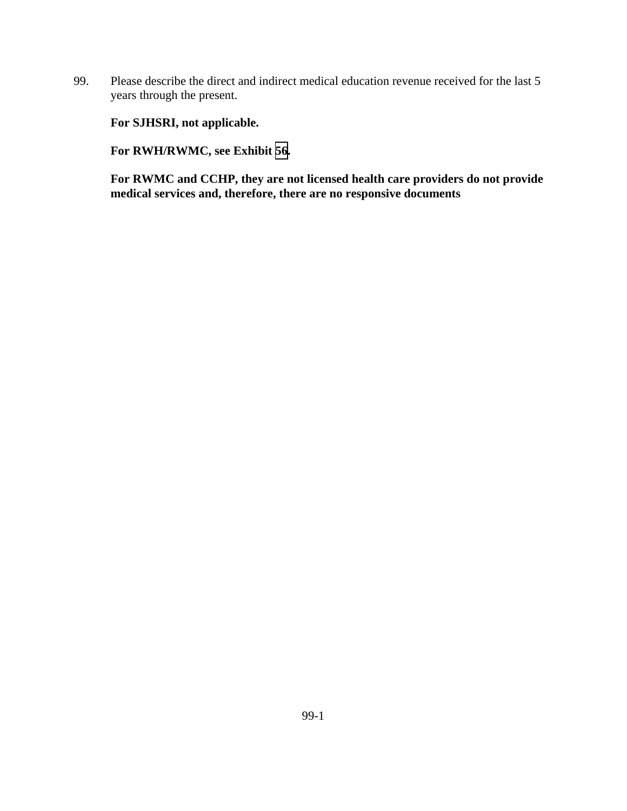99. Please describe the direct and indirect medical education revenue received for the last 5 years through the present.

**For SJHSRI, not applicable.** 

**For RWH/RWMC, see Exhibit [56.](TAB 56.pdf)** 

**For RWMC and CCHP, they are not licensed health care providers do not provide medical services and, therefore, there are no responsive documents**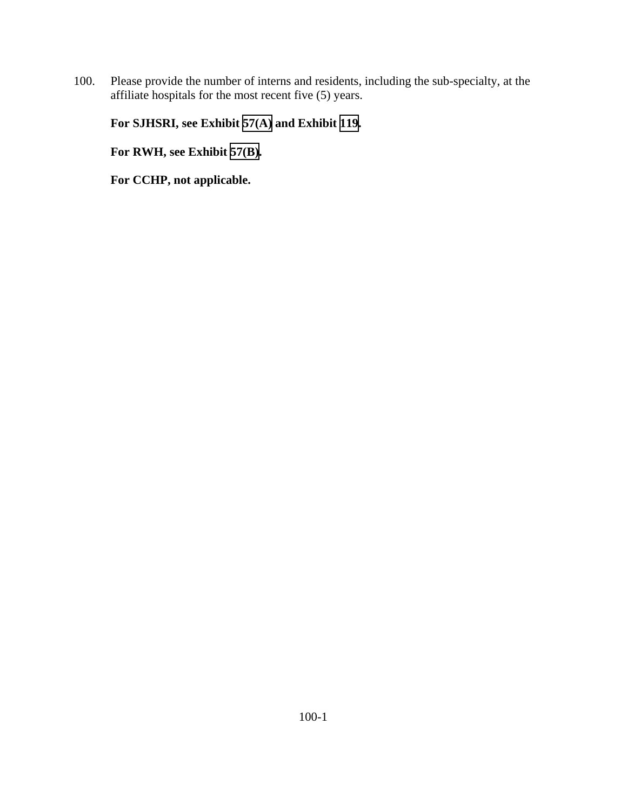100. Please provide the number of interns and residents, including the sub-specialty, at the affiliate hospitals for the most recent five (5) years.

# **For SJHSRI, see Exhibit [57\(A\)](TAB 57A.pdf) and Exhibit [119](TAB 119.pdf).**

**For RWH, see Exhibit [57\(B\)](TAB 57B.pdf).** 

**For CCHP, not applicable.**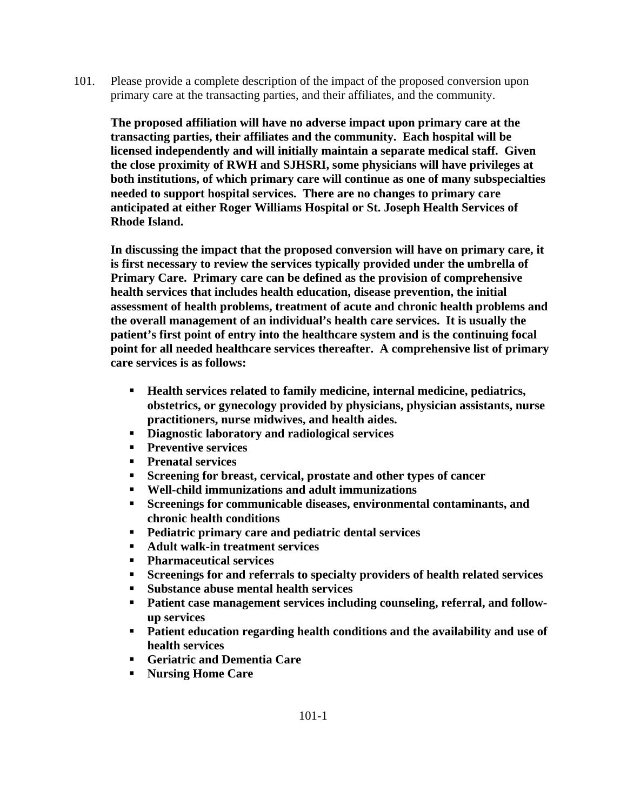101. Please provide a complete description of the impact of the proposed conversion upon primary care at the transacting parties, and their affiliates, and the community.

**The proposed affiliation will have no adverse impact upon primary care at the transacting parties, their affiliates and the community. Each hospital will be licensed independently and will initially maintain a separate medical staff. Given the close proximity of RWH and SJHSRI, some physicians will have privileges at both institutions, of which primary care will continue as one of many subspecialties needed to support hospital services. There are no changes to primary care anticipated at either Roger Williams Hospital or St. Joseph Health Services of Rhode Island.** 

**In discussing the impact that the proposed conversion will have on primary care, it is first necessary to review the services typically provided under the umbrella of Primary Care. Primary care can be defined as the provision of comprehensive health services that includes health education, disease prevention, the initial assessment of health problems, treatment of acute and chronic health problems and the overall management of an individual's health care services. It is usually the patient's first point of entry into the healthcare system and is the continuing focal point for all needed healthcare services thereafter. A comprehensive list of primary care services is as follows:** 

- **Health services related to family medicine, internal medicine, pediatrics, obstetrics, or gynecology provided by physicians, physician assistants, nurse practitioners, nurse midwives, and health aides.**
- **Diagnostic laboratory and radiological services**
- **Preventive services**
- **Prenatal services**
- **Screening for breast, cervical, prostate and other types of cancer**
- **Well-child immunizations and adult immunizations**
- **Screenings for communicable diseases, environmental contaminants, and chronic health conditions**
- **Pediatric primary care and pediatric dental services**
- **Adult walk-in treatment services**
- **Pharmaceutical services**
- **Screenings for and referrals to specialty providers of health related services**
- **Substance abuse mental health services**
- **Patient case management services including counseling, referral, and followup services**
- **Patient education regarding health conditions and the availability and use of health services**
- **Geriatric and Dementia Care**
- **Nursing Home Care**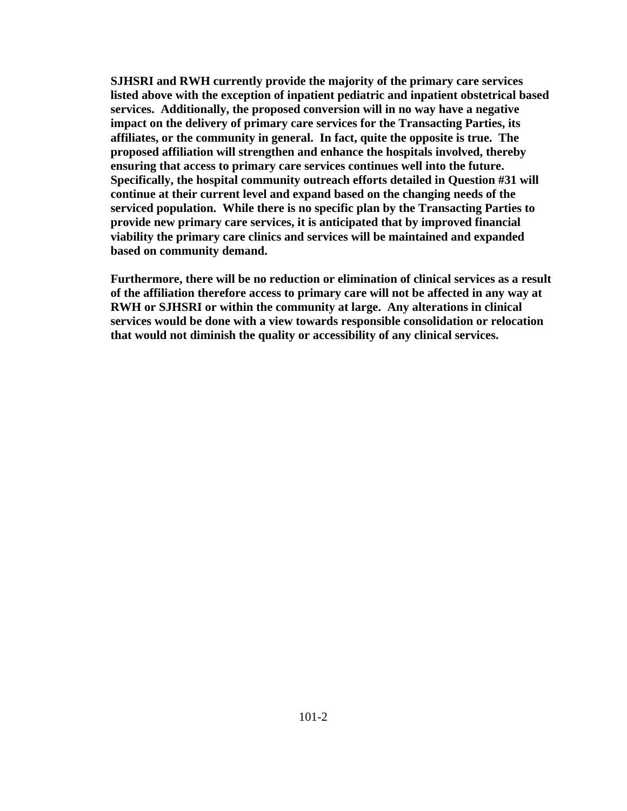**SJHSRI and RWH currently provide the majority of the primary care services listed above with the exception of inpatient pediatric and inpatient obstetrical based services. Additionally, the proposed conversion will in no way have a negative impact on the delivery of primary care services for the Transacting Parties, its affiliates, or the community in general. In fact, quite the opposite is true. The proposed affiliation will strengthen and enhance the hospitals involved, thereby ensuring that access to primary care services continues well into the future. Specifically, the hospital community outreach efforts detailed in Question #31 will continue at their current level and expand based on the changing needs of the serviced population. While there is no specific plan by the Transacting Parties to provide new primary care services, it is anticipated that by improved financial viability the primary care clinics and services will be maintained and expanded based on community demand.** 

**Furthermore, there will be no reduction or elimination of clinical services as a result of the affiliation therefore access to primary care will not be affected in any way at RWH or SJHSRI or within the community at large. Any alterations in clinical services would be done with a view towards responsible consolidation or relocation that would not diminish the quality or accessibility of any clinical services.**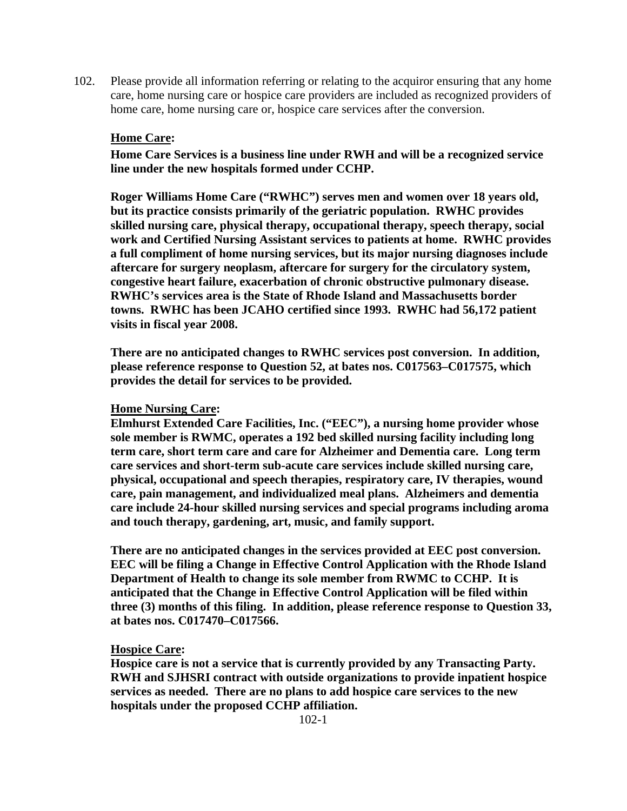102. Please provide all information referring or relating to the acquiror ensuring that any home care, home nursing care or hospice care providers are included as recognized providers of home care, home nursing care or, hospice care services after the conversion.

#### **Home Care:**

**Home Care Services is a business line under RWH and will be a recognized service line under the new hospitals formed under CCHP.** 

**Roger Williams Home Care ("RWHC") serves men and women over 18 years old, but its practice consists primarily of the geriatric population. RWHC provides skilled nursing care, physical therapy, occupational therapy, speech therapy, social work and Certified Nursing Assistant services to patients at home. RWHC provides a full compliment of home nursing services, but its major nursing diagnoses include aftercare for surgery neoplasm, aftercare for surgery for the circulatory system, congestive heart failure, exacerbation of chronic obstructive pulmonary disease. RWHC's services area is the State of Rhode Island and Massachusetts border towns. RWHC has been JCAHO certified since 1993. RWHC had 56,172 patient visits in fiscal year 2008.** 

**There are no anticipated changes to RWHC services post conversion. In addition, please reference response to Question 52, at bates nos. C017563–C017575, which provides the detail for services to be provided.** 

#### **Home Nursing Care:**

**Elmhurst Extended Care Facilities, Inc. ("EEC"), a nursing home provider whose sole member is RWMC, operates a 192 bed skilled nursing facility including long term care, short term care and care for Alzheimer and Dementia care. Long term care services and short-term sub-acute care services include skilled nursing care, physical, occupational and speech therapies, respiratory care, IV therapies, wound care, pain management, and individualized meal plans. Alzheimers and dementia care include 24-hour skilled nursing services and special programs including aroma and touch therapy, gardening, art, music, and family support.** 

**There are no anticipated changes in the services provided at EEC post conversion. EEC will be filing a Change in Effective Control Application with the Rhode Island Department of Health to change its sole member from RWMC to CCHP. It is anticipated that the Change in Effective Control Application will be filed within three (3) months of this filing. In addition, please reference response to Question 33, at bates nos. C017470–C017566.** 

#### **Hospice Care:**

**Hospice care is not a service that is currently provided by any Transacting Party. RWH and SJHSRI contract with outside organizations to provide inpatient hospice services as needed. There are no plans to add hospice care services to the new hospitals under the proposed CCHP affiliation.**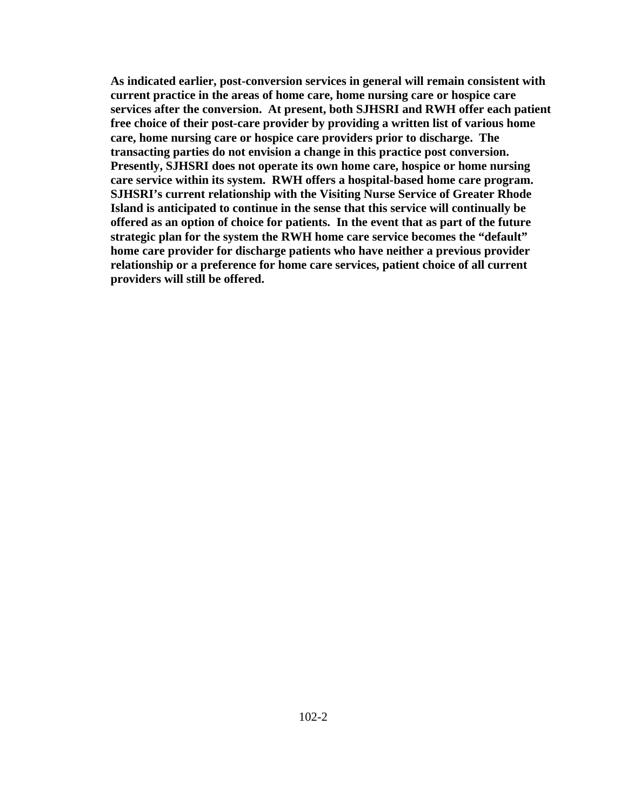**As indicated earlier, post-conversion services in general will remain consistent with current practice in the areas of home care, home nursing care or hospice care services after the conversion. At present, both SJHSRI and RWH offer each patient free choice of their post-care provider by providing a written list of various home care, home nursing care or hospice care providers prior to discharge. The transacting parties do not envision a change in this practice post conversion. Presently, SJHSRI does not operate its own home care, hospice or home nursing care service within its system. RWH offers a hospital-based home care program. SJHSRI's current relationship with the Visiting Nurse Service of Greater Rhode Island is anticipated to continue in the sense that this service will continually be offered as an option of choice for patients. In the event that as part of the future strategic plan for the system the RWH home care service becomes the "default" home care provider for discharge patients who have neither a previous provider relationship or a preference for home care services, patient choice of all current providers will still be offered.**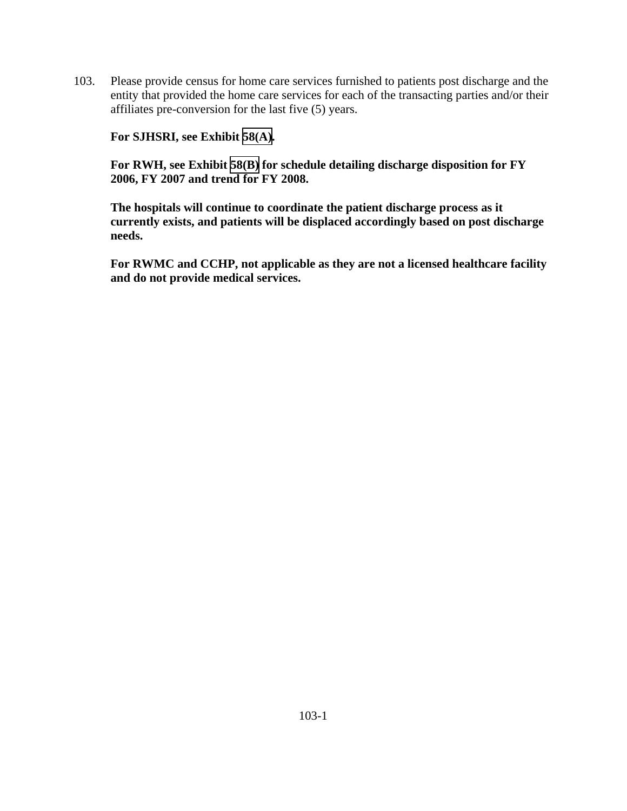103. Please provide census for home care services furnished to patients post discharge and the entity that provided the home care services for each of the transacting parties and/or their affiliates pre-conversion for the last five (5) years.

**For SJHSRI, see Exhibit [58\(A\).](TAB 58A.pdf)** 

**For RWH, see Exhibit [58\(B\)](TAB 58B.pdf) for schedule detailing discharge disposition for FY 2006, FY 2007 and trend for FY 2008.** 

**The hospitals will continue to coordinate the patient discharge process as it currently exists, and patients will be displaced accordingly based on post discharge needs.** 

**For RWMC and CCHP, not applicable as they are not a licensed healthcare facility and do not provide medical services.**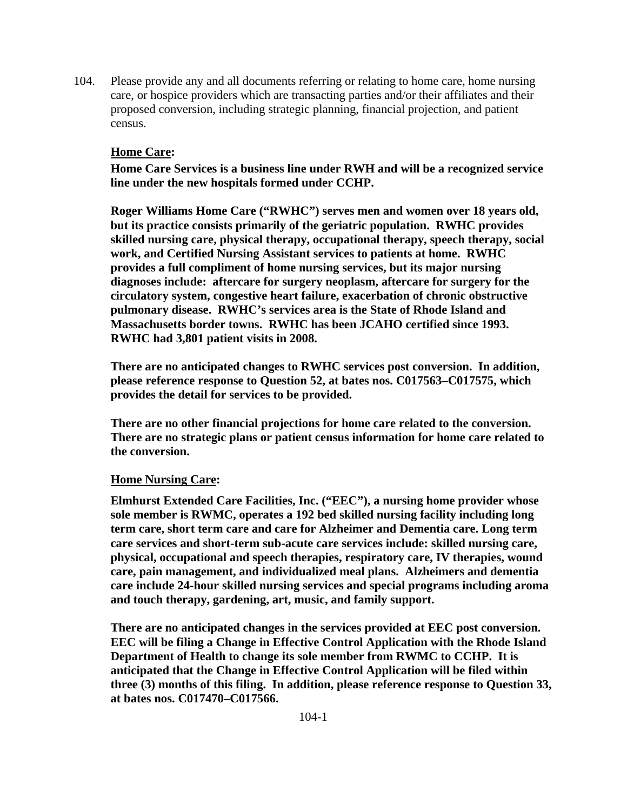104. Please provide any and all documents referring or relating to home care, home nursing care, or hospice providers which are transacting parties and/or their affiliates and their proposed conversion, including strategic planning, financial projection, and patient census.

## **Home Care:**

**Home Care Services is a business line under RWH and will be a recognized service line under the new hospitals formed under CCHP.** 

**Roger Williams Home Care ("RWHC") serves men and women over 18 years old, but its practice consists primarily of the geriatric population. RWHC provides skilled nursing care, physical therapy, occupational therapy, speech therapy, social work, and Certified Nursing Assistant services to patients at home. RWHC provides a full compliment of home nursing services, but its major nursing diagnoses include: aftercare for surgery neoplasm, aftercare for surgery for the circulatory system, congestive heart failure, exacerbation of chronic obstructive pulmonary disease. RWHC's services area is the State of Rhode Island and Massachusetts border towns. RWHC has been JCAHO certified since 1993. RWHC had 3,801 patient visits in 2008.** 

**There are no anticipated changes to RWHC services post conversion. In addition, please reference response to Question 52, at bates nos. C017563–C017575, which provides the detail for services to be provided.** 

**There are no other financial projections for home care related to the conversion. There are no strategic plans or patient census information for home care related to the conversion.** 

#### **Home Nursing Care:**

**Elmhurst Extended Care Facilities, Inc. ("EEC"), a nursing home provider whose sole member is RWMC, operates a 192 bed skilled nursing facility including long term care, short term care and care for Alzheimer and Dementia care. Long term care services and short-term sub-acute care services include: skilled nursing care, physical, occupational and speech therapies, respiratory care, IV therapies, wound care, pain management, and individualized meal plans. Alzheimers and dementia care include 24-hour skilled nursing services and special programs including aroma and touch therapy, gardening, art, music, and family support.** 

**There are no anticipated changes in the services provided at EEC post conversion. EEC will be filing a Change in Effective Control Application with the Rhode Island Department of Health to change its sole member from RWMC to CCHP. It is anticipated that the Change in Effective Control Application will be filed within three (3) months of this filing. In addition, please reference response to Question 33, at bates nos. C017470–C017566.**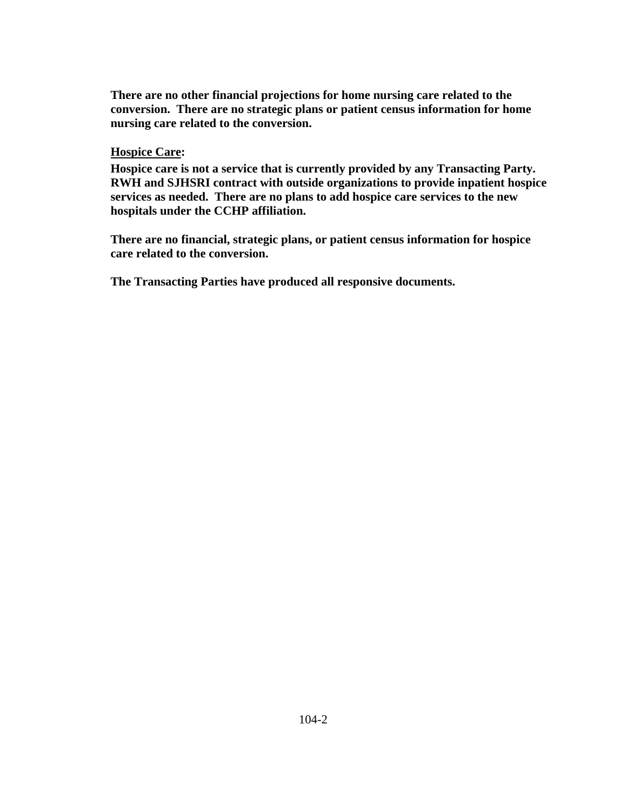**There are no other financial projections for home nursing care related to the conversion. There are no strategic plans or patient census information for home nursing care related to the conversion.** 

#### **Hospice Care:**

**Hospice care is not a service that is currently provided by any Transacting Party. RWH and SJHSRI contract with outside organizations to provide inpatient hospice services as needed. There are no plans to add hospice care services to the new hospitals under the CCHP affiliation.** 

**There are no financial, strategic plans, or patient census information for hospice care related to the conversion.** 

 **The Transacting Parties have produced all responsive documents.**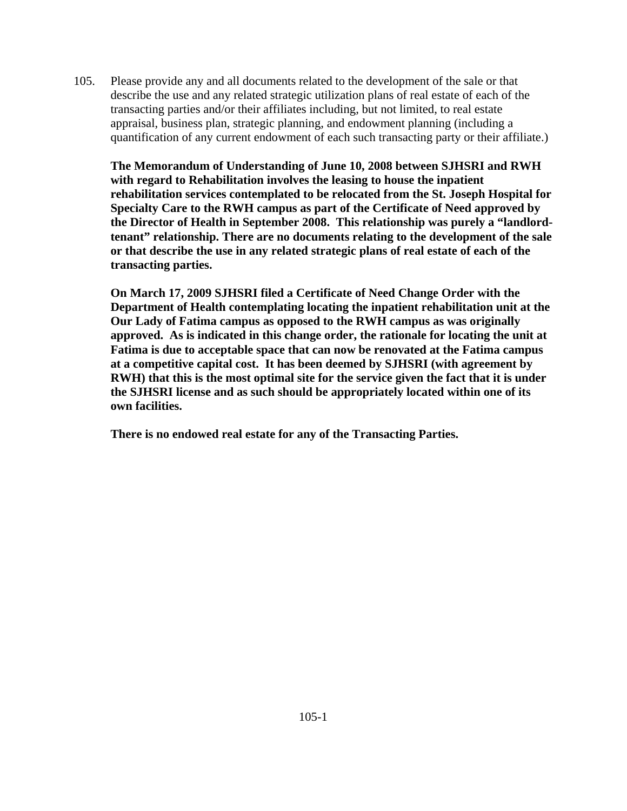105. Please provide any and all documents related to the development of the sale or that describe the use and any related strategic utilization plans of real estate of each of the transacting parties and/or their affiliates including, but not limited, to real estate appraisal, business plan, strategic planning, and endowment planning (including a quantification of any current endowment of each such transacting party or their affiliate.)

**The Memorandum of Understanding of June 10, 2008 between SJHSRI and RWH with regard to Rehabilitation involves the leasing to house the inpatient rehabilitation services contemplated to be relocated from the St. Joseph Hospital for Specialty Care to the RWH campus as part of the Certificate of Need approved by the Director of Health in September 2008. This relationship was purely a "landlordtenant" relationship. There are no documents relating to the development of the sale or that describe the use in any related strategic plans of real estate of each of the transacting parties.** 

**On March 17, 2009 SJHSRI filed a Certificate of Need Change Order with the Department of Health contemplating locating the inpatient rehabilitation unit at the Our Lady of Fatima campus as opposed to the RWH campus as was originally approved. As is indicated in this change order, the rationale for locating the unit at Fatima is due to acceptable space that can now be renovated at the Fatima campus at a competitive capital cost. It has been deemed by SJHSRI (with agreement by RWH) that this is the most optimal site for the service given the fact that it is under the SJHSRI license and as such should be appropriately located within one of its own facilities.** 

**There is no endowed real estate for any of the Transacting Parties.**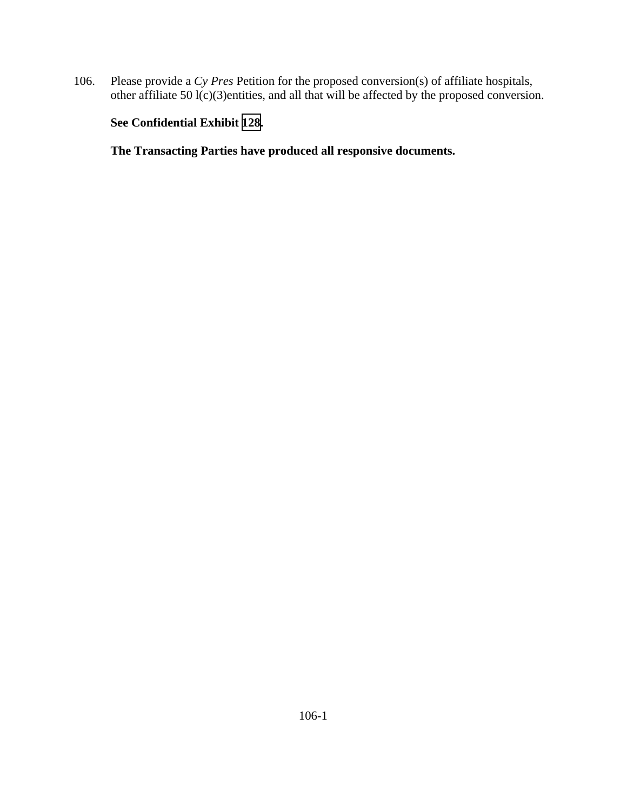106. Please provide a *Cy Pres* Petition for the proposed conversion(s) of affiliate hospitals, other affiliate 50 l(c)(3)entities, and all that will be affected by the proposed conversion.

# **See Confidential Exhibit [128](CFD.pdf).**

 **The Transacting Parties have produced all responsive documents.**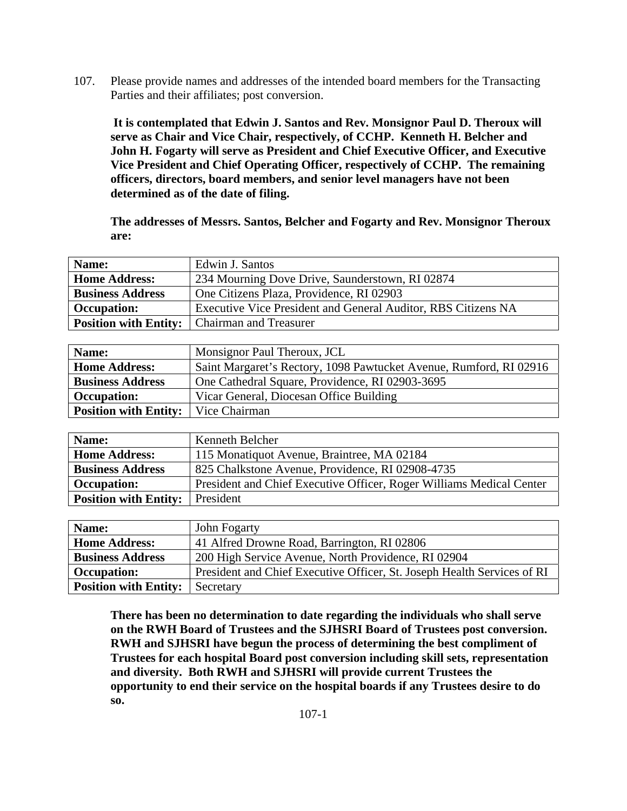107. Please provide names and addresses of the intended board members for the Transacting Parties and their affiliates; post conversion.

 **It is contemplated that Edwin J. Santos and Rev. Monsignor Paul D. Theroux will serve as Chair and Vice Chair, respectively, of CCHP. Kenneth H. Belcher and John H. Fogarty will serve as President and Chief Executive Officer, and Executive Vice President and Chief Operating Officer, respectively of CCHP. The remaining officers, directors, board members, and senior level managers have not been determined as of the date of filing.** 

**The addresses of Messrs. Santos, Belcher and Fogarty and Rev. Monsignor Theroux are:** 

| Name:                   | Edwin J. Santos                                               |  |  |  |  |  |
|-------------------------|---------------------------------------------------------------|--|--|--|--|--|
| <b>Home Address:</b>    | 234 Mourning Dove Drive, Saunderstown, RI 02874               |  |  |  |  |  |
| <b>Business Address</b> | One Citizens Plaza, Providence, RI 02903                      |  |  |  |  |  |
| <b>Occupation:</b>      | Executive Vice President and General Auditor, RBS Citizens NA |  |  |  |  |  |
|                         | <b>Position with Entity:</b>   Chairman and Treasurer         |  |  |  |  |  |

| Name:                                        | Monsignor Paul Theroux, JCL                                        |
|----------------------------------------------|--------------------------------------------------------------------|
| <b>Home Address:</b>                         | Saint Margaret's Rectory, 1098 Pawtucket Avenue, Rumford, RI 02916 |
| <b>Business Address</b>                      | One Cathedral Square, Providence, RI 02903-3695                    |
| <b>Occupation:</b>                           | Vicar General, Diocesan Office Building                            |
| <b>Position with Entity:</b>   Vice Chairman |                                                                    |

| Name:                        | Kenneth Belcher                                                      |  |  |  |  |
|------------------------------|----------------------------------------------------------------------|--|--|--|--|
| <b>Home Address:</b>         | 115 Monatiquot Avenue, Braintree, MA 02184                           |  |  |  |  |
| <b>Business Address</b>      | 825 Chalkstone Avenue, Providence, RI 02908-4735                     |  |  |  |  |
| <b>Occupation:</b>           | President and Chief Executive Officer, Roger Williams Medical Center |  |  |  |  |
| <b>Position with Entity:</b> | President                                                            |  |  |  |  |

| Name:                        | John Fogarty                                                            |
|------------------------------|-------------------------------------------------------------------------|
| <b>Home Address:</b>         | 41 Alfred Drowne Road, Barrington, RI 02806                             |
| <b>Business Address</b>      | 200 High Service Avenue, North Providence, RI 02904                     |
| <b>Occupation:</b>           | President and Chief Executive Officer, St. Joseph Health Services of RI |
| <b>Position with Entity:</b> | Secretary                                                               |

**There has been no determination to date regarding the individuals who shall serve on the RWH Board of Trustees and the SJHSRI Board of Trustees post conversion. RWH and SJHSRI have begun the process of determining the best compliment of Trustees for each hospital Board post conversion including skill sets, representation and diversity. Both RWH and SJHSRI will provide current Trustees the opportunity to end their service on the hospital boards if any Trustees desire to do so.**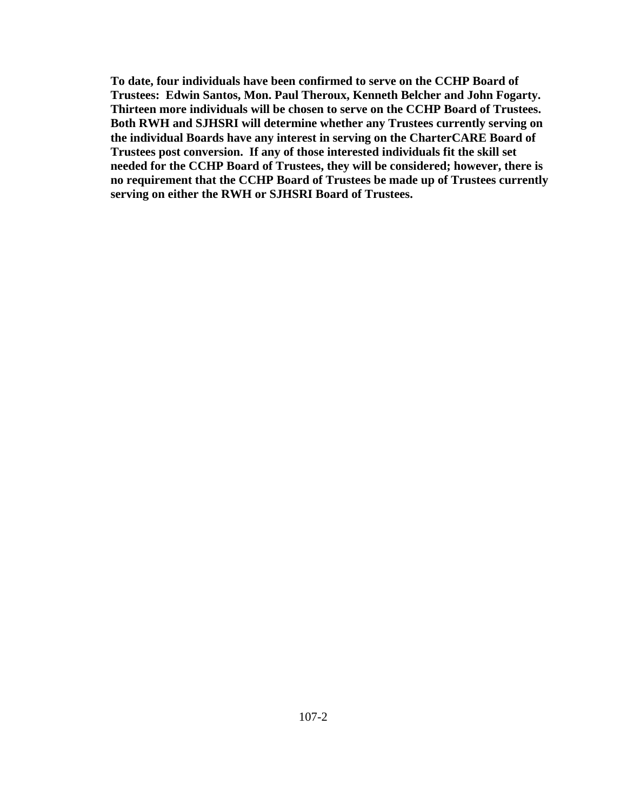**To date, four individuals have been confirmed to serve on the CCHP Board of Trustees: Edwin Santos, Mon. Paul Theroux, Kenneth Belcher and John Fogarty. Thirteen more individuals will be chosen to serve on the CCHP Board of Trustees. Both RWH and SJHSRI will determine whether any Trustees currently serving on the individual Boards have any interest in serving on the CharterCARE Board of Trustees post conversion. If any of those interested individuals fit the skill set needed for the CCHP Board of Trustees, they will be considered; however, there is no requirement that the CCHP Board of Trustees be made up of Trustees currently serving on either the RWH or SJHSRI Board of Trustees.**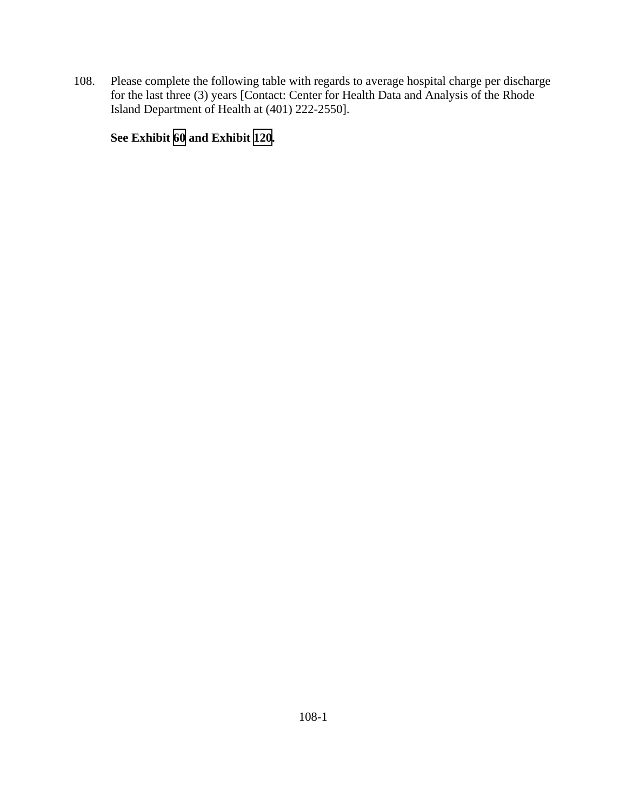108. Please complete the following table with regards to average hospital charge per discharge for the last three (3) years [Contact: Center for Health Data and Analysis of the Rhode Island Department of Health at (401) 222-2550].

**See Exhibit [60](TAB 60.pdf) and Exhibit [120.](TAB 120.pdf)**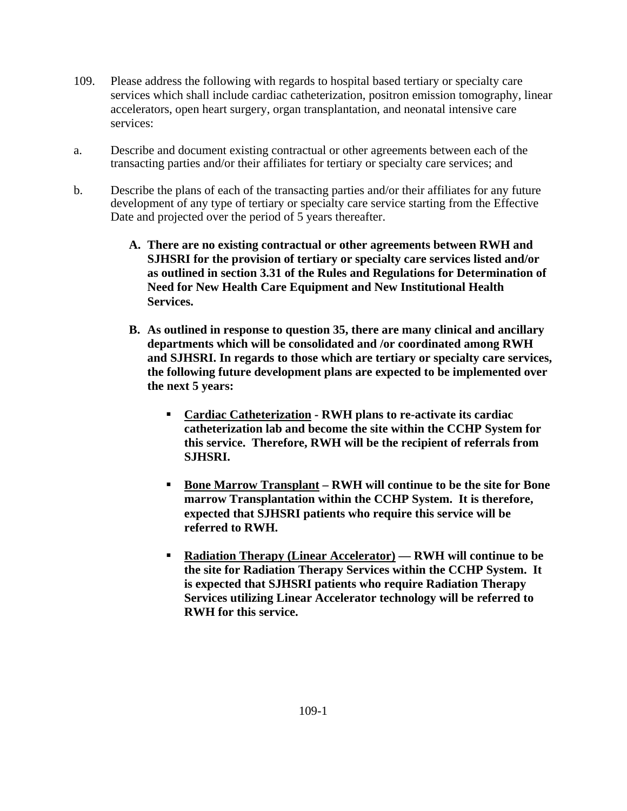- 109. Please address the following with regards to hospital based tertiary or specialty care services which shall include cardiac catheterization, positron emission tomography, linear accelerators, open heart surgery, organ transplantation, and neonatal intensive care services:
- a. Describe and document existing contractual or other agreements between each of the transacting parties and/or their affiliates for tertiary or specialty care services; and
- b. Describe the plans of each of the transacting parties and/or their affiliates for any future development of any type of tertiary or specialty care service starting from the Effective Date and projected over the period of 5 years thereafter.
	- **A. There are no existing contractual or other agreements between RWH and SJHSRI for the provision of tertiary or specialty care services listed and/or as outlined in section 3.31 of the Rules and Regulations for Determination of Need for New Health Care Equipment and New Institutional Health Services.**
	- **B. As outlined in response to question 35, there are many clinical and ancillary departments which will be consolidated and /or coordinated among RWH and SJHSRI. In regards to those which are tertiary or specialty care services, the following future development plans are expected to be implemented over the next 5 years:** 
		- **Cardiac Catheterization RWH plans to re-activate its cardiac catheterization lab and become the site within the CCHP System for this service. Therefore, RWH will be the recipient of referrals from SJHSRI.**
		- **Bone Marrow Transplant RWH will continue to be the site for Bone marrow Transplantation within the CCHP System. It is therefore, expected that SJHSRI patients who require this service will be referred to RWH.**
		- **Radiation Therapy (Linear Accelerator) RWH will continue to be the site for Radiation Therapy Services within the CCHP System. It is expected that SJHSRI patients who require Radiation Therapy Services utilizing Linear Accelerator technology will be referred to RWH for this service.**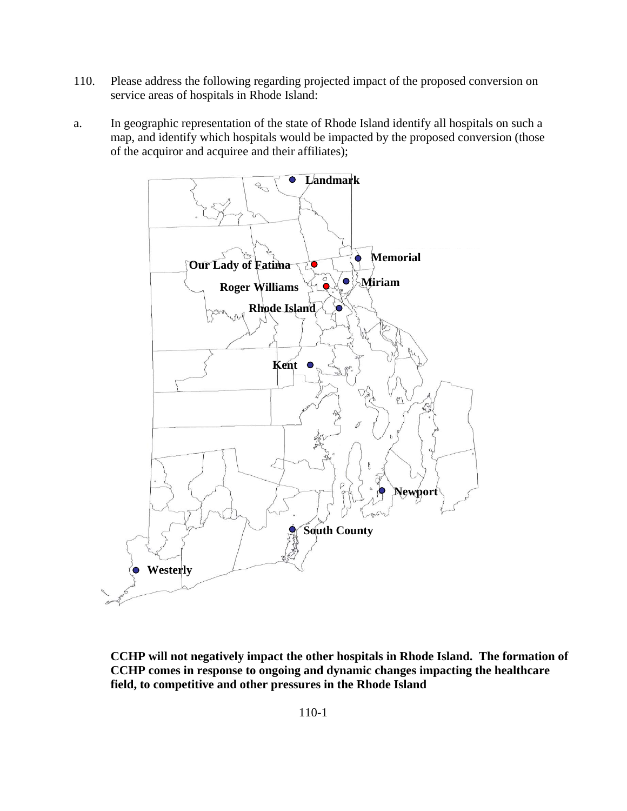- 110. Please address the following regarding projected impact of the proposed conversion on service areas of hospitals in Rhode Island:
- a. In geographic representation of the state of Rhode Island identify all hospitals on such a map, and identify which hospitals would be impacted by the proposed conversion (those of the acquiror and acquiree and their affiliates);



**CCHP will not negatively impact the other hospitals in Rhode Island. The formation of CCHP comes in response to ongoing and dynamic changes impacting the healthcare field, to competitive and other pressures in the Rhode Island**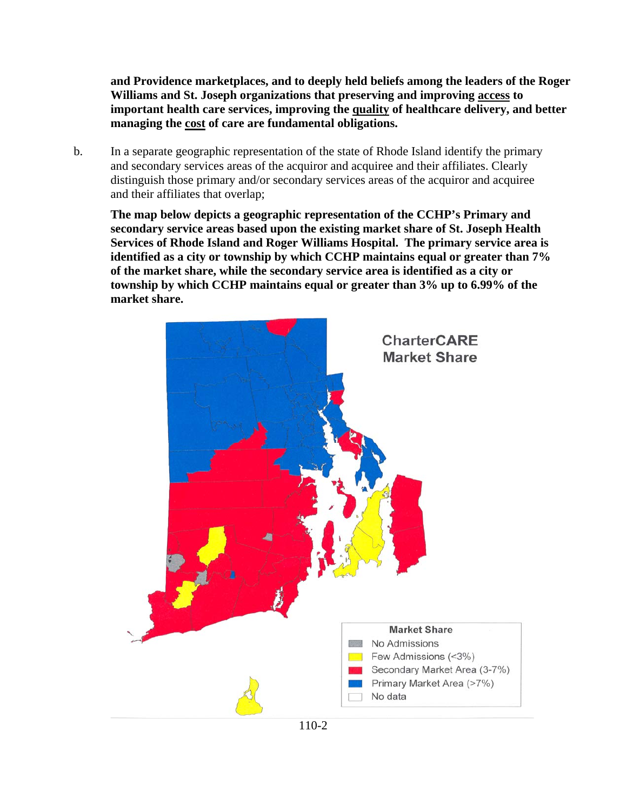**and Providence marketplaces, and to deeply held beliefs among the leaders of the Roger Williams and St. Joseph organizations that preserving and improving access to important health care services, improving the quality of healthcare delivery, and better managing the cost of care are fundamental obligations.** 

b. In a separate geographic representation of the state of Rhode Island identify the primary and secondary services areas of the acquiror and acquiree and their affiliates. Clearly distinguish those primary and/or secondary services areas of the acquiror and acquiree and their affiliates that overlap;

**The map below depicts a geographic representation of the CCHP's Primary and secondary service areas based upon the existing market share of St. Joseph Health Services of Rhode Island and Roger Williams Hospital. The primary service area is identified as a city or township by which CCHP maintains equal or greater than 7% of the market share, while the secondary service area is identified as a city or township by which CCHP maintains equal or greater than 3% up to 6.99% of the market share.** 

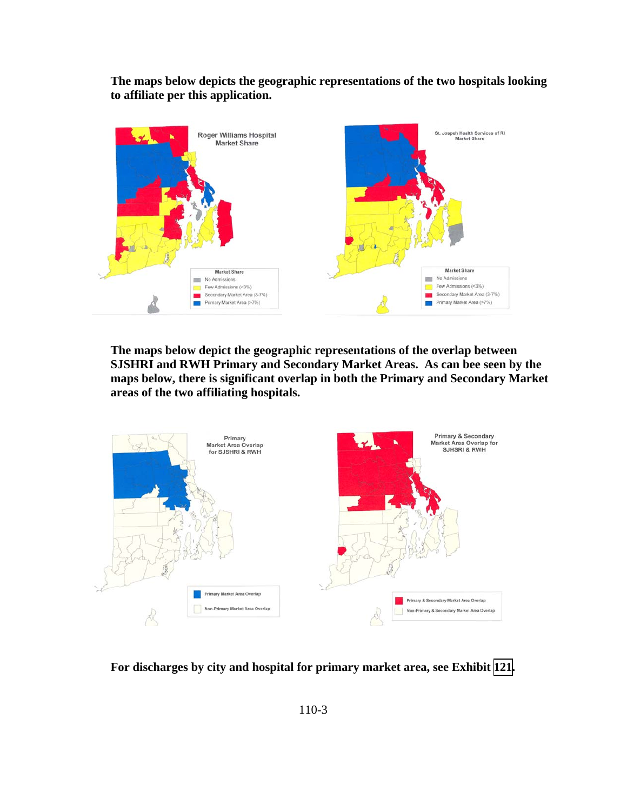**The maps below depicts the geographic representations of the two hospitals looking to affiliate per this application.** 



**The maps below depict the geographic representations of the overlap between SJSHRI and RWH Primary and Secondary Market Areas. As can bee seen by the maps below, there is significant overlap in both the Primary and Secondary Market areas of the two affiliating hospitals.** 



**For discharges by city and hospital for primary market area, see Exhibit [121](TAB 121.pdf).**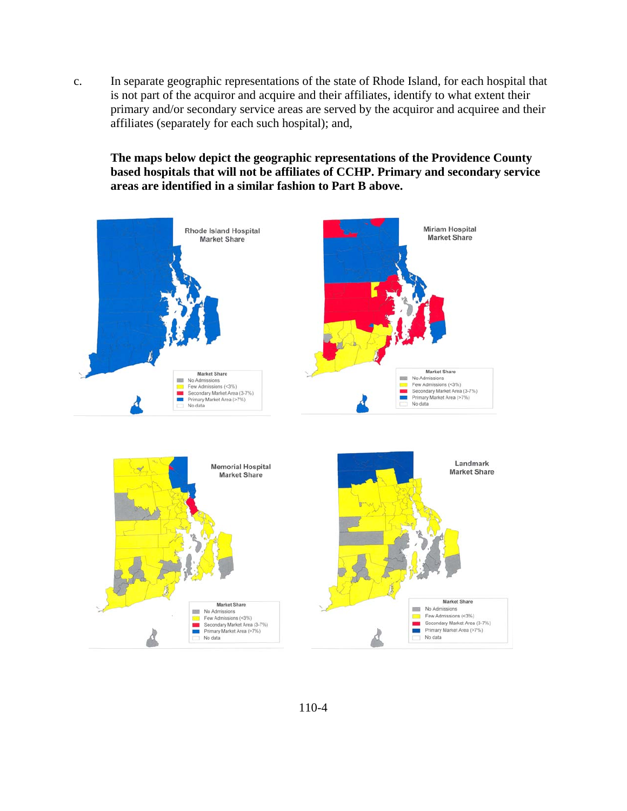c. In separate geographic representations of the state of Rhode Island, for each hospital that is not part of the acquiror and acquire and their affiliates, identify to what extent their primary and/or secondary service areas are served by the acquiror and acquiree and their affiliates (separately for each such hospital); and,

**The maps below depict the geographic representations of the Providence County based hospitals that will not be affiliates of CCHP. Primary and secondary service areas are identified in a similar fashion to Part B above.** 

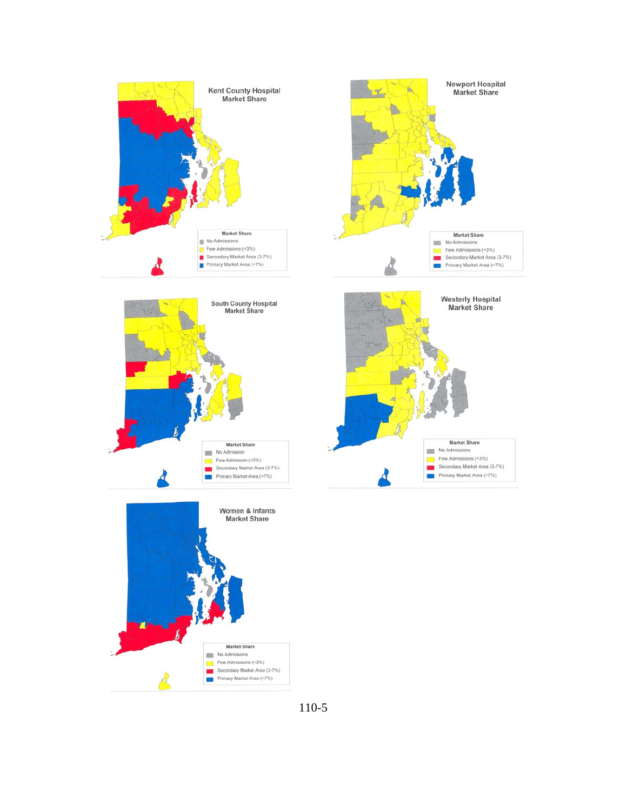



110-5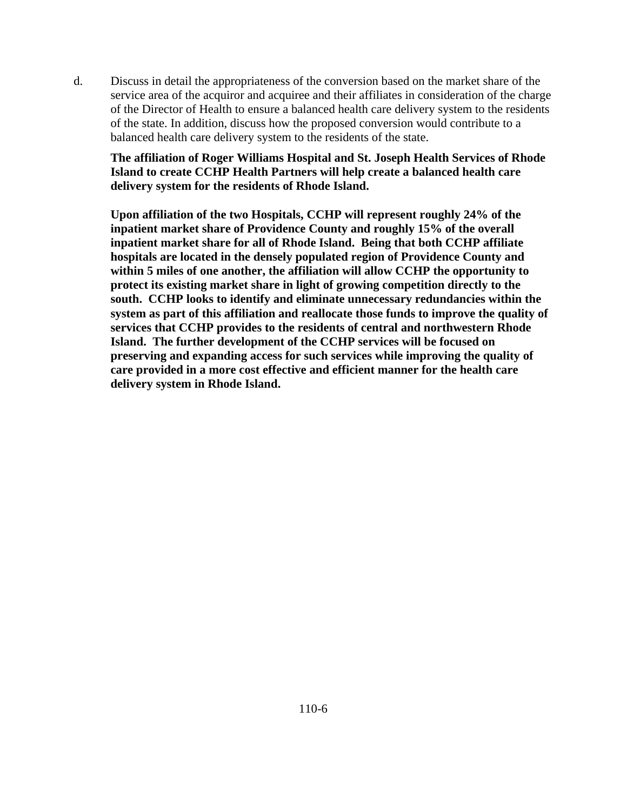d. Discuss in detail the appropriateness of the conversion based on the market share of the service area of the acquiror and acquiree and their affiliates in consideration of the charge of the Director of Health to ensure a balanced health care delivery system to the residents of the state. In addition, discuss how the proposed conversion would contribute to a balanced health care delivery system to the residents of the state.

**The affiliation of Roger Williams Hospital and St. Joseph Health Services of Rhode Island to create CCHP Health Partners will help create a balanced health care delivery system for the residents of Rhode Island.** 

**Upon affiliation of the two Hospitals, CCHP will represent roughly 24% of the inpatient market share of Providence County and roughly 15% of the overall inpatient market share for all of Rhode Island. Being that both CCHP affiliate hospitals are located in the densely populated region of Providence County and within 5 miles of one another, the affiliation will allow CCHP the opportunity to protect its existing market share in light of growing competition directly to the south. CCHP looks to identify and eliminate unnecessary redundancies within the system as part of this affiliation and reallocate those funds to improve the quality of services that CCHP provides to the residents of central and northwestern Rhode Island. The further development of the CCHP services will be focused on preserving and expanding access for such services while improving the quality of care provided in a more cost effective and efficient manner for the health care delivery system in Rhode Island.**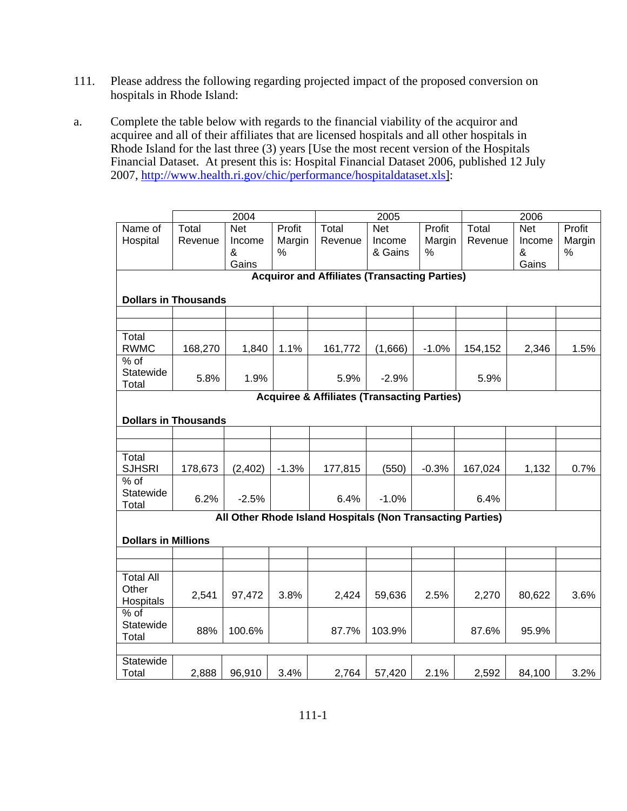- 111. Please address the following regarding projected impact of the proposed conversion on hospitals in Rhode Island:
- a. Complete the table below with regards to the financial viability of the acquiror and acquiree and all of their affiliates that are licensed hospitals and all other hospitals in Rhode Island for the last three (3) years [Use the most recent version of the Hospitals Financial Dataset. At present this is: Hospital Financial Dataset 2006, published 12 July 2007, http://www.health.ri.gov/chic/performance/hospitaldataset.xls]:

|                                                        | 2004                                                 |                           |                       |                                                            | 2005                            |                       |                  | 2006                      |                          |  |  |  |  |
|--------------------------------------------------------|------------------------------------------------------|---------------------------|-----------------------|------------------------------------------------------------|---------------------------------|-----------------------|------------------|---------------------------|--------------------------|--|--|--|--|
| Name of<br>Hospital                                    | Total<br>Revenue                                     | <b>Net</b><br>Income<br>& | Profit<br>Margin<br>% | Total<br>Revenue                                           | <b>Net</b><br>Income<br>& Gains | Profit<br>Margin<br>% | Total<br>Revenue | <b>Net</b><br>Income<br>& | Profit<br>Margin<br>$\%$ |  |  |  |  |
|                                                        |                                                      | Gains                     |                       |                                                            |                                 |                       |                  | Gains                     |                          |  |  |  |  |
|                                                        | <b>Acquiror and Affiliates (Transacting Parties)</b> |                           |                       |                                                            |                                 |                       |                  |                           |                          |  |  |  |  |
|                                                        |                                                      |                           |                       |                                                            |                                 |                       |                  |                           |                          |  |  |  |  |
|                                                        | <b>Dollars in Thousands</b>                          |                           |                       |                                                            |                                 |                       |                  |                           |                          |  |  |  |  |
|                                                        |                                                      |                           |                       |                                                            |                                 |                       |                  |                           |                          |  |  |  |  |
|                                                        |                                                      |                           |                       |                                                            |                                 |                       |                  |                           |                          |  |  |  |  |
| Total                                                  |                                                      |                           |                       |                                                            |                                 |                       |                  |                           |                          |  |  |  |  |
| <b>RWMC</b>                                            | 168,270                                              | 1,840                     | 1.1%                  | 161,772                                                    | (1,666)                         | $-1.0%$               | 154,152          | 2,346                     | 1.5%                     |  |  |  |  |
| % of                                                   |                                                      |                           |                       |                                                            |                                 |                       |                  |                           |                          |  |  |  |  |
| Statewide                                              | 5.8%                                                 | 1.9%                      |                       | 5.9%                                                       | $-2.9%$                         |                       | 5.9%             |                           |                          |  |  |  |  |
| Total                                                  |                                                      |                           |                       |                                                            |                                 |                       |                  |                           |                          |  |  |  |  |
| <b>Acquiree &amp; Affiliates (Transacting Parties)</b> |                                                      |                           |                       |                                                            |                                 |                       |                  |                           |                          |  |  |  |  |
|                                                        | <b>Dollars in Thousands</b>                          |                           |                       |                                                            |                                 |                       |                  |                           |                          |  |  |  |  |
|                                                        |                                                      |                           |                       |                                                            |                                 |                       |                  |                           |                          |  |  |  |  |
|                                                        |                                                      |                           |                       |                                                            |                                 |                       |                  |                           |                          |  |  |  |  |
| Total                                                  |                                                      |                           |                       |                                                            |                                 |                       |                  |                           |                          |  |  |  |  |
| <b>SJHSRI</b>                                          | 178,673                                              | (2, 402)                  | $-1.3%$               | 177,815                                                    | (550)                           | $-0.3%$               | 167,024          | 1,132                     | 0.7%                     |  |  |  |  |
| $%$ of                                                 |                                                      |                           |                       |                                                            |                                 |                       |                  |                           |                          |  |  |  |  |
| Statewide                                              | 6.2%                                                 | $-2.5%$                   |                       | 6.4%                                                       | $-1.0%$                         |                       | 6.4%             |                           |                          |  |  |  |  |
| Total                                                  |                                                      |                           |                       |                                                            |                                 |                       |                  |                           |                          |  |  |  |  |
|                                                        |                                                      |                           |                       | All Other Rhode Island Hospitals (Non Transacting Parties) |                                 |                       |                  |                           |                          |  |  |  |  |
|                                                        |                                                      |                           |                       |                                                            |                                 |                       |                  |                           |                          |  |  |  |  |
| <b>Dollars in Millions</b>                             |                                                      |                           |                       |                                                            |                                 |                       |                  |                           |                          |  |  |  |  |
|                                                        |                                                      |                           |                       |                                                            |                                 |                       |                  |                           |                          |  |  |  |  |
|                                                        |                                                      |                           |                       |                                                            |                                 |                       |                  |                           |                          |  |  |  |  |
| <b>Total All</b>                                       |                                                      |                           |                       |                                                            |                                 |                       |                  |                           |                          |  |  |  |  |
| Other                                                  | 2,541                                                | 97,472                    | 3.8%                  | 2,424                                                      | 59,636                          | 2.5%                  | 2,270            | 80,622                    | 3.6%                     |  |  |  |  |
| Hospitals<br>$%$ of                                    |                                                      |                           |                       |                                                            |                                 |                       |                  |                           |                          |  |  |  |  |
| Statewide                                              |                                                      |                           |                       |                                                            |                                 |                       |                  |                           |                          |  |  |  |  |
| Total                                                  | 88%                                                  | 100.6%                    |                       | 87.7%                                                      | 103.9%                          |                       | 87.6%            | 95.9%                     |                          |  |  |  |  |
|                                                        |                                                      |                           |                       |                                                            |                                 |                       |                  |                           |                          |  |  |  |  |
| Statewide                                              |                                                      |                           |                       |                                                            |                                 |                       |                  |                           |                          |  |  |  |  |
| Total                                                  | 2,888                                                | 96,910                    | 3.4%                  | 2,764                                                      | 57,420                          | 2.1%                  | 2,592            | 84,100                    | 3.2%                     |  |  |  |  |
|                                                        |                                                      |                           |                       |                                                            |                                 |                       |                  |                           |                          |  |  |  |  |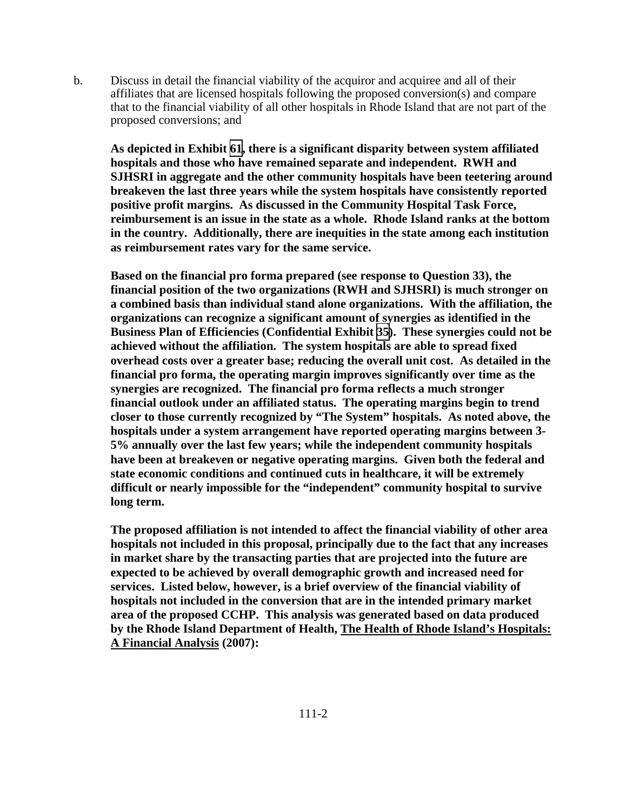b. Discuss in detail the financial viability of the acquiror and acquiree and all of their affiliates that are licensed hospitals following the proposed conversion(s) and compare that to the financial viability of all other hospitals in Rhode Island that are not part of the proposed conversions; and

**As depicted in Exhibit [61,](TAB 61.pdf) there is a significant disparity between system affiliated hospitals and those who have remained separate and independent. RWH and SJHSRI in aggregate and the other community hospitals have been teetering around breakeven the last three years while the system hospitals have consistently reported positive profit margins. As discussed in the Community Hospital Task Force, reimbursement is an issue in the state as a whole. Rhode Island ranks at the bottom in the country. Additionally, there are inequities in the state among each institution as reimbursement rates vary for the same service.** 

**Based on the financial pro forma prepared (see response to Question 33), the financial position of the two organizations (RWH and SJHSRI) is much stronger on a combined basis than individual stand alone organizations. With the affiliation, the organizations can recognize a significant amount of synergies as identified in the Business Plan of Efficiencies (Confidential Exhibit [35](CFD.pdf)). These synergies could not be achieved without the affiliation. The system hospitals are able to spread fixed overhead costs over a greater base; reducing the overall unit cost. As detailed in the financial pro forma, the operating margin improves significantly over time as the synergies are recognized. The financial pro forma reflects a much stronger financial outlook under an affiliated status. The operating margins begin to trend closer to those currently recognized by "The System" hospitals. As noted above, the hospitals under a system arrangement have reported operating margins between 3- 5% annually over the last few years; while the independent community hospitals have been at breakeven or negative operating margins. Given both the federal and state economic conditions and continued cuts in healthcare, it will be extremely difficult or nearly impossible for the "independent" community hospital to survive long term.** 

**The proposed affiliation is not intended to affect the financial viability of other area hospitals not included in this proposal, principally due to the fact that any increases in market share by the transacting parties that are projected into the future are expected to be achieved by overall demographic growth and increased need for services. Listed below, however, is a brief overview of the financial viability of hospitals not included in the conversion that are in the intended primary market area of the proposed CCHP. This analysis was generated based on data produced by the Rhode Island Department of Health, The Health of Rhode Island's Hospitals: A Financial Analysis (2007):**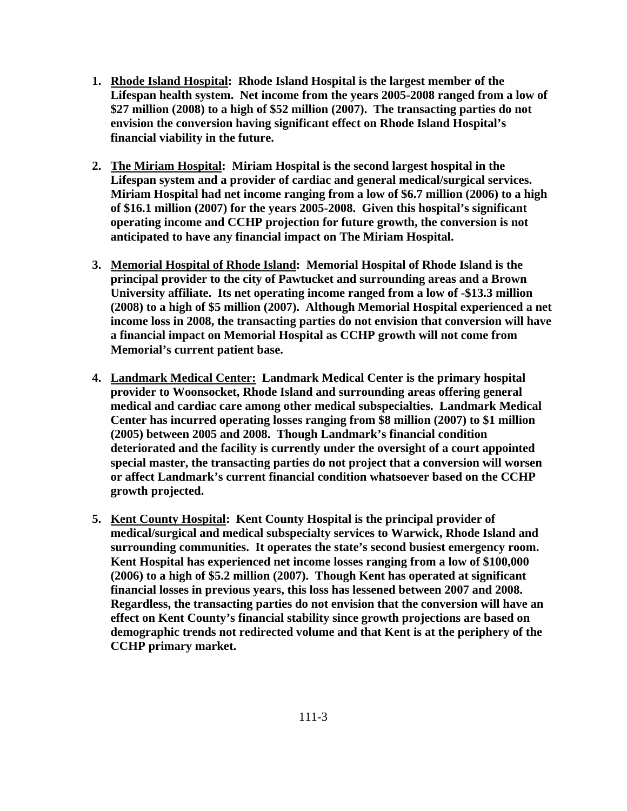- **1. Rhode Island Hospital: Rhode Island Hospital is the largest member of the Lifespan health system. Net income from the years 2005-2008 ranged from a low of \$27 million (2008) to a high of \$52 million (2007). The transacting parties do not envision the conversion having significant effect on Rhode Island Hospital's financial viability in the future.**
- **2. The Miriam Hospital: Miriam Hospital is the second largest hospital in the Lifespan system and a provider of cardiac and general medical/surgical services. Miriam Hospital had net income ranging from a low of \$6.7 million (2006) to a high of \$16.1 million (2007) for the years 2005-2008. Given this hospital's significant operating income and CCHP projection for future growth, the conversion is not anticipated to have any financial impact on The Miriam Hospital.**
- **3. Memorial Hospital of Rhode Island: Memorial Hospital of Rhode Island is the principal provider to the city of Pawtucket and surrounding areas and a Brown University affiliate. Its net operating income ranged from a low of -\$13.3 million (2008) to a high of \$5 million (2007). Although Memorial Hospital experienced a net income loss in 2008, the transacting parties do not envision that conversion will have a financial impact on Memorial Hospital as CCHP growth will not come from Memorial's current patient base.**
- **4. Landmark Medical Center: Landmark Medical Center is the primary hospital provider to Woonsocket, Rhode Island and surrounding areas offering general medical and cardiac care among other medical subspecialties. Landmark Medical Center has incurred operating losses ranging from \$8 million (2007) to \$1 million (2005) between 2005 and 2008. Though Landmark's financial condition deteriorated and the facility is currently under the oversight of a court appointed special master, the transacting parties do not project that a conversion will worsen or affect Landmark's current financial condition whatsoever based on the CCHP growth projected.**
- **5. Kent County Hospital: Kent County Hospital is the principal provider of medical/surgical and medical subspecialty services to Warwick, Rhode Island and surrounding communities. It operates the state's second busiest emergency room. Kent Hospital has experienced net income losses ranging from a low of \$100,000 (2006) to a high of \$5.2 million (2007). Though Kent has operated at significant financial losses in previous years, this loss has lessened between 2007 and 2008. Regardless, the transacting parties do not envision that the conversion will have an effect on Kent County's financial stability since growth projections are based on demographic trends not redirected volume and that Kent is at the periphery of the CCHP primary market.**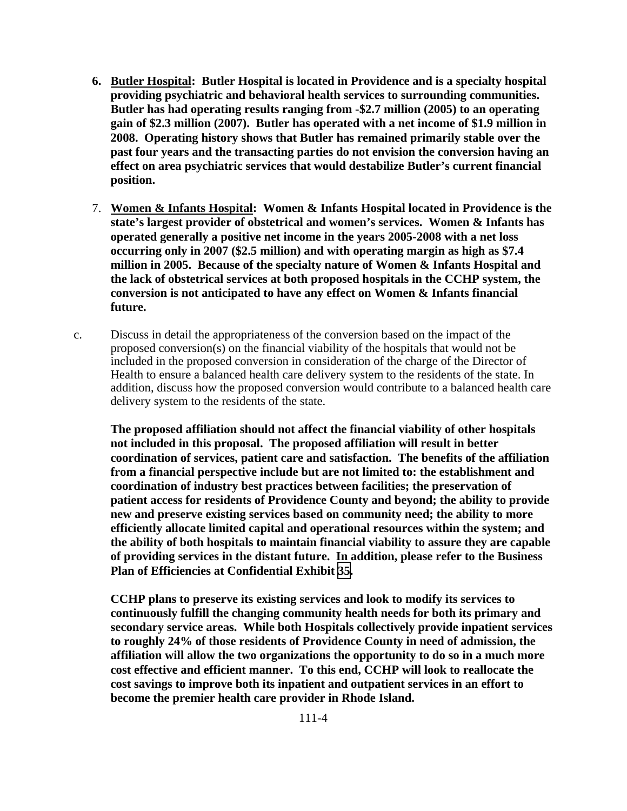- **6. Butler Hospital: Butler Hospital is located in Providence and is a specialty hospital providing psychiatric and behavioral health services to surrounding communities. Butler has had operating results ranging from -\$2.7 million (2005) to an operating gain of \$2.3 million (2007). Butler has operated with a net income of \$1.9 million in 2008. Operating history shows that Butler has remained primarily stable over the past four years and the transacting parties do not envision the conversion having an effect on area psychiatric services that would destabilize Butler's current financial position.**
- 7. **Women & Infants Hospital: Women & Infants Hospital located in Providence is the state's largest provider of obstetrical and women's services. Women & Infants has operated generally a positive net income in the years 2005-2008 with a net loss occurring only in 2007 (\$2.5 million) and with operating margin as high as \$7.4 million in 2005. Because of the specialty nature of Women & Infants Hospital and the lack of obstetrical services at both proposed hospitals in the CCHP system, the conversion is not anticipated to have any effect on Women & Infants financial future.**
- c. Discuss in detail the appropriateness of the conversion based on the impact of the proposed conversion(s) on the financial viability of the hospitals that would not be included in the proposed conversion in consideration of the charge of the Director of Health to ensure a balanced health care delivery system to the residents of the state. In addition, discuss how the proposed conversion would contribute to a balanced health care delivery system to the residents of the state.

**The proposed affiliation should not affect the financial viability of other hospitals not included in this proposal. The proposed affiliation will result in better coordination of services, patient care and satisfaction. The benefits of the affiliation from a financial perspective include but are not limited to: the establishment and coordination of industry best practices between facilities; the preservation of patient access for residents of Providence County and beyond; the ability to provide new and preserve existing services based on community need; the ability to more efficiently allocate limited capital and operational resources within the system; and the ability of both hospitals to maintain financial viability to assure they are capable of providing services in the distant future. In addition, please refer to the Business Plan of Efficiencies at Confidential Exhibit [35](CFD.pdf).** 

**CCHP plans to preserve its existing services and look to modify its services to continuously fulfill the changing community health needs for both its primary and secondary service areas. While both Hospitals collectively provide inpatient services to roughly 24% of those residents of Providence County in need of admission, the affiliation will allow the two organizations the opportunity to do so in a much more cost effective and efficient manner. To this end, CCHP will look to reallocate the cost savings to improve both its inpatient and outpatient services in an effort to become the premier health care provider in Rhode Island.**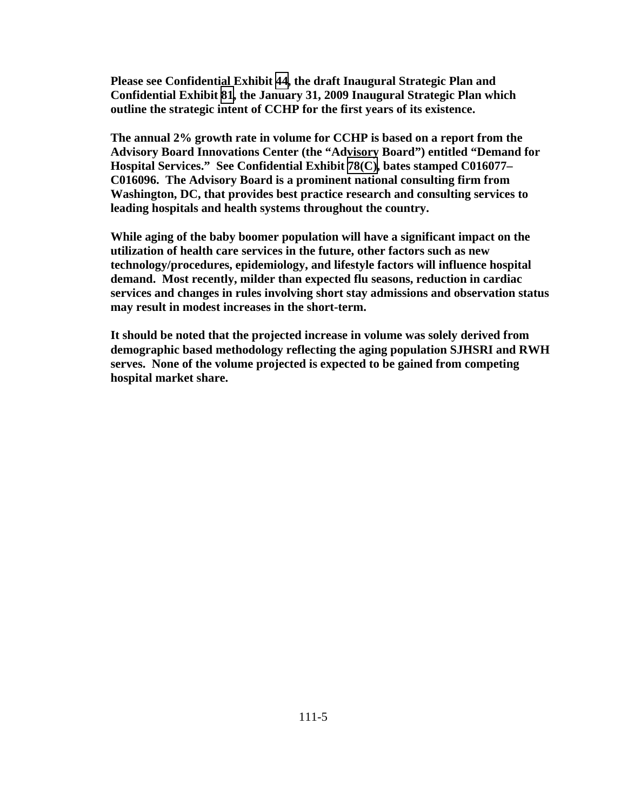**Please see Confidential Exhibit [44](CFD.pdf), the draft Inaugural Strategic Plan and Confidential Exhibit [81](CFD.pdf), the January 31, 2009 Inaugural Strategic Plan which outline the strategic intent of CCHP for the first years of its existence.** 

**The annual 2% growth rate in volume for CCHP is based on a report from the Advisory Board Innovations Center (the "Advisory Board") entitled "Demand for Hospital Services." See Confidential Exhibit [78\(C\)](CFD.pdf), bates stamped C016077– C016096. The Advisory Board is a prominent national consulting firm from Washington, DC, that provides best practice research and consulting services to leading hospitals and health systems throughout the country.** 

**While aging of the baby boomer population will have a significant impact on the utilization of health care services in the future, other factors such as new technology/procedures, epidemiology, and lifestyle factors will influence hospital demand. Most recently, milder than expected flu seasons, reduction in cardiac services and changes in rules involving short stay admissions and observation status may result in modest increases in the short-term.** 

**It should be noted that the projected increase in volume was solely derived from demographic based methodology reflecting the aging population SJHSRI and RWH serves. None of the volume projected is expected to be gained from competing hospital market share.**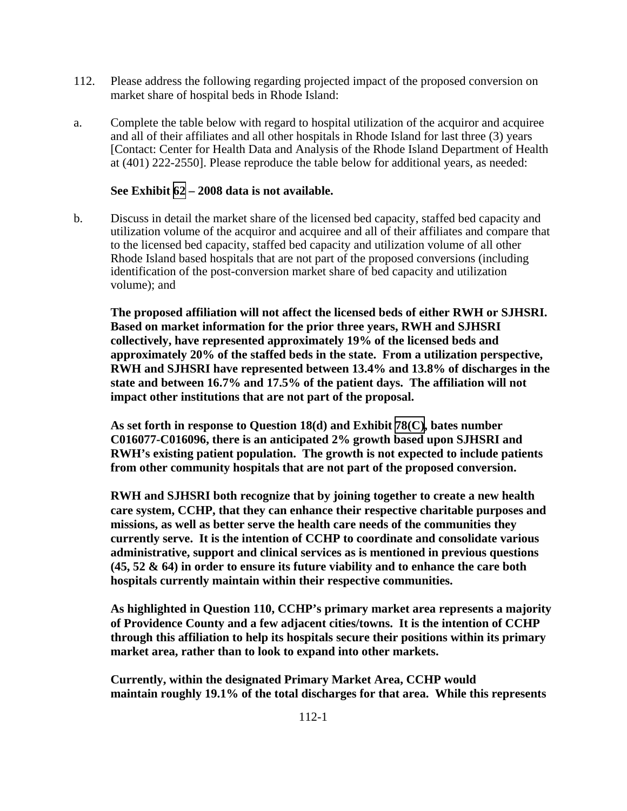- 112. Please address the following regarding projected impact of the proposed conversion on market share of hospital beds in Rhode Island:
- a. Complete the table below with regard to hospital utilization of the acquiror and acquiree and all of their affiliates and all other hospitals in Rhode Island for last three (3) years [Contact: Center for Health Data and Analysis of the Rhode Island Department of Health at (401) 222-2550]. Please reproduce the table below for additional years, as needed:

#### **See Exhibit [62](TAB 62.pdf) – 2008 data is not available.**

b. Discuss in detail the market share of the licensed bed capacity, staffed bed capacity and utilization volume of the acquiror and acquiree and all of their affiliates and compare that to the licensed bed capacity, staffed bed capacity and utilization volume of all other Rhode Island based hospitals that are not part of the proposed conversions (including identification of the post-conversion market share of bed capacity and utilization volume); and

**The proposed affiliation will not affect the licensed beds of either RWH or SJHSRI. Based on market information for the prior three years, RWH and SJHSRI collectively, have represented approximately 19% of the licensed beds and approximately 20% of the staffed beds in the state. From a utilization perspective, RWH and SJHSRI have represented between 13.4% and 13.8% of discharges in the state and between 16.7% and 17.5% of the patient days. The affiliation will not impact other institutions that are not part of the proposal.** 

**As set forth in response to Question 18(d) and Exhibit [78\(C\),](TAB 78C.pdf) bates number C016077-C016096, there is an anticipated 2% growth based upon SJHSRI and RWH's existing patient population. The growth is not expected to include patients from other community hospitals that are not part of the proposed conversion.** 

**RWH and SJHSRI both recognize that by joining together to create a new health care system, CCHP, that they can enhance their respective charitable purposes and missions, as well as better serve the health care needs of the communities they currently serve. It is the intention of CCHP to coordinate and consolidate various administrative, support and clinical services as is mentioned in previous questions (45, 52 & 64) in order to ensure its future viability and to enhance the care both hospitals currently maintain within their respective communities.** 

**As highlighted in Question 110, CCHP's primary market area represents a majority of Providence County and a few adjacent cities/towns. It is the intention of CCHP through this affiliation to help its hospitals secure their positions within its primary market area, rather than to look to expand into other markets.** 

**Currently, within the designated Primary Market Area, CCHP would maintain roughly 19.1% of the total discharges for that area. While this represents**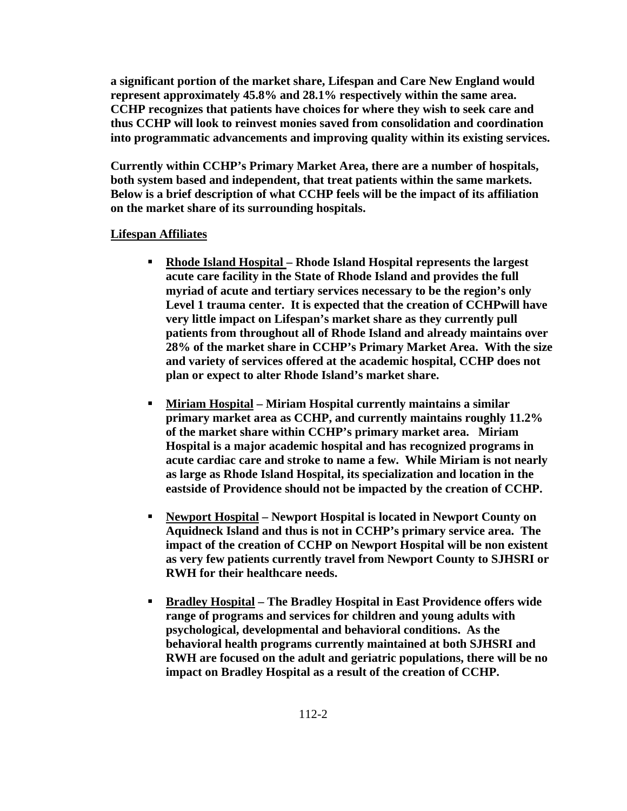**a significant portion of the market share, Lifespan and Care New England would represent approximately 45.8% and 28.1% respectively within the same area. CCHP recognizes that patients have choices for where they wish to seek care and thus CCHP will look to reinvest monies saved from consolidation and coordination into programmatic advancements and improving quality within its existing services.** 

**Currently within CCHP's Primary Market Area, there are a number of hospitals, both system based and independent, that treat patients within the same markets. Below is a brief description of what CCHP feels will be the impact of its affiliation on the market share of its surrounding hospitals.** 

## **Lifespan Affiliates**

- **Rhode Island Hospital Rhode Island Hospital represents the largest acute care facility in the State of Rhode Island and provides the full myriad of acute and tertiary services necessary to be the region's only Level 1 trauma center. It is expected that the creation of CCHPwill have very little impact on Lifespan's market share as they currently pull patients from throughout all of Rhode Island and already maintains over 28% of the market share in CCHP's Primary Market Area. With the size and variety of services offered at the academic hospital, CCHP does not plan or expect to alter Rhode Island's market share.**
- **Miriam Hospital Miriam Hospital currently maintains a similar primary market area as CCHP, and currently maintains roughly 11.2% of the market share within CCHP's primary market area. Miriam Hospital is a major academic hospital and has recognized programs in acute cardiac care and stroke to name a few. While Miriam is not nearly as large as Rhode Island Hospital, its specialization and location in the eastside of Providence should not be impacted by the creation of CCHP.**
- **Newport Hospital Newport Hospital is located in Newport County on Aquidneck Island and thus is not in CCHP's primary service area. The impact of the creation of CCHP on Newport Hospital will be non existent as very few patients currently travel from Newport County to SJHSRI or RWH for their healthcare needs.**
- **Bradley Hospital The Bradley Hospital in East Providence offers wide range of programs and services for children and young adults with psychological, developmental and behavioral conditions. As the behavioral health programs currently maintained at both SJHSRI and RWH are focused on the adult and geriatric populations, there will be no impact on Bradley Hospital as a result of the creation of CCHP.**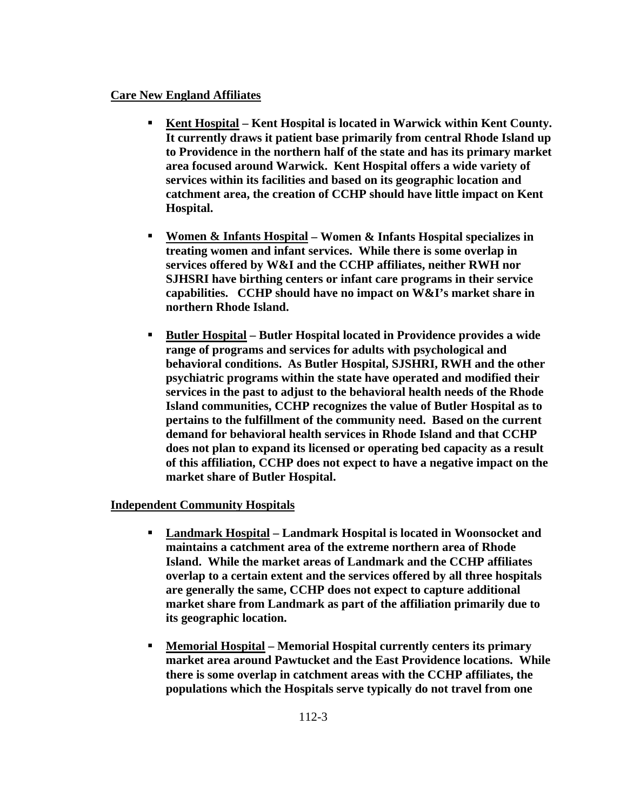#### **Care New England Affiliates**

- **Kent Hospital Kent Hospital is located in Warwick within Kent County. It currently draws it patient base primarily from central Rhode Island up to Providence in the northern half of the state and has its primary market area focused around Warwick. Kent Hospital offers a wide variety of services within its facilities and based on its geographic location and catchment area, the creation of CCHP should have little impact on Kent Hospital.**
- **Women & Infants Hospital Women & Infants Hospital specializes in treating women and infant services. While there is some overlap in services offered by W&I and the CCHP affiliates, neither RWH nor SJHSRI have birthing centers or infant care programs in their service capabilities. CCHP should have no impact on W&I's market share in northern Rhode Island.**
- **Butler Hospital Butler Hospital located in Providence provides a wide range of programs and services for adults with psychological and behavioral conditions. As Butler Hospital, SJSHRI, RWH and the other psychiatric programs within the state have operated and modified their services in the past to adjust to the behavioral health needs of the Rhode Island communities, CCHP recognizes the value of Butler Hospital as to pertains to the fulfillment of the community need. Based on the current demand for behavioral health services in Rhode Island and that CCHP does not plan to expand its licensed or operating bed capacity as a result of this affiliation, CCHP does not expect to have a negative impact on the market share of Butler Hospital.**

## **Independent Community Hospitals**

- **Landmark Hospital Landmark Hospital is located in Woonsocket and maintains a catchment area of the extreme northern area of Rhode Island. While the market areas of Landmark and the CCHP affiliates overlap to a certain extent and the services offered by all three hospitals are generally the same, CCHP does not expect to capture additional market share from Landmark as part of the affiliation primarily due to its geographic location.**
- **Memorial Hospital Memorial Hospital currently centers its primary market area around Pawtucket and the East Providence locations. While there is some overlap in catchment areas with the CCHP affiliates, the populations which the Hospitals serve typically do not travel from one**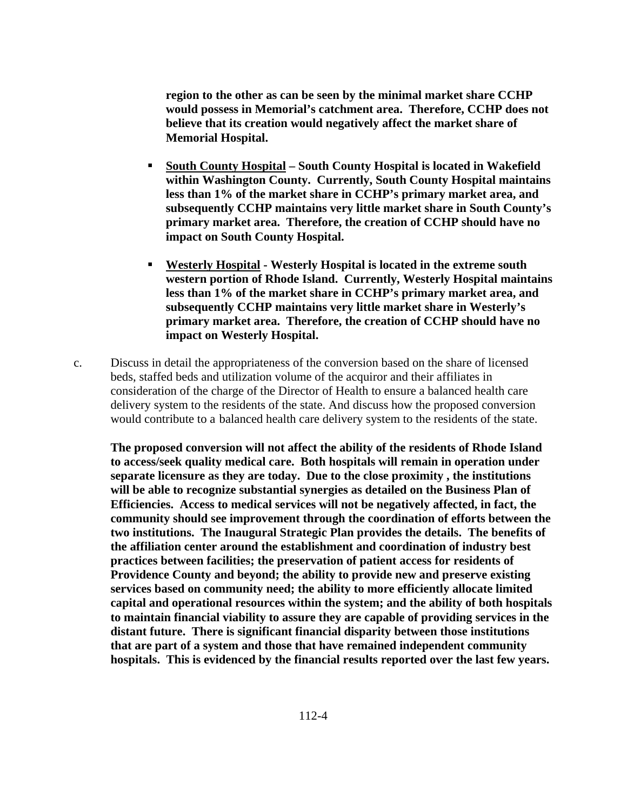**region to the other as can be seen by the minimal market share CCHP would possess in Memorial's catchment area. Therefore, CCHP does not believe that its creation would negatively affect the market share of Memorial Hospital.** 

- **South County Hospital South County Hospital is located in Wakefield within Washington County. Currently, South County Hospital maintains less than 1% of the market share in CCHP's primary market area, and subsequently CCHP maintains very little market share in South County's primary market area. Therefore, the creation of CCHP should have no impact on South County Hospital.**
- **Westerly Hospital Westerly Hospital is located in the extreme south western portion of Rhode Island. Currently, Westerly Hospital maintains less than 1% of the market share in CCHP's primary market area, and subsequently CCHP maintains very little market share in Westerly's primary market area. Therefore, the creation of CCHP should have no impact on Westerly Hospital.**
- c. Discuss in detail the appropriateness of the conversion based on the share of licensed beds, staffed beds and utilization volume of the acquiror and their affiliates in consideration of the charge of the Director of Health to ensure a balanced health care delivery system to the residents of the state. And discuss how the proposed conversion would contribute to a balanced health care delivery system to the residents of the state.

**The proposed conversion will not affect the ability of the residents of Rhode Island to access/seek quality medical care. Both hospitals will remain in operation under separate licensure as they are today. Due to the close proximity , the institutions will be able to recognize substantial synergies as detailed on the Business Plan of Efficiencies. Access to medical services will not be negatively affected, in fact, the community should see improvement through the coordination of efforts between the two institutions. The Inaugural Strategic Plan provides the details. The benefits of the affiliation center around the establishment and coordination of industry best practices between facilities; the preservation of patient access for residents of Providence County and beyond; the ability to provide new and preserve existing services based on community need; the ability to more efficiently allocate limited capital and operational resources within the system; and the ability of both hospitals to maintain financial viability to assure they are capable of providing services in the distant future. There is significant financial disparity between those institutions that are part of a system and those that have remained independent community hospitals. This is evidenced by the financial results reported over the last few years.**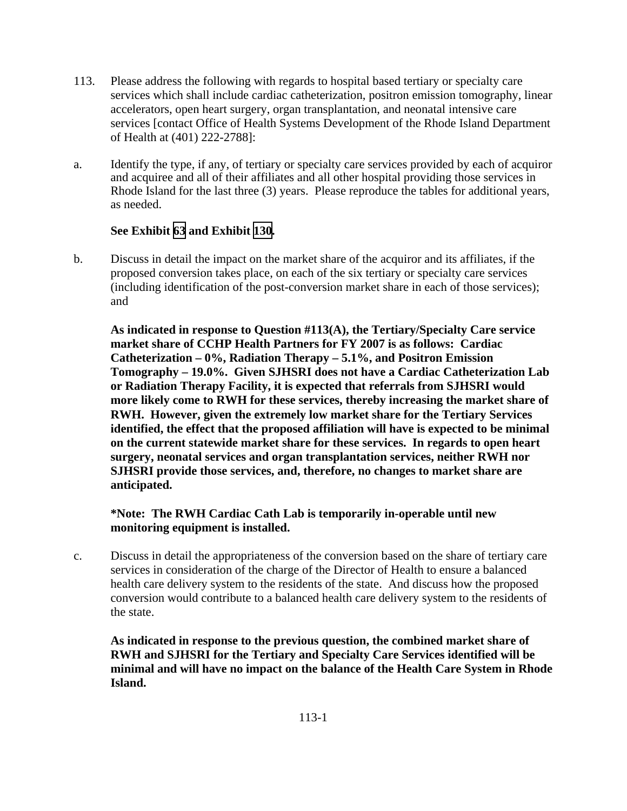- 113. Please address the following with regards to hospital based tertiary or specialty care services which shall include cardiac catheterization, positron emission tomography, linear accelerators, open heart surgery, organ transplantation, and neonatal intensive care services [contact Office of Health Systems Development of the Rhode Island Department of Health at (401) 222-2788]:
- a. Identify the type, if any, of tertiary or specialty care services provided by each of acquiror and acquiree and all of their affiliates and all other hospital providing those services in Rhode Island for the last three (3) years. Please reproduce the tables for additional years, as needed.

## **See Exhibit [63](TAB 63.pdf) and Exhibit [130.](TAB 130.pdf)**

b. Discuss in detail the impact on the market share of the acquiror and its affiliates, if the proposed conversion takes place, on each of the six tertiary or specialty care services (including identification of the post-conversion market share in each of those services); and

 **As indicated in response to Question #113(A), the Tertiary/Specialty Care service market share of CCHP Health Partners for FY 2007 is as follows: Cardiac Catheterization – 0%, Radiation Therapy – 5.1%, and Positron Emission Tomography – 19.0%. Given SJHSRI does not have a Cardiac Catheterization Lab or Radiation Therapy Facility, it is expected that referrals from SJHSRI would more likely come to RWH for these services, thereby increasing the market share of RWH. However, given the extremely low market share for the Tertiary Services identified, the effect that the proposed affiliation will have is expected to be minimal on the current statewide market share for these services. In regards to open heart surgery, neonatal services and organ transplantation services, neither RWH nor SJHSRI provide those services, and, therefore, no changes to market share are anticipated.** 

## **\*Note: The RWH Cardiac Cath Lab is temporarily in-operable until new monitoring equipment is installed.**

c. Discuss in detail the appropriateness of the conversion based on the share of tertiary care services in consideration of the charge of the Director of Health to ensure a balanced health care delivery system to the residents of the state. And discuss how the proposed conversion would contribute to a balanced health care delivery system to the residents of the state.

**As indicated in response to the previous question, the combined market share of RWH and SJHSRI for the Tertiary and Specialty Care Services identified will be minimal and will have no impact on the balance of the Health Care System in Rhode Island.**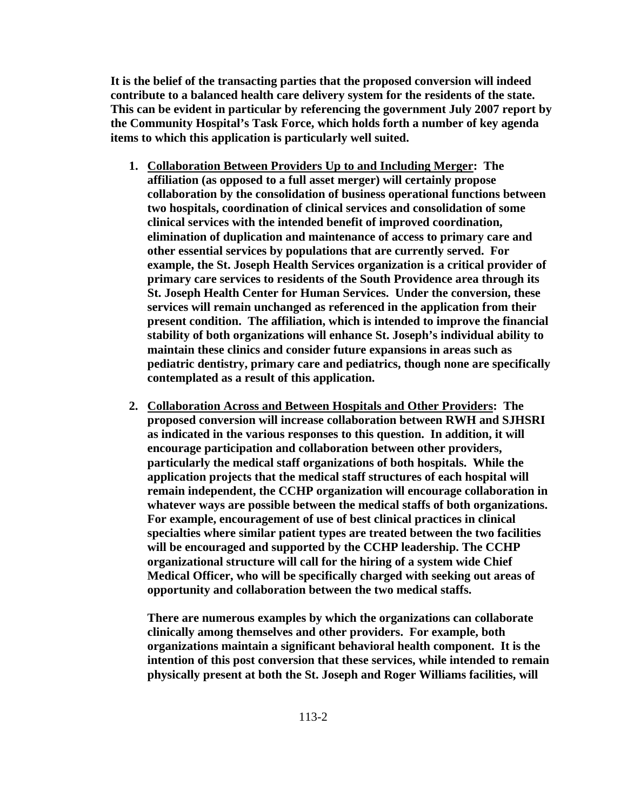**It is the belief of the transacting parties that the proposed conversion will indeed contribute to a balanced health care delivery system for the residents of the state. This can be evident in particular by referencing the government July 2007 report by the Community Hospital's Task Force, which holds forth a number of key agenda items to which this application is particularly well suited.** 

- **1. Collaboration Between Providers Up to and Including Merger: The affiliation (as opposed to a full asset merger) will certainly propose collaboration by the consolidation of business operational functions between two hospitals, coordination of clinical services and consolidation of some clinical services with the intended benefit of improved coordination, elimination of duplication and maintenance of access to primary care and other essential services by populations that are currently served. For example, the St. Joseph Health Services organization is a critical provider of primary care services to residents of the South Providence area through its St. Joseph Health Center for Human Services. Under the conversion, these services will remain unchanged as referenced in the application from their present condition. The affiliation, which is intended to improve the financial stability of both organizations will enhance St. Joseph's individual ability to maintain these clinics and consider future expansions in areas such as pediatric dentistry, primary care and pediatrics, though none are specifically contemplated as a result of this application.**
- **2. Collaboration Across and Between Hospitals and Other Providers: The proposed conversion will increase collaboration between RWH and SJHSRI as indicated in the various responses to this question. In addition, it will encourage participation and collaboration between other providers, particularly the medical staff organizations of both hospitals. While the application projects that the medical staff structures of each hospital will remain independent, the CCHP organization will encourage collaboration in whatever ways are possible between the medical staffs of both organizations. For example, encouragement of use of best clinical practices in clinical specialties where similar patient types are treated between the two facilities will be encouraged and supported by the CCHP leadership. The CCHP organizational structure will call for the hiring of a system wide Chief Medical Officer, who will be specifically charged with seeking out areas of opportunity and collaboration between the two medical staffs.**

**There are numerous examples by which the organizations can collaborate clinically among themselves and other providers. For example, both organizations maintain a significant behavioral health component. It is the intention of this post conversion that these services, while intended to remain physically present at both the St. Joseph and Roger Williams facilities, will**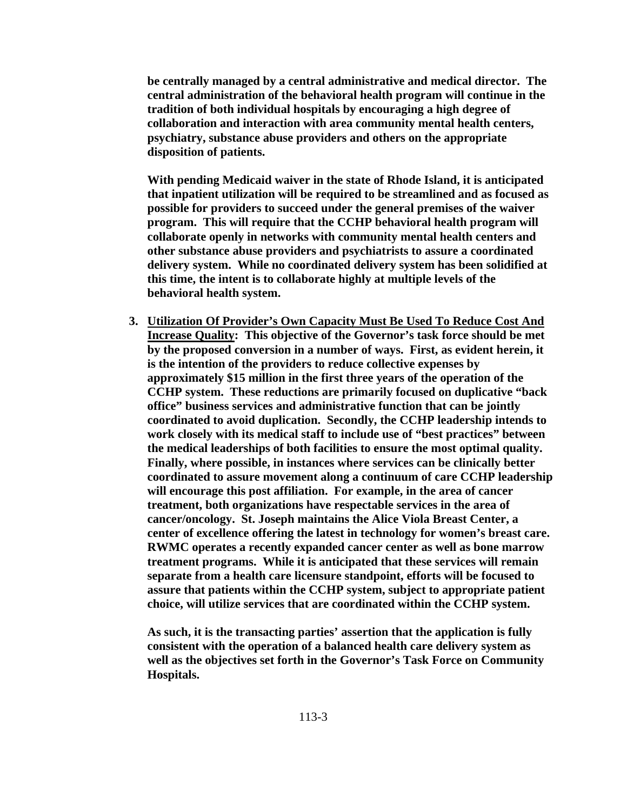**be centrally managed by a central administrative and medical director. The central administration of the behavioral health program will continue in the tradition of both individual hospitals by encouraging a high degree of collaboration and interaction with area community mental health centers, psychiatry, substance abuse providers and others on the appropriate disposition of patients.** 

**With pending Medicaid waiver in the state of Rhode Island, it is anticipated that inpatient utilization will be required to be streamlined and as focused as possible for providers to succeed under the general premises of the waiver program. This will require that the CCHP behavioral health program will collaborate openly in networks with community mental health centers and other substance abuse providers and psychiatrists to assure a coordinated delivery system. While no coordinated delivery system has been solidified at this time, the intent is to collaborate highly at multiple levels of the behavioral health system.** 

**3. Utilization Of Provider's Own Capacity Must Be Used To Reduce Cost And Increase Quality: This objective of the Governor's task force should be met by the proposed conversion in a number of ways. First, as evident herein, it is the intention of the providers to reduce collective expenses by approximately \$15 million in the first three years of the operation of the CCHP system. These reductions are primarily focused on duplicative "back office" business services and administrative function that can be jointly coordinated to avoid duplication. Secondly, the CCHP leadership intends to work closely with its medical staff to include use of "best practices" between the medical leaderships of both facilities to ensure the most optimal quality. Finally, where possible, in instances where services can be clinically better coordinated to assure movement along a continuum of care CCHP leadership will encourage this post affiliation. For example, in the area of cancer treatment, both organizations have respectable services in the area of cancer/oncology. St. Joseph maintains the Alice Viola Breast Center, a center of excellence offering the latest in technology for women's breast care. RWMC operates a recently expanded cancer center as well as bone marrow treatment programs. While it is anticipated that these services will remain separate from a health care licensure standpoint, efforts will be focused to assure that patients within the CCHP system, subject to appropriate patient choice, will utilize services that are coordinated within the CCHP system.** 

**As such, it is the transacting parties' assertion that the application is fully consistent with the operation of a balanced health care delivery system as well as the objectives set forth in the Governor's Task Force on Community Hospitals.**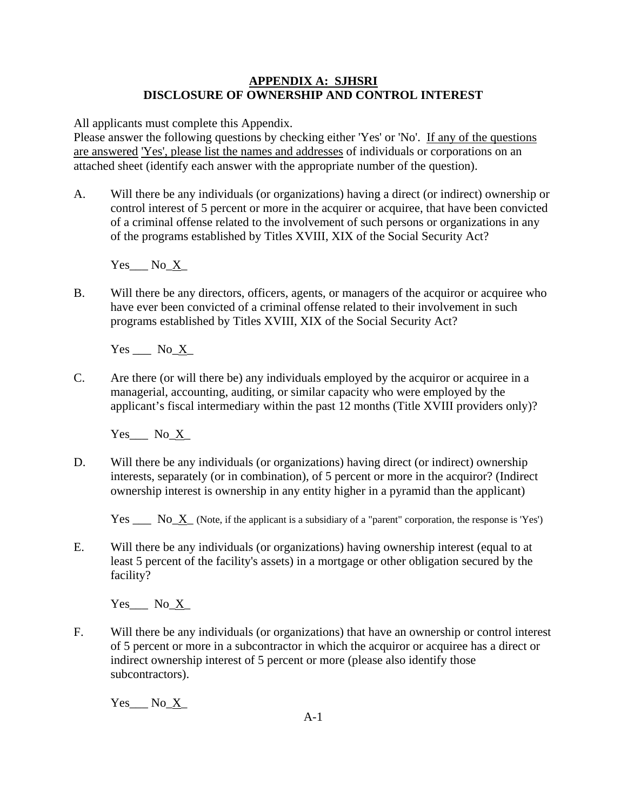## **APPENDIX A: SJHSRI DISCLOSURE OF OWNERSHIP AND CONTROL INTEREST**

All applicants must complete this Appendix.

Please answer the following questions by checking either 'Yes' or 'No'. If any of the questions are answered 'Yes', please list the names and addresses of individuals or corporations on an attached sheet (identify each answer with the appropriate number of the question).

A. Will there be any individuals (or organizations) having a direct (or indirect) ownership or control interest of 5 percent or more in the acquirer or acquiree, that have been convicted of a criminal offense related to the involvement of such persons or organizations in any of the programs established by Titles XVIII, XIX of the Social Security Act?

Yes No X

B. Will there be any directors, officers, agents, or managers of the acquiror or acquiree who have ever been convicted of a criminal offense related to their involvement in such programs established by Titles XVIII, XIX of the Social Security Act?

 $Yes$   $No_X$ 

C. Are there (or will there be) any individuals employed by the acquiror or acquiree in a managerial, accounting, auditing, or similar capacity who were employed by the applicant's fiscal intermediary within the past 12 months (Title XVIII providers only)?

 $Yes$  No\_X\_

D. Will there be any individuals (or organizations) having direct (or indirect) ownership interests, separately (or in combination), of 5 percent or more in the acquiror? (Indirect ownership interest is ownership in any entity higher in a pyramid than the applicant)

Yes  $\frac{N_0 - N_1}{N_0 - N_1}$  (Note, if the applicant is a subsidiary of a "parent" corporation, the response is 'Yes')

E. Will there be any individuals (or organizations) having ownership interest (equal to at least 5 percent of the facility's assets) in a mortgage or other obligation secured by the facility?

Yes No X

F. Will there be any individuals (or organizations) that have an ownership or control interest of 5 percent or more in a subcontractor in which the acquiror or acquiree has a direct or indirect ownership interest of 5 percent or more (please also identify those subcontractors).

 $Yes$  No\_X\_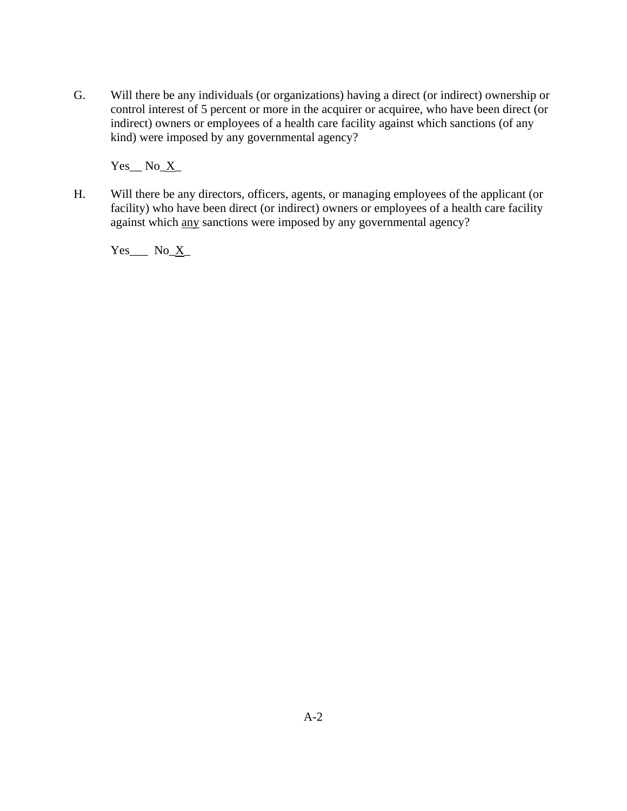G. Will there be any individuals (or organizations) having a direct (or indirect) ownership or control interest of 5 percent or more in the acquirer or acquiree, who have been direct (or indirect) owners or employees of a health care facility against which sanctions (of any kind) were imposed by any governmental agency?

 $Yes$ <sub>\_</sub>  $No$ <sub>\_</sub> $X$ <sub>\_</sub>

H. Will there be any directors, officers, agents, or managing employees of the applicant (or facility) who have been direct (or indirect) owners or employees of a health care facility against which any sanctions were imposed by any governmental agency?

 $Yes$  No  $X$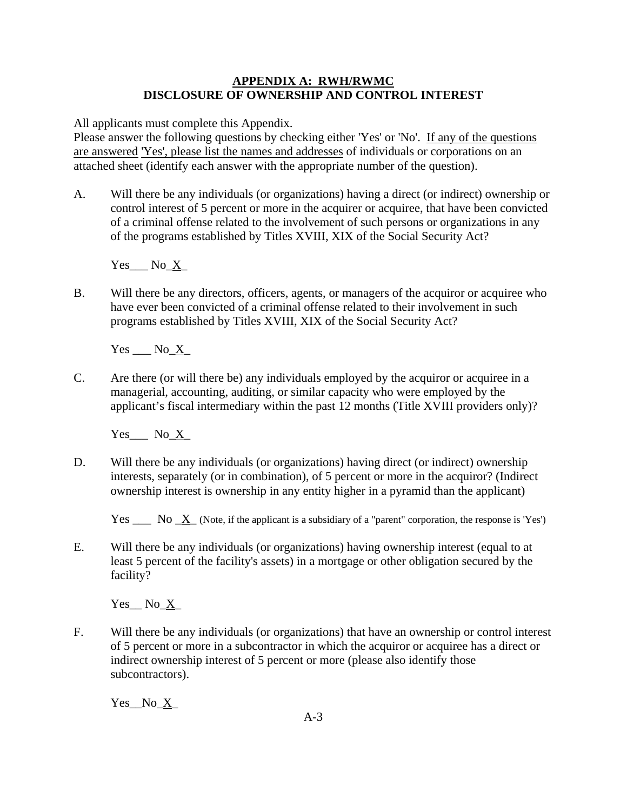## **APPENDIX A: RWH/RWMC DISCLOSURE OF OWNERSHIP AND CONTROL INTEREST**

All applicants must complete this Appendix.

Please answer the following questions by checking either 'Yes' or 'No'. If any of the questions are answered 'Yes', please list the names and addresses of individuals or corporations on an attached sheet (identify each answer with the appropriate number of the question).

A. Will there be any individuals (or organizations) having a direct (or indirect) ownership or control interest of 5 percent or more in the acquirer or acquiree, that have been convicted of a criminal offense related to the involvement of such persons or organizations in any of the programs established by Titles XVIII, XIX of the Social Security Act?

Yes No X

B. Will there be any directors, officers, agents, or managers of the acquiror or acquiree who have ever been convicted of a criminal offense related to their involvement in such programs established by Titles XVIII, XIX of the Social Security Act?

 $Yes$   $No$   $X_$ 

C. Are there (or will there be) any individuals employed by the acquiror or acquiree in a managerial, accounting, auditing, or similar capacity who were employed by the applicant's fiscal intermediary within the past 12 months (Title XVIII providers only)?

 $Yes$  No\_X\_

D. Will there be any individuals (or organizations) having direct (or indirect) ownership interests, separately (or in combination), of 5 percent or more in the acquiror? (Indirect ownership interest is ownership in any entity higher in a pyramid than the applicant)

Yes  $\frac{X}{x}$  (Note, if the applicant is a subsidiary of a "parent" corporation, the response is 'Yes')

E. Will there be any individuals (or organizations) having ownership interest (equal to at least 5 percent of the facility's assets) in a mortgage or other obligation secured by the facility?

Yes No X

F. Will there be any individuals (or organizations) that have an ownership or control interest of 5 percent or more in a subcontractor in which the acquiror or acquiree has a direct or indirect ownership interest of 5 percent or more (please also identify those subcontractors).

Yes No X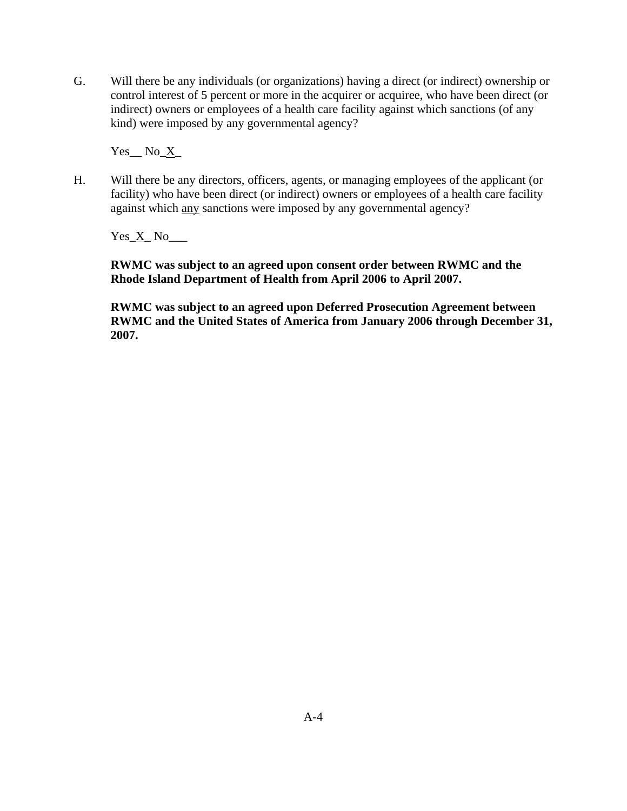G. Will there be any individuals (or organizations) having a direct (or indirect) ownership or control interest of 5 percent or more in the acquirer or acquiree, who have been direct (or indirect) owners or employees of a health care facility against which sanctions (of any kind) were imposed by any governmental agency?

 $Yes$  No\_ $X$ <sub>\_</sub>

H. Will there be any directors, officers, agents, or managing employees of the applicant (or facility) who have been direct (or indirect) owners or employees of a health care facility against which any sanctions were imposed by any governmental agency?

 $Yes\_X$ <sub>\_</sub> No<sub>\_\_\_\_</sub>

**RWMC was subject to an agreed upon consent order between RWMC and the Rhode Island Department of Health from April 2006 to April 2007.** 

**RWMC was subject to an agreed upon Deferred Prosecution Agreement between RWMC and the United States of America from January 2006 through December 31, 2007.**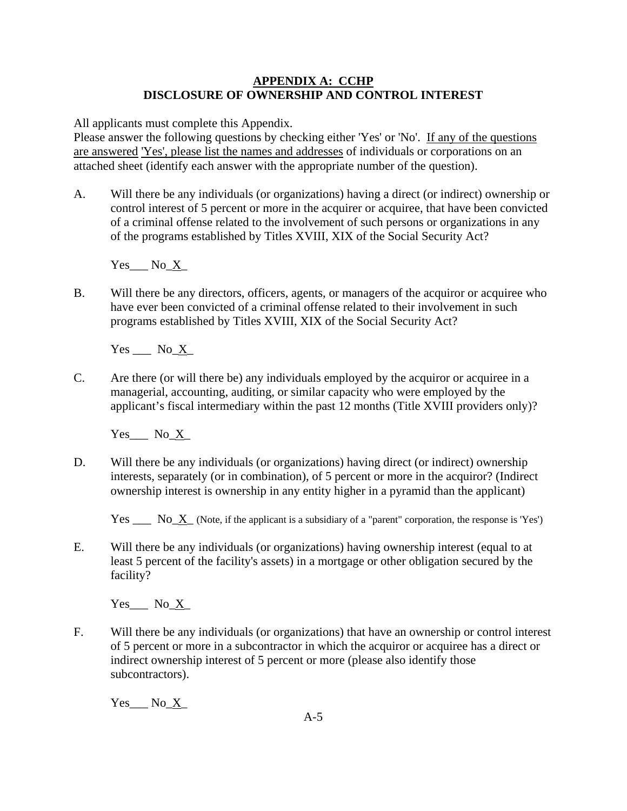### **APPENDIX A: CCHP DISCLOSURE OF OWNERSHIP AND CONTROL INTEREST**

All applicants must complete this Appendix.

Please answer the following questions by checking either 'Yes' or 'No'. If any of the questions are answered 'Yes', please list the names and addresses of individuals or corporations on an attached sheet (identify each answer with the appropriate number of the question).

A. Will there be any individuals (or organizations) having a direct (or indirect) ownership or control interest of 5 percent or more in the acquirer or acquiree, that have been convicted of a criminal offense related to the involvement of such persons or organizations in any of the programs established by Titles XVIII, XIX of the Social Security Act?

Yes No X

B. Will there be any directors, officers, agents, or managers of the acquiror or acquiree who have ever been convicted of a criminal offense related to their involvement in such programs established by Titles XVIII, XIX of the Social Security Act?

 $Yes$   $No_X$ 

C. Are there (or will there be) any individuals employed by the acquiror or acquiree in a managerial, accounting, auditing, or similar capacity who were employed by the applicant's fiscal intermediary within the past 12 months (Title XVIII providers only)?

 $Yes$  No\_X\_

D. Will there be any individuals (or organizations) having direct (or indirect) ownership interests, separately (or in combination), of 5 percent or more in the acquiror? (Indirect ownership interest is ownership in any entity higher in a pyramid than the applicant)

Yes  $\frac{N_0 - N_1}{N_0 - N_1}$  (Note, if the applicant is a subsidiary of a "parent" corporation, the response is 'Yes')

E. Will there be any individuals (or organizations) having ownership interest (equal to at least 5 percent of the facility's assets) in a mortgage or other obligation secured by the facility?

Yes No X

F. Will there be any individuals (or organizations) that have an ownership or control interest of 5 percent or more in a subcontractor in which the acquiror or acquiree has a direct or indirect ownership interest of 5 percent or more (please also identify those subcontractors).

 $Yes$  No\_X\_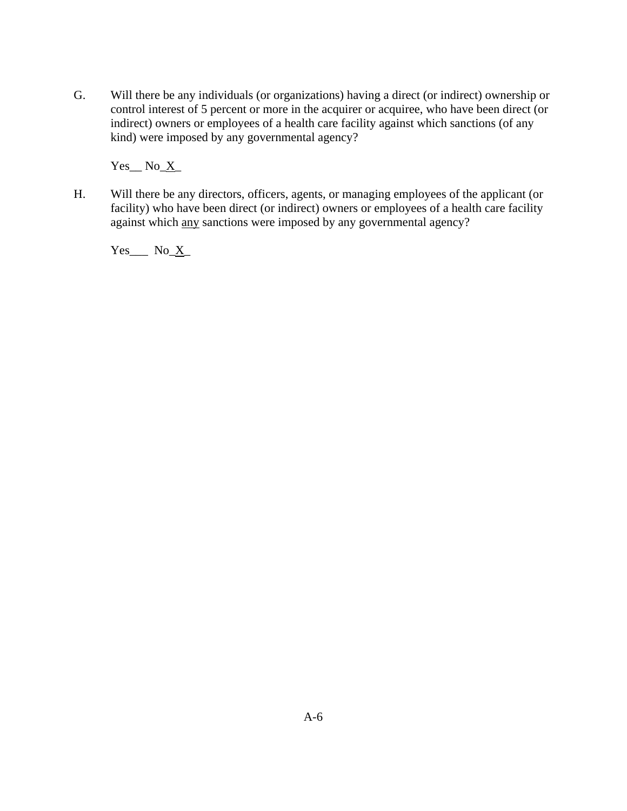G. Will there be any individuals (or organizations) having a direct (or indirect) ownership or control interest of 5 percent or more in the acquirer or acquiree, who have been direct (or indirect) owners or employees of a health care facility against which sanctions (of any kind) were imposed by any governmental agency?

 $Yes$ <sub>\_</sub>  $No$ <sub>\_</sub> $X$ <sub>\_</sub>

H. Will there be any directors, officers, agents, or managing employees of the applicant (or facility) who have been direct (or indirect) owners or employees of a health care facility against which any sanctions were imposed by any governmental agency?

 $Yes$  No  $X$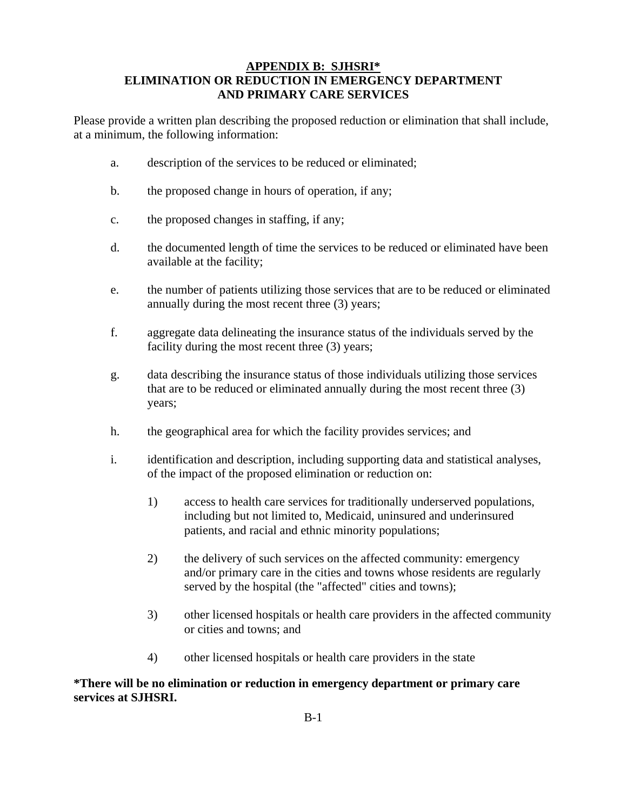#### **APPENDIX B: SJHSRI\* ELIMINATION OR REDUCTION IN EMERGENCY DEPARTMENT AND PRIMARY CARE SERVICES**

Please provide a written plan describing the proposed reduction or elimination that shall include, at a minimum, the following information:

- a. description of the services to be reduced or eliminated;
- b. the proposed change in hours of operation, if any;
- c. the proposed changes in staffing, if any;
- d. the documented length of time the services to be reduced or eliminated have been available at the facility;
- e. the number of patients utilizing those services that are to be reduced or eliminated annually during the most recent three (3) years;
- f. aggregate data delineating the insurance status of the individuals served by the facility during the most recent three (3) years;
- g. data describing the insurance status of those individuals utilizing those services that are to be reduced or eliminated annually during the most recent three (3) years;
- h. the geographical area for which the facility provides services; and
- i. identification and description, including supporting data and statistical analyses, of the impact of the proposed elimination or reduction on:
	- 1) access to health care services for traditionally underserved populations, including but not limited to, Medicaid, uninsured and underinsured patients, and racial and ethnic minority populations;
	- 2) the delivery of such services on the affected community: emergency and/or primary care in the cities and towns whose residents are regularly served by the hospital (the "affected" cities and towns);
	- 3) other licensed hospitals or health care providers in the affected community or cities and towns; and
	- 4) other licensed hospitals or health care providers in the state

#### **\*There will be no elimination or reduction in emergency department or primary care services at SJHSRI.**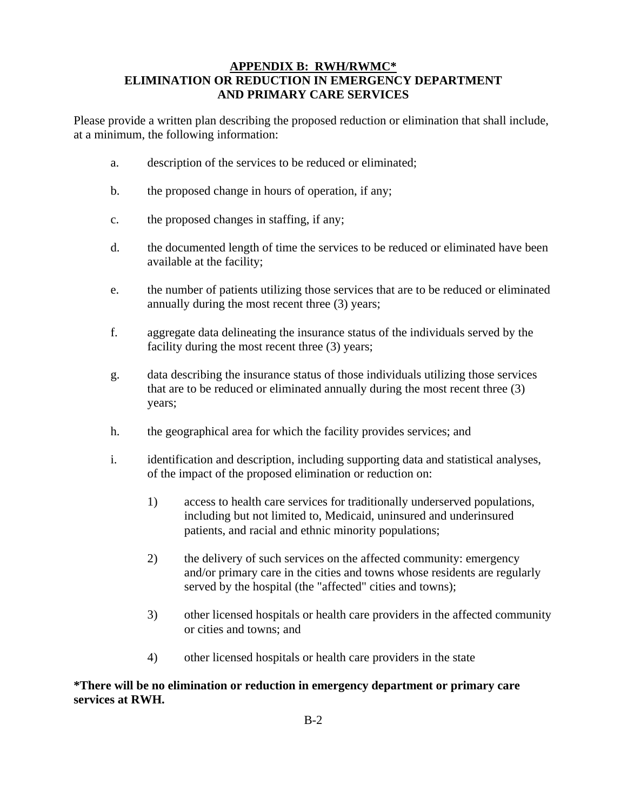#### **APPENDIX B: RWH/RWMC\* ELIMINATION OR REDUCTION IN EMERGENCY DEPARTMENT AND PRIMARY CARE SERVICES**

Please provide a written plan describing the proposed reduction or elimination that shall include, at a minimum, the following information:

- a. description of the services to be reduced or eliminated;
- b. the proposed change in hours of operation, if any;
- c. the proposed changes in staffing, if any;
- d. the documented length of time the services to be reduced or eliminated have been available at the facility;
- e. the number of patients utilizing those services that are to be reduced or eliminated annually during the most recent three (3) years;
- f. aggregate data delineating the insurance status of the individuals served by the facility during the most recent three (3) years;
- g. data describing the insurance status of those individuals utilizing those services that are to be reduced or eliminated annually during the most recent three (3) years;
- h. the geographical area for which the facility provides services; and
- i. identification and description, including supporting data and statistical analyses, of the impact of the proposed elimination or reduction on:
	- 1) access to health care services for traditionally underserved populations, including but not limited to, Medicaid, uninsured and underinsured patients, and racial and ethnic minority populations;
	- 2) the delivery of such services on the affected community: emergency and/or primary care in the cities and towns whose residents are regularly served by the hospital (the "affected" cities and towns);
	- 3) other licensed hospitals or health care providers in the affected community or cities and towns; and
	- 4) other licensed hospitals or health care providers in the state

#### **\*There will be no elimination or reduction in emergency department or primary care services at RWH.**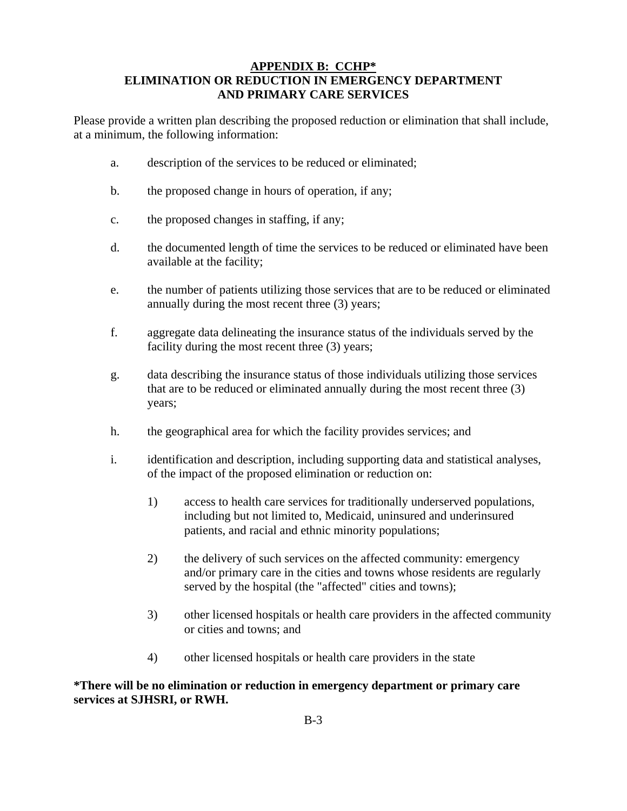#### **APPENDIX B: CCHP\* ELIMINATION OR REDUCTION IN EMERGENCY DEPARTMENT AND PRIMARY CARE SERVICES**

Please provide a written plan describing the proposed reduction or elimination that shall include, at a minimum, the following information:

- a. description of the services to be reduced or eliminated;
- b. the proposed change in hours of operation, if any;
- c. the proposed changes in staffing, if any;
- d. the documented length of time the services to be reduced or eliminated have been available at the facility;
- e. the number of patients utilizing those services that are to be reduced or eliminated annually during the most recent three (3) years;
- f. aggregate data delineating the insurance status of the individuals served by the facility during the most recent three (3) years;
- g. data describing the insurance status of those individuals utilizing those services that are to be reduced or eliminated annually during the most recent three (3) years;
- h. the geographical area for which the facility provides services; and
- i. identification and description, including supporting data and statistical analyses, of the impact of the proposed elimination or reduction on:
	- 1) access to health care services for traditionally underserved populations, including but not limited to, Medicaid, uninsured and underinsured patients, and racial and ethnic minority populations;
	- 2) the delivery of such services on the affected community: emergency and/or primary care in the cities and towns whose residents are regularly served by the hospital (the "affected" cities and towns);
	- 3) other licensed hospitals or health care providers in the affected community or cities and towns; and
	- 4) other licensed hospitals or health care providers in the state

**\*There will be no elimination or reduction in emergency department or primary care services at SJHSRI, or RWH.**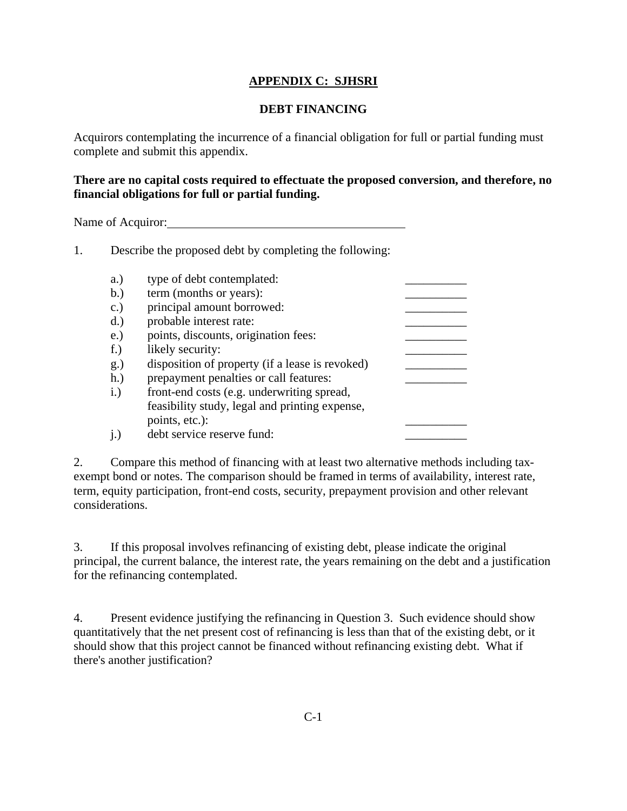## **APPENDIX C: SJHSRI**

## **DEBT FINANCING**

Acquirors contemplating the incurrence of a financial obligation for full or partial funding must complete and submit this appendix.

## **There are no capital costs required to effectuate the proposed conversion, and therefore, no financial obligations for full or partial funding.**

Name of Acquiror:

1. Describe the proposed debt by completing the following:

| a.)             | type of debt contemplated:                      |  |
|-----------------|-------------------------------------------------|--|
| b.)             | term (months or years):                         |  |
| $\mathbf{c}$ .) | principal amount borrowed:                      |  |
| $d.$ )          | probable interest rate:                         |  |
| e.)             | points, discounts, origination fees:            |  |
| $f_{\cdot}$     | likely security:                                |  |
| g.)             | disposition of property (if a lease is revoked) |  |
| $h.$ )          | prepayment penalties or call features:          |  |
| i.)             | front-end costs (e.g. underwriting spread,      |  |
|                 | feasibility study, legal and printing expense,  |  |
|                 | points, etc.):                                  |  |
| i.)             | debt service reserve fund:                      |  |

2. Compare this method of financing with at least two alternative methods including taxexempt bond or notes. The comparison should be framed in terms of availability, interest rate, term, equity participation, front-end costs, security, prepayment provision and other relevant considerations.

3. If this proposal involves refinancing of existing debt, please indicate the original principal, the current balance, the interest rate, the years remaining on the debt and a justification for the refinancing contemplated.

4. Present evidence justifying the refinancing in Question 3. Such evidence should show quantitatively that the net present cost of refinancing is less than that of the existing debt, or it should show that this project cannot be financed without refinancing existing debt. What if there's another justification?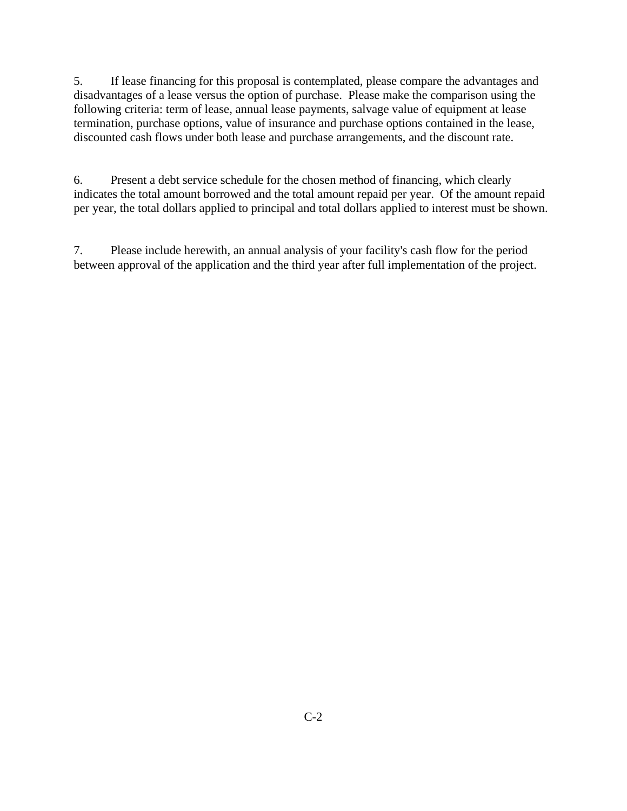5. If lease financing for this proposal is contemplated, please compare the advantages and disadvantages of a lease versus the option of purchase. Please make the comparison using the following criteria: term of lease, annual lease payments, salvage value of equipment at lease termination, purchase options, value of insurance and purchase options contained in the lease, discounted cash flows under both lease and purchase arrangements, and the discount rate.

6. Present a debt service schedule for the chosen method of financing, which clearly indicates the total amount borrowed and the total amount repaid per year. Of the amount repaid per year, the total dollars applied to principal and total dollars applied to interest must be shown.

7. Please include herewith, an annual analysis of your facility's cash flow for the period between approval of the application and the third year after full implementation of the project.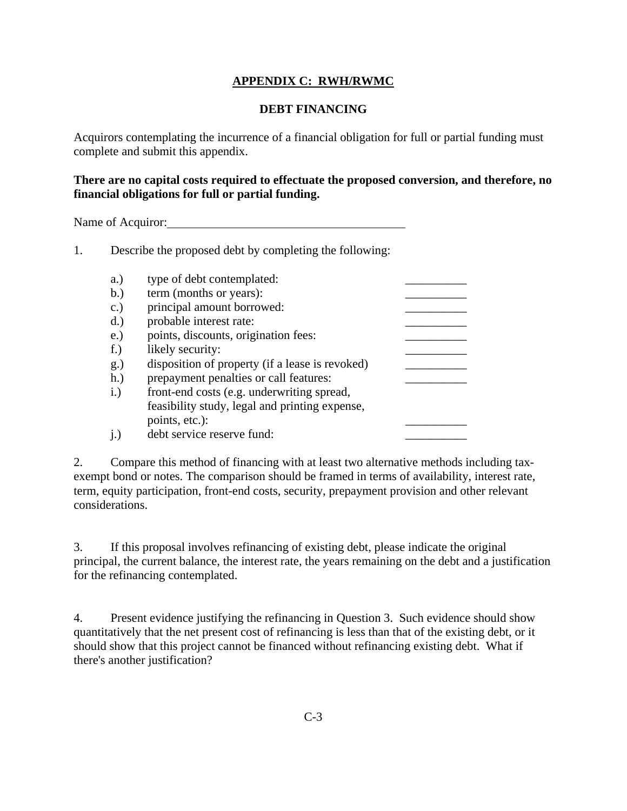## **APPENDIX C: RWH/RWMC**

## **DEBT FINANCING**

Acquirors contemplating the incurrence of a financial obligation for full or partial funding must complete and submit this appendix.

## **There are no capital costs required to effectuate the proposed conversion, and therefore, no financial obligations for full or partial funding.**

Name of Acquiror: Name of Acquiror:

1. Describe the proposed debt by completing the following:

| a.)             | type of debt contemplated:                      |  |
|-----------------|-------------------------------------------------|--|
| b.)             | term (months or years):                         |  |
| $\mathbf{c}$ .) | principal amount borrowed:                      |  |
| $d.$ )          | probable interest rate:                         |  |
| e.)             | points, discounts, origination fees:            |  |
| $f_{\cdot}$     | likely security:                                |  |
| g.)             | disposition of property (if a lease is revoked) |  |
| $h.$ )          | prepayment penalties or call features:          |  |
| i.)             | front-end costs (e.g. underwriting spread,      |  |
|                 | feasibility study, legal and printing expense,  |  |
|                 | points, etc.):                                  |  |
| i.)             | debt service reserve fund:                      |  |

2. Compare this method of financing with at least two alternative methods including taxexempt bond or notes. The comparison should be framed in terms of availability, interest rate, term, equity participation, front-end costs, security, prepayment provision and other relevant considerations.

3. If this proposal involves refinancing of existing debt, please indicate the original principal, the current balance, the interest rate, the years remaining on the debt and a justification for the refinancing contemplated.

4. Present evidence justifying the refinancing in Question 3. Such evidence should show quantitatively that the net present cost of refinancing is less than that of the existing debt, or it should show that this project cannot be financed without refinancing existing debt. What if there's another justification?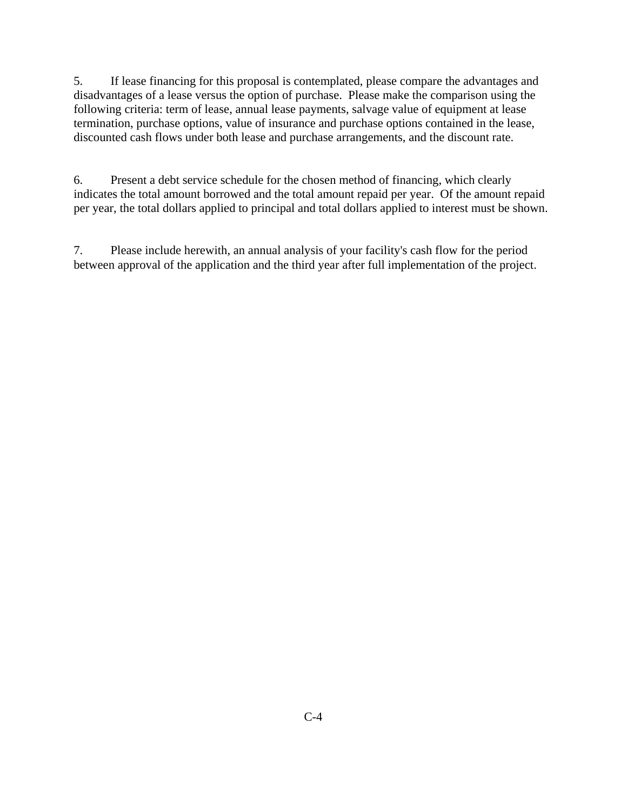5. If lease financing for this proposal is contemplated, please compare the advantages and disadvantages of a lease versus the option of purchase. Please make the comparison using the following criteria: term of lease, annual lease payments, salvage value of equipment at lease termination, purchase options, value of insurance and purchase options contained in the lease, discounted cash flows under both lease and purchase arrangements, and the discount rate.

6. Present a debt service schedule for the chosen method of financing, which clearly indicates the total amount borrowed and the total amount repaid per year. Of the amount repaid per year, the total dollars applied to principal and total dollars applied to interest must be shown.

7. Please include herewith, an annual analysis of your facility's cash flow for the period between approval of the application and the third year after full implementation of the project.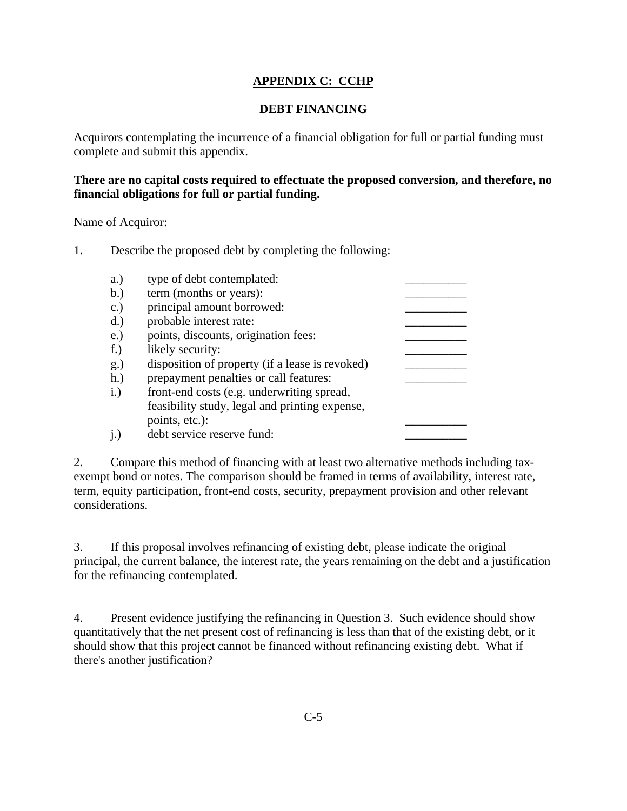## **APPENDIX C: CCHP**

## **DEBT FINANCING**

Acquirors contemplating the incurrence of a financial obligation for full or partial funding must complete and submit this appendix.

## **There are no capital costs required to effectuate the proposed conversion, and therefore, no financial obligations for full or partial funding.**

Name of Acquiror:

1. Describe the proposed debt by completing the following:

| a.)             | type of debt contemplated:                      |  |
|-----------------|-------------------------------------------------|--|
| b.)             | term (months or years):                         |  |
| $\mathbf{c}$ .) | principal amount borrowed:                      |  |
| $d.$ )          | probable interest rate:                         |  |
| e.)             | points, discounts, origination fees:            |  |
| $f_{\cdot}$     | likely security:                                |  |
| g.)             | disposition of property (if a lease is revoked) |  |
| $h.$ )          | prepayment penalties or call features:          |  |
| i.)             | front-end costs (e.g. underwriting spread,      |  |
|                 | feasibility study, legal and printing expense,  |  |
|                 | points, etc.):                                  |  |
| i.)             | debt service reserve fund:                      |  |

2. Compare this method of financing with at least two alternative methods including taxexempt bond or notes. The comparison should be framed in terms of availability, interest rate, term, equity participation, front-end costs, security, prepayment provision and other relevant considerations.

3. If this proposal involves refinancing of existing debt, please indicate the original principal, the current balance, the interest rate, the years remaining on the debt and a justification for the refinancing contemplated.

4. Present evidence justifying the refinancing in Question 3. Such evidence should show quantitatively that the net present cost of refinancing is less than that of the existing debt, or it should show that this project cannot be financed without refinancing existing debt. What if there's another justification?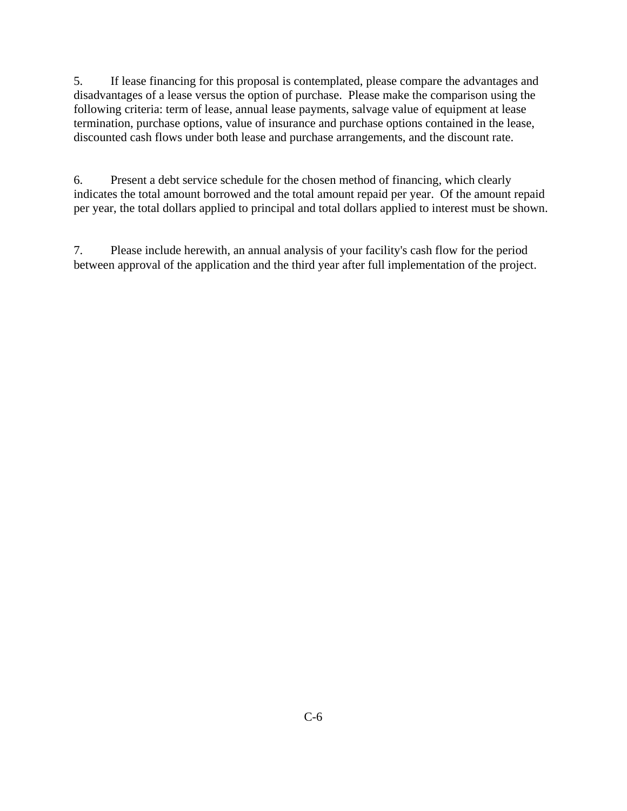5. If lease financing for this proposal is contemplated, please compare the advantages and disadvantages of a lease versus the option of purchase. Please make the comparison using the following criteria: term of lease, annual lease payments, salvage value of equipment at lease termination, purchase options, value of insurance and purchase options contained in the lease, discounted cash flows under both lease and purchase arrangements, and the discount rate.

6. Present a debt service schedule for the chosen method of financing, which clearly indicates the total amount borrowed and the total amount repaid per year. Of the amount repaid per year, the total dollars applied to principal and total dollars applied to interest must be shown.

7. Please include herewith, an annual analysis of your facility's cash flow for the period between approval of the application and the third year after full implementation of the project.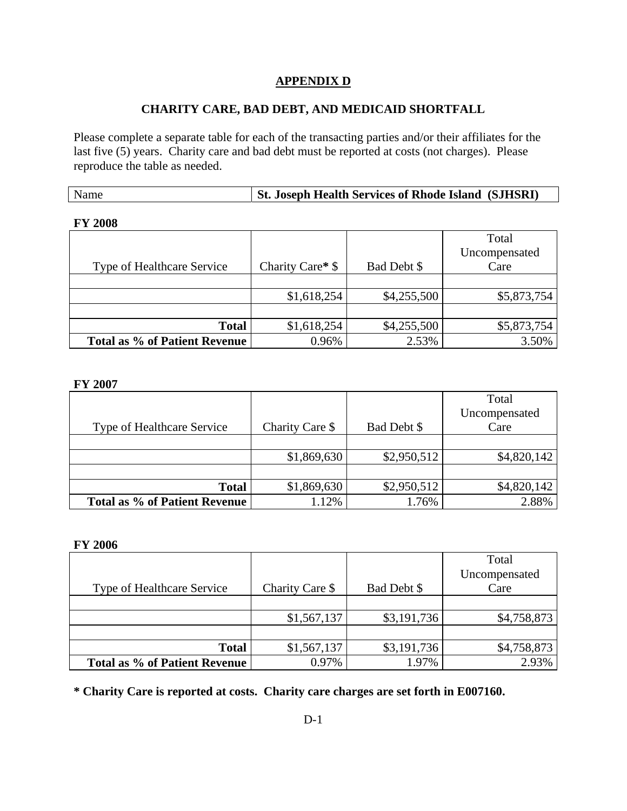### **CHARITY CARE, BAD DEBT, AND MEDICAID SHORTFALL**

Please complete a separate table for each of the transacting parties and/or their affiliates for the last five (5) years. Charity care and bad debt must be reported at costs (not charges). Please reproduce the table as needed.

| <b>St. Joseph Health Services of Rhode Island (SJHSRI)</b><br>Name |
|--------------------------------------------------------------------|
|--------------------------------------------------------------------|

#### **FY 2008**

|                                      |                  |             | Total         |
|--------------------------------------|------------------|-------------|---------------|
|                                      |                  |             | Uncompensated |
| <b>Type of Healthcare Service</b>    | Charity Care* \$ | Bad Debt \$ | Care          |
|                                      |                  |             |               |
|                                      | \$1,618,254      | \$4,255,500 | \$5,873,754   |
|                                      |                  |             |               |
| <b>Total</b>                         | \$1,618,254      | \$4,255,500 | \$5,873,754   |
| <b>Total as % of Patient Revenue</b> | 0.96%            | 2.53%       | 3.50%         |

#### **FY 2007**

| Type of Healthcare Service    | Charity Care \$ | Bad Debt \$ | Total<br>Uncompensated<br>Care |
|-------------------------------|-----------------|-------------|--------------------------------|
|                               |                 |             |                                |
|                               | \$1,869,630     | \$2,950,512 | \$4,820,142                    |
|                               |                 |             |                                |
| <b>Total</b>                  | \$1,869,630     | \$2,950,512 | \$4,820,142                    |
| Total as % of Patient Revenue | 1.12%           | 1.76%       | 2.88%                          |

#### **FY 2006**

|                                   |                 |             | Total         |
|-----------------------------------|-----------------|-------------|---------------|
|                                   |                 |             | Uncompensated |
| <b>Type of Healthcare Service</b> | Charity Care \$ | Bad Debt \$ | Care          |
|                                   |                 |             |               |
|                                   | \$1,567,137     | \$3,191,736 | \$4,758,873   |
|                                   |                 |             |               |
| <b>Total</b>                      | \$1,567,137     | \$3,191,736 | \$4,758,873   |
| Total as % of Patient Revenue     | 0.97%           | 1.97%       | 2.93%         |

**\* Charity Care is reported at costs. Charity care charges are set forth in E007160.**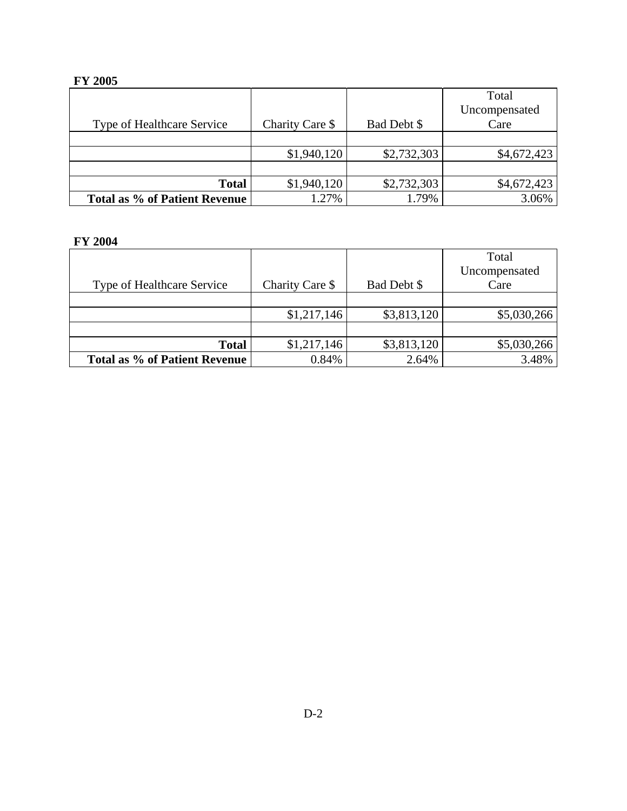# **FY 2005**

|                               |                 |             | Total         |
|-------------------------------|-----------------|-------------|---------------|
|                               |                 |             | Uncompensated |
| Type of Healthcare Service    | Charity Care \$ | Bad Debt \$ | Care          |
|                               |                 |             |               |
|                               | \$1,940,120     | \$2,732,303 | \$4,672,423   |
|                               |                 |             |               |
| <b>Total</b>                  | \$1,940,120     | \$2,732,303 | \$4,672,423   |
| Total as % of Patient Revenue | 1.27%           | 1.79%       | 3.06%         |

## **FY 2004**

| Type of Healthcare Service    | Charity Care \$ | Bad Debt \$ | Total<br>Uncompensated<br>Care |
|-------------------------------|-----------------|-------------|--------------------------------|
|                               |                 |             |                                |
|                               | \$1,217,146     | \$3,813,120 | \$5,030,266                    |
|                               |                 |             |                                |
| <b>Total</b>                  | \$1,217,146     | \$3,813,120 | \$5,030,266                    |
| Total as % of Patient Revenue | 0.84%           | 2.64%       | 3.48%                          |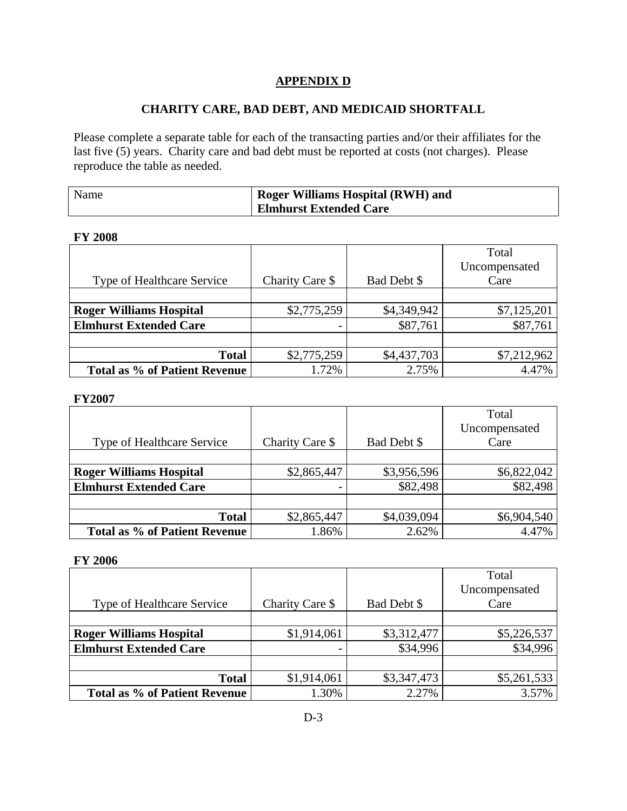## **CHARITY CARE, BAD DEBT, AND MEDICAID SHORTFALL**

Please complete a separate table for each of the transacting parties and/or their affiliates for the last five (5) years. Charity care and bad debt must be reported at costs (not charges). Please reproduce the table as needed.

| Name | <b>Roger Williams Hospital (RWH) and</b> |
|------|------------------------------------------|
|      | <b>Elmhurst Extended Care</b>            |

### **FY 2008**

|                                |                 |             | Total         |
|--------------------------------|-----------------|-------------|---------------|
|                                |                 |             | Uncompensated |
| Type of Healthcare Service     | Charity Care \$ | Bad Debt \$ | Care          |
|                                |                 |             |               |
| <b>Roger Williams Hospital</b> | \$2,775,259     | \$4,349,942 | \$7,125,201   |
| <b>Elmhurst Extended Care</b>  |                 | \$87,761    | \$87,761      |
|                                |                 |             |               |
| <b>Total</b>                   | \$2,775,259     | \$4,437,703 | \$7,212,962   |
| Total as % of Patient Revenue  | 1.72%           | 2.75%       | 4.47%         |

#### **FY2007**

|                                |                 |             | Total         |
|--------------------------------|-----------------|-------------|---------------|
|                                |                 |             | Uncompensated |
| Type of Healthcare Service     | Charity Care \$ | Bad Debt \$ | Care          |
|                                |                 |             |               |
| <b>Roger Williams Hospital</b> | \$2,865,447     | \$3,956,596 | \$6,822,042   |
| <b>Elmhurst Extended Care</b>  |                 | \$82,498    | \$82,498      |
|                                |                 |             |               |
| <b>Total</b>                   | \$2,865,447     | \$4,039,094 | \$6,904,540   |
| Total as % of Patient Revenue  | 1.86%           | 2.62%       | 4.47%         |

### **FY 2006**

|                                   |                 |             | Total         |
|-----------------------------------|-----------------|-------------|---------------|
|                                   |                 |             | Uncompensated |
| <b>Type of Healthcare Service</b> | Charity Care \$ | Bad Debt \$ | Care          |
|                                   |                 |             |               |
| <b>Roger Williams Hospital</b>    | \$1,914,061     | \$3,312,477 | \$5,226,537   |
| <b>Elmhurst Extended Care</b>     |                 | \$34,996    | \$34,996      |
|                                   |                 |             |               |
| <b>Total</b>                      | \$1,914,061     | \$3,347,473 | \$5,261,533   |
| Total as % of Patient Revenue     | 1.30%           | 2.27%       | 3.57%         |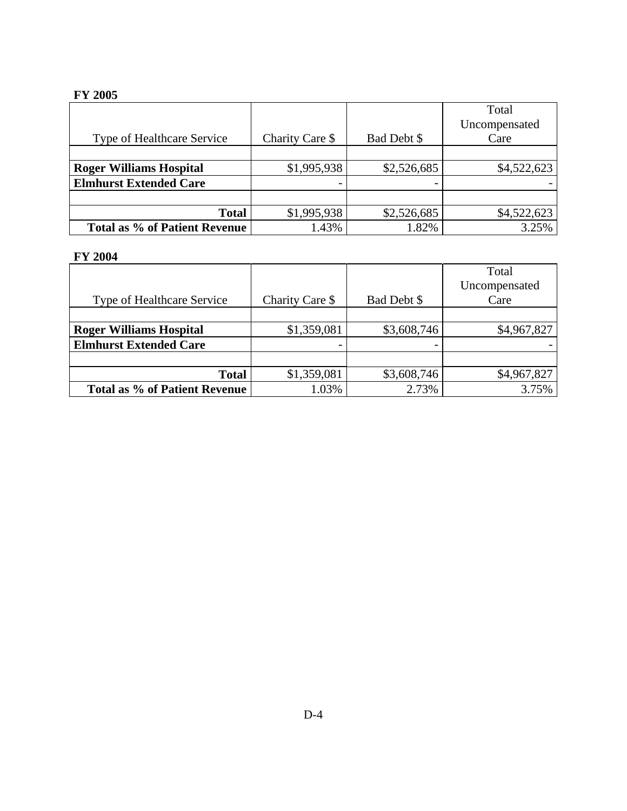# **FY 2005**

|                                |                 |             | Total         |
|--------------------------------|-----------------|-------------|---------------|
|                                |                 |             | Uncompensated |
| Type of Healthcare Service     | Charity Care \$ | Bad Debt \$ | Care          |
|                                |                 |             |               |
| <b>Roger Williams Hospital</b> | \$1,995,938     | \$2,526,685 | \$4,522,623   |
| <b>Elmhurst Extended Care</b>  |                 |             |               |
|                                |                 |             |               |
| <b>Total</b>                   | \$1,995,938     | \$2,526,685 | \$4,522,623   |
| Total as % of Patient Revenue  | 1.43%           | 1.82%       | 3.25%         |

# **FY 2004**

|                                |                 |             | Total         |
|--------------------------------|-----------------|-------------|---------------|
|                                |                 |             | Uncompensated |
| Type of Healthcare Service     | Charity Care \$ | Bad Debt \$ | Care          |
|                                |                 |             |               |
| <b>Roger Williams Hospital</b> | \$1,359,081     | \$3,608,746 | \$4,967,827   |
| <b>Elmhurst Extended Care</b>  |                 | -           |               |
|                                |                 |             |               |
| <b>Total</b>                   | \$1,359,081     | \$3,608,746 | \$4,967,827   |
| Total as % of Patient Revenue  | 1.03%           | 2.73%       | 3.75%         |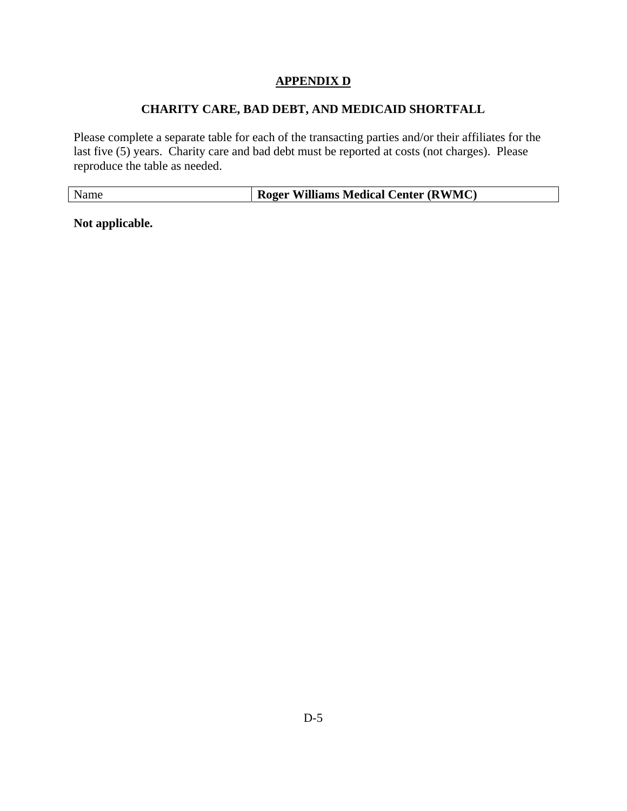# **CHARITY CARE, BAD DEBT, AND MEDICAID SHORTFALL**

Please complete a separate table for each of the transacting parties and/or their affiliates for the last five (5) years. Charity care and bad debt must be reported at costs (not charges). Please reproduce the table as needed.

| Name | <b>Roger Williams Medical Center (RWMC)</b> |
|------|---------------------------------------------|

**Not applicable.**